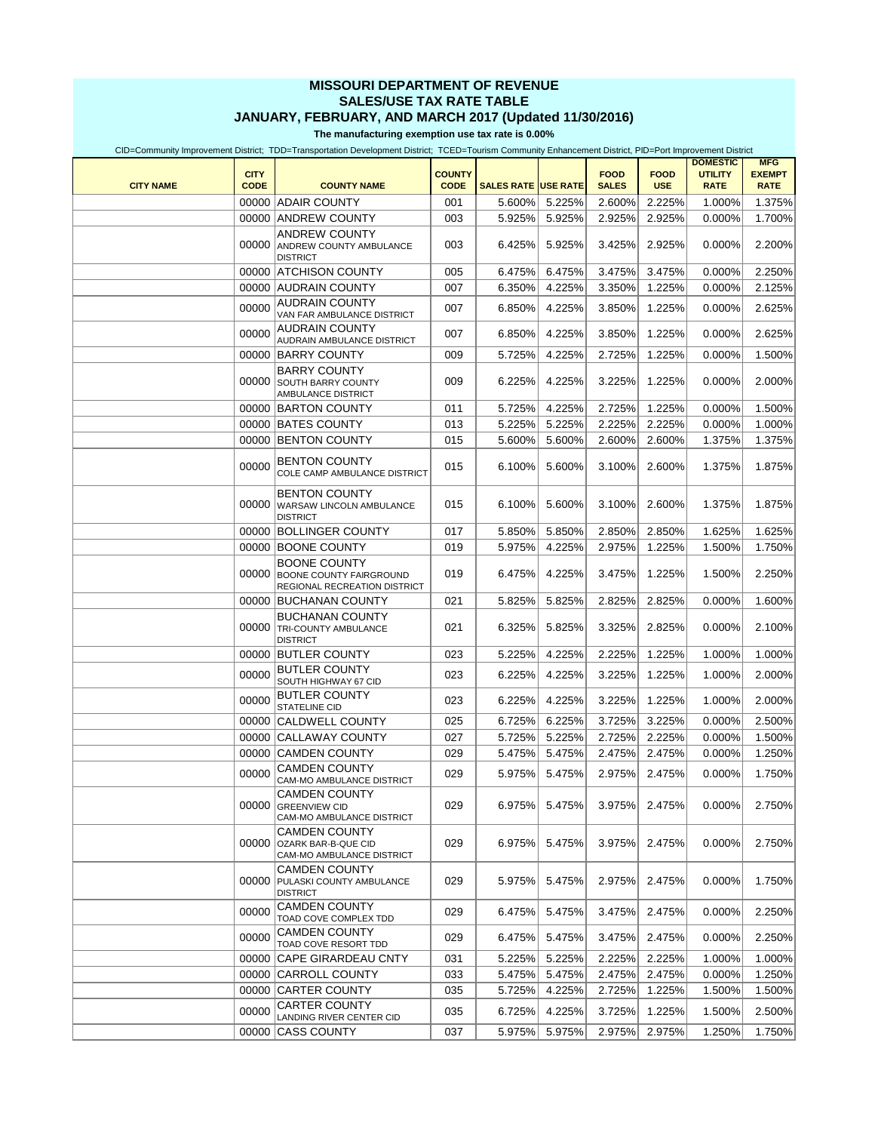## **MISSOURI DEPARTMENT OF REVENUE SALES/USE TAX RATE TABLE JANUARY, FEBRUARY, AND MARCH 2017 (Updated 11/30/2016)**

**The manufacturing exemption use tax rate is 0.00%**

CID=Community Improvement District; TDD=Transportation Development District; TCED=Tourism Community Enhancement District, PID=Port Improvement District

| <b>CITY NAME</b> | <b>CITY</b><br><b>CODE</b> | <b>COUNTY NAME</b>                                                                    | <b>COUNTY</b><br><b>CODE</b> | <b>SALES RATE USE RATE</b> |        | <b>FOOD</b><br><b>SALES</b> | <b>FOOD</b><br><b>USE</b> | <b>DOMESTIC</b><br><b>UTILITY</b><br><b>RATE</b> | <b>MFG</b><br><b>EXEMPT</b><br><b>RATE</b> |
|------------------|----------------------------|---------------------------------------------------------------------------------------|------------------------------|----------------------------|--------|-----------------------------|---------------------------|--------------------------------------------------|--------------------------------------------|
|                  |                            | 00000 ADAIR COUNTY                                                                    | 001                          | 5.600%                     | 5.225% | 2.600%                      | 2.225%                    | 1.000%                                           | 1.375%                                     |
|                  |                            |                                                                                       |                              | 5.925%                     |        |                             |                           |                                                  | 1.700%                                     |
|                  |                            | 00000 ANDREW COUNTY                                                                   | 003                          |                            | 5.925% | 2.925%                      | 2.925%                    | 0.000%                                           |                                            |
|                  | 00000                      | <b>ANDREW COUNTY</b><br>ANDREW COUNTY AMBULANCE<br><b>DISTRICT</b>                    | 003                          | 6.425%                     | 5.925% | 3.425%                      | 2.925%                    | 0.000%                                           | 2.200%                                     |
|                  | 00000                      | <b>ATCHISON COUNTY</b>                                                                | 005                          | 6.475%                     | 6.475% | 3.475%                      | 3.475%                    | 0.000%                                           | 2.250%                                     |
|                  |                            | 00000 AUDRAIN COUNTY                                                                  | 007                          | 6.350%                     | 4.225% | 3.350%                      | 1.225%                    | 0.000%                                           | 2.125%                                     |
|                  | 00000                      | <b>AUDRAIN COUNTY</b><br>VAN FAR AMBULANCE DISTRICT                                   | 007                          | 6.850%                     | 4.225% | 3.850%                      | 1.225%                    | 0.000%                                           | 2.625%                                     |
|                  | 00000                      | <b>AUDRAIN COUNTY</b><br>AUDRAIN AMBULANCE DISTRICT                                   | 007                          | 6.850%                     | 4.225% | 3.850%                      | 1.225%                    | 0.000%                                           | 2.625%                                     |
|                  |                            | 00000 BARRY COUNTY                                                                    | 009                          | 5.725%                     | 4.225% | 2.725%                      | 1.225%                    | 0.000%                                           | 1.500%                                     |
|                  | 00000                      | <b>BARRY COUNTY</b><br>SOUTH BARRY COUNTY<br>AMBULANCE DISTRICT                       | 009                          | 6.225%                     | 4.225% | 3.225%                      | 1.225%                    | 0.000%                                           | 2.000%                                     |
|                  |                            | 00000 BARTON COUNTY                                                                   | 011                          | 5.725%                     | 4.225% | 2.725%                      | 1.225%                    | 0.000%                                           | 1.500%                                     |
|                  |                            | 00000 BATES COUNTY                                                                    | 013                          | 5.225%                     | 5.225% | 2.225%                      | 2.225%                    | 0.000%                                           | 1.000%                                     |
|                  | 00000                      | <b>BENTON COUNTY</b>                                                                  | 015                          | 5.600%                     | 5.600% | 2.600%                      | 2.600%                    | 1.375%                                           | 1.375%                                     |
|                  | 00000                      | <b>BENTON COUNTY</b><br>COLE CAMP AMBULANCE DISTRICT                                  | 015                          | 6.100%                     | 5.600% | 3.100%                      | 2.600%                    | 1.375%                                           | 1.875%                                     |
|                  | 00000                      | <b>BENTON COUNTY</b><br>WARSAW LINCOLN AMBULANCE<br><b>DISTRICT</b>                   | 015                          | 6.100%                     | 5.600% | 3.100%                      | 2.600%                    | 1.375%                                           | 1.875%                                     |
|                  |                            | 00000 BOLLINGER COUNTY                                                                | 017                          | 5.850%                     | 5.850% | 2.850%                      | 2.850%                    | 1.625%                                           | 1.625%                                     |
|                  | 00000                      | <b>BOONE COUNTY</b>                                                                   | 019                          | 5.975%                     | 4.225% | 2.975%                      | 1.225%                    | 1.500%                                           | 1.750%                                     |
|                  | 00000                      | <b>BOONE COUNTY</b><br><b>BOONE COUNTY FAIRGROUND</b><br>REGIONAL RECREATION DISTRICT | 019                          | 6.475%                     | 4.225% | 3.475%                      | 1.225%                    | 1.500%                                           | 2.250%                                     |
|                  | 00000                      | <b>BUCHANAN COUNTY</b>                                                                | 021                          | 5.825%                     | 5.825% | 2.825%                      | 2.825%                    | 0.000%                                           | 1.600%                                     |
|                  | 00000                      | <b>BUCHANAN COUNTY</b><br>TRI-COUNTY AMBULANCE<br><b>DISTRICT</b>                     | 021                          | 6.325%                     | 5.825% | 3.325%                      | 2.825%                    | 0.000%                                           | 2.100%                                     |
|                  | 00000                      | <b>BUTLER COUNTY</b>                                                                  | 023                          | 5.225%                     | 4.225% | 2.225%                      | 1.225%                    | 1.000%                                           | 1.000%                                     |
|                  | 00000                      | <b>BUTLER COUNTY</b><br>SOUTH HIGHWAY 67 CID                                          | 023                          | 6.225%                     | 4.225% | 3.225%                      | 1.225%                    | 1.000%                                           | 2.000%                                     |
|                  | 00000                      | <b>BUTLER COUNTY</b><br>STATELINE CID                                                 | 023                          | 6.225%                     | 4.225% | 3.225%                      | 1.225%                    | 1.000%                                           | 2.000%                                     |
|                  | 00000                      | <b>CALDWELL COUNTY</b>                                                                | 025                          | 6.725%                     | 6.225% | 3.725%                      | 3.225%                    | 0.000%                                           | 2.500%                                     |
|                  | 00000                      | <b>CALLAWAY COUNTY</b>                                                                | 027                          | 5.725%                     | 5.225% | 2.725%                      | 2.225%                    | 0.000%                                           | 1.500%                                     |
|                  | 00000                      | <b>CAMDEN COUNTY</b>                                                                  | 029                          | 5.475%                     | 5.475% | 2.475%                      | 2.475%                    | 0.000%                                           | 1.250%                                     |
|                  | 00000                      | <b>CAMDEN COUNTY</b><br>CAM-MO AMBULANCE DISTRICT                                     | 029                          | 5.975%                     | 5.475% | 2.975%                      | 2.475%                    | 0.000%                                           | 1.750%                                     |
|                  |                            | <b>CAMDEN COUNTY</b><br>00000 GREENVIEW CID<br>CAM-MO AMBULANCE DISTRICT              | 029                          | 6.975%                     | 5.475% | 3.975%                      | 2.475%                    | $0.000\%$                                        | 2.750%                                     |
|                  | 00000                      | <b>CAMDEN COUNTY</b><br>OZARK BAR-B-QUE CID<br>CAM-MO AMBULANCE DISTRICT              | 029                          | 6.975%                     | 5.475% | 3.975%                      | 2.475%                    | 0.000%                                           | 2.750%                                     |
|                  | 00000                      | <b>CAMDEN COUNTY</b><br>PULASKI COUNTY AMBULANCE<br><b>DISTRICT</b>                   | 029                          | 5.975%                     | 5.475% | 2.975%                      | 2.475%                    | 0.000%                                           | 1.750%                                     |
|                  | 00000                      | <b>CAMDEN COUNTY</b><br>TOAD COVE COMPLEX TDD                                         | 029                          | 6.475%                     | 5.475% | 3.475%                      | 2.475%                    | 0.000%                                           | 2.250%                                     |
|                  | 00000                      | <b>CAMDEN COUNTY</b><br>TOAD COVE RESORT TDD                                          | 029                          | 6.475%                     | 5.475% | 3.475%                      | 2.475%                    | 0.000%                                           | 2.250%                                     |
|                  | 00000                      | <b>CAPE GIRARDEAU CNTY</b>                                                            | 031                          | 5.225%                     | 5.225% | 2.225%                      | 2.225%                    | 1.000%                                           | 1.000%                                     |
|                  |                            | 00000 CARROLL COUNTY                                                                  | 033                          | 5.475%                     | 5.475% | 2.475%                      | 2.475%                    | 0.000%                                           | 1.250%                                     |
|                  | 00000                      | <b>CARTER COUNTY</b>                                                                  | 035                          | 5.725%                     | 4.225% | 2.725%                      | 1.225%                    | 1.500%                                           | 1.500%                                     |
|                  | 00000                      | <b>CARTER COUNTY</b><br>LANDING RIVER CENTER CID                                      | 035                          | 6.725%                     | 4.225% | 3.725%                      | 1.225%                    | 1.500%                                           | 2.500%                                     |
|                  |                            | 00000 CASS COUNTY                                                                     | 037                          | 5.975%                     | 5.975% | 2.975%                      | 2.975%                    | 1.250%                                           | 1.750%                                     |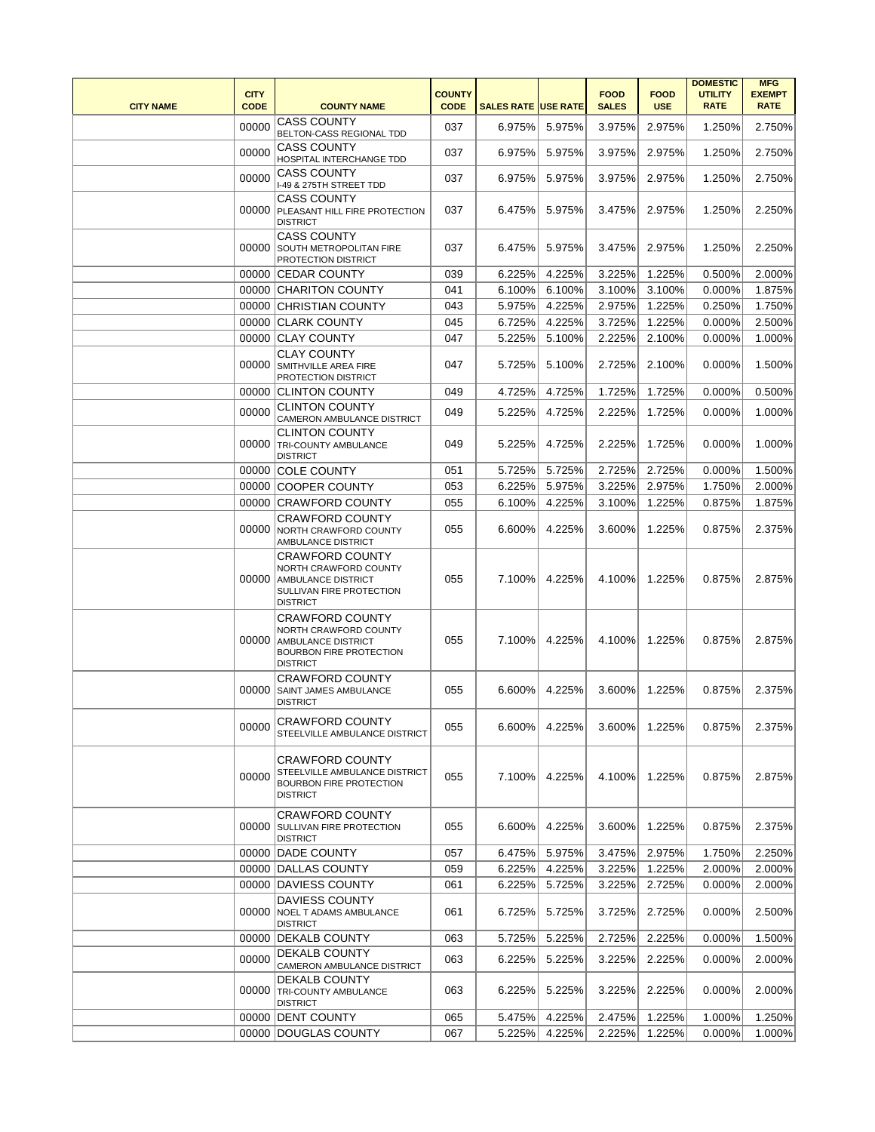| <b>CITY NAME</b> | <b>CITY</b><br><b>CODE</b> | <b>COUNTY NAME</b>                                                                                                          | <b>COUNTY</b><br><b>CODE</b> | <b>SALES RATE USE RATE</b> |        | <b>FOOD</b><br><b>SALES</b> | <b>FOOD</b><br><b>USE</b> | <b>DOMESTIC</b><br><b>UTILITY</b><br><b>RATE</b> | <b>MFG</b><br><b>EXEMPT</b><br><b>RATE</b> |
|------------------|----------------------------|-----------------------------------------------------------------------------------------------------------------------------|------------------------------|----------------------------|--------|-----------------------------|---------------------------|--------------------------------------------------|--------------------------------------------|
|                  | 00000                      | <b>CASS COUNTY</b><br>BELTON-CASS REGIONAL TDD                                                                              | 037                          | 6.975%                     | 5.975% | 3.975%                      | 2.975%                    | 1.250%                                           | 2.750%                                     |
|                  | 00000                      | <b>CASS COUNTY</b><br>HOSPITAL INTERCHANGE TDD                                                                              | 037                          | 6.975%                     | 5.975% | 3.975%                      | 2.975%                    | 1.250%                                           | 2.750%                                     |
|                  | 00000                      | <b>CASS COUNTY</b><br>I-49 & 275TH STREET TDD                                                                               | 037                          | 6.975%                     | 5.975% | 3.975%                      | 2.975%                    | 1.250%                                           | 2.750%                                     |
|                  | 00000                      | <b>CASS COUNTY</b><br>PLEASANT HILL FIRE PROTECTION<br><b>DISTRICT</b>                                                      | 037                          | 6.475%                     | 5.975% | 3.475%                      | 2.975%                    | 1.250%                                           | 2.250%                                     |
|                  | 00000                      | <b>CASS COUNTY</b><br>SOUTH METROPOLITAN FIRE<br>PROTECTION DISTRICT                                                        | 037                          | 6.475%                     | 5.975% | 3.475%                      | 2.975%                    | 1.250%                                           | 2.250%                                     |
|                  |                            | 00000 CEDAR COUNTY                                                                                                          | 039                          | 6.225%                     | 4.225% | 3.225%                      | 1.225%                    | 0.500%                                           | 2.000%                                     |
|                  |                            | 00000 CHARITON COUNTY                                                                                                       | 041                          | 6.100%                     | 6.100% | 3.100%                      | 3.100%                    | 0.000%                                           | 1.875%                                     |
|                  |                            | 00000 CHRISTIAN COUNTY                                                                                                      | 043                          | 5.975%                     | 4.225% | 2.975%                      | 1.225%                    | 0.250%                                           | 1.750%                                     |
|                  |                            | 00000 CLARK COUNTY                                                                                                          | 045                          | 6.725%                     | 4.225% | 3.725%                      | 1.225%                    | 0.000%                                           | 2.500%                                     |
|                  |                            | 00000 CLAY COUNTY                                                                                                           | 047                          | 5.225%                     | 5.100% | 2.225%                      | 2.100%                    | 0.000%                                           | 1.000%                                     |
|                  | 00000                      | <b>CLAY COUNTY</b><br>SMITHVILLE AREA FIRE<br>PROTECTION DISTRICT                                                           | 047                          | 5.725%                     | 5.100% | 2.725%                      | 2.100%                    | 0.000%                                           | 1.500%                                     |
|                  |                            | 00000 CLINTON COUNTY                                                                                                        | 049                          | 4.725%                     | 4.725% | 1.725%                      | 1.725%                    | 0.000%                                           | 0.500%                                     |
|                  | 00000                      | <b>CLINTON COUNTY</b><br>CAMERON AMBULANCE DISTRICT                                                                         | 049                          | 5.225%                     | 4.725% | 2.225%                      | 1.725%                    | 0.000%                                           | 1.000%                                     |
|                  |                            | <b>CLINTON COUNTY</b><br>00000 TRI-COUNTY AMBULANCE<br><b>DISTRICT</b>                                                      | 049                          | 5.225%                     | 4.725% | 2.225%                      | 1.725%                    | 0.000%                                           | 1.000%                                     |
|                  | 00000                      | <b>COLE COUNTY</b>                                                                                                          | 051                          | 5.725%                     | 5.725% | 2.725%                      | 2.725%                    | 0.000%                                           | 1.500%                                     |
|                  | 00000                      | <b>COOPER COUNTY</b>                                                                                                        | 053                          | 6.225%                     | 5.975% | 3.225%                      | 2.975%                    | 1.750%                                           | 2.000%                                     |
|                  |                            | 00000 CRAWFORD COUNTY                                                                                                       | 055                          | 6.100%                     | 4.225% | 3.100%                      | 1.225%                    | 0.875%                                           | 1.875%                                     |
|                  | 00000                      | <b>CRAWFORD COUNTY</b><br>NORTH CRAWFORD COUNTY<br>AMBULANCE DISTRICT                                                       | 055                          | 6.600%                     | 4.225% | 3.600%                      | 1.225%                    | 0.875%                                           | 2.375%                                     |
|                  | 00000                      | <b>CRAWFORD COUNTY</b><br>NORTH CRAWFORD COUNTY<br><b>AMBULANCE DISTRICT</b><br>SULLIVAN FIRE PROTECTION<br><b>DISTRICT</b> | 055                          | 7.100%                     | 4.225% | 4.100%                      | 1.225%                    | 0.875%                                           | 2.875%                                     |
|                  | 00000                      | <b>CRAWFORD COUNTY</b><br>NORTH CRAWFORD COUNTY<br>AMBULANCE DISTRICT<br>BOURBON FIRE PROTECTION<br><b>DISTRICT</b>         | 055                          | 7.100%                     | 4.225% | 4.100%                      | 1.225%                    | 0.875%                                           | 2.875%                                     |
|                  | 00000                      | <b>CRAWFORD COUNTY</b><br>SAINT JAMES AMBULANCE<br><b>DISTRICT</b>                                                          | 055                          | 6.600%                     | 4.225% | 3.600%                      | 1.225%                    | 0.875%                                           | 2.375%                                     |
|                  | 00000                      | <b>CRAWFORD COUNTY</b><br>STEELVILLE AMBULANCE DISTRICT                                                                     | 055                          | 6.600%                     | 4.225% | 3.600%                      | 1.225%                    | 0.875%                                           | 2.375%                                     |
|                  | 00000                      | <b>CRAWFORD COUNTY</b><br>STEELVILLE AMBULANCE DISTRICT<br><b>BOURBON FIRE PROTECTION</b><br><b>DISTRICT</b>                | 055                          | 7.100%                     | 4.225% | 4.100%                      | 1.225%                    | 0.875%                                           | 2.875%                                     |
|                  |                            | <b>CRAWFORD COUNTY</b><br>00000 SULLIVAN FIRE PROTECTION<br><b>DISTRICT</b>                                                 | 055                          | 6.600%                     | 4.225% | 3.600%                      | 1.225%                    | 0.875%                                           | 2.375%                                     |
|                  |                            | 00000 DADE COUNTY                                                                                                           | 057                          | 6.475%                     | 5.975% | 3.475%                      | 2.975%                    | 1.750%                                           | 2.250%                                     |
|                  |                            | 00000 DALLAS COUNTY                                                                                                         | 059                          | 6.225%                     | 4.225% | 3.225%                      | 1.225%                    | 2.000%                                           | 2.000%                                     |
|                  |                            | 00000 DAVIESS COUNTY                                                                                                        | 061                          | 6.225%                     | 5.725% | 3.225%                      | 2.725%                    | 0.000%                                           | 2.000%                                     |
|                  | 00000                      | <b>DAVIESS COUNTY</b><br><b>NOEL T ADAMS AMBULANCE</b><br><b>DISTRICT</b>                                                   | 061                          | 6.725%                     | 5.725% | 3.725%                      | 2.725%                    | 0.000%                                           | 2.500%                                     |
|                  |                            | 00000 DEKALB COUNTY                                                                                                         | 063                          | 5.725%                     | 5.225% | 2.725%                      | 2.225%                    | 0.000%                                           | 1.500%                                     |
|                  | 00000                      | DEKALB COUNTY<br>CAMERON AMBULANCE DISTRICT                                                                                 | 063                          | 6.225%                     | 5.225% | 3.225%                      | 2.225%                    | 0.000%                                           | 2.000%                                     |
|                  | 00000                      | <b>DEKALB COUNTY</b><br><b>TRI-COUNTY AMBULANCE</b><br><b>DISTRICT</b>                                                      | 063                          | 6.225%                     | 5.225% | 3.225%                      | 2.225%                    | 0.000%                                           | 2.000%                                     |
|                  |                            | 00000 DENT COUNTY                                                                                                           | 065                          | 5.475%                     | 4.225% | 2.475%                      | 1.225%                    | 1.000%                                           | 1.250%                                     |
|                  |                            | 00000 DOUGLAS COUNTY                                                                                                        | 067                          | 5.225%                     | 4.225% | 2.225%                      | 1.225%                    | 0.000%                                           | 1.000%                                     |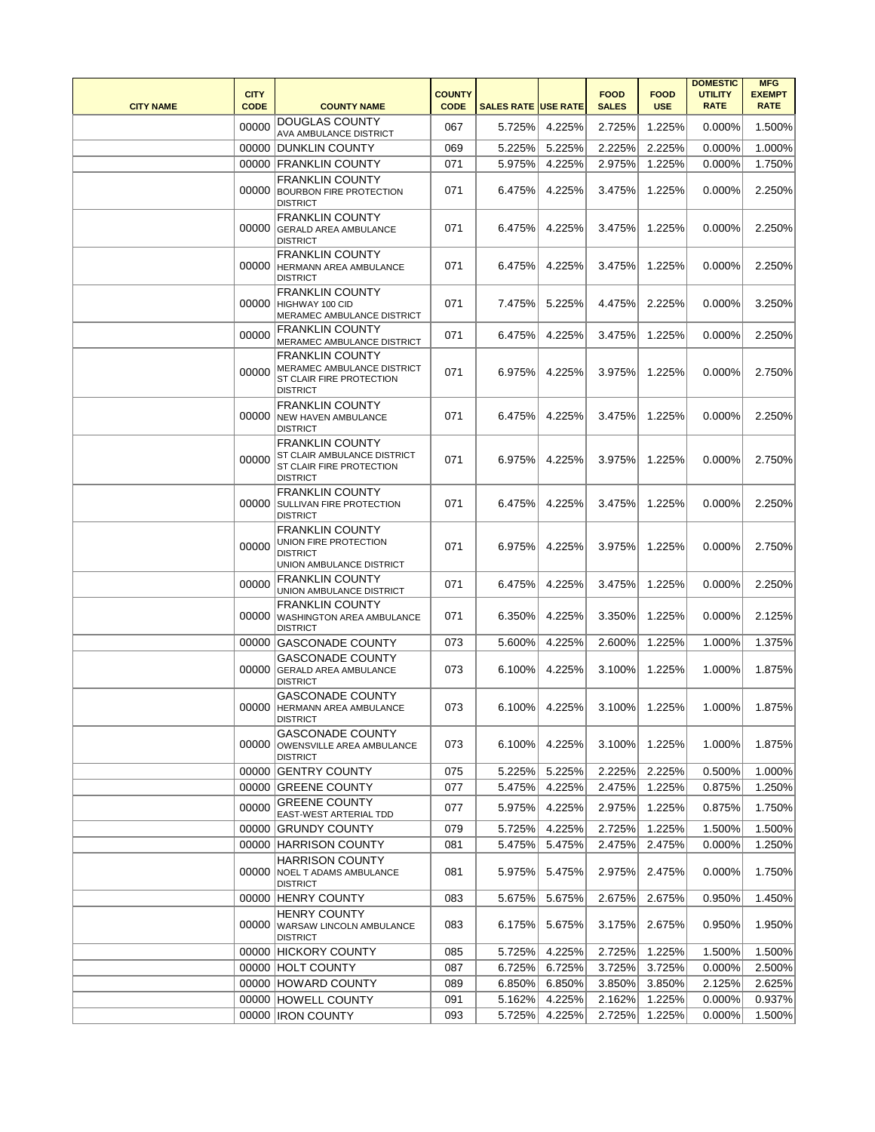| <b>CITY NAME</b> | <b>CITY</b><br><b>CODE</b> | <b>COUNTY NAME</b>                                                                                   | <b>COUNTY</b><br><b>CODE</b> | <b>SALES RATE USE RATE</b> |               | <b>FOOD</b><br><b>SALES</b> | <b>FOOD</b><br><b>USE</b> | <b>DOMESTIC</b><br><b>UTILITY</b><br><b>RATE</b> | <b>MFG</b><br><b>EXEMPT</b><br><b>RATE</b> |
|------------------|----------------------------|------------------------------------------------------------------------------------------------------|------------------------------|----------------------------|---------------|-----------------------------|---------------------------|--------------------------------------------------|--------------------------------------------|
|                  | 00000                      | <b>DOUGLAS COUNTY</b><br>AVA AMBULANCE DISTRICT                                                      | 067                          | 5.725%                     | 4.225%        | 2.725%                      | 1.225%                    | 0.000%                                           | 1.500%                                     |
|                  |                            | 00000 DUNKLIN COUNTY                                                                                 | 069                          | 5.225%                     | 5.225%        | 2.225%                      | 2.225%                    | 0.000%                                           | 1.000%                                     |
|                  |                            | 00000 FRANKLIN COUNTY                                                                                | 071                          | 5.975%                     | 4.225%        | 2.975%                      | 1.225%                    | 0.000%                                           | 1.750%                                     |
|                  | 00000                      | <b>FRANKLIN COUNTY</b><br><b>BOURBON FIRE PROTECTION</b><br><b>DISTRICT</b>                          | 071                          | 6.475%                     | 4.225%        | 3.475%                      | 1.225%                    | $0.000\%$                                        | 2.250%                                     |
|                  | 00000                      | <b>FRANKLIN COUNTY</b><br><b>GERALD AREA AMBULANCE</b><br><b>DISTRICT</b>                            | 071                          | 6.475%                     | 4.225%        | 3.475%                      | 1.225%                    | 0.000%                                           | 2.250%                                     |
|                  | 00000                      | <b>FRANKLIN COUNTY</b><br><b>HERMANN AREA AMBULANCE</b><br><b>DISTRICT</b>                           | 071                          | 6.475%                     | 4.225%        | 3.475%                      | 1.225%                    | 0.000%                                           | 2.250%                                     |
|                  | 00000                      | <b>FRANKLIN COUNTY</b><br>HIGHWAY 100 CID<br>MERAMEC AMBULANCE DISTRICT                              | 071                          | 7.475%                     | 5.225%        | 4.475%                      | 2.225%                    | $0.000\%$                                        | 3.250%                                     |
|                  | 00000                      | <b>FRANKLIN COUNTY</b><br>MERAMEC AMBULANCE DISTRICT                                                 | 071                          | 6.475%                     | 4.225%        | 3.475%                      | 1.225%                    | 0.000%                                           | 2.250%                                     |
|                  | 00000                      | <b>FRANKLIN COUNTY</b><br>MERAMEC AMBULANCE DISTRICT<br>ST CLAIR FIRE PROTECTION<br><b>DISTRICT</b>  | 071                          | 6.975%                     | 4.225%        | 3.975%                      | 1.225%                    | $0.000\%$                                        | 2.750%                                     |
|                  | 00000                      | <b>FRANKLIN COUNTY</b><br><b>NEW HAVEN AMBULANCE</b><br><b>DISTRICT</b>                              | 071                          | 6.475%                     | 4.225%        | 3.475%                      | 1.225%                    | 0.000%                                           | 2.250%                                     |
|                  | 00000                      | <b>FRANKLIN COUNTY</b><br>ST CLAIR AMBULANCE DISTRICT<br>ST CLAIR FIRE PROTECTION<br><b>DISTRICT</b> | 071                          | 6.975%                     | 4.225%        | 3.975%                      | 1.225%                    | 0.000%                                           | 2.750%                                     |
|                  | 00000                      | <b>FRANKLIN COUNTY</b><br>SULLIVAN FIRE PROTECTION<br><b>DISTRICT</b>                                | 071                          | 6.475%                     | 4.225%        | 3.475%                      | 1.225%                    | 0.000%                                           | 2.250%                                     |
|                  | 00000                      | <b>FRANKLIN COUNTY</b><br>UNION FIRE PROTECTION<br><b>DISTRICT</b><br>UNION AMBULANCE DISTRICT       | 071                          | 6.975%                     | 4.225%        | 3.975%                      | 1.225%                    | 0.000%                                           | 2.750%                                     |
|                  | 00000                      | <b>FRANKLIN COUNTY</b><br>UNION AMBULANCE DISTRICT                                                   | 071                          | 6.475%                     | 4.225%        | 3.475%                      | 1.225%                    | 0.000%                                           | 2.250%                                     |
|                  | 00000                      | <b>FRANKLIN COUNTY</b><br>WASHINGTON AREA AMBULANCE<br><b>DISTRICT</b>                               | 071                          | 6.350%                     | 4.225%        | 3.350%                      | 1.225%                    | 0.000%                                           | 2.125%                                     |
|                  | 00000                      | <b>GASCONADE COUNTY</b>                                                                              | 073                          | 5.600%                     | 4.225%        | 2.600%                      | 1.225%                    | 1.000%                                           | 1.375%                                     |
|                  | 00000                      | <b>GASCONADE COUNTY</b><br><b>GERALD AREA AMBULANCE</b><br><b>DISTRICT</b>                           | 073                          | 6.100%                     | 4.225%        | 3.100%                      | 1.225%                    | 1.000%                                           | 1.875%                                     |
|                  |                            | <b>GASCONADE COUNTY</b><br>00000 HERMANN AREA AMBULANCE<br><b>DISTRICT</b>                           | 073                          |                            | 6.100% 4.225% | 3.100%                      | 1.225%                    | 1.000%                                           | 1.875%                                     |
|                  | 00000                      | <b>GASCONADE COUNTY</b><br>OWENSVILLE AREA AMBULANCE<br><b>DISTRICT</b>                              | 073                          | 6.100%                     | 4.225%        | 3.100%                      | 1.225%                    | 1.000%                                           | 1.875%                                     |
|                  |                            | 00000 GENTRY COUNTY                                                                                  | 075                          | 5.225%                     | 5.225%        | 2.225%                      | 2.225%                    | 0.500%                                           | 1.000%                                     |
|                  | 00000                      | <b>GREENE COUNTY</b>                                                                                 | 077                          | 5.475%                     | 4.225%        | 2.475%                      | 1.225%                    | 0.875%                                           | 1.250%                                     |
|                  | 00000                      | <b>GREENE COUNTY</b><br>EAST-WEST ARTERIAL TDD                                                       | 077                          | 5.975%                     | 4.225%        | 2.975%                      | 1.225%                    | 0.875%                                           | 1.750%                                     |
|                  | 00000                      | <b>GRUNDY COUNTY</b>                                                                                 | 079                          | 5.725%                     | 4.225%        | 2.725%                      | 1.225%                    | 1.500%                                           | 1.500%                                     |
|                  |                            | 00000 HARRISON COUNTY                                                                                | 081                          | 5.475%                     | 5.475%        | 2.475%                      | 2.475%                    | 0.000%                                           | 1.250%                                     |
|                  | 00000                      | <b>HARRISON COUNTY</b><br><b>NOEL T ADAMS AMBULANCE</b><br><b>DISTRICT</b>                           | 081                          | 5.975%                     | 5.475%        | 2.975%                      | 2.475%                    | 0.000%                                           | 1.750%                                     |
|                  | 00000                      | <b>HENRY COUNTY</b>                                                                                  | 083                          | 5.675%                     | 5.675%        | 2.675%                      | 2.675%                    | 0.950%                                           | 1.450%                                     |
|                  | 00000                      | <b>HENRY COUNTY</b><br>WARSAW LINCOLN AMBULANCE<br><b>DISTRICT</b>                                   | 083                          | 6.175%                     | 5.675%        | 3.175%                      | 2.675%                    | 0.950%                                           | 1.950%                                     |
|                  |                            | 00000 HICKORY COUNTY                                                                                 | 085                          | 5.725%                     | 4.225%        | 2.725%                      | 1.225%                    | 1.500%                                           | 1.500%                                     |
|                  |                            | 00000 HOLT COUNTY                                                                                    | 087                          | 6.725%                     | 6.725%        | 3.725%                      | 3.725%                    | 0.000%                                           | 2.500%                                     |
|                  |                            | 00000 HOWARD COUNTY                                                                                  | 089                          | 6.850%                     | 6.850%        | 3.850%                      | 3.850%                    | 2.125%                                           | 2.625%                                     |
|                  |                            | 00000 HOWELL COUNTY                                                                                  | 091                          | 5.162%                     | 4.225%        | 2.162%                      | 1.225%                    | 0.000%                                           | 0.937%                                     |
|                  |                            | 00000 IRON COUNTY                                                                                    | 093                          | 5.725%                     | 4.225%        | 2.725%                      | 1.225%                    | 0.000%                                           | 1.500%                                     |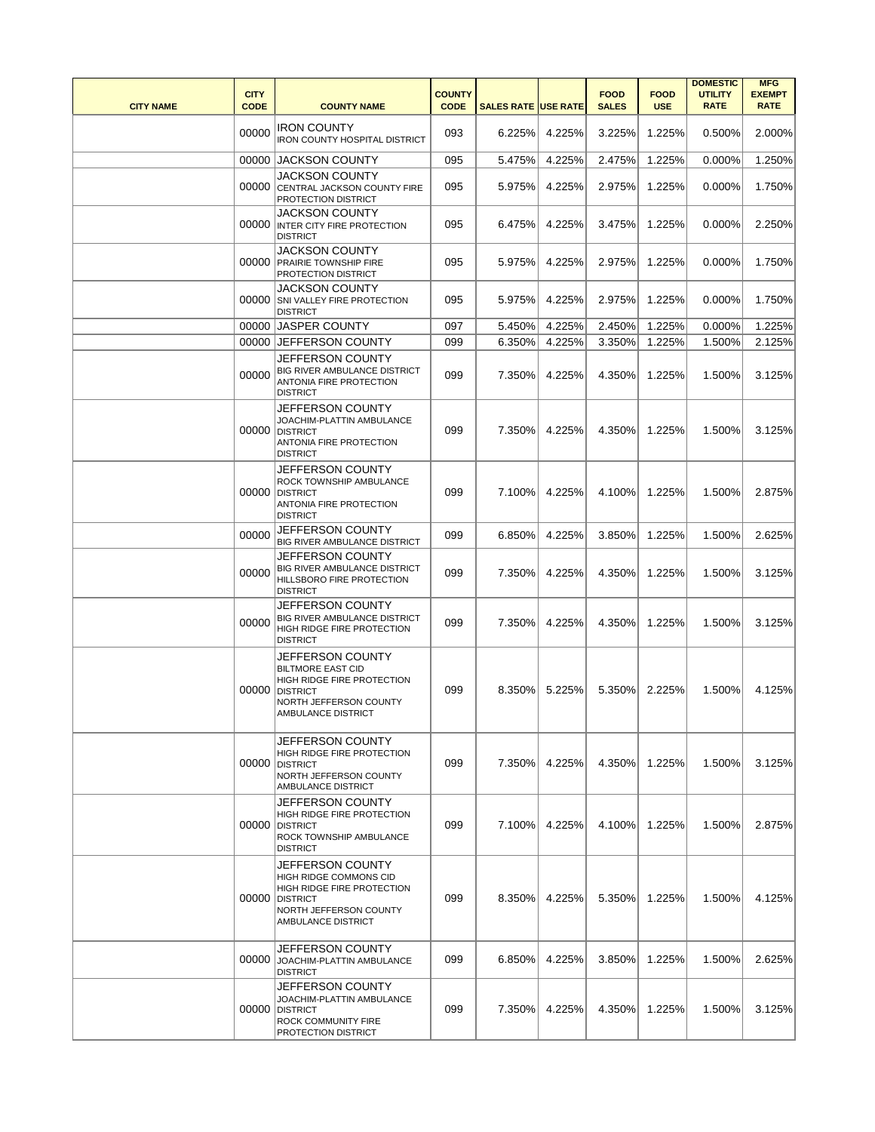| <b>CITY NAME</b> | <b>CITY</b><br><b>CODE</b> | <b>COUNTY NAME</b>                                                                                                                                 | <b>COUNTY</b><br><b>CODE</b> | <b>SALES RATE USE RATE</b> |        | <b>FOOD</b><br><b>SALES</b> | <b>FOOD</b><br><b>USE</b> | <b>DOMESTIC</b><br><b>UTILITY</b><br><b>RATE</b> | <b>MFG</b><br><b>EXEMPT</b><br><b>RATE</b> |
|------------------|----------------------------|----------------------------------------------------------------------------------------------------------------------------------------------------|------------------------------|----------------------------|--------|-----------------------------|---------------------------|--------------------------------------------------|--------------------------------------------|
|                  | 00000                      | <b>IRON COUNTY</b><br><b>IRON COUNTY HOSPITAL DISTRICT</b>                                                                                         | 093                          | 6.225%                     | 4.225% | 3.225%                      | 1.225%                    | 0.500%                                           | 2.000%                                     |
|                  | 00000                      | <b>JACKSON COUNTY</b>                                                                                                                              | 095                          | 5.475%                     | 4.225% | 2.475%                      | 1.225%                    | 0.000%                                           | 1.250%                                     |
|                  | 00000                      | <b>JACKSON COUNTY</b><br>CENTRAL JACKSON COUNTY FIRE<br>PROTECTION DISTRICT                                                                        | 095                          | 5.975%                     | 4.225% | 2.975%                      | 1.225%                    | 0.000%                                           | 1.750%                                     |
|                  | 00000                      | JACKSON COUNTY<br>INTER CITY FIRE PROTECTION<br><b>DISTRICT</b>                                                                                    | 095                          | 6.475%                     | 4.225% | 3.475%                      | 1.225%                    | 0.000%                                           | 2.250%                                     |
|                  | 00000                      | JACKSON COUNTY<br><b>PRAIRIE TOWNSHIP FIRE</b><br>PROTECTION DISTRICT                                                                              | 095                          | 5.975%                     | 4.225% | 2.975%                      | 1.225%                    | 0.000%                                           | 1.750%                                     |
|                  | 00000                      | <b>JACKSON COUNTY</b><br>SNI VALLEY FIRE PROTECTION<br><b>DISTRICT</b>                                                                             | 095                          | 5.975%                     | 4.225% | 2.975%                      | 1.225%                    | 0.000%                                           | 1.750%                                     |
|                  | 00000                      | <b>JASPER COUNTY</b>                                                                                                                               | 097                          | 5.450%                     | 4.225% | 2.450%                      | 1.225%                    | 0.000%                                           | 1.225%                                     |
|                  | 00000                      | JEFFERSON COUNTY                                                                                                                                   | 099                          | 6.350%                     | 4.225% | 3.350%                      | 1.225%                    | 1.500%                                           | 2.125%                                     |
|                  | 00000                      | JEFFERSON COUNTY<br><b>BIG RIVER AMBULANCE DISTRICT</b><br>ANTONIA FIRE PROTECTION<br><b>DISTRICT</b>                                              | 099                          | 7.350%                     | 4.225% | 4.350%                      | 1.225%                    | 1.500%                                           | 3.125%                                     |
|                  | 00000                      | JEFFERSON COUNTY<br>JOACHIM-PLATTIN AMBULANCE<br><b>DISTRICT</b><br>ANTONIA FIRE PROTECTION<br><b>DISTRICT</b>                                     | 099                          | 7.350%                     | 4.225% | 4.350%                      | 1.225%                    | 1.500%                                           | 3.125%                                     |
|                  | 00000                      | JEFFERSON COUNTY<br>ROCK TOWNSHIP AMBULANCE<br><b>DISTRICT</b><br>ANTONIA FIRE PROTECTION<br><b>DISTRICT</b>                                       | 099                          | 7.100%                     | 4.225% | 4.100%                      | 1.225%                    | 1.500%                                           | 2.875%                                     |
|                  | 00000                      | JEFFERSON COUNTY<br>BIG RIVER AMBULANCE DISTRICT                                                                                                   | 099                          | 6.850%                     | 4.225% | 3.850%                      | 1.225%                    | 1.500%                                           | 2.625%                                     |
|                  | 00000                      | JEFFERSON COUNTY<br>BIG RIVER AMBULANCE DISTRICT<br>HILLSBORO FIRE PROTECTION<br><b>DISTRICT</b>                                                   | 099                          | 7.350%                     | 4.225% | 4.350%                      | 1.225%                    | 1.500%                                           | 3.125%                                     |
|                  | 00000                      | JEFFERSON COUNTY<br><b>BIG RIVER AMBULANCE DISTRICT</b><br>HIGH RIDGE FIRE PROTECTION<br><b>DISTRICT</b>                                           | 099                          | 7.350%                     | 4.225% | 4.350%                      | 1.225%                    | 1.500%                                           | 3.125%                                     |
|                  | 00000                      | JEFFERSON COUNTY<br><b>BILTMORE EAST CID</b><br>HIGH RIDGE FIRE PROTECTION<br><b>DISTRICT</b><br>NORTH JEFFERSON COUNTY<br>AMBULANCE DISTRICT      | 099                          | 8.350%                     | 5.225% | 5.350%                      | 2.225%                    | 1.500%                                           | 4.125%                                     |
|                  | 00000                      | JEFFERSON COUNTY<br><b>HIGH RIDGE FIRE PROTECTION</b><br><b>DISTRICT</b><br>NORTH JEFFERSON COUNTY<br>AMBULANCE DISTRICT                           | 099                          | 7.350%                     | 4.225% | 4.350%                      | 1.225%                    | 1.500%                                           | 3.125%                                     |
|                  | 00000                      | JEFFERSON COUNTY<br>HIGH RIDGE FIRE PROTECTION<br><b>DISTRICT</b><br>ROCK TOWNSHIP AMBULANCE<br><b>DISTRICT</b>                                    | 099                          | 7.100%                     | 4.225% | 4.100%                      | 1.225%                    | 1.500%                                           | 2.875%                                     |
|                  | 00000                      | <b>JEFFERSON COUNTY</b><br>HIGH RIDGE COMMONS CID<br>HIGH RIDGE FIRE PROTECTION<br><b>DISTRICT</b><br>NORTH JEFFERSON COUNTY<br>AMBULANCE DISTRICT | 099                          | 8.350%                     | 4.225% | 5.350%                      | 1.225%                    | 1.500%                                           | 4.125%                                     |
|                  | 00000                      | JEFFERSON COUNTY<br>JOACHIM-PLATTIN AMBULANCE<br><b>DISTRICT</b>                                                                                   | 099                          | 6.850%                     | 4.225% | 3.850%                      | 1.225%                    | 1.500%                                           | 2.625%                                     |
|                  | 00000                      | JEFFERSON COUNTY<br>JOACHIM-PLATTIN AMBULANCE<br><b>DISTRICT</b><br>ROCK COMMUNITY FIRE<br>PROTECTION DISTRICT                                     | 099                          | 7.350%                     | 4.225% | 4.350%                      | 1.225%                    | 1.500%                                           | 3.125%                                     |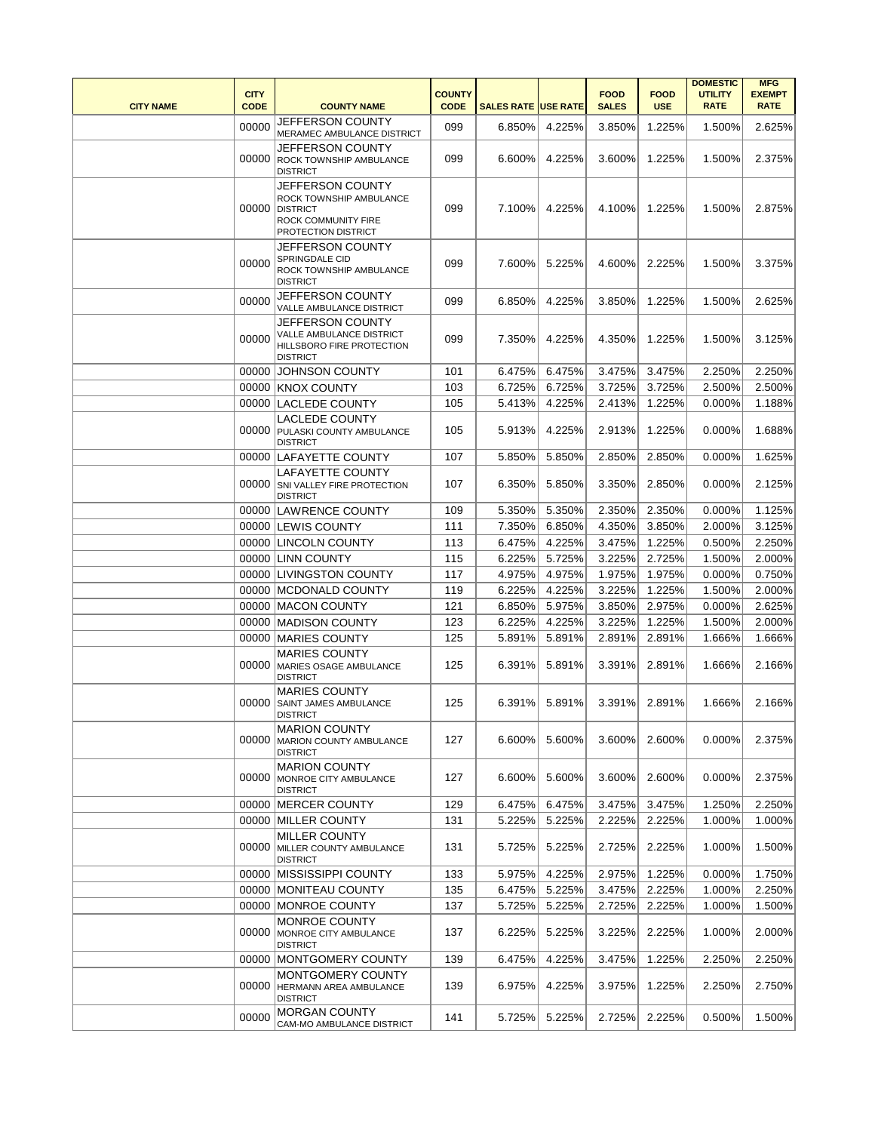| <b>CITY NAME</b> | <b>CITY</b><br><b>CODE</b> | <b>COUNTY NAME</b>                                                                                           | <b>COUNTY</b><br><b>CODE</b> | <b>SALES RATE USE RATE</b> |        | <b>FOOD</b><br><b>SALES</b> | <b>FOOD</b><br><b>USE</b> | <b>DOMESTIC</b><br><b>UTILITY</b><br><b>RATE</b> | <b>MFG</b><br><b>EXEMPT</b><br><b>RATE</b> |
|------------------|----------------------------|--------------------------------------------------------------------------------------------------------------|------------------------------|----------------------------|--------|-----------------------------|---------------------------|--------------------------------------------------|--------------------------------------------|
|                  | 00000                      | JEFFERSON COUNTY<br>MERAMEC AMBULANCE DISTRICT                                                               | 099                          | 6.850%                     | 4.225% | 3.850%                      | 1.225%                    | 1.500%                                           | 2.625%                                     |
|                  | 00000                      | JEFFERSON COUNTY<br>ROCK TOWNSHIP AMBULANCE<br><b>DISTRICT</b>                                               | 099                          | 6.600%                     | 4.225% | 3.600%                      | 1.225%                    | 1.500%                                           | 2.375%                                     |
|                  | 00000                      | JEFFERSON COUNTY<br>ROCK TOWNSHIP AMBULANCE<br><b>DISTRICT</b><br>ROCK COMMUNITY FIRE<br>PROTECTION DISTRICT | 099                          | 7.100%                     | 4.225% | 4.100%                      | 1.225%                    | 1.500%                                           | 2.875%                                     |
|                  | 00000                      | JEFFERSON COUNTY<br>SPRINGDALE CID<br>ROCK TOWNSHIP AMBULANCE<br><b>DISTRICT</b>                             | 099                          | 7.600%                     | 5.225% | 4.600%                      | 2.225%                    | 1.500%                                           | 3.375%                                     |
|                  | 00000                      | JEFFERSON COUNTY<br>VALLE AMBULANCE DISTRICT                                                                 | 099                          | 6.850%                     | 4.225% | 3.850%                      | 1.225%                    | 1.500%                                           | 2.625%                                     |
|                  | 00000                      | JEFFERSON COUNTY<br>VALLE AMBULANCE DISTRICT<br>HILLSBORO FIRE PROTECTION<br><b>DISTRICT</b>                 | 099                          | 7.350%                     | 4.225% | 4.350%                      | 1.225%                    | 1.500%                                           | 3.125%                                     |
|                  |                            | 00000 JOHNSON COUNTY                                                                                         | 101                          | 6.475%                     | 6.475% | 3.475%                      | 3.475%                    | 2.250%                                           | 2.250%                                     |
|                  |                            | 00000 KNOX COUNTY                                                                                            | 103                          | 6.725%                     | 6.725% | 3.725%                      | 3.725%                    | 2.500%                                           | 2.500%                                     |
|                  |                            | 00000 LACLEDE COUNTY                                                                                         | 105                          | 5.413%                     | 4.225% | 2.413%                      | 1.225%                    | 0.000%                                           | 1.188%                                     |
|                  |                            | <b>LACLEDE COUNTY</b><br>00000 PULASKI COUNTY AMBULANCE<br><b>DISTRICT</b>                                   | 105                          | 5.913%                     | 4.225% | 2.913%                      | 1.225%                    | $0.000\%$                                        | 1.688%                                     |
|                  |                            | 00000 LAFAYETTE COUNTY                                                                                       | 107                          | 5.850%                     | 5.850% | 2.850%                      | 2.850%                    | 0.000%                                           | 1.625%                                     |
|                  | 00000                      | <b>LAFAYETTE COUNTY</b><br>SNI VALLEY FIRE PROTECTION<br><b>DISTRICT</b>                                     | 107                          | 6.350%                     | 5.850% | 3.350%                      | 2.850%                    | 0.000%                                           | 2.125%                                     |
|                  |                            | 00000 LAWRENCE COUNTY                                                                                        | 109                          | 5.350%                     | 5.350% | 2.350%                      | 2.350%                    | 0.000%                                           | 1.125%                                     |
|                  |                            | 00000 LEWIS COUNTY                                                                                           | 111                          | 7.350%                     | 6.850% | 4.350%                      | 3.850%                    | 2.000%                                           | 3.125%                                     |
|                  |                            | 00000 LINCOLN COUNTY                                                                                         | 113                          | 6.475%                     | 4.225% | 3.475%                      | 1.225%                    | 0.500%                                           | 2.250%                                     |
|                  |                            | 00000 LINN COUNTY                                                                                            | 115                          | 6.225%                     | 5.725% | 3.225%                      | 2.725%                    | 1.500%                                           | 2.000%                                     |
|                  |                            | 00000 LIVINGSTON COUNTY                                                                                      | 117                          | 4.975%                     | 4.975% | 1.975%                      | 1.975%                    | 0.000%                                           | 0.750%                                     |
|                  |                            | 00000   MCDONALD COUNTY                                                                                      | 119                          | 6.225%                     | 4.225% | 3.225%                      | 1.225%                    | 1.500%                                           | 2.000%                                     |
|                  |                            | 00000 MACON COUNTY                                                                                           | 121                          | 6.850%                     | 5.975% | 3.850%                      | 2.975%                    | 0.000%                                           | 2.625%                                     |
|                  |                            | 00000   MADISON COUNTY                                                                                       | 123                          | 6.225%                     | 4.225% | 3.225%                      | 1.225%                    | 1.500%                                           | 2.000%                                     |
|                  |                            | 00000 MARIES COUNTY                                                                                          | 125                          | 5.891%                     | 5.891% | 2.891%                      | 2.891%                    | 1.666%                                           | 1.666%                                     |
|                  |                            | <b>MARIES COUNTY</b><br>00000 MARIES OSAGE AMBULANCE<br><b>DISTRICT</b>                                      | 125                          | 6.391%                     | 5.891% | 3.391%                      | 2.891%                    | 1.666%                                           | 2.166%                                     |
|                  | 00000                      | <b>MARIES COUNTY</b><br><b>SAINT JAMES AMBULANCE</b><br><b>DISTRICT</b>                                      | 125                          | 6.391%                     | 5.891% | 3.391%                      | 2.891%                    | 1.666%                                           | 2.166%                                     |
|                  |                            | <b>MARION COUNTY</b><br>00000 MARION COUNTY AMBULANCE<br><b>DISTRICT</b>                                     | 127                          | 6.600%                     | 5.600% | 3.600%                      | 2.600%                    | 0.000%                                           | 2.375%                                     |
|                  |                            | <b>MARION COUNTY</b><br>00000   MONROE CITY AMBULANCE<br><b>DISTRICT</b>                                     | 127                          | 6.600%                     | 5.600% | 3.600%                      | 2.600%                    | 0.000%                                           | 2.375%                                     |
|                  |                            | 00000 MERCER COUNTY                                                                                          | 129                          | 6.475%                     | 6.475% | 3.475%                      | 3.475%                    | 1.250%                                           | 2.250%                                     |
|                  |                            | 00000 MILLER COUNTY                                                                                          | 131                          | 5.225%                     | 5.225% | 2.225%                      | 2.225%                    | 1.000%                                           | 1.000%                                     |
|                  |                            | <b>MILLER COUNTY</b><br>00000 MILLER COUNTY AMBULANCE<br><b>DISTRICT</b>                                     | 131                          | 5.725%                     | 5.225% | 2.725%                      | 2.225%                    | 1.000%                                           | 1.500%                                     |
|                  |                            | 00000 MISSISSIPPI COUNTY                                                                                     | 133                          | 5.975%                     | 4.225% | 2.975%                      | 1.225%                    | 0.000%                                           | 1.750%                                     |
|                  |                            | 00000   MONITEAU COUNTY                                                                                      | 135                          | 6.475%                     | 5.225% | 3.475%                      | 2.225%                    | 1.000%                                           | 2.250%                                     |
|                  |                            | 00000 MONROE COUNTY                                                                                          | 137                          | 5.725%                     | 5.225% | 2.725%                      | 2.225%                    | 1.000%                                           | 1.500%                                     |
|                  |                            | <b>MONROE COUNTY</b><br>00000 MONROE CITY AMBULANCE<br><b>DISTRICT</b>                                       | 137                          | 6.225%                     | 5.225% | 3.225%                      | 2.225%                    | 1.000%                                           | 2.000%                                     |
|                  |                            | 00000   MONTGOMERY COUNTY                                                                                    | 139                          | 6.475%                     | 4.225% | 3.475%                      | 1.225%                    | 2.250%                                           | 2.250%                                     |
|                  |                            | MONTGOMERY COUNTY<br>00000 HERMANN AREA AMBULANCE<br><b>DISTRICT</b>                                         | 139                          | 6.975%                     | 4.225% | 3.975%                      | 1.225%                    | 2.250%                                           | 2.750%                                     |
|                  | 00000                      | <b>MORGAN COUNTY</b><br>CAM-MO AMBULANCE DISTRICT                                                            | 141                          | 5.725%                     | 5.225% | 2.725%                      | 2.225%                    | 0.500%                                           | 1.500%                                     |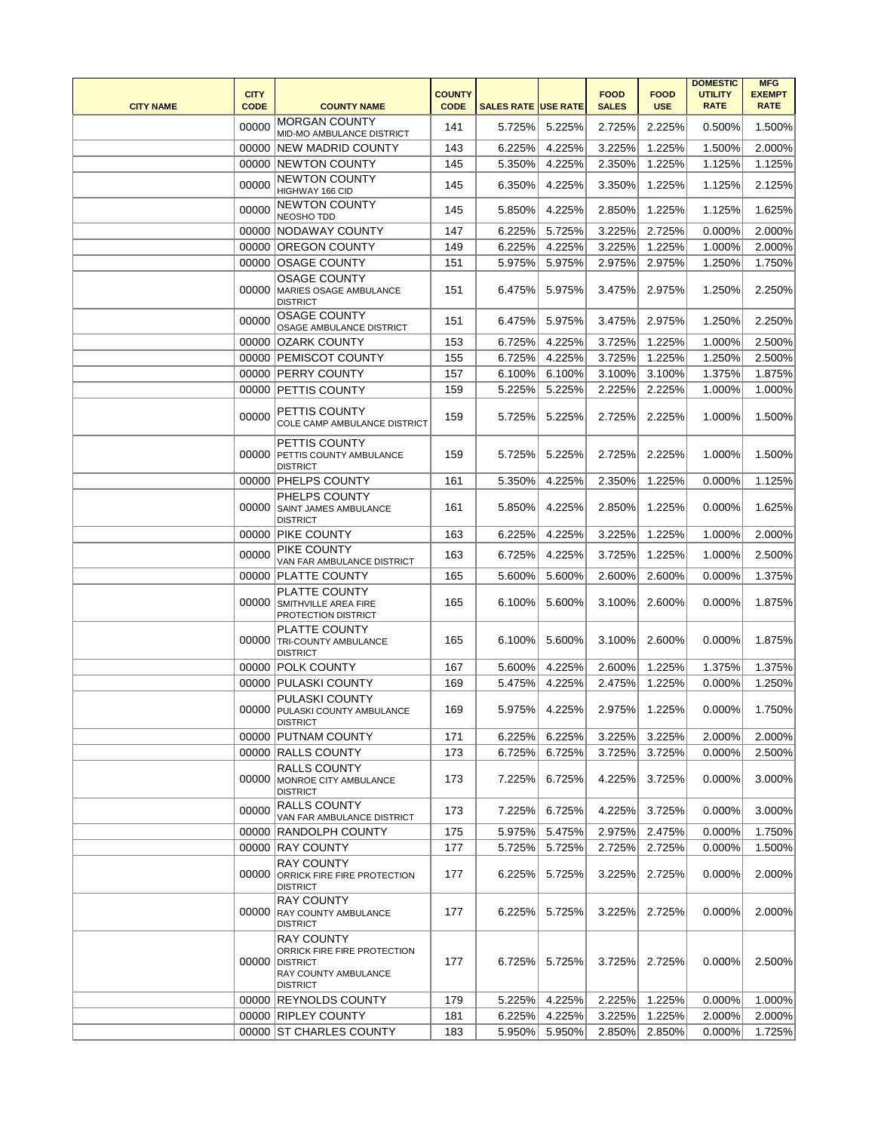| <b>CITY NAME</b> | <b>CITY</b><br><b>CODE</b> | <b>COUNTY NAME</b>                                                                                             | <b>COUNTY</b><br><b>CODE</b> | <b>SALES RATE USE RATE</b> |               | <b>FOOD</b><br><b>SALES</b> | <b>FOOD</b><br><b>USE</b> | <b>DOMESTIC</b><br><b>UTILITY</b><br><b>RATE</b> | <b>MFG</b><br><b>EXEMPT</b><br><b>RATE</b> |
|------------------|----------------------------|----------------------------------------------------------------------------------------------------------------|------------------------------|----------------------------|---------------|-----------------------------|---------------------------|--------------------------------------------------|--------------------------------------------|
|                  | 00000                      | <b>MORGAN COUNTY</b><br>MID-MO AMBULANCE DISTRICT                                                              | 141                          | 5.725%                     | 5.225%        | 2.725%                      | 2.225%                    | 0.500%                                           | 1.500%                                     |
|                  |                            | 00000 NEW MADRID COUNTY                                                                                        | 143                          | 6.225%                     | 4.225%        | 3.225%                      | 1.225%                    | 1.500%                                           | 2.000%                                     |
|                  |                            | 00000 NEWTON COUNTY                                                                                            | 145                          | 5.350%                     | 4.225%        | 2.350%                      | 1.225%                    | 1.125%                                           | 1.125%                                     |
|                  | 00000                      | <b>NEWTON COUNTY</b><br>HIGHWAY 166 CID                                                                        | 145                          | 6.350%                     | 4.225%        | 3.350%                      | 1.225%                    | 1.125%                                           | 2.125%                                     |
|                  | 00000                      | <b>NEWTON COUNTY</b><br>NEOSHO TDD                                                                             | 145                          | 5.850%                     | 4.225%        | 2.850%                      | 1.225%                    | 1.125%                                           | 1.625%                                     |
|                  |                            | 00000 NODAWAY COUNTY                                                                                           | 147                          | 6.225%                     | 5.725%        | 3.225%                      | 2.725%                    | 0.000%                                           | 2.000%                                     |
|                  | 00000                      | <b>OREGON COUNTY</b>                                                                                           | 149                          | 6.225%                     | 4.225%        | 3.225%                      | 1.225%                    | 1.000%                                           | 2.000%                                     |
|                  |                            | 00000 OSAGE COUNTY                                                                                             | 151                          | 5.975%                     | 5.975%        | 2.975%                      | 2.975%                    | 1.250%                                           | 1.750%                                     |
|                  | 00000                      | <b>OSAGE COUNTY</b><br>MARIES OSAGE AMBULANCE<br><b>DISTRICT</b>                                               | 151                          | 6.475%                     | 5.975%        | 3.475%                      | 2.975%                    | 1.250%                                           | 2.250%                                     |
|                  | 00000                      | <b>OSAGE COUNTY</b><br>OSAGE AMBULANCE DISTRICT                                                                | 151                          | 6.475%                     | 5.975%        | 3.475%                      | 2.975%                    | 1.250%                                           | 2.250%                                     |
|                  | 00000                      | OZARK COUNTY                                                                                                   | 153                          | 6.725%                     | 4.225%        | 3.725%                      | 1.225%                    | 1.000%                                           | 2.500%                                     |
|                  |                            | 00000 PEMISCOT COUNTY                                                                                          | 155                          | 6.725%                     | 4.225%        | 3.725%                      | 1.225%                    | 1.250%                                           | 2.500%                                     |
|                  |                            | 00000 PERRY COUNTY                                                                                             | 157                          | 6.100%                     | 6.100%        | 3.100%                      | 3.100%                    | 1.375%                                           | 1.875%                                     |
|                  |                            | 00000 PETTIS COUNTY                                                                                            | 159                          | 5.225%                     | 5.225%        | 2.225%                      | 2.225%                    | 1.000%                                           | 1.000%                                     |
|                  | 00000                      | PETTIS COUNTY<br>COLE CAMP AMBULANCE DISTRICT                                                                  | 159                          | 5.725%                     | 5.225%        | 2.725%                      | 2.225%                    | 1.000%                                           | 1.500%                                     |
|                  | 00000                      | PETTIS COUNTY<br>PETTIS COUNTY AMBULANCE<br><b>DISTRICT</b>                                                    | 159                          | 5.725%                     | 5.225%        | 2.725%                      | 2.225%                    | 1.000%                                           | 1.500%                                     |
|                  |                            | 00000 PHELPS COUNTY                                                                                            | 161                          | 5.350%                     | 4.225%        | 2.350%                      | 1.225%                    | 0.000%                                           | 1.125%                                     |
|                  | 00000                      | PHELPS COUNTY<br>SAINT JAMES AMBULANCE<br><b>DISTRICT</b>                                                      | 161                          | 5.850%                     | 4.225%        | 2.850%                      | 1.225%                    | 0.000%                                           | 1.625%                                     |
|                  |                            | 00000   PIKE COUNTY                                                                                            | 163                          | 6.225%                     | 4.225%        | 3.225%                      | 1.225%                    | 1.000%                                           | 2.000%                                     |
|                  | 00000                      | PIKE COUNTY<br>VAN FAR AMBULANCE DISTRICT                                                                      | 163                          | 6.725%                     | 4.225%        | 3.725%                      | 1.225%                    | 1.000%                                           | 2.500%                                     |
|                  |                            | 00000 PLATTE COUNTY                                                                                            | 165                          | 5.600%                     | 5.600%        | 2.600%                      | 2.600%                    | 0.000%                                           | 1.375%                                     |
|                  | 00000                      | PLATTE COUNTY<br>SMITHVILLE AREA FIRE<br>PROTECTION DISTRICT                                                   | 165                          | 6.100%                     | 5.600%        | 3.100%                      | 2.600%                    | 0.000%                                           | 1.875%                                     |
|                  |                            | PLATTE COUNTY<br>00000 TRI-COUNTY AMBULANCE<br><b>DISTRICT</b>                                                 | 165                          | 6.100%                     | 5.600%        | 3.100%                      | 2.600%                    | 0.000%                                           | 1.875%                                     |
|                  |                            | 00000 POLK COUNTY                                                                                              | 167                          | 5.600%                     | 4.225%        | 2.600%                      | 1.225%                    | 1.375%                                           | 1.375%                                     |
|                  |                            | 00000 PULASKI COUNTY                                                                                           | 169                          | 5.475%                     | 4.225%        | 2.475%                      | 1.225%                    | 0.000%                                           | 1.250%                                     |
|                  |                            | PULASKI COUNTY<br>00000 PULASKI COUNTY AMBULANCE<br><b>DISTRICT</b>                                            | 169                          |                            | 5.975% 4.225% | 2.975%                      | 1.225%                    | 0.000%                                           | 1.750%                                     |
|                  |                            | 00000 PUTNAM COUNTY                                                                                            | 171                          | 6.225%                     | 6.225%        | 3.225%                      | 3.225%                    | 2.000%                                           | 2.000%                                     |
|                  |                            | 00000 RALLS COUNTY                                                                                             | 173                          | 6.725%                     | 6.725%        | 3.725%                      | 3.725%                    | 0.000%                                           | 2.500%                                     |
|                  |                            | <b>RALLS COUNTY</b><br>00000 MONROE CITY AMBULANCE<br><b>DISTRICT</b>                                          | 173                          | 7.225%                     | 6.725%        | 4.225%                      | 3.725%                    | 0.000%                                           | 3.000%                                     |
|                  | 00000                      | <b>RALLS COUNTY</b><br>VAN FAR AMBULANCE DISTRICT                                                              | 173                          | 7.225%                     | 6.725%        | 4.225%                      | 3.725%                    | 0.000%                                           | 3.000%                                     |
|                  |                            | 00000 RANDOLPH COUNTY                                                                                          | 175                          | 5.975%                     | 5.475%        | 2.975%                      | 2.475%                    | 0.000%                                           | 1.750%                                     |
|                  |                            | 00000 RAY COUNTY                                                                                               | 177                          | 5.725%                     | 5.725%        | 2.725%                      | 2.725%                    | 0.000%                                           | 1.500%                                     |
|                  |                            | <b>RAY COUNTY</b><br>00000 ORRICK FIRE FIRE PROTECTION<br><b>DISTRICT</b>                                      | 177                          | 6.225%                     | 5.725%        | 3.225%                      | 2.725%                    | 0.000%                                           | 2.000%                                     |
|                  |                            | <b>RAY COUNTY</b><br>00000 RAY COUNTY AMBULANCE<br><b>DISTRICT</b>                                             | 177                          | 6.225%                     | 5.725%        | 3.225%                      | 2.725%                    | 0.000%                                           | 2.000%                                     |
|                  | 00000                      | <b>RAY COUNTY</b><br>ORRICK FIRE FIRE PROTECTION<br><b>DISTRICT</b><br>RAY COUNTY AMBULANCE<br><b>DISTRICT</b> | 177                          | 6.725%                     | 5.725%        | 3.725%                      | 2.725%                    | 0.000%                                           | 2.500%                                     |
|                  |                            | 00000 REYNOLDS COUNTY                                                                                          | 179                          | 5.225%                     | 4.225%        | 2.225%                      | 1.225%                    | 0.000%                                           | 1.000%                                     |
|                  |                            | 00000 RIPLEY COUNTY                                                                                            | 181                          | 6.225%                     | 4.225%        | 3.225%                      | 1.225%                    | 2.000%                                           | 2.000%                                     |
|                  |                            | 00000 ST CHARLES COUNTY                                                                                        | 183                          | 5.950%                     | 5.950%        | 2.850%                      | 2.850%                    | 0.000%                                           | 1.725%                                     |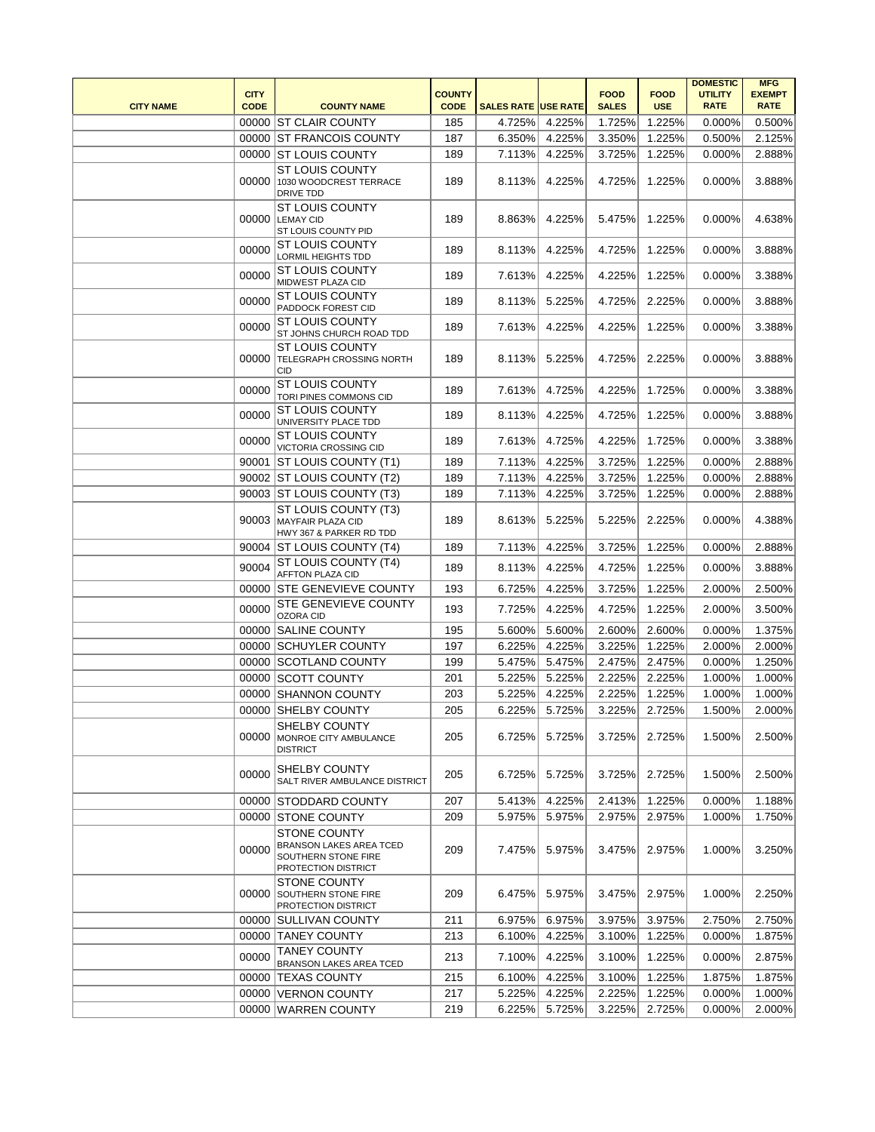| <b>CITY NAME</b> | <b>CITY</b><br><b>CODE</b> | <b>COUNTY NAME</b>                                                                           | <b>COUNTY</b><br><b>CODE</b> | <b>SALES RATE USE RATE</b> |        | <b>FOOD</b><br><b>SALES</b> | <b>FOOD</b><br><b>USE</b> | <b>DOMESTIC</b><br><b>UTILITY</b><br><b>RATE</b> | <b>MFG</b><br><b>EXEMPT</b><br><b>RATE</b> |
|------------------|----------------------------|----------------------------------------------------------------------------------------------|------------------------------|----------------------------|--------|-----------------------------|---------------------------|--------------------------------------------------|--------------------------------------------|
|                  |                            | 00000 ST CLAIR COUNTY                                                                        | 185                          | 4.725%                     | 4.225% | 1.725%                      | 1.225%                    | 0.000%                                           | 0.500%                                     |
|                  |                            | 00000 ST FRANCOIS COUNTY                                                                     | 187                          | 6.350%                     | 4.225% | 3.350%                      | 1.225%                    | 0.500%                                           | 2.125%                                     |
|                  |                            | 00000 ST LOUIS COUNTY                                                                        | 189                          | 7.113%                     | 4.225% | 3.725%                      | 1.225%                    | 0.000%                                           | 2.888%                                     |
|                  |                            | <b>ST LOUIS COUNTY</b><br>00000 1030 WOODCREST TERRACE<br>DRIVE TDD                          | 189                          | 8.113%                     | 4.225% | 4.725%                      | 1.225%                    | 0.000%                                           | 3.888%                                     |
|                  |                            | <b>ST LOUIS COUNTY</b><br>00000 LEMAY CID<br>ST LOUIS COUNTY PID                             | 189                          | 8.863%                     | 4.225% | 5.475%                      | 1.225%                    | 0.000%                                           | 4.638%                                     |
|                  | 00000                      | <b>ST LOUIS COUNTY</b><br>LORMIL HEIGHTS TDD                                                 | 189                          | 8.113%                     | 4.225% | 4.725%                      | 1.225%                    | 0.000%                                           | 3.888%                                     |
|                  | 00000                      | <b>ST LOUIS COUNTY</b><br>MIDWEST PLAZA CID                                                  | 189                          | 7.613%                     | 4.225% | 4.225%                      | 1.225%                    | 0.000%                                           | 3.388%                                     |
|                  | 00000                      | <b>ST LOUIS COUNTY</b><br>PADDOCK FOREST CID                                                 | 189                          | 8.113%                     | 5.225% | 4.725%                      | 2.225%                    | 0.000%                                           | 3.888%                                     |
|                  | 00000                      | <b>ST LOUIS COUNTY</b><br>ST JOHNS CHURCH ROAD TDD                                           | 189                          | 7.613%                     | 4.225% | 4.225%                      | 1.225%                    | 0.000%                                           | 3.388%                                     |
|                  | 00000                      | <b>ST LOUIS COUNTY</b><br><b>TELEGRAPH CROSSING NORTH</b><br><b>CID</b>                      | 189                          | 8.113%                     | 5.225% | 4.725%                      | 2.225%                    | 0.000%                                           | 3.888%                                     |
|                  | 00000                      | ST LOUIS COUNTY<br>TORI PINES COMMONS CID                                                    | 189                          | 7.613%                     | 4.725% | 4.225%                      | 1.725%                    | 0.000%                                           | 3.388%                                     |
|                  | 00000                      | <b>ST LOUIS COUNTY</b><br>UNIVERSITY PLACE TDD                                               | 189                          | 8.113%                     | 4.225% | 4.725%                      | 1.225%                    | 0.000%                                           | 3.888%                                     |
|                  | 00000                      | <b>ST LOUIS COUNTY</b><br>VICTORIA CROSSING CID                                              | 189                          | 7.613%                     | 4.725% | 4.225%                      | 1.725%                    | 0.000%                                           | 3.388%                                     |
|                  |                            | 90001 ST LOUIS COUNTY (T1)                                                                   | 189                          | 7.113%                     | 4.225% | 3.725%                      | 1.225%                    | 0.000%                                           | 2.888%                                     |
|                  |                            | 90002 ST LOUIS COUNTY (T2)                                                                   | 189                          | 7.113%                     | 4.225% | 3.725%                      | 1.225%                    | 0.000%                                           | 2.888%                                     |
|                  |                            | 90003 ST LOUIS COUNTY (T3)                                                                   | 189                          | 7.113%                     | 4.225% | 3.725%                      | 1.225%                    | 0.000%                                           | 2.888%                                     |
|                  |                            | ST LOUIS COUNTY (T3)<br>90003 MAYFAIR PLAZA CID<br>HWY 367 & PARKER RD TDD                   | 189                          | 8.613%                     | 5.225% | 5.225%                      | 2.225%                    | $0.000\%$                                        | 4.388%                                     |
|                  |                            | 90004 ST LOUIS COUNTY (T4)                                                                   | 189                          | 7.113%                     | 4.225% | 3.725%                      | 1.225%                    | 0.000%                                           | 2.888%                                     |
|                  | 90004                      | ST LOUIS COUNTY (T4)<br>AFFTON PLAZA CID                                                     | 189                          | 8.113%                     | 4.225% | 4.725%                      | 1.225%                    | 0.000%                                           | 3.888%                                     |
|                  |                            | 00000 STE GENEVIEVE COUNTY                                                                   | 193                          | 6.725%                     | 4.225% | 3.725%                      | 1.225%                    | 2.000%                                           | 2.500%                                     |
|                  | 00000                      | STE GENEVIEVE COUNTY<br><b>OZORA CID</b>                                                     | 193                          | 7.725%                     | 4.225% | 4.725%                      | 1.225%                    | 2.000%                                           | 3.500%                                     |
|                  |                            | 00000 SALINE COUNTY                                                                          | 195                          | 5.600%                     | 5.600% | 2.600%                      | 2.600%                    | 0.000%                                           | 1.375%                                     |
|                  |                            | 00000 SCHUYLER COUNTY                                                                        | 197                          | 6.225%                     | 4.225% | 3.225%                      | 1.225%                    | 2.000%                                           | 2.000%                                     |
|                  |                            | 00000 SCOTLAND COUNTY                                                                        | 199                          | 5.475%                     | 5.475% | 2.475%                      | 2.475%                    | 0.000%                                           | 1.250%                                     |
|                  |                            | 00000 SCOTT COUNTY                                                                           | 201                          | 5.225%                     | 5.225% | 2.225%                      | 2.225%                    | 1.000%                                           | 1.000%                                     |
|                  |                            | 00000 SHANNON COUNTY                                                                         | 203                          | 5.225%                     | 4.225% | 2.225%                      | 1.225%                    | 1.000%                                           | 1.000%                                     |
|                  |                            | 00000 SHELBY COUNTY                                                                          | 205                          | 6.225%                     | 5.725% | 3.225%                      | 2.725%                    | 1.500%                                           | 2.000%                                     |
|                  | 00000                      | SHELBY COUNTY<br>MONROE CITY AMBULANCE<br><b>DISTRICT</b>                                    | 205                          | 6.725%                     | 5.725% | 3.725%                      | 2.725%                    | 1.500%                                           | 2.500%                                     |
|                  | 00000                      | <b>SHELBY COUNTY</b><br>SALT RIVER AMBULANCE DISTRICT                                        | 205                          | 6.725%                     | 5.725% | 3.725%                      | 2.725%                    | 1.500%                                           | 2.500%                                     |
|                  |                            | 00000 STODDARD COUNTY                                                                        | 207                          | 5.413%                     | 4.225% | 2.413%                      | 1.225%                    | 0.000%                                           | 1.188%                                     |
|                  |                            | 00000 STONE COUNTY                                                                           | 209                          | 5.975%                     | 5.975% | 2.975%                      | 2.975%                    | 1.000%                                           | 1.750%                                     |
|                  | 00000                      | <b>STONE COUNTY</b><br>BRANSON LAKES AREA TCED<br>SOUTHERN STONE FIRE<br>PROTECTION DISTRICT | 209                          | 7.475%                     | 5.975% | 3.475%                      | 2.975%                    | 1.000%                                           | 3.250%                                     |
|                  | 00000                      | <b>STONE COUNTY</b><br><b>SOUTHERN STONE FIRE</b><br>PROTECTION DISTRICT                     | 209                          | 6.475%                     | 5.975% | 3.475%                      | 2.975%                    | 1.000%                                           | 2.250%                                     |
|                  |                            | 00000 SULLIVAN COUNTY                                                                        | 211                          | 6.975%                     | 6.975% | 3.975%                      | 3.975%                    | 2.750%                                           | 2.750%                                     |
|                  |                            | 00000 TANEY COUNTY                                                                           | 213                          | 6.100%                     | 4.225% | 3.100%                      | 1.225%                    | 0.000%                                           | 1.875%                                     |
|                  | 00000                      | <b>TANEY COUNTY</b><br>BRANSON LAKES AREA TCED                                               | 213                          | 7.100%                     | 4.225% | 3.100%                      | 1.225%                    | $0.000\%$                                        | 2.875%                                     |
|                  |                            | 00000 TEXAS COUNTY                                                                           | 215                          | 6.100%                     | 4.225% | 3.100%                      | 1.225%                    | 1.875%                                           | 1.875%                                     |
|                  |                            | 00000 VERNON COUNTY                                                                          | 217                          | 5.225%                     | 4.225% | 2.225%                      | 1.225%                    | 0.000%                                           | 1.000%                                     |
|                  |                            | 00000 WARREN COUNTY                                                                          | 219                          | 6.225%                     | 5.725% | 3.225%                      | 2.725%                    | 0.000%                                           | 2.000%                                     |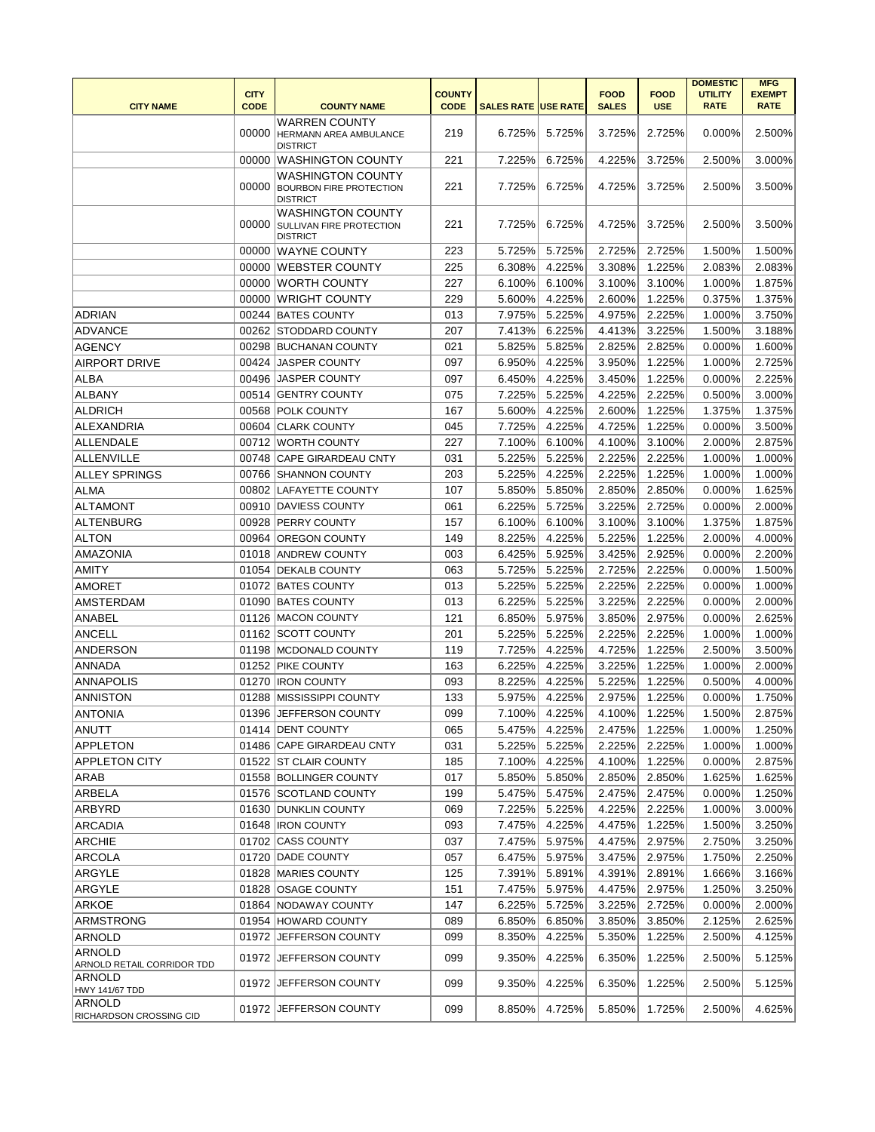|                                             | <b>CITY</b><br><b>CODE</b> |                                                                               | <b>COUNTY</b><br><b>CODE</b> |                            |        | <b>FOOD</b>  | <b>FOOD</b><br><b>USE</b> | <b>DOMESTIC</b><br><b>UTILITY</b> | <b>MFG</b><br><b>EXEMPT</b> |
|---------------------------------------------|----------------------------|-------------------------------------------------------------------------------|------------------------------|----------------------------|--------|--------------|---------------------------|-----------------------------------|-----------------------------|
| <b>CITY NAME</b>                            |                            | <b>COUNTY NAME</b>                                                            |                              | <b>SALES RATE USE RATE</b> |        | <b>SALES</b> |                           | <b>RATE</b>                       | <b>RATE</b>                 |
|                                             | 00000                      | <b>WARREN COUNTY</b><br><b>HERMANN AREA AMBULANCE</b><br><b>DISTRICT</b>      | 219                          | 6.725%                     | 5.725% | 3.725%       | 2.725%                    | 0.000%                            | 2.500%                      |
|                                             | 00000                      | <b>WASHINGTON COUNTY</b>                                                      | 221                          | 7.225%                     | 6.725% | 4.225%       | 3.725%                    | 2.500%                            | 3.000%                      |
|                                             | 00000                      | <b>WASHINGTON COUNTY</b><br><b>BOURBON FIRE PROTECTION</b><br><b>DISTRICT</b> | 221                          | 7.725%                     | 6.725% | 4.725%       | 3.725%                    | 2.500%                            | 3.500%                      |
|                                             | 00000                      | <b>WASHINGTON COUNTY</b><br>SULLIVAN FIRE PROTECTION<br><b>DISTRICT</b>       | 221                          | 7.725%                     | 6.725% | 4.725%       | 3.725%                    | 2.500%                            | 3.500%                      |
|                                             |                            | 00000 WAYNE COUNTY                                                            | 223                          | 5.725%                     | 5.725% | 2.725%       | 2.725%                    | 1.500%                            | 1.500%                      |
|                                             |                            | 00000 WEBSTER COUNTY                                                          | 225                          | 6.308%                     | 4.225% | 3.308%       | 1.225%                    | 2.083%                            | 2.083%                      |
|                                             |                            | 00000 WORTH COUNTY                                                            | 227                          | 6.100%                     | 6.100% | 3.100%       | 3.100%                    | 1.000%                            | 1.875%                      |
|                                             |                            | 00000 WRIGHT COUNTY                                                           | 229                          | 5.600%                     | 4.225% | 2.600%       | 1.225%                    | 0.375%                            | 1.375%                      |
| <b>ADRIAN</b>                               |                            | 00244 BATES COUNTY                                                            | 013                          | 7.975%                     | 5.225% | 4.975%       | 2.225%                    | 1.000%                            | 3.750%                      |
| <b>ADVANCE</b>                              |                            | 00262 STODDARD COUNTY                                                         | 207                          | 7.413%                     | 6.225% | 4.413%       | 3.225%                    | 1.500%                            | 3.188%                      |
| <b>AGENCY</b>                               |                            | 00298 BUCHANAN COUNTY                                                         | 021                          | 5.825%                     | 5.825% | 2.825%       | 2.825%                    | 0.000%                            | 1.600%                      |
| <b>AIRPORT DRIVE</b>                        |                            | 00424 JASPER COUNTY                                                           | 097                          | 6.950%                     | 4.225% | 3.950%       | 1.225%                    | 1.000%                            | 2.725%                      |
| <b>ALBA</b>                                 |                            | 00496 JASPER COUNTY                                                           | 097                          | 6.450%                     | 4.225% | 3.450%       | 1.225%                    | 0.000%                            | 2.225%                      |
| ALBANY                                      |                            | 00514 GENTRY COUNTY                                                           | 075                          | 7.225%                     | 5.225% | 4.225%       | 2.225%                    | 0.500%                            | 3.000%                      |
| <b>ALDRICH</b>                              |                            | 00568 POLK COUNTY                                                             | 167                          | 5.600%                     | 4.225% | 2.600%       | 1.225%                    | 1.375%                            | 1.375%                      |
| ALEXANDRIA                                  |                            | 00604 CLARK COUNTY                                                            | 045                          | 7.725%                     | 4.225% | 4.725%       | 1.225%                    | 0.000%                            | 3.500%                      |
| <b>ALLENDALE</b>                            |                            | 00712 WORTH COUNTY                                                            | 227                          | 7.100%                     | 6.100% | 4.100%       | 3.100%                    | 2.000%                            | 2.875%                      |
| ALLENVILLE                                  |                            | 00748 CAPE GIRARDEAU CNTY                                                     | 031                          | 5.225%                     | 5.225% | 2.225%       | 2.225%                    | 1.000%                            | 1.000%                      |
| <b>ALLEY SPRINGS</b>                        |                            | 00766 SHANNON COUNTY                                                          | 203                          | 5.225%                     | 4.225% | 2.225%       | 1.225%                    | 1.000%                            | 1.000%                      |
| <b>ALMA</b>                                 |                            | 00802 LAFAYETTE COUNTY                                                        | 107                          | 5.850%                     | 5.850% | 2.850%       | 2.850%                    | 0.000%                            | 1.625%                      |
| <b>ALTAMONT</b>                             |                            | 00910 DAVIESS COUNTY                                                          | 061                          | 6.225%                     | 5.725% | 3.225%       | 2.725%                    | 0.000%                            | 2.000%                      |
| ALTENBURG                                   |                            | 00928 PERRY COUNTY                                                            | 157                          | 6.100%                     | 6.100% | 3.100%       | 3.100%                    | 1.375%                            | 1.875%                      |
| <b>ALTON</b>                                |                            | 00964   OREGON COUNTY                                                         | 149                          | 8.225%                     | 4.225% | 5.225%       | 1.225%                    | 2.000%                            | 4.000%                      |
| <b>AMAZONIA</b>                             |                            | 01018 ANDREW COUNTY                                                           | 003                          | 6.425%                     | 5.925% | 3.425%       | 2.925%                    | 0.000%                            | 2.200%                      |
| <b>AMITY</b>                                |                            | 01054 DEKALB COUNTY                                                           | 063                          | 5.725%                     | 5.225% | 2.725%       | 2.225%                    | 0.000%                            | 1.500%                      |
| AMORET                                      |                            | 01072 BATES COUNTY                                                            | 013                          | 5.225%                     | 5.225% | 2.225%       | 2.225%                    | 0.000%                            | 1.000%                      |
| AMSTERDAM                                   |                            | 01090 BATES COUNTY                                                            | 013                          | 6.225%                     | 5.225% | 3.225%       | 2.225%                    | 0.000%                            | 2.000%                      |
| ANABEL                                      |                            | 01126 MACON COUNTY                                                            | 121                          | 6.850%                     | 5.975% | 3.850%       | 2.975%                    | 0.000%                            | 2.625%                      |
| ANCELL                                      |                            | 01162 SCOTT COUNTY                                                            | 201                          | 5.225%                     | 5.225% | 2.225%       | 2.225%                    | 1.000%                            | 1.000%                      |
| ANDERSON                                    |                            | 01198 MCDONALD COUNTY                                                         | 119                          | 7.725%                     | 4.225% | 4.725%       | 1.225%                    | 2.500%                            | 3.500%                      |
| ANNADA                                      |                            | 01252 PIKE COUNTY                                                             | 163                          | 6.225%                     | 4.225% | 3.225%       | 1.225%                    | 1.000%                            | 2.000%                      |
| <b>ANNAPOLIS</b>                            |                            | 01270 IRON COUNTY                                                             | 093                          | 8.225%                     | 4.225% | 5.225%       | 1.225%                    | 0.500%                            | 4.000%                      |
| <b>ANNISTON</b>                             |                            | 01288 MISSISSIPPI COUNTY                                                      | 133                          | 5.975%                     | 4.225% | 2.975%       | 1.225%                    | 0.000%                            | 1.750%                      |
| <b>ANTONIA</b>                              |                            | 01396 JEFFERSON COUNTY                                                        | 099                          | 7.100%                     | 4.225% | 4.100%       | 1.225%                    | 1.500%                            | 2.875%                      |
| ANUTT                                       |                            | 01414 DENT COUNTY                                                             | 065                          | 5.475%                     | 4.225% | 2.475%       | 1.225%                    | 1.000%                            | 1.250%                      |
| <b>APPLETON</b>                             |                            | 01486 CAPE GIRARDEAU CNTY                                                     | 031                          | 5.225%                     | 5.225% | 2.225%       | 2.225%                    | 1.000%                            | 1.000%                      |
| <b>APPLETON CITY</b>                        |                            | 01522 ST CLAIR COUNTY                                                         | 185                          | 7.100%                     | 4.225% | 4.100%       | 1.225%                    | 0.000%                            | 2.875%                      |
| ARAB                                        |                            | 01558 BOLLINGER COUNTY                                                        | 017                          | 5.850%                     | 5.850% | 2.850%       | 2.850%                    | 1.625%                            | 1.625%                      |
| ARBELA                                      |                            | 01576 SCOTLAND COUNTY                                                         | 199                          | 5.475%                     | 5.475% | 2.475%       | 2.475%                    | 0.000%                            | 1.250%                      |
| ARBYRD                                      |                            | 01630 DUNKLIN COUNTY                                                          | 069                          | 7.225%                     | 5.225% | 4.225%       | 2.225%                    | 1.000%                            | 3.000%                      |
| <b>ARCADIA</b>                              |                            | 01648   IRON COUNTY                                                           | 093                          | 7.475%                     | 4.225% | 4.475%       | 1.225%                    | 1.500%                            | 3.250%                      |
| <b>ARCHIE</b>                               |                            | 01702 CASS COUNTY                                                             | 037                          | 7.475%                     | 5.975% | 4.475%       | 2.975%                    | 2.750%                            | 3.250%                      |
| ARCOLA                                      |                            | 01720 DADE COUNTY                                                             | 057                          | 6.475%                     | 5.975% | 3.475%       | 2.975%                    | 1.750%                            | 2.250%                      |
| ARGYLE                                      |                            | 01828 MARIES COUNTY                                                           | 125                          | 7.391%                     | 5.891% | 4.391%       | 2.891%                    | 1.666%                            | 3.166%                      |
| <b>ARGYLE</b>                               |                            | 01828 OSAGE COUNTY                                                            | 151                          | 7.475%                     | 5.975% | 4.475%       | 2.975%                    | 1.250%                            | 3.250%                      |
| ARKOE                                       |                            | 01864 NODAWAY COUNTY                                                          | 147                          | 6.225%                     | 5.725% | 3.225%       | 2.725%                    | 0.000%                            | 2.000%                      |
| ARMSTRONG                                   |                            | 01954 HOWARD COUNTY                                                           | 089                          | 6.850%                     | 6.850% | 3.850%       | 3.850%                    | 2.125%                            | 2.625%                      |
| ARNOLD                                      |                            | 01972 JEFFERSON COUNTY                                                        | 099                          | 8.350%                     | 4.225% | 5.350%       | 1.225%                    | 2.500%                            | 4.125%                      |
| <b>ARNOLD</b><br>ARNOLD RETAIL CORRIDOR TDD |                            | 01972 JEFFERSON COUNTY                                                        | 099                          | 9.350%                     | 4.225% | 6.350%       | 1.225%                    | 2.500%                            | 5.125%                      |
| <b>ARNOLD</b><br>HWY 141/67 TDD             |                            | 01972 JEFFERSON COUNTY                                                        | 099                          | 9.350%                     | 4.225% | 6.350%       | 1.225%                    | 2.500%                            | 5.125%                      |
| ARNOLD<br><b>RICHARDSON CROSSING CID</b>    |                            | 01972 JEFFERSON COUNTY                                                        | 099                          | 8.850%                     | 4.725% | 5.850%       | 1.725%                    | 2.500%                            | 4.625%                      |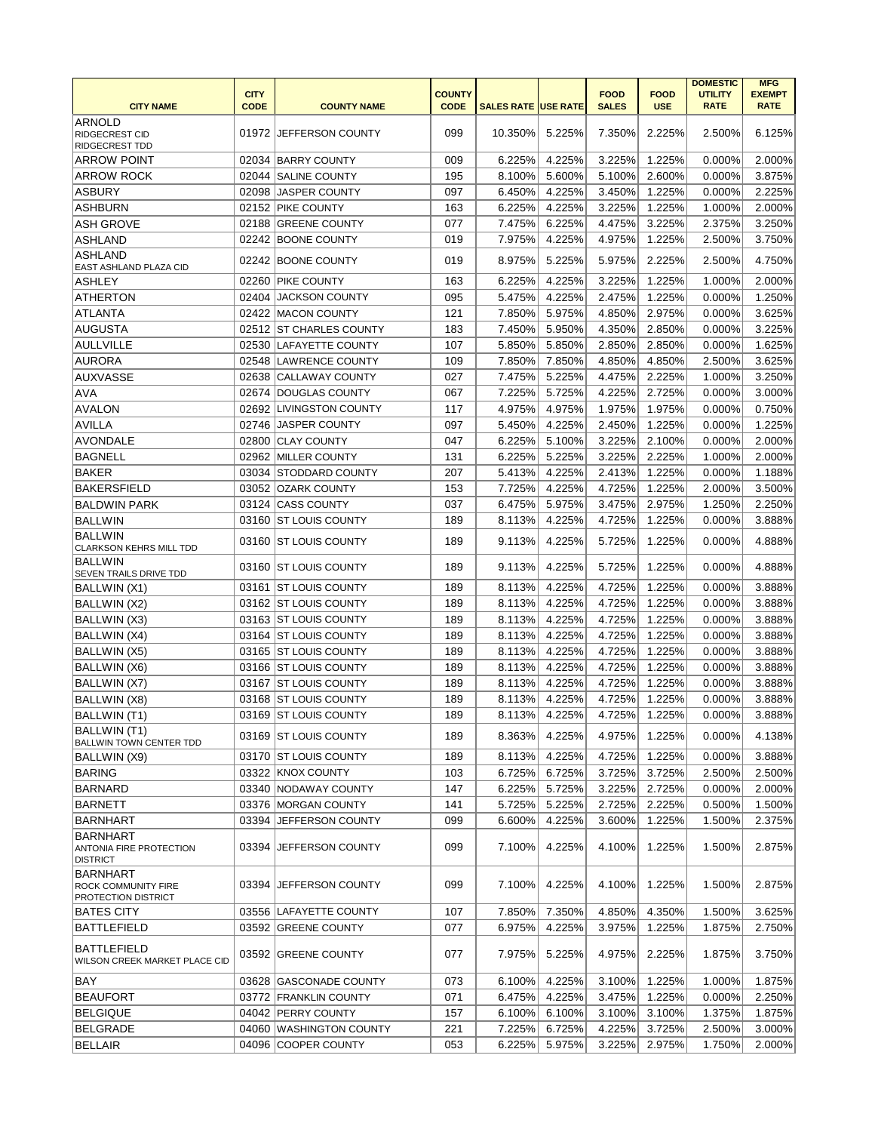|                                                               |                            |                         |                              |                            |        |                             |                           | <b>DOMESTIC</b>               | <b>MFG</b>                   |
|---------------------------------------------------------------|----------------------------|-------------------------|------------------------------|----------------------------|--------|-----------------------------|---------------------------|-------------------------------|------------------------------|
| <b>CITY NAME</b>                                              | <b>CITY</b><br><b>CODE</b> | <b>COUNTY NAME</b>      | <b>COUNTY</b><br><b>CODE</b> | <b>SALES RATE USE RATE</b> |        | <b>FOOD</b><br><b>SALES</b> | <b>FOOD</b><br><b>USE</b> | <b>UTILITY</b><br><b>RATE</b> | <b>EXEMPT</b><br><b>RATE</b> |
|                                                               |                            |                         |                              |                            |        |                             |                           |                               |                              |
| <b>ARNOLD</b><br><b>RIDGECREST CID</b>                        |                            | 01972 JEFFERSON COUNTY  | 099                          | 10.350%                    | 5.225% | 7.350%                      | 2.225%                    | 2.500%                        | 6.125%                       |
| <b>RIDGECREST TDD</b>                                         |                            |                         |                              |                            |        |                             |                           |                               |                              |
| <b>ARROW POINT</b>                                            |                            | 02034 BARRY COUNTY      | 009                          | 6.225%                     | 4.225% | 3.225%                      | 1.225%                    | 0.000%                        | 2.000%                       |
| <b>ARROW ROCK</b>                                             |                            | 02044 SALINE COUNTY     | 195                          | 8.100%                     | 5.600% | 5.100%                      | 2.600%                    | 0.000%                        | 3.875%                       |
| <b>ASBURY</b>                                                 |                            | 02098 JASPER COUNTY     | 097                          | 6.450%                     | 4.225% | 3.450%                      | 1.225%                    | 0.000%                        | 2.225%                       |
| <b>ASHBURN</b>                                                |                            | 02152 PIKE COUNTY       | 163                          | 6.225%                     | 4.225% | 3.225%                      | 1.225%                    | 1.000%                        | 2.000%                       |
| <b>ASH GROVE</b>                                              |                            | 02188 GREENE COUNTY     | 077                          | 7.475%                     | 6.225% | 4.475%                      | 3.225%                    | 2.375%                        | 3.250%                       |
| ASHLAND                                                       |                            | 02242 BOONE COUNTY      | 019                          | 7.975%                     | 4.225% | 4.975%                      | 1.225%                    | 2.500%                        | 3.750%                       |
| <b>ASHLAND</b>                                                |                            | 02242 BOONE COUNTY      | 019                          | 8.975%                     | 5.225% | 5.975%                      | 2.225%                    | 2.500%                        | 4.750%                       |
| EAST ASHLAND PLAZA CID                                        |                            |                         |                              | 6.225%                     |        |                             |                           |                               |                              |
| ASHLEY                                                        |                            | 02260 PIKE COUNTY       | 163                          |                            | 4.225% | 3.225%                      | 1.225%                    | 1.000%                        | 2.000%                       |
| <b>ATHERTON</b>                                               |                            | 02404 JACKSON COUNTY    | 095                          | 5.475%                     | 4.225% | 2.475%                      | 1.225%                    | 0.000%                        | 1.250%                       |
| ATLANTA                                                       |                            | 02422 MACON COUNTY      | 121                          | 7.850%                     | 5.975% | 4.850%                      | 2.975%                    | 0.000%                        | 3.625%                       |
| <b>AUGUSTA</b>                                                |                            | 02512 ST CHARLES COUNTY | 183                          | 7.450%                     | 5.950% | 4.350%                      | 2.850%                    | 0.000%                        | 3.225%                       |
| <b>AULLVILLE</b>                                              |                            | 02530 LAFAYETTE COUNTY  | 107                          | 5.850%                     | 5.850% | 2.850%                      | 2.850%                    | 0.000%                        | 1.625%                       |
| <b>AURORA</b>                                                 |                            | 02548 LAWRENCE COUNTY   | 109                          | 7.850%                     | 7.850% | 4.850%                      | 4.850%                    | 2.500%                        | 3.625%                       |
| <b>AUXVASSE</b>                                               |                            | 02638 CALLAWAY COUNTY   | 027                          | 7.475%                     | 5.225% | 4.475%                      | 2.225%                    | 1.000%                        | 3.250%                       |
| <b>AVA</b>                                                    |                            | 02674 DOUGLAS COUNTY    | 067                          | 7.225%                     | 5.725% | 4.225%                      | 2.725%                    | 0.000%                        | 3.000%                       |
| <b>AVALON</b>                                                 |                            | 02692 LIVINGSTON COUNTY | 117                          | 4.975%                     | 4.975% | 1.975%                      | 1.975%                    | 0.000%                        | 0.750%                       |
| <b>AVILLA</b>                                                 |                            | 02746 JASPER COUNTY     | 097                          | 5.450%                     | 4.225% | 2.450%                      | 1.225%                    | 0.000%                        | 1.225%                       |
| <b>AVONDALE</b>                                               |                            | 02800 CLAY COUNTY       | 047                          | 6.225%                     | 5.100% | 3.225%                      | 2.100%                    | 0.000%                        | 2.000%                       |
| <b>BAGNELL</b>                                                |                            | 02962 MILLER COUNTY     | 131                          | 6.225%                     | 5.225% | 3.225%                      | 2.225%                    | 1.000%                        | 2.000%                       |
| <b>BAKER</b>                                                  |                            | 03034 STODDARD COUNTY   | 207                          | 5.413%                     | 4.225% | 2.413%                      | 1.225%                    | 0.000%                        | 1.188%                       |
| <b>BAKERSFIELD</b>                                            |                            | 03052 OZARK COUNTY      | 153                          | 7.725%                     | 4.225% | 4.725%                      | 1.225%                    | 2.000%                        | 3.500%                       |
| BALDWIN PARK                                                  |                            | 03124 CASS COUNTY       | 037                          | 6.475%                     | 5.975% | 3.475%                      | 2.975%                    | 1.250%                        | 2.250%                       |
| BALLWIN                                                       |                            | 03160 ST LOUIS COUNTY   | 189                          | 8.113%                     | 4.225% | 4.725%                      | 1.225%                    | 0.000%                        | 3.888%                       |
| <b>BALLWIN</b><br><b>CLARKSON KEHRS MILL TDD</b>              |                            | 03160 ST LOUIS COUNTY   | 189                          | 9.113%                     | 4.225% | 5.725%                      | 1.225%                    | 0.000%                        | 4.888%                       |
| BALLWIN<br><b>SEVEN TRAILS DRIVE TDD</b>                      |                            | 03160 ST LOUIS COUNTY   | 189                          | 9.113%                     | 4.225% | 5.725%                      | 1.225%                    | 0.000%                        | 4.888%                       |
| BALLWIN (X1)                                                  |                            | 03161 ST LOUIS COUNTY   | 189                          | 8.113%                     | 4.225% | 4.725%                      | 1.225%                    | 0.000%                        | 3.888%                       |
| BALLWIN (X2)                                                  |                            | 03162   ST LOUIS COUNTY | 189                          | 8.113%                     | 4.225% | 4.725%                      | 1.225%                    | 0.000%                        | 3.888%                       |
| BALLWIN (X3)                                                  |                            | 03163 ST LOUIS COUNTY   | 189                          | 8.113%                     | 4.225% | 4.725%                      | 1.225%                    | 0.000%                        | 3.888%                       |
| BALLWIN (X4)                                                  |                            | 03164 ST LOUIS COUNTY   | 189                          | 8.113%                     | 4.225% | 4.725%                      | 1.225%                    | 0.000%                        | 3.888%                       |
| <b>BALLWIN (X5)</b>                                           |                            | 03165 ST LOUIS COUNTY   | 189                          | 8.113%                     | 4.225% | 4.725%                      | 1.225%                    | 0.000%                        | 3.888%                       |
| BALLWIN (X6)                                                  |                            | 03166 ST LOUIS COUNTY   | 189                          | 8.113%                     | 4.225% | 4.725%                      | 1.225%                    | 0.000%                        | 3.888%                       |
| BALLWIN (X7)                                                  |                            | 03167 ST LOUIS COUNTY   | 189                          | 8.113%                     | 4.225% | 4.725%                      | 1.225%                    | 0.000%                        | 3.888%                       |
| BALLWIN (X8)                                                  |                            | 03168 ST LOUIS COUNTY   | 189                          | 8.113%                     | 4.225% | 4.725%                      | 1.225%                    | 0.000%                        | 3.888%                       |
| BALLWIN (T1)                                                  |                            | 03169 ST LOUIS COUNTY   | 189                          | 8.113%                     | 4.225% | 4.725%                      | 1.225%                    | 0.000%                        | 3.888%                       |
| BALLWIN (T1)                                                  |                            | 03169 ST LOUIS COUNTY   | 189                          | 8.363%                     | 4.225% | 4.975%                      | 1.225%                    | 0.000%                        | 4.138%                       |
| <b>BALLWIN TOWN CENTER TDD</b>                                |                            |                         |                              |                            |        |                             |                           |                               |                              |
| BALLWIN (X9)                                                  |                            | 03170 ST LOUIS COUNTY   | 189                          | 8.113%                     | 4.225% | 4.725%                      | 1.225%                    | 0.000%                        | 3.888%                       |
| <b>BARING</b>                                                 |                            | 03322 KNOX COUNTY       | 103                          | 6.725%                     | 6.725% | 3.725%                      | 3.725%                    | 2.500%                        | 2.500%                       |
| <b>BARNARD</b>                                                |                            | 03340 NODAWAY COUNTY    | 147                          | 6.225%                     | 5.725% | 3.225%                      | 2.725%                    | 0.000%                        | 2.000%                       |
| <b>BARNETT</b>                                                |                            | 03376 MORGAN COUNTY     | 141                          | 5.725%                     | 5.225% | 2.725%                      | 2.225%                    | 0.500%                        | 1.500%                       |
| <b>BARNHART</b>                                               |                            | 03394 JEFFERSON COUNTY  | 099                          | 6.600%                     | 4.225% | 3.600%                      | 1.225%                    | 1.500%                        | 2.375%                       |
| <b>BARNHART</b><br>ANTONIA FIRE PROTECTION<br><b>DISTRICT</b> |                            | 03394 JEFFERSON COUNTY  | 099                          | 7.100%                     | 4.225% | 4.100%                      | 1.225%                    | 1.500%                        | 2.875%                       |
| <b>BARNHART</b>                                               |                            |                         |                              |                            |        |                             |                           |                               |                              |
| <b>ROCK COMMUNITY FIRE</b><br>PROTECTION DISTRICT             |                            | 03394 JEFFERSON COUNTY  | 099                          | 7.100%                     | 4.225% | 4.100%                      | 1.225%                    | 1.500%                        | 2.875%                       |
| BATES CITY                                                    |                            | 03556 LAFAYETTE COUNTY  | 107                          | 7.850%                     | 7.350% | 4.850%                      | 4.350%                    | 1.500%                        | 3.625%                       |
| <b>BATTLEFIELD</b>                                            |                            | 03592 GREENE COUNTY     | 077                          | 6.975%                     | 4.225% | 3.975%                      | 1.225%                    | 1.875%                        | 2.750%                       |
| <b>BATTLEFIELD</b><br>WILSON CREEK MARKET PLACE CID           |                            | 03592 GREENE COUNTY     | 077                          | 7.975%                     | 5.225% | 4.975%                      | 2.225%                    | 1.875%                        | 3.750%                       |
| BAY                                                           |                            | 03628 GASCONADE COUNTY  | 073                          | 6.100%                     | 4.225% | 3.100%                      | 1.225%                    | 1.000%                        | 1.875%                       |
| BEAUFORT                                                      |                            | 03772 FRANKLIN COUNTY   | 071                          | 6.475%                     | 4.225% | 3.475%                      | 1.225%                    | 0.000%                        | 2.250%                       |
| <b>BELGIQUE</b>                                               |                            | 04042 PERRY COUNTY      | 157                          | 6.100%                     | 6.100% | 3.100%                      | 3.100%                    | 1.375%                        | 1.875%                       |
| <b>BELGRADE</b>                                               |                            | 04060 WASHINGTON COUNTY | 221                          | 7.225%                     | 6.725% | 4.225%                      | 3.725%                    | 2.500%                        | 3.000%                       |
| <b>BELLAIR</b>                                                |                            | 04096 COOPER COUNTY     | 053                          | 6.225%                     | 5.975% | 3.225%                      | 2.975%                    | 1.750%                        | 2.000%                       |
|                                                               |                            |                         |                              |                            |        |                             |                           |                               |                              |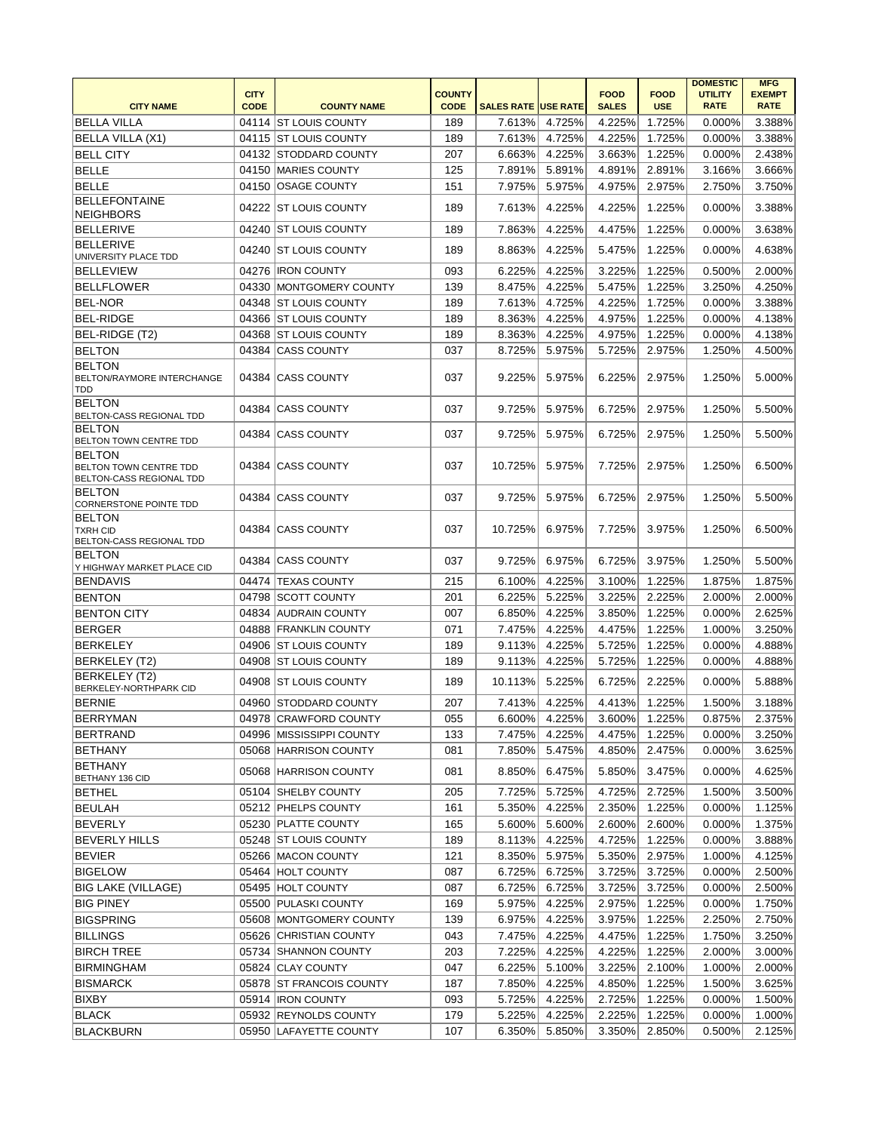| <b>CITY NAME</b>                                                           | <b>CITY</b><br><b>CODE</b> | <b>COUNTY NAME</b>         | <b>COUNTY</b><br><b>CODE</b> | <b>SALES RATE USE RATE</b> |                  | <b>FOOD</b><br><b>SALES</b> | <b>FOOD</b><br><b>USE</b> | <b>DOMESTIC</b><br><b>UTILITY</b><br><b>RATE</b> | <b>MFG</b><br><b>EXEMPT</b><br><b>RATE</b> |
|----------------------------------------------------------------------------|----------------------------|----------------------------|------------------------------|----------------------------|------------------|-----------------------------|---------------------------|--------------------------------------------------|--------------------------------------------|
| <b>BELLA VILLA</b>                                                         |                            | 04114 ST LOUIS COUNTY      | 189                          | 7.613%                     | 4.725%           | 4.225%                      | 1.725%                    | 0.000%                                           | 3.388%                                     |
| BELLA VILLA (X1)                                                           |                            | 04115 ST LOUIS COUNTY      | 189                          | 7.613%                     | 4.725%           | 4.225%                      | 1.725%                    | 0.000%                                           | 3.388%                                     |
| <b>BELL CITY</b>                                                           |                            | 04132 STODDARD COUNTY      | 207                          | 6.663%                     | 4.225%           | 3.663%                      | 1.225%                    | 0.000%                                           | 2.438%                                     |
| <b>BELLE</b>                                                               |                            | 04150 MARIES COUNTY        | 125                          | 7.891%                     | 5.891%           | 4.891%                      | 2.891%                    | 3.166%                                           | 3.666%                                     |
| <b>BELLE</b>                                                               |                            | 04150 OSAGE COUNTY         | 151                          | 7.975%                     | 5.975%           | 4.975%                      | 2.975%                    | 2.750%                                           | 3.750%                                     |
| <b>BELLEFONTAINE</b>                                                       |                            |                            |                              |                            |                  |                             |                           |                                                  |                                            |
| NEIGHBORS                                                                  |                            | 04222 ST LOUIS COUNTY      | 189                          | 7.613%                     | 4.225%           | 4.225%                      | 1.225%                    | 0.000%                                           | 3.388%                                     |
| BELLERIVE                                                                  |                            | 04240 ST LOUIS COUNTY      | 189                          | 7.863%                     | 4.225%           | 4.475%                      | 1.225%                    | 0.000%                                           | 3.638%                                     |
| <b>BELLERIVE</b><br>UNIVERSITY PLACE TDD                                   |                            | 04240 ST LOUIS COUNTY      | 189                          | 8.863%                     | 4.225%           | 5.475%                      | 1.225%                    | 0.000%                                           | 4.638%                                     |
| <b>BELLEVIEW</b>                                                           |                            | 04276 IRON COUNTY          | 093                          | 6.225%                     | 4.225%           | 3.225%                      | 1.225%                    | 0.500%                                           | 2.000%                                     |
| BELLFLOWER                                                                 |                            | 04330 MONTGOMERY COUNTY    | 139                          | 8.475%                     | 4.225%           | 5.475%                      | 1.225%                    | 3.250%                                           | 4.250%                                     |
| <b>BEL-NOR</b>                                                             |                            | 04348 ST LOUIS COUNTY      | 189                          | 7.613%                     | 4.725%           | 4.225%                      | 1.725%                    | 0.000%                                           | 3.388%                                     |
| <b>BEL-RIDGE</b>                                                           |                            | 04366 ST LOUIS COUNTY      | 189                          | 8.363%                     | 4.225%           | 4.975%                      | 1.225%                    | 0.000%                                           | 4.138%                                     |
| BEL-RIDGE (T2)                                                             | 04368                      | <b>ST LOUIS COUNTY</b>     | 189                          | 8.363%                     | 4.225%           | 4.975%                      | 1.225%                    | 0.000%                                           | 4.138%                                     |
| <b>BELTON</b>                                                              | 04384                      | <b>CASS COUNTY</b>         | 037                          | 8.725%                     | 5.975%           | 5.725%                      | 2.975%                    | 1.250%                                           | 4.500%                                     |
| <b>BELTON</b><br>BELTON/RAYMORE INTERCHANGE<br><b>TDD</b>                  |                            | 04384 CASS COUNTY          | 037                          | 9.225%                     | 5.975%           | 6.225%                      | 2.975%                    | 1.250%                                           | 5.000%                                     |
| <b>BELTON</b><br>BELTON-CASS REGIONAL TDD                                  |                            | 04384 CASS COUNTY          | 037                          | 9.725%                     | 5.975%           | 6.725%                      | 2.975%                    | 1.250%                                           | 5.500%                                     |
| <b>BELTON</b><br>BELTON TOWN CENTRE TDD                                    |                            | 04384 CASS COUNTY          | 037                          | 9.725%                     | 5.975%           | 6.725%                      | 2.975%                    | 1.250%                                           | 5.500%                                     |
| <b>BELTON</b><br>BELTON TOWN CENTRE TDD<br><b>BELTON-CASS REGIONAL TDD</b> |                            | 04384 CASS COUNTY          | 037                          | 10.725%                    | 5.975%           | 7.725%                      | 2.975%                    | 1.250%                                           | 6.500%                                     |
| <b>BELTON</b><br><b>CORNERSTONE POINTE TDD</b>                             |                            | 04384 CASS COUNTY          | 037                          | 9.725%                     | 5.975%           | 6.725%                      | 2.975%                    | 1.250%                                           | 5.500%                                     |
| <b>BELTON</b><br><b>TXRH CID</b><br>BELTON-CASS REGIONAL TDD               |                            | 04384 CASS COUNTY          | 037                          | 10.725%                    | 6.975%           | 7.725%                      | 3.975%                    | 1.250%                                           | 6.500%                                     |
| <b>BELTON</b><br>Y HIGHWAY MARKET PLACE CID                                |                            | 04384 CASS COUNTY          | 037                          | 9.725%                     | 6.975%           | 6.725%                      | 3.975%                    | 1.250%                                           | 5.500%                                     |
| BENDAVIS                                                                   | 04474                      | <b>TEXAS COUNTY</b>        | 215                          | 6.100%                     | 4.225%           | 3.100%                      | 1.225%                    | 1.875%                                           | 1.875%                                     |
| <b>BENTON</b>                                                              |                            | 04798 SCOTT COUNTY         | 201                          | 6.225%                     | 5.225%           | 3.225%                      | 2.225%                    | 2.000%                                           | 2.000%                                     |
| <b>BENTON CITY</b>                                                         |                            | 04834 AUDRAIN COUNTY       | 007                          | 6.850%                     | 4.225%           | 3.850%                      | 1.225%                    | 0.000%                                           | 2.625%                                     |
| <b>BERGER</b>                                                              |                            | 04888 FRANKLIN COUNTY      | 071                          | 7.475%                     | 4.225%           | 4.475%                      | 1.225%                    | 1.000%                                           | 3.250%                                     |
| BERKELEY                                                                   |                            | 04906 ST LOUIS COUNTY      | 189                          | 9.113%                     | 4.225%           | 5.725%                      | 1.225%                    | 0.000%                                           | 4.888%                                     |
| <b>BERKELEY (T2)</b>                                                       |                            | 04908 ST LOUIS COUNTY      | 189                          | 9.113%                     | 4.225%           | 5.725%                      | 1.225%                    | 0.000%                                           | 4.888%                                     |
| <b>BERKELEY</b> (T2)<br>BERKELEY-NORTHPARK CID                             |                            | 04908 ST LOUIS COUNTY      | 189                          | 10.113%                    | 5.225%           | 6.725%                      | 2.225%                    | 0.000%                                           | 5.888%                                     |
| <b>BERNIE</b>                                                              |                            | 04960 STODDARD COUNTY      | 207                          | 7.413%                     | 4.225%           | 4.413%                      | 1.225%                    | 1.500%                                           | 3.188%                                     |
| <b>BERRYMAN</b>                                                            |                            | 04978 CRAWFORD COUNTY      | 055                          | 6.600%                     | 4.225%           | 3.600%                      | 1.225%                    | 0.875%                                           | 2.375%                                     |
| BERTRAND                                                                   |                            | 04996   MISSISSIPPI COUNTY | 133                          | 7.475%                     | 4.225%           | 4.475%                      | 1.225%                    | 0.000%                                           | 3.250%                                     |
| <b>BETHANY</b>                                                             |                            | 05068 HARRISON COUNTY      | 081                          | 7.850%                     | 5.475%           | 4.850%                      | 2.475%                    | 0.000%                                           | 3.625%                                     |
| <b>BETHANY</b><br><b>BETHANY 136 CID</b>                                   |                            | 05068 HARRISON COUNTY      | 081                          | 8.850%                     | 6.475%           | 5.850%                      | 3.475%                    | 0.000%                                           | 4.625%                                     |
| <b>BETHEL</b>                                                              |                            | 05104 SHELBY COUNTY        | 205                          | 7.725%                     | 5.725%           | 4.725%                      | 2.725%                    | 1.500%                                           | 3.500%                                     |
| <b>BEULAH</b>                                                              |                            | 05212 PHELPS COUNTY        | 161                          | 5.350%                     | 4.225%           | 2.350%                      | 1.225%                    | 0.000%                                           | 1.125%                                     |
| <b>BEVERLY</b>                                                             |                            | 05230 PLATTE COUNTY        | 165                          | 5.600%                     | 5.600%           | 2.600%                      | 2.600%                    | 0.000%                                           | 1.375%                                     |
| BEVERLY HILLS                                                              |                            | 05248 ST LOUIS COUNTY      | 189                          | 8.113%                     | 4.225%           | 4.725%                      | 1.225%                    | 0.000%                                           | 3.888%                                     |
| BEVIER                                                                     |                            | 05266 MACON COUNTY         | 121                          | 8.350%                     | 5.975%           | 5.350%                      | 2.975%                    | 1.000%                                           | 4.125%                                     |
| <b>BIGELOW</b>                                                             |                            | 05464 HOLT COUNTY          | 087                          | 6.725%                     | 6.725%           | 3.725%                      | 3.725%                    | 0.000%                                           | 2.500%                                     |
| BIG LAKE (VILLAGE)                                                         |                            | 05495 HOLT COUNTY          | 087                          | 6.725%                     | 6.725%           | 3.725%                      | 3.725%                    | 0.000%                                           | 2.500%                                     |
|                                                                            |                            | 05500 PULASKI COUNTY       | 169                          | 5.975%                     | 4.225%           | 2.975%                      | 1.225%                    | 0.000%                                           | 1.750%                                     |
| <b>BIG PINEY</b><br><b>BIGSPRING</b>                                       |                            | 05608 MONTGOMERY COUNTY    | 139                          | 6.975%                     | 4.225%           | 3.975%                      | 1.225%                    | 2.250%                                           | 2.750%                                     |
| <b>BILLINGS</b>                                                            |                            | 05626 CHRISTIAN COUNTY     | 043                          | 7.475%                     | 4.225%           | 4.475%                      | 1.225%                    | 1.750%                                           | 3.250%                                     |
| <b>BIRCH TREE</b>                                                          |                            | 05734 SHANNON COUNTY       |                              |                            |                  |                             |                           |                                                  |                                            |
|                                                                            |                            | 05824 CLAY COUNTY          | 203<br>047                   | 7.225%<br>6.225%           | 4.225%<br>5.100% | 4.225%<br>3.225%            | 1.225%<br>2.100%          | 2.000%<br>1.000%                                 | 3.000%<br>2.000%                           |
| <b>BIRMINGHAM</b>                                                          |                            |                            |                              |                            | 4.225%           |                             |                           |                                                  |                                            |
| <b>BISMARCK</b>                                                            |                            | 05878 ST FRANCOIS COUNTY   | 187                          | 7.850%                     |                  | 4.850%                      | 1.225%                    | 1.500%                                           | 3.625%                                     |
| <b>BIXBY</b>                                                               |                            | 05914   IRON COUNTY        | 093                          | 5.725%                     | 4.225%           | 2.725%                      | 1.225%                    | 0.000%                                           | 1.500%                                     |
| <b>BLACK</b>                                                               |                            | 05932 REYNOLDS COUNTY      | 179                          | 5.225%                     | 4.225%           | 2.225%                      | 1.225%                    | 0.000%                                           | 1.000%                                     |
| <b>BLACKBURN</b>                                                           |                            | 05950 LAFAYETTE COUNTY     | 107                          | 6.350%                     | 5.850%           | 3.350%                      | 2.850%                    | 0.500%                                           | 2.125%                                     |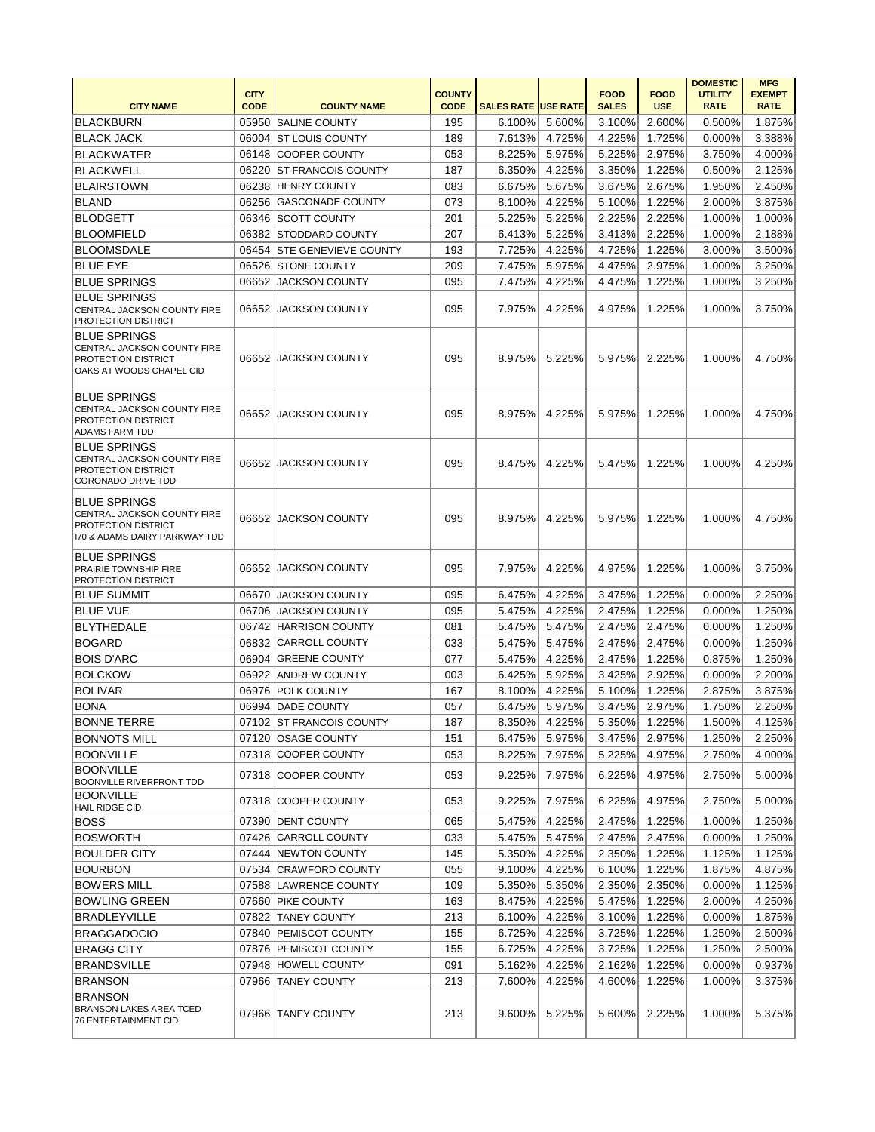| <b>CITY NAME</b>                                                                                                  | <b>CITY</b><br><b>CODE</b> | <b>COUNTY NAME</b>                       | <b>COUNTY</b><br><b>CODE</b> | <b>SALES RATE USE RATE</b> |                  | <b>FOOD</b><br><b>SALES</b> | <b>FOOD</b><br><b>USE</b> | <b>DOMESTIC</b><br><b>UTILITY</b><br><b>RATE</b> | <b>MFG</b><br><b>EXEMPT</b><br><b>RATE</b> |
|-------------------------------------------------------------------------------------------------------------------|----------------------------|------------------------------------------|------------------------------|----------------------------|------------------|-----------------------------|---------------------------|--------------------------------------------------|--------------------------------------------|
| <b>BLACKBURN</b>                                                                                                  |                            | 05950 SALINE COUNTY                      | 195                          | 6.100%                     | 5.600%           | 3.100%                      | 2.600%                    | 0.500%                                           | 1.875%                                     |
| <b>BLACK JACK</b>                                                                                                 |                            | 06004 ST LOUIS COUNTY                    | 189                          | 7.613%                     | 4.725%           | 4.225%                      | 1.725%                    | 0.000%                                           | 3.388%                                     |
| <b>BLACKWATER</b>                                                                                                 |                            | 06148 COOPER COUNTY                      | 053                          | 8.225%                     | 5.975%           | 5.225%                      | 2.975%                    | 3.750%                                           | 4.000%                                     |
| <b>BLACKWELL</b>                                                                                                  |                            | 06220 ST FRANCOIS COUNTY                 | 187                          | 6.350%                     | 4.225%           | 3.350%                      | 1.225%                    | 0.500%                                           | 2.125%                                     |
| <b>BLAIRSTOWN</b>                                                                                                 |                            | 06238 HENRY COUNTY                       | 083                          | 6.675%                     | 5.675%           | 3.675%                      | 2.675%                    | 1.950%                                           | 2.450%                                     |
| <b>BLAND</b>                                                                                                      |                            | 06256 GASCONADE COUNTY                   | 073                          | 8.100%                     | 4.225%           | 5.100%                      | 1.225%                    | 2.000%                                           | 3.875%                                     |
| <b>BLODGETT</b>                                                                                                   |                            | 06346 SCOTT COUNTY                       | 201                          | 5.225%                     | 5.225%           | 2.225%                      | 2.225%                    | 1.000%                                           | 1.000%                                     |
| <b>BLOOMFIELD</b>                                                                                                 |                            | 06382 STODDARD COUNTY                    | 207                          | 6.413%                     | 5.225%           | 3.413%                      | 2.225%                    | 1.000%                                           | 2.188%                                     |
| <b>BLOOMSDALE</b>                                                                                                 |                            | 06454 STE GENEVIEVE COUNTY               | 193                          | 7.725%                     | 4.225%           | 4.725%                      | 1.225%                    | 3.000%                                           | 3.500%                                     |
| <b>BLUE EYE</b>                                                                                                   |                            | 06526 STONE COUNTY                       | 209                          | 7.475%                     | 5.975%           | 4.475%                      | 2.975%                    | 1.000%                                           | 3.250%                                     |
| <b>BLUE SPRINGS</b>                                                                                               |                            | 06652 JACKSON COUNTY                     | 095                          | 7.475%                     | 4.225%           | 4.475%                      | 1.225%                    | 1.000%                                           | 3.250%                                     |
| <b>BLUE SPRINGS</b><br>CENTRAL JACKSON COUNTY FIRE<br>PROTECTION DISTRICT                                         | 06652                      | JACKSON COUNTY                           | 095                          | 7.975%                     | 4.225%           | 4.975%                      | 1.225%                    | 1.000%                                           | 3.750%                                     |
| <b>BLUE SPRINGS</b><br>CENTRAL JACKSON COUNTY FIRE<br>PROTECTION DISTRICT<br>OAKS AT WOODS CHAPEL CID             |                            | 06652 JACKSON COUNTY                     | 095                          | 8.975%                     | 5.225%           | 5.975%                      | 2.225%                    | 1.000%                                           | 4.750%                                     |
| <b>BLUE SPRINGS</b><br>CENTRAL JACKSON COUNTY FIRE<br>PROTECTION DISTRICT<br><b>ADAMS FARM TDD</b>                |                            | 06652 JACKSON COUNTY                     | 095                          | 8.975%                     | 4.225%           | 5.975%                      | 1.225%                    | 1.000%                                           | 4.750%                                     |
| <b>BLUE SPRINGS</b><br>CENTRAL JACKSON COUNTY FIRE<br>PROTECTION DISTRICT<br><b>CORONADO DRIVE TDD</b>            |                            | 06652 JACKSON COUNTY                     | 095                          | 8.475%                     | 4.225%           | 5.475%                      | 1.225%                    | 1.000%                                           | 4.250%                                     |
| <b>BLUE SPRINGS</b><br>CENTRAL JACKSON COUNTY FIRE<br><b>PROTECTION DISTRICT</b><br>170 & ADAMS DAIRY PARKWAY TDD |                            | 06652 JACKSON COUNTY                     | 095                          | 8.975%                     | 4.225%           | 5.975%                      | 1.225%                    | 1.000%                                           | 4.750%                                     |
| <b>BLUE SPRINGS</b><br><b>PRAIRIE TOWNSHIP FIRE</b><br>PROTECTION DISTRICT                                        |                            | 06652 JACKSON COUNTY                     | 095                          | 7.975%                     | 4.225%           | 4.975%                      | 1.225%                    | 1.000%                                           | 3.750%                                     |
| <b>BLUE SUMMIT</b>                                                                                                |                            | 06670 JACKSON COUNTY                     | 095                          | 6.475%                     | 4.225%           | 3.475%                      | 1.225%                    | 0.000%                                           | 2.250%                                     |
| <b>BLUE VUE</b>                                                                                                   |                            | 06706 JACKSON COUNTY                     | 095                          | 5.475%                     | 4.225%           | 2.475%                      | 1.225%                    | 0.000%                                           | 1.250%                                     |
| <b>BLYTHEDALE</b>                                                                                                 |                            | 06742 HARRISON COUNTY                    | 081                          | 5.475%                     | 5.475%           | 2.475%                      | 2.475%                    | 0.000%                                           | 1.250%                                     |
| <b>BOGARD</b>                                                                                                     |                            | 06832 CARROLL COUNTY                     | 033                          | 5.475%                     | 5.475%           | 2.475%                      | 2.475%                    | 0.000%                                           | 1.250%                                     |
| <b>BOIS D'ARC</b>                                                                                                 |                            | 06904 GREENE COUNTY                      | 077                          | 5.475%                     | 4.225%           | 2.475%                      | 1.225%                    | 0.875%                                           | 1.250%                                     |
| <b>BOLCKOW</b>                                                                                                    |                            | 06922 ANDREW COUNTY                      | 003                          | 6.425%                     | 5.925%           | 3.425%                      | 2.925%                    | 0.000%                                           | 2.200%                                     |
| <b>BOLIVAR</b>                                                                                                    |                            | 06976 POLK COUNTY                        | 167                          | 8.100%                     | 4.225%           | 5.100%                      | 1.225%                    | 2.875%                                           | 3.875%                                     |
| <b>BONA</b>                                                                                                       |                            | 06994 DADE COUNTY                        | 057                          | 6.475%                     | 5.975%           | 3.475%                      | 2.975%                    | 1.750%                                           | 2.250%                                     |
| <b>BONNE TERRE</b>                                                                                                |                            | 07102 ST FRANCOIS COUNTY                 | 187                          | 8.350%                     | 4.225%           | 5.350%                      | 1.225%                    | 1.500%                                           | 4.125%                                     |
| <b>BONNOTS MILL</b>                                                                                               |                            | 07120 OSAGE COUNTY                       | 151                          | 6.475%                     | 5.975%           | 3.475%                      | 2.975%                    | 1.250%                                           | 2.250%                                     |
| <b>BOONVILLE</b>                                                                                                  |                            | 07318 COOPER COUNTY                      | 053                          | 8.225%                     | 7.975%           | 5.225%                      | 4.975%                    | 2.750%                                           | 4.000%                                     |
| <b>BOONVILLE</b><br>BOONVILLE RIVERFRONT TDD                                                                      |                            | 07318 COOPER COUNTY                      | 053                          | 9.225%                     | 7.975%           | 6.225%                      | 4.975%                    | 2.750%                                           | 5.000%                                     |
| <b>BOONVILLE</b><br>HAIL RIDGE CID                                                                                |                            | 07318 COOPER COUNTY                      | 053                          | 9.225%                     | 7.975%           | 6.225%                      | 4.975%                    | 2.750%                                           | 5.000%                                     |
| <b>BOSS</b>                                                                                                       |                            | 07390 DENT COUNTY                        | 065                          | 5.475%                     | 4.225%           | 2.475%                      | 1.225%                    | 1.000%                                           | 1.250%                                     |
| <b>BOSWORTH</b>                                                                                                   |                            | 07426 CARROLL COUNTY                     | 033                          | 5.475%                     | 5.475%           | 2.475%                      | 2.475%                    | 0.000%                                           | 1.250%                                     |
| <b>BOULDER CITY</b>                                                                                               |                            | 07444 NEWTON COUNTY                      | 145                          | 5.350%                     | 4.225%           | 2.350%                      | 1.225%                    | 1.125%                                           | 1.125%                                     |
| <b>BOURBON</b>                                                                                                    |                            | 07534 CRAWFORD COUNTY                    | 055                          | 9.100%                     | 4.225%           | 6.100%                      | 1.225%                    | 1.875%                                           | 4.875%                                     |
| <b>BOWERS MILL</b>                                                                                                |                            | 07588 LAWRENCE COUNTY                    | 109                          | 5.350%                     | 5.350%           | 2.350%                      | 2.350%                    | 0.000%                                           | 1.125%                                     |
| <b>BOWLING GREEN</b>                                                                                              |                            | 07660 PIKE COUNTY                        | 163                          | 8.475%                     | 4.225%           | 5.475%                      | 1.225%                    | 2.000%                                           | 4.250%                                     |
|                                                                                                                   |                            |                                          |                              |                            |                  |                             |                           |                                                  |                                            |
| <b>BRADLEYVILLE</b>                                                                                               |                            | 07822 TANEY COUNTY                       | 213                          | 6.100%                     | 4.225%           | 3.100%                      | 1.225%                    | 0.000%                                           | 1.875%                                     |
| <b>BRAGGADOCIO</b>                                                                                                |                            | 07840 PEMISCOT COUNTY                    | 155                          | 6.725%                     | 4.225%           | 3.725%                      | 1.225%                    | 1.250%                                           | 2.500%                                     |
| <b>BRAGG CITY</b>                                                                                                 |                            | 07876 PEMISCOT COUNTY                    | 155                          | 6.725%                     | 4.225%           | 3.725%                      | 1.225%                    | 1.250%                                           | 2.500%                                     |
| <b>BRANDSVILLE</b>                                                                                                |                            | 07948 HOWELL COUNTY                      | 091                          | 5.162%                     | 4.225%           | 2.162%                      | 1.225%                    | 0.000%                                           | 0.937%                                     |
| <b>BRANSON</b><br><b>BRANSON</b><br>BRANSON LAKES AREA TCED<br>76 ENTERTAINMENT CID                               |                            | 07966 TANEY COUNTY<br>07966 TANEY COUNTY | 213<br>213                   | 7.600%<br>9.600%           | 4.225%<br>5.225% | 4.600%<br>5.600%            | 1.225%<br>2.225%          | 1.000%<br>1.000%                                 | 3.375%<br>5.375%                           |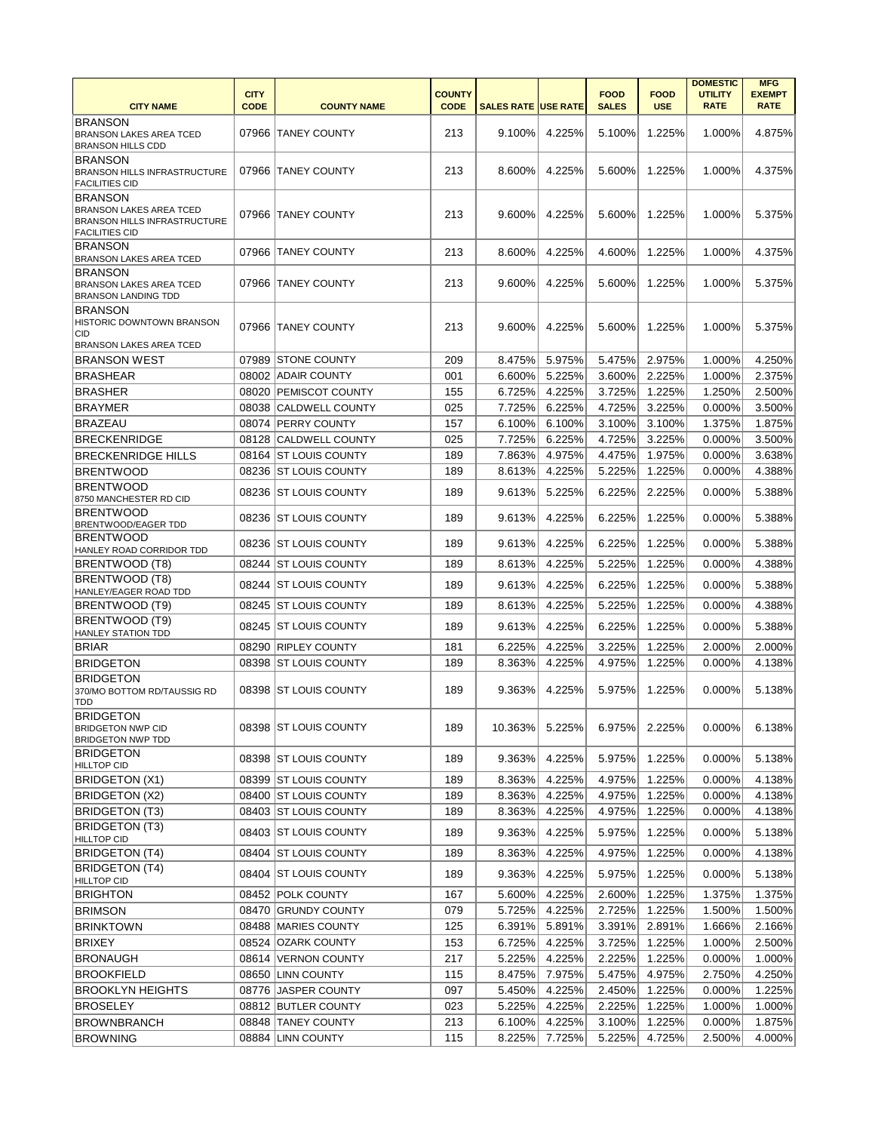|                                                                                                |                            |                        |                              |                            |        |                             |                           | <b>DOMESTIC</b>               | <b>MFG</b>                   |
|------------------------------------------------------------------------------------------------|----------------------------|------------------------|------------------------------|----------------------------|--------|-----------------------------|---------------------------|-------------------------------|------------------------------|
| <b>CITY NAME</b>                                                                               | <b>CITY</b><br><b>CODE</b> | <b>COUNTY NAME</b>     | <b>COUNTY</b><br><b>CODE</b> | <b>SALES RATE USE RATE</b> |        | <b>FOOD</b><br><b>SALES</b> | <b>FOOD</b><br><b>USE</b> | <b>UTILITY</b><br><b>RATE</b> | <b>EXEMPT</b><br><b>RATE</b> |
| <b>BRANSON</b>                                                                                 |                            |                        |                              |                            |        |                             |                           |                               |                              |
| <b>BRANSON LAKES AREA TCED</b><br><b>BRANSON HILLS CDD</b>                                     |                            | 07966 TANEY COUNTY     | 213                          | 9.100%                     | 4.225% | 5.100%                      | 1.225%                    | 1.000%                        | 4.875%                       |
| <b>BRANSON</b>                                                                                 |                            |                        |                              |                            |        |                             |                           |                               |                              |
| <b>BRANSON HILLS INFRASTRUCTURE</b>                                                            |                            | 07966 TANEY COUNTY     | 213                          | 8.600%                     | 4.225% | 5.600%                      | 1.225%                    | 1.000%                        | 4.375%                       |
| <b>FACILITIES CID</b>                                                                          |                            |                        |                              |                            |        |                             |                           |                               |                              |
| <b>BRANSON</b>                                                                                 |                            |                        |                              |                            |        |                             |                           |                               |                              |
| <b>BRANSON LAKES AREA TCED</b><br><b>BRANSON HILLS INFRASTRUCTURE</b><br><b>FACILITIES CID</b> |                            | 07966 TANEY COUNTY     | 213                          | 9.600%                     | 4.225% | 5.600%                      | 1.225%                    | 1.000%                        | 5.375%                       |
| <b>BRANSON</b><br><b>BRANSON LAKES AREA TCED</b>                                               |                            | 07966 TANEY COUNTY     | 213                          | 8.600%                     | 4.225% | 4.600%                      | 1.225%                    | 1.000%                        | 4.375%                       |
| <b>BRANSON</b>                                                                                 |                            |                        |                              |                            |        |                             |                           |                               |                              |
| <b>BRANSON LAKES AREA TCED</b><br><b>BRANSON LANDING TDD</b>                                   |                            | 07966 TANEY COUNTY     | 213                          | 9.600%                     | 4.225% | 5.600%                      | 1.225%                    | 1.000%                        | 5.375%                       |
| <b>BRANSON</b>                                                                                 |                            |                        |                              |                            |        |                             |                           |                               |                              |
| HISTORIC DOWNTOWN BRANSON                                                                      |                            | 07966 TANEY COUNTY     | 213                          | 9.600%                     | 4.225% | 5.600%                      | 1.225%                    | 1.000%                        | 5.375%                       |
| CID<br><b>BRANSON LAKES AREA TCED</b>                                                          |                            |                        |                              |                            |        |                             |                           |                               |                              |
| <b>BRANSON WEST</b>                                                                            |                            | 07989 STONE COUNTY     | 209                          | 8.475%                     | 5.975% | 5.475%                      | 2.975%                    | 1.000%                        | 4.250%                       |
| <b>BRASHEAR</b>                                                                                |                            | 08002 ADAIR COUNTY     | 001                          | 6.600%                     | 5.225% | 3.600%                      | 2.225%                    | 1.000%                        | 2.375%                       |
| <b>BRASHER</b>                                                                                 |                            | 08020 PEMISCOT COUNTY  | 155                          | 6.725%                     | 4.225% | 3.725%                      | 1.225%                    | 1.250%                        | 2.500%                       |
| <b>BRAYMER</b>                                                                                 |                            | 08038 CALDWELL COUNTY  | 025                          | 7.725%                     | 6.225% | 4.725%                      | 3.225%                    | 0.000%                        | 3.500%                       |
| <b>BRAZEAU</b>                                                                                 |                            | 08074 PERRY COUNTY     | 157                          | 6.100%                     | 6.100% | 3.100%                      | 3.100%                    | 1.375%                        | 1.875%                       |
| <b>BRECKENRIDGE</b>                                                                            |                            | 08128 CALDWELL COUNTY  | 025                          | 7.725%                     | 6.225% | 4.725%                      | 3.225%                    | 0.000%                        | 3.500%                       |
|                                                                                                |                            | 08164 ST LOUIS COUNTY  | 189                          | 7.863%                     |        |                             |                           |                               | 3.638%                       |
| <b>BRECKENRIDGE HILLS</b>                                                                      |                            |                        |                              |                            | 4.975% | 4.475%                      | 1.975%                    | 0.000%                        |                              |
| BRENTWOOD                                                                                      |                            | 08236 ST LOUIS COUNTY  | 189                          | 8.613%                     | 4.225% | 5.225%                      | 1.225%                    | 0.000%                        | 4.388%                       |
| <b>BRENTWOOD</b><br>8750 MANCHESTER RD CID                                                     | 08236                      | <b>ST LOUIS COUNTY</b> | 189                          | 9.613%                     | 5.225% | 6.225%                      | 2.225%                    | 0.000%                        | 5.388%                       |
| <b>BRENTWOOD</b><br><b>BRENTWOOD/EAGER TDD</b>                                                 |                            | 08236 ST LOUIS COUNTY  | 189                          | 9.613%                     | 4.225% | 6.225%                      | 1.225%                    | 0.000%                        | 5.388%                       |
| <b>BRENTWOOD</b><br>HANLEY ROAD CORRIDOR TDD                                                   |                            | 08236 ST LOUIS COUNTY  | 189                          | 9.613%                     | 4.225% | 6.225%                      | 1.225%                    | 0.000%                        | 5.388%                       |
| BRENTWOOD (T8)                                                                                 |                            | 08244 ST LOUIS COUNTY  | 189                          | 8.613%                     | 4.225% | 5.225%                      | 1.225%                    | 0.000%                        | 4.388%                       |
| BRENTWOOD (T8)<br>HANLEY/EAGER ROAD TDD                                                        |                            | 08244 ST LOUIS COUNTY  | 189                          | 9.613%                     | 4.225% | 6.225%                      | 1.225%                    | 0.000%                        | 5.388%                       |
| BRENTWOOD (T9)                                                                                 |                            | 08245 ST LOUIS COUNTY  | 189                          | 8.613%                     | 4.225% | 5.225%                      | 1.225%                    | 0.000%                        | 4.388%                       |
| BRENTWOOD (T9)<br><b>HANLEY STATION TDD</b>                                                    |                            | 08245 ST LOUIS COUNTY  | 189                          | 9.613%                     | 4.225% | 6.225%                      | 1.225%                    | 0.000%                        | 5.388%                       |
| <b>BRIAR</b>                                                                                   |                            | 08290 RIPLEY COUNTY    | 181                          | 6.225%                     | 4.225% | 3.225%                      | 1.225%                    | 2.000%                        | 2.000%                       |
| <b>BRIDGETON</b>                                                                               |                            | 08398 ST LOUIS COUNTY  | 189                          | 8.363%                     | 4.225% | 4.975%                      | 1.225%                    | 0.000%                        | 4.138%                       |
| <b>BRIDGETON</b><br>370/MO BOTTOM RD/TAUSSIG RD<br><b>TDD</b>                                  |                            | 08398 ST LOUIS COUNTY  | 189                          | 9.363%                     | 4.225% | 5.975%                      | 1.225%                    | 0.000%                        | 5.138%                       |
| <b>BRIDGETON</b><br><b>BRIDGETON NWP CID</b>                                                   |                            | 08398 ST LOUIS COUNTY  | 189                          | 10.363%                    | 5.225% | 6.975%                      | 2.225%                    | 0.000%                        | 6.138%                       |
| <b>BRIDGETON NWP TDD</b><br><b>BRIDGETON</b>                                                   |                            |                        |                              |                            |        |                             |                           |                               |                              |
| <b>HILLTOP CID</b>                                                                             |                            | 08398 ST LOUIS COUNTY  | 189                          | 9.363%                     | 4.225% | 5.975%                      | 1.225%                    | 0.000%                        | 5.138%                       |
| <b>BRIDGETON (X1)</b>                                                                          |                            | 08399 ST LOUIS COUNTY  | 189                          | 8.363%                     | 4.225% | 4.975%                      | 1.225%                    | 0.000%                        | 4.138%                       |
| BRIDGETON (X2)                                                                                 |                            | 08400 ST LOUIS COUNTY  | 189                          | 8.363%                     | 4.225% | 4.975%                      | 1.225%                    | 0.000%                        | 4.138%                       |
| <b>BRIDGETON (T3)</b>                                                                          |                            | 08403 ST LOUIS COUNTY  | 189                          | 8.363%                     | 4.225% | 4.975%                      | 1.225%                    | 0.000%                        | 4.138%                       |
| <b>BRIDGETON (T3)</b><br><b>HILLTOP CID</b>                                                    |                            | 08403 ST LOUIS COUNTY  | 189                          | 9.363%                     | 4.225% | 5.975%                      | 1.225%                    | 0.000%                        | 5.138%                       |
| <b>BRIDGETON (T4)</b>                                                                          |                            | 08404 ST LOUIS COUNTY  | 189                          | 8.363%                     | 4.225% | 4.975%                      | 1.225%                    | 0.000%                        | 4.138%                       |
| <b>BRIDGETON (T4)</b><br><b>HILLTOP CID</b>                                                    |                            | 08404 ST LOUIS COUNTY  | 189                          | 9.363%                     | 4.225% | 5.975%                      | 1.225%                    | 0.000%                        | 5.138%                       |
| <b>BRIGHTON</b>                                                                                |                            | 08452 POLK COUNTY      | 167                          | 5.600%                     | 4.225% | 2.600%                      | 1.225%                    | 1.375%                        | 1.375%                       |
| <b>BRIMSON</b>                                                                                 |                            | 08470 GRUNDY COUNTY    | 079                          | 5.725%                     | 4.225% | 2.725%                      | 1.225%                    | 1.500%                        | 1.500%                       |
| <b>BRINKTOWN</b>                                                                               |                            | 08488 MARIES COUNTY    | 125                          | 6.391%                     | 5.891% | 3.391%                      | 2.891%                    | 1.666%                        | 2.166%                       |
| <b>BRIXEY</b>                                                                                  |                            | 08524 OZARK COUNTY     | 153                          | 6.725%                     | 4.225% | 3.725%                      | 1.225%                    | 1.000%                        | 2.500%                       |
| <b>BRONAUGH</b>                                                                                |                            | 08614 VERNON COUNTY    | 217                          | 5.225%                     | 4.225% | 2.225%                      | 1.225%                    | 0.000%                        | 1.000%                       |
| <b>BROOKFIELD</b>                                                                              |                            | 08650 LINN COUNTY      | 115                          | 8.475%                     | 7.975% | 5.475%                      | 4.975%                    | 2.750%                        | 4.250%                       |
| <b>BROOKLYN HEIGHTS</b>                                                                        |                            | 08776 JASPER COUNTY    | 097                          | 5.450%                     | 4.225% | 2.450%                      | 1.225%                    | 0.000%                        | 1.225%                       |
| <b>BROSELEY</b>                                                                                |                            | 08812 BUTLER COUNTY    | 023                          | 5.225%                     | 4.225% | 2.225%                      | 1.225%                    | 1.000%                        | 1.000%                       |
| <b>BROWNBRANCH</b>                                                                             |                            | 08848 TANEY COUNTY     | 213                          | 6.100%                     | 4.225% | 3.100%                      | 1.225%                    | 0.000%                        | 1.875%                       |
| <b>BROWNING</b>                                                                                |                            | 08884 LINN COUNTY      | 115                          | 8.225%                     | 7.725% | 5.225%                      | 4.725%                    | 2.500%                        | 4.000%                       |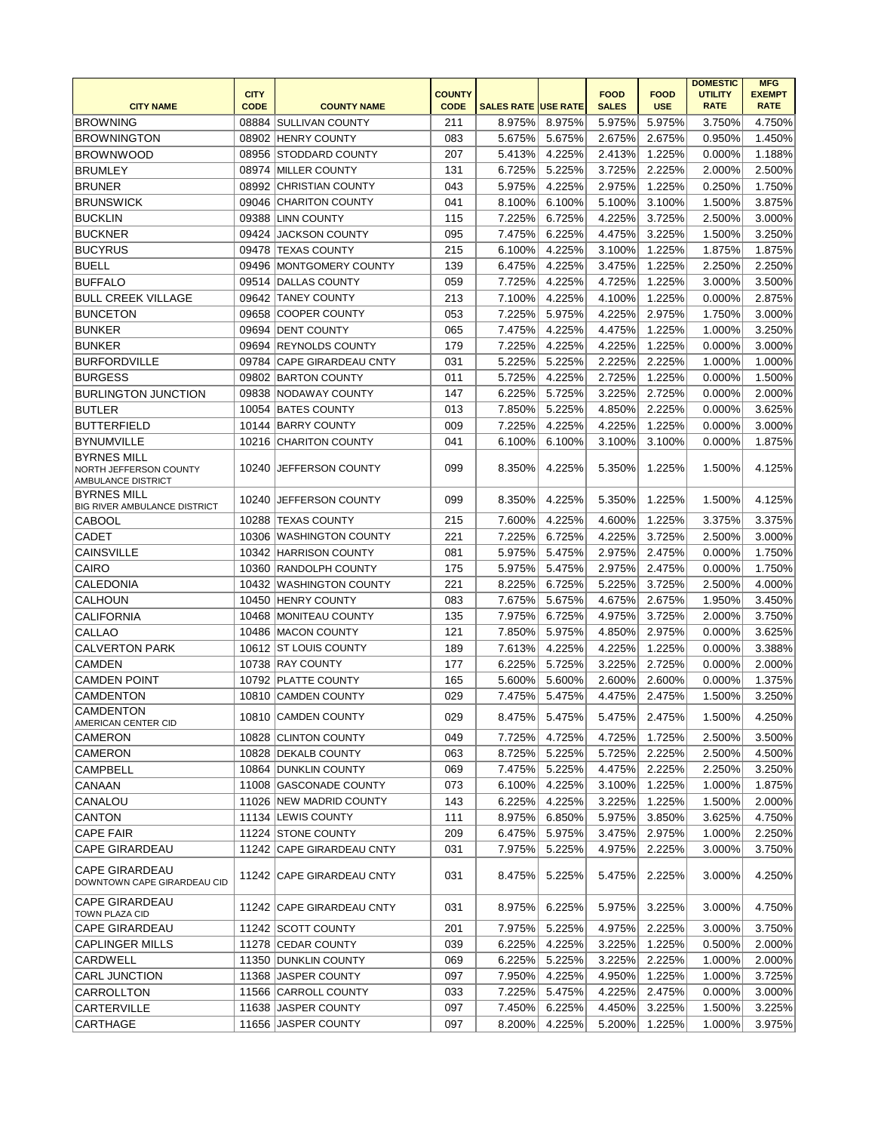|                                                      |             |                           |               |                            |        |              |             | <b>DOMESTIC</b> | <b>MFG</b>    |
|------------------------------------------------------|-------------|---------------------------|---------------|----------------------------|--------|--------------|-------------|-----------------|---------------|
|                                                      | <b>CITY</b> |                           | <b>COUNTY</b> |                            |        | <b>FOOD</b>  | <b>FOOD</b> | <b>UTILITY</b>  | <b>EXEMPT</b> |
| <b>CITY NAME</b>                                     | <b>CODE</b> | <b>COUNTY NAME</b>        | <b>CODE</b>   | <b>SALES RATE USE RATE</b> |        | <b>SALES</b> | <b>USE</b>  | <b>RATE</b>     | <b>RATE</b>   |
| <b>BROWNING</b>                                      |             | 08884 SULLIVAN COUNTY     | 211           | 8.975%                     | 8.975% | 5.975%       | 5.975%      | 3.750%          | 4.750%        |
| <b>BROWNINGTON</b>                                   |             | 08902 HENRY COUNTY        | 083           | 5.675%                     | 5.675% | 2.675%       | 2.675%      | 0.950%          | 1.450%        |
| <b>BROWNWOOD</b>                                     |             | 08956 STODDARD COUNTY     | 207           | 5.413%                     | 4.225% | 2.413%       | 1.225%      | 0.000%          | 1.188%        |
| <b>BRUMLEY</b>                                       |             | 08974 MILLER COUNTY       | 131           | 6.725%                     | 5.225% | 3.725%       | 2.225%      | 2.000%          | 2.500%        |
| <b>BRUNER</b>                                        |             | 08992 CHRISTIAN COUNTY    | 043           | 5.975%                     | 4.225% | 2.975%       | 1.225%      | 0.250%          | 1.750%        |
| <b>BRUNSWICK</b>                                     |             | 09046 CHARITON COUNTY     | 041           | 8.100%                     | 6.100% | 5.100%       | 3.100%      | 1.500%          | 3.875%        |
| <b>BUCKLIN</b>                                       |             | 09388 LINN COUNTY         | 115           | 7.225%                     | 6.725% | 4.225%       | 3.725%      | 2.500%          | 3.000%        |
| <b>BUCKNER</b>                                       | 09424       | <b>JACKSON COUNTY</b>     | 095           | 7.475%                     | 6.225% | 4.475%       | 3.225%      | 1.500%          | 3.250%        |
| <b>BUCYRUS</b>                                       |             | 09478 TEXAS COUNTY        | 215           | 6.100%                     | 4.225% | 3.100%       | 1.225%      | 1.875%          | 1.875%        |
| <b>BUELL</b>                                         |             | 09496 MONTGOMERY COUNTY   | 139           | 6.475%                     | 4.225% | 3.475%       | 1.225%      | 2.250%          | 2.250%        |
| <b>BUFFALO</b>                                       |             | 09514 DALLAS COUNTY       | 059           | 7.725%                     | 4.225% | 4.725%       | 1.225%      | 3.000%          | 3.500%        |
| <b>BULL CREEK VILLAGE</b>                            |             | 09642 TANEY COUNTY        | 213           | 7.100%                     | 4.225% | 4.100%       | 1.225%      | 0.000%          | 2.875%        |
| <b>BUNCETON</b>                                      |             | 09658 COOPER COUNTY       | 053           | 7.225%                     | 5.975% | 4.225%       | 2.975%      | 1.750%          | 3.000%        |
| BUNKER                                               |             | 09694 DENT COUNTY         | 065           | 7.475%                     | 4.225% | 4.475%       | 1.225%      | 1.000%          | 3.250%        |
| <b>BUNKER</b>                                        |             | 09694 REYNOLDS COUNTY     | 179           | 7.225%                     | 4.225% | 4.225%       | 1.225%      | 0.000%          | 3.000%        |
| <b>BURFORDVILLE</b>                                  |             | 09784 CAPE GIRARDEAU CNTY | 031           | 5.225%                     | 5.225% | 2.225%       | 2.225%      | 1.000%          | 1.000%        |
| <b>BURGESS</b>                                       |             | 09802 BARTON COUNTY       | 011           | 5.725%                     | 4.225% | 2.725%       | 1.225%      | 0.000%          | 1.500%        |
| <b>BURLINGTON JUNCTION</b>                           |             | 09838 NODAWAY COUNTY      | 147           | 6.225%                     | 5.725% | 3.225%       | 2.725%      | 0.000%          | 2.000%        |
| <b>BUTLER</b>                                        |             | 10054 BATES COUNTY        | 013           | 7.850%                     | 5.225% | 4.850%       | 2.225%      | 0.000%          | 3.625%        |
| BUTTERFIELD                                          |             | 10144 BARRY COUNTY        | 009           | 7.225%                     | 4.225% | 4.225%       | 1.225%      | 0.000%          | 3.000%        |
| BYNUMVILLE                                           |             | 10216 CHARITON COUNTY     | 041           | 6.100%                     | 6.100% | 3.100%       | 3.100%      | 0.000%          | 1.875%        |
| <b>BYRNES MILL</b>                                   |             |                           |               |                            |        |              |             |                 |               |
| NORTH JEFFERSON COUNTY                               |             | 10240 JEFFERSON COUNTY    | 099           | 8.350%                     | 4.225% | 5.350%       | 1.225%      | 1.500%          | 4.125%        |
| AMBULANCE DISTRICT                                   |             |                           |               |                            |        |              |             |                 |               |
| <b>BYRNES MILL</b>                                   | 10240       | <b>JEFFERSON COUNTY</b>   | 099           | 8.350%                     | 4.225% | 5.350%       | 1.225%      | 1.500%          | 4.125%        |
| <b>BIG RIVER AMBULANCE DISTRICT</b>                  |             |                           | 215           |                            |        |              |             |                 |               |
| <b>CABOOL</b>                                        |             | 10288 TEXAS COUNTY        |               | 7.600%                     | 4.225% | 4.600%       | 1.225%      | 3.375%          | 3.375%        |
| <b>CADET</b>                                         |             | 10306 WASHINGTON COUNTY   | 221           | 7.225%                     | 6.725% | 4.225%       | 3.725%      | 2.500%          | 3.000%        |
| <b>CAINSVILLE</b>                                    |             | 10342 HARRISON COUNTY     | 081           | 5.975%                     | 5.475% | 2.975%       | 2.475%      | 0.000%          | 1.750%        |
| CAIRO                                                |             | 10360 RANDOLPH COUNTY     | 175           | 5.975%                     | 5.475% | 2.975%       | 2.475%      | 0.000%          | 1.750%        |
| CALEDONIA                                            |             | 10432 WASHINGTON COUNTY   | 221           | 8.225%                     | 6.725% | 5.225%       | 3.725%      | 2.500%          | 4.000%        |
| <b>CALHOUN</b>                                       |             | 10450 HENRY COUNTY        | 083           | 7.675%                     | 5.675% | 4.675%       | 2.675%      | 1.950%          | 3.450%        |
| <b>CALIFORNIA</b>                                    |             | 10468 MONITEAU COUNTY     | 135           | 7.975%                     | 6.725% | 4.975%       | 3.725%      | 2.000%          | 3.750%        |
| CALLAO                                               |             | 10486 MACON COUNTY        | 121           | 7.850%                     | 5.975% | 4.850%       | 2.975%      | 0.000%          | 3.625%        |
| <b>CALVERTON PARK</b>                                |             | 10612 ST LOUIS COUNTY     | 189           | 7.613%                     | 4.225% | 4.225%       | 1.225%      | 0.000%          | 3.388%        |
| <b>CAMDEN</b>                                        |             | 10738 RAY COUNTY          | 177           | 6.225%                     | 5.725% | 3.225%       | 2.725%      | 0.000%          | 2.000%        |
| <b>CAMDEN POINT</b>                                  |             | 10792 PLATTE COUNTY       | 165           | 5.600%                     | 5.600% | 2.600%       | 2.600%      | 0.000%          | 1.375%        |
| <b>CAMDENTON</b>                                     |             | 10810 CAMDEN COUNTY       | 029           | 7.475%                     | 5.475% | 4.475%       | 2.475%      | 1.500%          | 3.250%        |
| <b>CAMDENTON</b>                                     |             | 10810 CAMDEN COUNTY       | 029           | 8.475%                     | 5.475% | 5.475%       | 2.475%      | 1.500%          | 4.250%        |
| AMERICAN CENTER CID                                  |             |                           |               |                            |        |              |             |                 |               |
| CAMERON                                              |             | 10828 CLINTON COUNTY      | 049           | 7.725%                     | 4.725% | 4.725%       | 1.725%      | 2.500%          | 3.500%        |
| CAMERON                                              |             | 10828 DEKALB COUNTY       | 063           | 8.725%                     | 5.225% | 5.725%       | 2.225%      | 2.500%          | 4.500%        |
| CAMPBELL                                             |             | 10864 DUNKLIN COUNTY      | 069           | 7.475%                     | 5.225% | 4.475%       | 2.225%      | 2.250%          | 3.250%        |
| CANAAN                                               |             | 11008 GASCONADE COUNTY    | 073           | 6.100%                     | 4.225% | 3.100%       | 1.225%      | 1.000%          | 1.875%        |
| CANALOU                                              |             | 11026 NEW MADRID COUNTY   | 143           | 6.225%                     | 4.225% | 3.225%       | 1.225%      | 1.500%          | 2.000%        |
| <b>CANTON</b>                                        |             | 11134 LEWIS COUNTY        | 111           | 8.975%                     | 6.850% | 5.975%       | 3.850%      | 3.625%          | 4.750%        |
| <b>CAPE FAIR</b>                                     |             | 11224 STONE COUNTY        | 209           | 6.475%                     | 5.975% | 3.475%       | 2.975%      | 1.000%          | 2.250%        |
| <b>CAPE GIRARDEAU</b>                                |             | 11242 CAPE GIRARDEAU CNTY | 031           | 7.975%                     | 5.225% | 4.975%       | 2.225%      | 3.000%          | 3.750%        |
| <b>CAPE GIRARDEAU</b><br>DOWNTOWN CAPE GIRARDEAU CID |             | 11242 CAPE GIRARDEAU CNTY | 031           | 8.475%                     | 5.225% | 5.475%       | 2.225%      | 3.000%          | 4.250%        |
| <b>CAPE GIRARDEAU</b><br>TOWN PLAZA CID              |             | 11242 CAPE GIRARDEAU CNTY | 031           | 8.975%                     | 6.225% | 5.975%       | 3.225%      | 3.000%          | 4.750%        |
| CAPE GIRARDEAU                                       |             | 11242 SCOTT COUNTY        | 201           | 7.975%                     | 5.225% | 4.975%       | 2.225%      | 3.000%          | 3.750%        |
| <b>CAPLINGER MILLS</b>                               |             | 11278 CEDAR COUNTY        | 039           | 6.225%                     | 4.225% | 3.225%       | 1.225%      | 0.500%          | 2.000%        |
| CARDWELL                                             |             | 11350 DUNKLIN COUNTY      | 069           | 6.225%                     | 5.225% | 3.225%       | 2.225%      | 1.000%          | 2.000%        |
| <b>CARL JUNCTION</b>                                 |             | 11368 JASPER COUNTY       | 097           | 7.950%                     | 4.225% | 4.950%       | 1.225%      | 1.000%          | 3.725%        |
| CARROLLTON                                           |             | 11566 CARROLL COUNTY      | 033           | 7.225%                     | 5.475% | 4.225%       | 2.475%      | 0.000%          | 3.000%        |
| CARTERVILLE                                          |             | 11638 JASPER COUNTY       | 097           | 7.450%                     | 6.225% | 4.450%       | 3.225%      | 1.500%          | 3.225%        |
| CARTHAGE                                             |             | 11656 JASPER COUNTY       | 097           | 8.200%                     | 4.225% | 5.200%       | 1.225%      | 1.000%          | 3.975%        |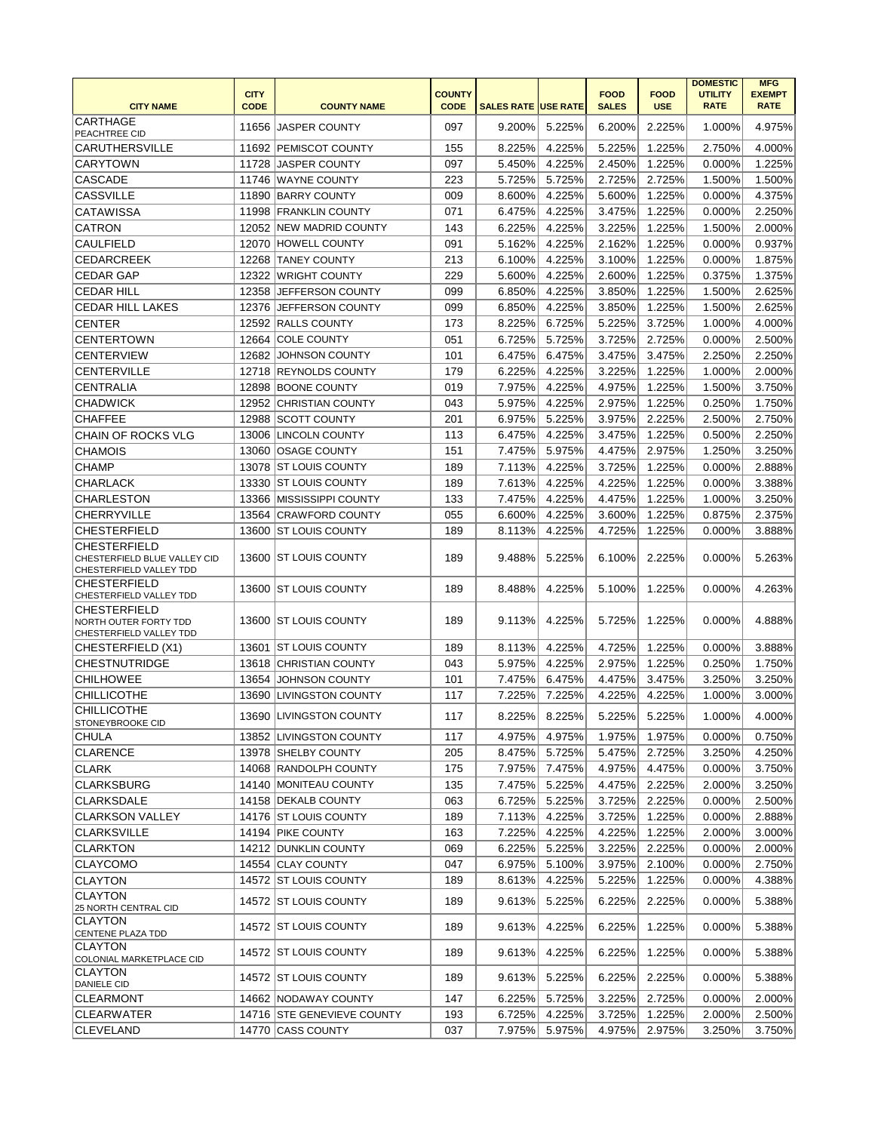| <b>CITY NAME</b>                                                               | <b>CITY</b><br><b>CODE</b> | <b>COUNTY NAME</b>         | <b>COUNTY</b><br><b>CODE</b> | <b>SALES RATE USE RATE</b> |        | <b>FOOD</b><br><b>SALES</b> | <b>FOOD</b><br><b>USE</b> | <b>DOMESTIC</b><br><b>UTILITY</b><br><b>RATE</b> | <b>MFG</b><br><b>EXEMPT</b><br><b>RATE</b> |
|--------------------------------------------------------------------------------|----------------------------|----------------------------|------------------------------|----------------------------|--------|-----------------------------|---------------------------|--------------------------------------------------|--------------------------------------------|
| CARTHAGE<br>PEACHTREE CID                                                      |                            | 11656 JASPER COUNTY        | 097                          | 9.200%                     | 5.225% | 6.200%                      | 2.225%                    | 1.000%                                           | 4.975%                                     |
| <b>CARUTHERSVILLE</b>                                                          |                            | 11692 PEMISCOT COUNTY      | 155                          | 8.225%                     | 4.225% | 5.225%                      | 1.225%                    | 2.750%                                           | 4.000%                                     |
| <b>CARYTOWN</b>                                                                |                            | 11728 JASPER COUNTY        | 097                          | 5.450%                     | 4.225% | 2.450%                      | 1.225%                    | 0.000%                                           | 1.225%                                     |
| <b>CASCADE</b>                                                                 |                            | 11746 WAYNE COUNTY         | 223                          | 5.725%                     | 5.725% | 2.725%                      | 2.725%                    | 1.500%                                           | 1.500%                                     |
| <b>CASSVILLE</b>                                                               |                            | 11890 BARRY COUNTY         | 009                          | 8.600%                     | 4.225% | 5.600%                      | 1.225%                    | 0.000%                                           | 4.375%                                     |
| <b>CATAWISSA</b>                                                               |                            | 11998 FRANKLIN COUNTY      | 071                          | 6.475%                     | 4.225% | 3.475%                      | 1.225%                    | 0.000%                                           | 2.250%                                     |
| <b>CATRON</b>                                                                  |                            | 12052 NEW MADRID COUNTY    | 143                          | 6.225%                     | 4.225% | 3.225%                      | 1.225%                    | 1.500%                                           | 2.000%                                     |
| <b>CAULFIELD</b>                                                               |                            | 12070 HOWELL COUNTY        | 091                          | 5.162%                     | 4.225% | 2.162%                      | 1.225%                    | 0.000%                                           | 0.937%                                     |
| <b>CEDARCREEK</b>                                                              | 12268                      | <b>TANEY COUNTY</b>        | 213                          | 6.100%                     | 4.225% | 3.100%                      | 1.225%                    | 0.000%                                           | 1.875%                                     |
| <b>CEDAR GAP</b>                                                               | 12322                      | <b>WRIGHT COUNTY</b>       | 229                          | 5.600%                     | 4.225% | 2.600%                      | 1.225%                    | 0.375%                                           | 1.375%                                     |
| <b>CEDAR HILL</b>                                                              | 12358                      | <b>JEFFERSON COUNTY</b>    | 099                          | 6.850%                     | 4.225% | 3.850%                      | 1.225%                    | 1.500%                                           | 2.625%                                     |
| <b>CEDAR HILL LAKES</b>                                                        | 12376                      | JEFFERSON COUNTY           | 099                          | 6.850%                     | 4.225% | 3.850%                      | 1.225%                    | 1.500%                                           | 2.625%                                     |
| <b>CENTER</b>                                                                  |                            | 12592 RALLS COUNTY         | 173                          | 8.225%                     | 6.725% | 5.225%                      | 3.725%                    | 1.000%                                           | 4.000%                                     |
| <b>CENTERTOWN</b>                                                              |                            | 12664 COLE COUNTY          | 051                          | 6.725%                     | 5.725% | 3.725%                      | 2.725%                    | 0.000%                                           | 2.500%                                     |
| <b>CENTERVIEW</b>                                                              |                            | 12682 JOHNSON COUNTY       | 101                          | 6.475%                     | 6.475% | 3.475%                      | 3.475%                    | 2.250%                                           | 2.250%                                     |
| <b>CENTERVILLE</b>                                                             |                            | 12718 REYNOLDS COUNTY      | 179                          | 6.225%                     | 4.225% | 3.225%                      | 1.225%                    | 1.000%                                           | 2.000%                                     |
| <b>CENTRALIA</b>                                                               |                            | 12898 BOONE COUNTY         | 019                          | 7.975%                     | 4.225% | 4.975%                      | 1.225%                    | 1.500%                                           | 3.750%                                     |
| <b>CHADWICK</b>                                                                | 12952                      | CHRISTIAN COUNTY           | 043                          | 5.975%                     | 4.225% | 2.975%                      | 1.225%                    | 0.250%                                           | 1.750%                                     |
| <b>CHAFFEE</b>                                                                 |                            | 12988 SCOTT COUNTY         | 201                          | 6.975%                     | 5.225% | 3.975%                      | 2.225%                    | 2.500%                                           | 2.750%                                     |
| <b>CHAIN OF ROCKS VLG</b>                                                      |                            | 13006 LINCOLN COUNTY       | 113                          | 6.475%                     | 4.225% | 3.475%                      | 1.225%                    | 0.500%                                           | 2.250%                                     |
| <b>CHAMOIS</b>                                                                 |                            | 13060 OSAGE COUNTY         | 151                          | 7.475%                     | 5.975% | 4.475%                      | 2.975%                    | 1.250%                                           | 3.250%                                     |
| <b>CHAMP</b>                                                                   |                            | 13078 ST LOUIS COUNTY      |                              |                            | 4.225% |                             |                           |                                                  |                                            |
|                                                                                | 13330                      |                            | 189<br>189                   | 7.113%                     | 4.225% | 3.725%<br>4.225%            | 1.225%                    | 0.000%                                           | 2.888%<br>3.388%                           |
| <b>CHARLACK</b>                                                                |                            | <b>ST LOUIS COUNTY</b>     |                              | 7.613%                     |        |                             | 1.225%                    | 0.000%                                           |                                            |
| <b>CHARLESTON</b>                                                              |                            | 13366 MISSISSIPPI COUNTY   | 133                          | 7.475%                     | 4.225% | 4.475%                      | 1.225%                    | 1.000%                                           | 3.250%                                     |
| <b>CHERRYVILLE</b>                                                             | 13564                      | <b>CRAWFORD COUNTY</b>     | 055                          | 6.600%                     | 4.225% | 3.600%                      | 1.225%                    | 0.875%                                           | 2.375%                                     |
| <b>CHESTERFIELD</b>                                                            |                            | 13600 ST LOUIS COUNTY      | 189                          | 8.113%                     | 4.225% | 4.725%                      | 1.225%                    | 0.000%                                           | 3.888%                                     |
| <b>CHESTERFIELD</b><br>CHESTERFIELD BLUE VALLEY CID<br>CHESTERFIELD VALLEY TDD |                            | 13600 ST LOUIS COUNTY      | 189                          | 9.488%                     | 5.225% | 6.100%                      | 2.225%                    | 0.000%                                           | 5.263%                                     |
| <b>CHESTERFIELD</b><br>CHESTERFIELD VALLEY TDD                                 |                            | 13600 ST LOUIS COUNTY      | 189                          | 8.488%                     | 4.225% | 5.100%                      | 1.225%                    | 0.000%                                           | 4.263%                                     |
| <b>CHESTERFIELD</b><br>NORTH OUTER FORTY TDD<br>CHESTERFIELD VALLEY TDD        |                            | 13600   ST LOUIS COUNTY    | 189                          | 9.113%                     | 4.225% | 5.725%                      | 1.225%                    | 0.000%                                           | 4.888%                                     |
| CHESTERFIELD (X1)                                                              |                            | 13601 IST LOUIS COUNTY     | 189                          | 8.113%                     | 4.225% | 4.725%                      | 1.225%                    | 0.000%                                           | 3.888%                                     |
| <b>CHESTNUTRIDGE</b>                                                           |                            | 13618 CHRISTIAN COUNTY     | 043                          | 5.975%                     | 4.225% | 2.975%                      | 1.225%                    | 0.250%                                           | 1.750%                                     |
| <b>CHILHOWEE</b>                                                               | 13654                      | JOHNSON COUNTY             | 101                          | 7.475%                     | 6.475% | 4.475%                      | 3.475%                    | 3.250%                                           | 3.250%                                     |
| <b>CHILLICOTHE</b>                                                             |                            | 13690 LIVINGSTON COUNTY    | 117                          | 7.225%                     | 7.225% | 4.225%                      | 4.225%                    | 1.000%                                           | 3.000%                                     |
| <b>CHILLICOTHE</b><br>STONEYBROOKE CID                                         |                            | 13690 LIVINGSTON COUNTY    | 117                          | 8.225%                     | 8.225% | 5.225%                      | 5.225%                    | 1.000%                                           | 4.000%                                     |
| CHULA                                                                          |                            | 13852 LIVINGSTON COUNTY    | 117                          | 4.975%                     | 4.975% | 1.975%                      | 1.975%                    | 0.000%                                           | 0.750%                                     |
| <b>CLARENCE</b>                                                                |                            | 13978 SHELBY COUNTY        | 205                          | 8.475%                     | 5.725% | 5.475%                      | 2.725%                    | 3.250%                                           | 4.250%                                     |
| <b>CLARK</b>                                                                   |                            | 14068 RANDOLPH COUNTY      | 175                          | 7.975%                     | 7.475% | 4.975%                      | 4.475%                    | 0.000%                                           | 3.750%                                     |
| <b>CLARKSBURG</b>                                                              |                            | 14140 MONITEAU COUNTY      | 135                          | 7.475%                     | 5.225% | 4.475%                      | 2.225%                    | 2.000%                                           | 3.250%                                     |
| <b>CLARKSDALE</b>                                                              |                            | 14158 DEKALB COUNTY        | 063                          | 6.725%                     | 5.225% | 3.725%                      | 2.225%                    | 0.000%                                           | 2.500%                                     |
| <b>CLARKSON VALLEY</b>                                                         |                            | 14176 ST LOUIS COUNTY      | 189                          | 7.113%                     | 4.225% | 3.725%                      | 1.225%                    | 0.000%                                           | 2.888%                                     |
| <b>CLARKSVILLE</b>                                                             |                            | 14194 PIKE COUNTY          | 163                          | 7.225%                     | 4.225% | 4.225%                      | 1.225%                    | 2.000%                                           | 3.000%                                     |
| <b>CLARKTON</b>                                                                |                            | 14212 DUNKLIN COUNTY       | 069                          | 6.225%                     | 5.225% | 3.225%                      | 2.225%                    | 0.000%                                           | 2.000%                                     |
| <b>CLAYCOMO</b>                                                                |                            | 14554 CLAY COUNTY          | 047                          | 6.975%                     | 5.100% | 3.975%                      | 2.100%                    | 0.000%                                           | 2.750%                                     |
| <b>CLAYTON</b>                                                                 |                            | 14572 ST LOUIS COUNTY      | 189                          | 8.613%                     | 4.225% | 5.225%                      | 1.225%                    | 0.000%                                           | 4.388%                                     |
| <b>CLAYTON</b><br>25 NORTH CENTRAL CID                                         |                            | 14572 IST LOUIS COUNTY     | 189                          | 9.613%                     | 5.225% | 6.225%                      | 2.225%                    | 0.000%                                           | 5.388%                                     |
| <b>CLAYTON</b><br>CENTENE PLAZA TDD                                            |                            | 14572 ST LOUIS COUNTY      | 189                          | 9.613%                     | 4.225% | 6.225%                      | 1.225%                    | 0.000%                                           | 5.388%                                     |
| <b>CLAYTON</b><br>COLONIAL MARKETPLACE CID                                     |                            | 14572 ST LOUIS COUNTY      | 189                          | 9.613%                     | 4.225% | 6.225%                      | 1.225%                    | 0.000%                                           | 5.388%                                     |
| <b>CLAYTON</b><br><b>DANIELE CID</b>                                           |                            | 14572 IST LOUIS COUNTY     | 189                          | 9.613%                     | 5.225% | 6.225%                      | 2.225%                    | 0.000%                                           | 5.388%                                     |
| <b>CLEARMONT</b>                                                               |                            | 14662 NODAWAY COUNTY       | 147                          | 6.225%                     | 5.725% | 3.225%                      | 2.725%                    | 0.000%                                           | 2.000%                                     |
| <b>CLEARWATER</b>                                                              |                            | 14716 STE GENEVIEVE COUNTY | 193                          | 6.725%                     | 4.225% | 3.725%                      | 1.225%                    | 2.000%                                           | 2.500%                                     |
| <b>CLEVELAND</b>                                                               |                            | 14770 CASS COUNTY          | 037                          | 7.975%                     | 5.975% | 4.975%                      | 2.975%                    | 3.250%                                           | 3.750%                                     |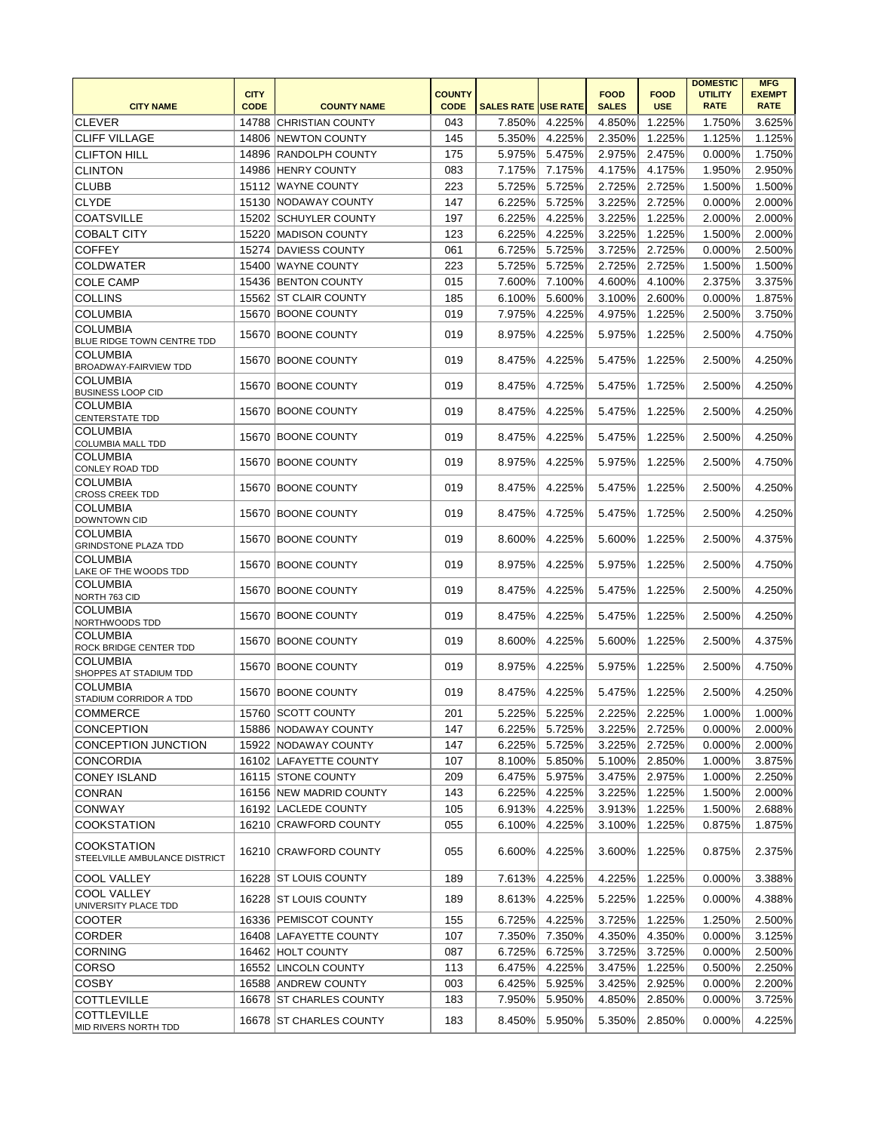|                                                     |                            |                         |                              |                            |               |                             |                           | <b>DOMESTIC</b>               | <b>MFG</b>                   |
|-----------------------------------------------------|----------------------------|-------------------------|------------------------------|----------------------------|---------------|-----------------------------|---------------------------|-------------------------------|------------------------------|
| <b>CITY NAME</b>                                    | <b>CITY</b><br><b>CODE</b> | <b>COUNTY NAME</b>      | <b>COUNTY</b><br><b>CODE</b> | <b>SALES RATE USE RATE</b> |               | <b>FOOD</b><br><b>SALES</b> | <b>FOOD</b><br><b>USE</b> | <b>UTILITY</b><br><b>RATE</b> | <b>EXEMPT</b><br><b>RATE</b> |
| <b>CLEVER</b>                                       |                            | 14788 CHRISTIAN COUNTY  | 043                          | 7.850%                     | 4.225%        | 4.850%                      | 1.225%                    | 1.750%                        | 3.625%                       |
| <b>CLIFF VILLAGE</b>                                |                            | 14806 NEWTON COUNTY     | 145                          | 5.350%                     | 4.225%        | 2.350%                      | 1.225%                    | 1.125%                        | 1.125%                       |
| <b>CLIFTON HILL</b>                                 |                            | 14896 RANDOLPH COUNTY   | 175                          | 5.975%                     | 5.475%        | 2.975%                      | 2.475%                    | 0.000%                        | 1.750%                       |
| <b>CLINTON</b>                                      |                            | 14986 HENRY COUNTY      | 083                          | 7.175%                     | 7.175%        | 4.175%                      | 4.175%                    | 1.950%                        | 2.950%                       |
| <b>CLUBB</b>                                        |                            | 15112 WAYNE COUNTY      | 223                          | 5.725%                     | 5.725%        | 2.725%                      | 2.725%                    | 1.500%                        | 1.500%                       |
| <b>CLYDE</b>                                        |                            | 15130 NODAWAY COUNTY    | 147                          | 6.225%                     | 5.725%        | 3.225%                      | 2.725%                    | 0.000%                        | 2.000%                       |
| <b>COATSVILLE</b>                                   |                            | 15202 SCHUYLER COUNTY   | 197                          | 6.225%                     | 4.225%        | 3.225%                      | 1.225%                    | 2.000%                        | 2.000%                       |
| <b>COBALT CITY</b>                                  |                            | 15220 MADISON COUNTY    | 123                          | 6.225%                     | 4.225%        | 3.225%                      | 1.225%                    | 1.500%                        | 2.000%                       |
| <b>COFFEY</b>                                       |                            | 15274 DAVIESS COUNTY    | 061                          | 6.725%                     | 5.725%        | 3.725%                      | 2.725%                    | 0.000%                        | 2.500%                       |
| <b>COLDWATER</b>                                    |                            | 15400 WAYNE COUNTY      | 223                          | 5.725%                     | 5.725%        | 2.725%                      | 2.725%                    | 1.500%                        | 1.500%                       |
| <b>COLE CAMP</b>                                    |                            | 15436 BENTON COUNTY     | 015                          | 7.600%                     | 7.100%        | 4.600%                      | 4.100%                    | 2.375%                        | 3.375%                       |
| <b>COLLINS</b>                                      |                            | 15562 ST CLAIR COUNTY   | 185                          | 6.100%                     | 5.600%        | 3.100%                      | 2.600%                    | 0.000%                        | 1.875%                       |
| <b>COLUMBIA</b>                                     |                            | 15670 BOONE COUNTY      | 019                          | 7.975%                     | 4.225%        | 4.975%                      | 1.225%                    | 2.500%                        | 3.750%                       |
| <b>COLUMBIA</b><br>BLUE RIDGE TOWN CENTRE TDD       |                            | 15670 BOONE COUNTY      | 019                          | 8.975%                     | 4.225%        | 5.975%                      | 1.225%                    | 2.500%                        | 4.750%                       |
| <b>COLUMBIA</b><br>BROADWAY-FAIRVIEW TDD            |                            | 15670 BOONE COUNTY      | 019                          | 8.475%                     | 4.225%        | 5.475%                      | 1.225%                    | 2.500%                        | 4.250%                       |
| <b>COLUMBIA</b><br><b>BUSINESS LOOP CID</b>         |                            | 15670 BOONE COUNTY      | 019                          | 8.475%                     | 4.725%        | 5.475%                      | 1.725%                    | 2.500%                        | 4.250%                       |
| <b>COLUMBIA</b><br><b>CENTERSTATE TDD</b>           |                            | 15670 BOONE COUNTY      | 019                          | 8.475%                     | 4.225%        | 5.475%                      | 1.225%                    | 2.500%                        | 4.250%                       |
| <b>COLUMBIA</b><br>COLUMBIA MALL TDD                |                            | 15670 BOONE COUNTY      | 019                          | 8.475%                     | 4.225%        | 5.475%                      | 1.225%                    | 2.500%                        | 4.250%                       |
| <b>COLUMBIA</b><br>CONLEY ROAD TDD                  |                            | 15670 BOONE COUNTY      | 019                          | 8.975%                     | 4.225%        | 5.975%                      | 1.225%                    | 2.500%                        | 4.750%                       |
| <b>COLUMBIA</b><br><b>CROSS CREEK TDD</b>           |                            | 15670 BOONE COUNTY      | 019                          | 8.475%                     | 4.225%        | 5.475%                      | 1.225%                    | 2.500%                        | 4.250%                       |
| <b>COLUMBIA</b><br><b>DOWNTOWN CID</b>              |                            | 15670 BOONE COUNTY      | 019                          | 8.475%                     | 4.725%        | 5.475%                      | 1.725%                    | 2.500%                        | 4.250%                       |
| <b>COLUMBIA</b><br><b>GRINDSTONE PLAZA TDD</b>      |                            | 15670 BOONE COUNTY      | 019                          | 8.600%                     | 4.225%        | 5.600%                      | 1.225%                    | 2.500%                        | 4.375%                       |
| <b>COLUMBIA</b><br>LAKE OF THE WOODS TDD            |                            | 15670 BOONE COUNTY      | 019                          | 8.975%                     | 4.225%        | 5.975%                      | 1.225%                    | 2.500%                        | 4.750%                       |
| <b>COLUMBIA</b><br>NORTH 763 CID                    |                            | 15670 BOONE COUNTY      | 019                          | 8.475%                     | 4.225%        | 5.475%                      | 1.225%                    | 2.500%                        | 4.250%                       |
| <b>COLUMBIA</b><br>NORTHWOODS TDD                   |                            | 15670 BOONE COUNTY      | 019                          | 8.475%                     | 4.225%        | 5.475%                      | 1.225%                    | 2.500%                        | 4.250%                       |
| <b>COLUMBIA</b><br>ROCK BRIDGE CENTER TDD           |                            | 15670 BOONE COUNTY      | 019                          | 8.600%                     | 4.225%        | 5.600%                      | 1.225%                    | 2.500%                        | 4.375%                       |
| <b>COLUMBIA</b><br>SHOPPES AT STADIUM TDD           |                            | 15670 BOONE COUNTY      | 019                          | 8.975%                     | 4.225%        | 5.975%                      | 1.225%                    | 2.500%                        | 4.750%                       |
| <b>COLUMBIA</b><br>STADIUM CORRIDOR A TDD           |                            | 15670 BOONE COUNTY      | 019                          | 8.475%                     | 4.225%        | 5.475%                      | 1.225%                    | 2.500%                        | 4.250%                       |
| <b>COMMERCE</b>                                     |                            | 15760 SCOTT COUNTY      | 201                          | 5.225%                     | 5.225%        | 2.225%                      | 2.225%                    | 1.000%                        | 1.000%                       |
| <b>CONCEPTION</b>                                   |                            | 15886 NODAWAY COUNTY    | 147                          |                            | 6.225% 5.725% | 3.225%                      | 2.725%                    | 0.000%                        | 2.000%                       |
| CONCEPTION JUNCTION                                 |                            | 15922 NODAWAY COUNTY    | 147                          | 6.225%                     | 5.725%        | 3.225%                      | 2.725%                    | 0.000%                        | 2.000%                       |
| CONCORDIA                                           |                            | 16102 LAFAYETTE COUNTY  | 107                          | 8.100%                     | 5.850%        | 5.100%                      | 2.850%                    | 1.000%                        | 3.875%                       |
| <b>CONEY ISLAND</b>                                 |                            | 16115 STONE COUNTY      | 209                          | 6.475%                     | 5.975%        | 3.475%                      | 2.975%                    | 1.000%                        | 2.250%                       |
| <b>CONRAN</b>                                       |                            | 16156 NEW MADRID COUNTY | 143                          | 6.225%                     | 4.225%        | 3.225%                      | 1.225%                    | 1.500%                        | 2.000%                       |
| <b>CONWAY</b>                                       |                            | 16192 LACLEDE COUNTY    | 105                          | 6.913%                     | 4.225%        | 3.913%                      | 1.225%                    | 1.500%                        | 2.688%                       |
| <b>COOKSTATION</b>                                  |                            | 16210 CRAWFORD COUNTY   | 055                          | 6.100%                     | 4.225%        | 3.100%                      | 1.225%                    | 0.875%                        | 1.875%                       |
| <b>COOKSTATION</b><br>STEELVILLE AMBULANCE DISTRICT |                            | 16210 CRAWFORD COUNTY   | 055                          | 6.600%                     | 4.225%        | 3.600%                      | 1.225%                    | 0.875%                        | 2.375%                       |
| <b>COOL VALLEY</b>                                  |                            | 16228 ST LOUIS COUNTY   | 189                          | 7.613%                     | 4.225%        | 4.225%                      | 1.225%                    | 0.000%                        | 3.388%                       |
| <b>COOL VALLEY</b><br>UNIVERSITY PLACE TDD          |                            | 16228 ST LOUIS COUNTY   | 189                          | 8.613%                     | 4.225%        | 5.225%                      | 1.225%                    | 0.000%                        | 4.388%                       |
| <b>COOTER</b>                                       |                            | 16336 PEMISCOT COUNTY   | 155                          | 6.725%                     | 4.225%        | 3.725%                      | 1.225%                    | 1.250%                        | 2.500%                       |
| <b>CORDER</b>                                       |                            | 16408 LAFAYETTE COUNTY  | 107                          | 7.350%                     | 7.350%        | 4.350%                      | 4.350%                    | 0.000%                        | 3.125%                       |
| <b>CORNING</b>                                      |                            | 16462 HOLT COUNTY       | 087                          | 6.725%                     | 6.725%        | 3.725%                      | 3.725%                    | 0.000%                        | 2.500%                       |
| <b>CORSO</b>                                        |                            | 16552 LINCOLN COUNTY    | 113                          | 6.475%                     | 4.225%        | 3.475%                      | 1.225%                    | 0.500%                        | 2.250%                       |
| <b>COSBY</b>                                        |                            | 16588 ANDREW COUNTY     | 003                          | 6.425%                     | 5.925%        | 3.425%                      | 2.925%                    | 0.000%                        | 2.200%                       |
| <b>COTTLEVILLE</b>                                  |                            | 16678 ST CHARLES COUNTY | 183                          | 7.950%                     | 5.950%        | 4.850%                      | 2.850%                    | 0.000%                        | 3.725%                       |
| <b>COTTLEVILLE</b><br>MID RIVERS NORTH TDD          |                            | 16678 ST CHARLES COUNTY | 183                          | 8.450%                     | 5.950%        | 5.350%                      | 2.850%                    | 0.000%                        | 4.225%                       |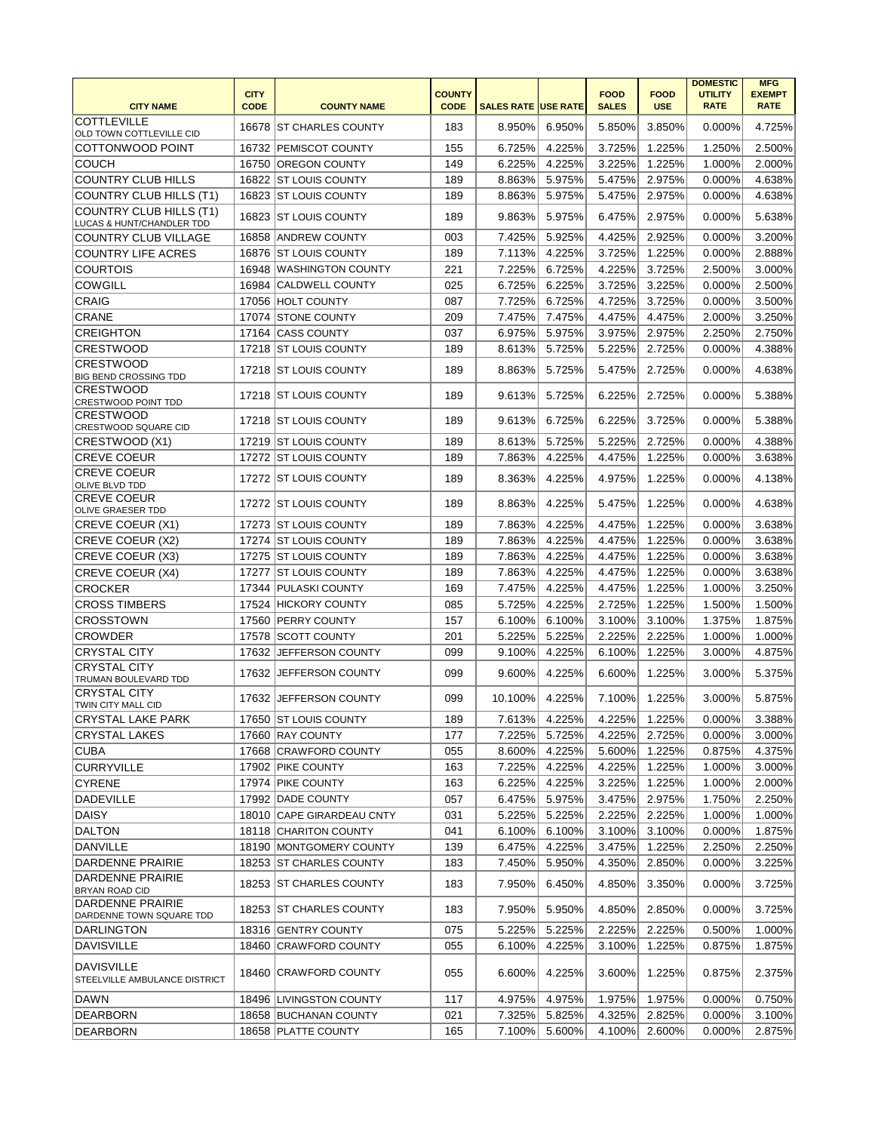|                                                          |                            |                           |                              |                            |        |                             |                           | <b>DOMESTIC</b>               | <b>MFG</b>                   |
|----------------------------------------------------------|----------------------------|---------------------------|------------------------------|----------------------------|--------|-----------------------------|---------------------------|-------------------------------|------------------------------|
| <b>CITY NAME</b>                                         | <b>CITY</b><br><b>CODE</b> | <b>COUNTY NAME</b>        | <b>COUNTY</b><br><b>CODE</b> | <b>SALES RATE USE RATE</b> |        | <b>FOOD</b><br><b>SALES</b> | <b>FOOD</b><br><b>USE</b> | <b>UTILITY</b><br><b>RATE</b> | <b>EXEMPT</b><br><b>RATE</b> |
| <b>COTTLEVILLE</b>                                       |                            |                           |                              |                            |        |                             |                           |                               |                              |
| OLD TOWN COTTLEVILLE CID                                 |                            | 16678 ST CHARLES COUNTY   | 183                          | 8.950%                     | 6.950% | 5.850%                      | 3.850%                    | $0.000\%$                     | 4.725%                       |
| COTTONWOOD POINT                                         |                            | 16732 PEMISCOT COUNTY     | 155                          | 6.725%                     | 4.225% | 3.725%                      | 1.225%                    | 1.250%                        | 2.500%                       |
| <b>COUCH</b>                                             |                            | 16750 OREGON COUNTY       | 149                          | 6.225%                     | 4.225% | 3.225%                      | 1.225%                    | 1.000%                        | 2.000%                       |
| <b>COUNTRY CLUB HILLS</b>                                |                            | 16822 ST LOUIS COUNTY     | 189                          | 8.863%                     | 5.975% | 5.475%                      | 2.975%                    | 0.000%                        | 4.638%                       |
| COUNTRY CLUB HILLS (T1)                                  |                            | 16823 ST LOUIS COUNTY     | 189                          | 8.863%                     | 5.975% | 5.475%                      | 2.975%                    | 0.000%                        | 4.638%                       |
| <b>COUNTRY CLUB HILLS (T1)</b>                           |                            | 16823 ST LOUIS COUNTY     | 189                          | 9.863%                     | 5.975% | 6.475%                      | 2.975%                    | 0.000%                        | 5.638%                       |
| LUCAS & HUNT/CHANDLER TDD<br><b>COUNTRY CLUB VILLAGE</b> |                            | 16858 ANDREW COUNTY       | 003                          | 7.425%                     | 5.925% | 4.425%                      | 2.925%                    | 0.000%                        | 3.200%                       |
| <b>COUNTRY LIFE ACRES</b>                                |                            | 16876 ST LOUIS COUNTY     | 189                          | 7.113%                     | 4.225% | 3.725%                      | 1.225%                    | 0.000%                        | 2.888%                       |
| <b>COURTOIS</b>                                          |                            | 16948 WASHINGTON COUNTY   | 221                          | 7.225%                     | 6.725% | 4.225%                      | 3.725%                    | 2.500%                        | 3.000%                       |
| <b>COWGILL</b>                                           |                            | 16984 CALDWELL COUNTY     | 025                          | 6.725%                     | 6.225% | 3.725%                      | 3.225%                    | 0.000%                        | 2.500%                       |
| <b>CRAIG</b>                                             |                            | 17056 HOLT COUNTY         | 087                          | 7.725%                     | 6.725% | 4.725%                      | 3.725%                    | 0.000%                        | 3.500%                       |
| <b>CRANE</b>                                             |                            | 17074 STONE COUNTY        | 209                          | 7.475%                     | 7.475% | 4.475%                      | 4.475%                    | 2.000%                        | 3.250%                       |
| <b>CREIGHTON</b>                                         |                            | 17164 CASS COUNTY         | 037                          | 6.975%                     | 5.975% | 3.975%                      | 2.975%                    | 2.250%                        | 2.750%                       |
| <b>CRESTWOOD</b>                                         |                            | 17218 ST LOUIS COUNTY     | 189                          | 8.613%                     | 5.725% | 5.225%                      | 2.725%                    | 0.000%                        | 4.388%                       |
| <b>CRESTWOOD</b>                                         |                            |                           |                              |                            |        |                             |                           |                               |                              |
| <b>BIG BEND CROSSING TDD</b>                             |                            | 17218 IST LOUIS COUNTY    | 189                          | 8.863%                     | 5.725% | 5.475%                      | 2.725%                    | 0.000%                        | 4.638%                       |
| <b>CRESTWOOD</b><br>CRESTWOOD POINT TDD                  |                            | 17218 IST LOUIS COUNTY    | 189                          | 9.613%                     | 5.725% | 6.225%                      | 2.725%                    | 0.000%                        | 5.388%                       |
| <b>CRESTWOOD</b>                                         |                            | 17218 IST LOUIS COUNTY    | 189                          | 9.613%                     | 6.725% | 6.225%                      | 3.725%                    | 0.000%                        | 5.388%                       |
| CRESTWOOD SQUARE CID                                     |                            |                           |                              |                            |        |                             |                           |                               |                              |
| CRESTWOOD (X1)                                           |                            | 17219 ST LOUIS COUNTY     | 189                          | 8.613%                     | 5.725% | 5.225%                      | 2.725%                    | 0.000%                        | 4.388%                       |
| <b>CREVE COEUR</b>                                       |                            | 17272 ST LOUIS COUNTY     | 189                          | 7.863%                     | 4.225% | 4.475%                      | 1.225%                    | 0.000%                        | 3.638%                       |
| <b>CREVE COEUR</b><br>OLIVE BLVD TDD                     |                            | 17272 ST LOUIS COUNTY     | 189                          | 8.363%                     | 4.225% | 4.975%                      | 1.225%                    | 0.000%                        | 4.138%                       |
| <b>CREVE COEUR</b><br><b>OLIVE GRAESER TDD</b>           |                            | 17272 IST LOUIS COUNTY    | 189                          | 8.863%                     | 4.225% | 5.475%                      | 1.225%                    | 0.000%                        | 4.638%                       |
| CREVE COEUR (X1)                                         |                            | 17273 ST LOUIS COUNTY     | 189                          | 7.863%                     | 4.225% | 4.475%                      | 1.225%                    | 0.000%                        | 3.638%                       |
| CREVE COEUR (X2)                                         |                            | 17274 ST LOUIS COUNTY     | 189                          | 7.863%                     | 4.225% | 4.475%                      | 1.225%                    | 0.000%                        | 3.638%                       |
| CREVE COEUR (X3)                                         |                            | 17275   ST LOUIS COUNTY   | 189                          | 7.863%                     | 4.225% | 4.475%                      | 1.225%                    | 0.000%                        | 3.638%                       |
| CREVE COEUR (X4)                                         | 17277                      | <b>ST LOUIS COUNTY</b>    | 189                          | 7.863%                     | 4.225% | 4.475%                      | 1.225%                    | 0.000%                        | 3.638%                       |
| <b>CROCKER</b>                                           |                            | 17344 PULASKI COUNTY      | 169                          | 7.475%                     | 4.225% | 4.475%                      | 1.225%                    | 1.000%                        | 3.250%                       |
| <b>CROSS TIMBERS</b>                                     |                            | 17524 HICKORY COUNTY      | 085                          | 5.725%                     | 4.225% | 2.725%                      | 1.225%                    | 1.500%                        | 1.500%                       |
| <b>CROSSTOWN</b>                                         |                            | 17560 PERRY COUNTY        | 157                          | 6.100%                     | 6.100% | 3.100%                      | 3.100%                    | 1.375%                        | 1.875%                       |
| <b>CROWDER</b>                                           |                            | 17578 SCOTT COUNTY        | 201                          | 5.225%                     | 5.225% | 2.225%                      | 2.225%                    | 1.000%                        | 1.000%                       |
| <b>CRYSTAL CITY</b>                                      |                            | 17632 JEFFERSON COUNTY    | 099                          | 9.100%                     | 4.225% | 6.100%                      | 1.225%                    | 3.000%                        | 4.875%                       |
| <b>CRYSTAL CITY</b><br>TRUMAN BOULEVARD TDD              | 17632                      | <b>JEFFERSON COUNTY</b>   | 099                          | 9.600%                     | 4.225% | 6.600%                      | 1.225%                    | 3.000%                        | 5.375%                       |
| <b>CRYSTAL CITY</b><br>TWIN CITY MALL CID                |                            | 17632 JEFFERSON COUNTY    | 099                          | 10.100%                    | 4.225% | 7.100%                      | 1.225%                    | 3.000%                        | 5.875%                       |
| <b>CRYSTAL LAKE PARK</b>                                 |                            | 17650 ST LOUIS COUNTY     | 189                          | $\overline{7.613\%}$       | 4.225% | 4.225%                      | 1.225%                    | $0.000\%$                     | 3.388%                       |
| <b>CRYSTAL LAKES</b>                                     |                            | 17660 RAY COUNTY          | 177                          | 7.225%                     | 5.725% | 4.225%                      | 2.725%                    | 0.000%                        | 3.000%                       |
| <b>CUBA</b>                                              |                            | 17668 CRAWFORD COUNTY     | 055                          | 8.600%                     | 4.225% | 5.600%                      | 1.225%                    | 0.875%                        | 4.375%                       |
| <b>CURRYVILLE</b>                                        |                            | 17902 PIKE COUNTY         | 163                          | 7.225%                     | 4.225% | 4.225%                      | 1.225%                    | 1.000%                        | 3.000%                       |
| <b>CYRENE</b>                                            |                            | 17974 PIKE COUNTY         | 163                          | 6.225%                     | 4.225% | 3.225%                      | 1.225%                    | 1.000%                        | 2.000%                       |
| <b>DADEVILLE</b>                                         |                            | 17992 DADE COUNTY         | 057                          | 6.475%                     | 5.975% | 3.475%                      | 2.975%                    | 1.750%                        | 2.250%                       |
| <b>DAISY</b>                                             |                            | 18010 CAPE GIRARDEAU CNTY | 031                          | 5.225%                     | 5.225% | 2.225%                      | 2.225%                    | 1.000%                        | 1.000%                       |
| <b>DALTON</b>                                            |                            | 18118 CHARITON COUNTY     | 041                          | 6.100%                     | 6.100% | 3.100%                      | 3.100%                    | 0.000%                        | 1.875%                       |
| <b>DANVILLE</b>                                          |                            | 18190 MONTGOMERY COUNTY   | 139                          | 6.475%                     | 4.225% | 3.475%                      | 1.225%                    | 2.250%                        | 2.250%                       |
| DARDENNE PRAIRIE                                         |                            | 18253 ST CHARLES COUNTY   | 183                          | 7.450%                     | 5.950% | 4.350%                      | 2.850%                    | 0.000%                        | 3.225%                       |
| DARDENNE PRAIRIE<br><b>BRYAN ROAD CID</b>                |                            | 18253 IST CHARLES COUNTY  | 183                          | 7.950%                     | 6.450% | 4.850%                      | 3.350%                    | 0.000%                        | 3.725%                       |
| DARDENNE PRAIRIE<br>DARDENNE TOWN SQUARE TDD             |                            | 18253 ST CHARLES COUNTY   | 183                          | 7.950%                     | 5.950% | 4.850%                      | 2.850%                    | 0.000%                        | 3.725%                       |
| DARLINGTON                                               |                            | 18316 GENTRY COUNTY       | 075                          | 5.225%                     | 5.225% | 2.225%                      | 2.225%                    | 0.500%                        | 1.000%                       |
| <b>DAVISVILLE</b>                                        |                            | 18460 CRAWFORD COUNTY     | 055                          | 6.100%                     | 4.225% | 3.100%                      | 1.225%                    | 0.875%                        | 1.875%                       |
| <b>DAVISVILLE</b><br>STEELVILLE AMBULANCE DISTRICT       |                            | 18460 CRAWFORD COUNTY     | 055                          | 6.600%                     | 4.225% | 3.600%                      | 1.225%                    | 0.875%                        | 2.375%                       |
| DAWN                                                     |                            | 18496 LIVINGSTON COUNTY   | 117                          | 4.975%                     | 4.975% | 1.975%                      | 1.975%                    | 0.000%                        | 0.750%                       |
| <b>DEARBORN</b>                                          |                            | 18658 BUCHANAN COUNTY     | 021                          | 7.325%                     | 5.825% | 4.325%                      | 2.825%                    | 0.000%                        | 3.100%                       |
| <b>DEARBORN</b>                                          |                            | 18658 PLATTE COUNTY       | 165                          | 7.100%                     | 5.600% | 4.100%                      | 2.600%                    | 0.000%                        | 2.875%                       |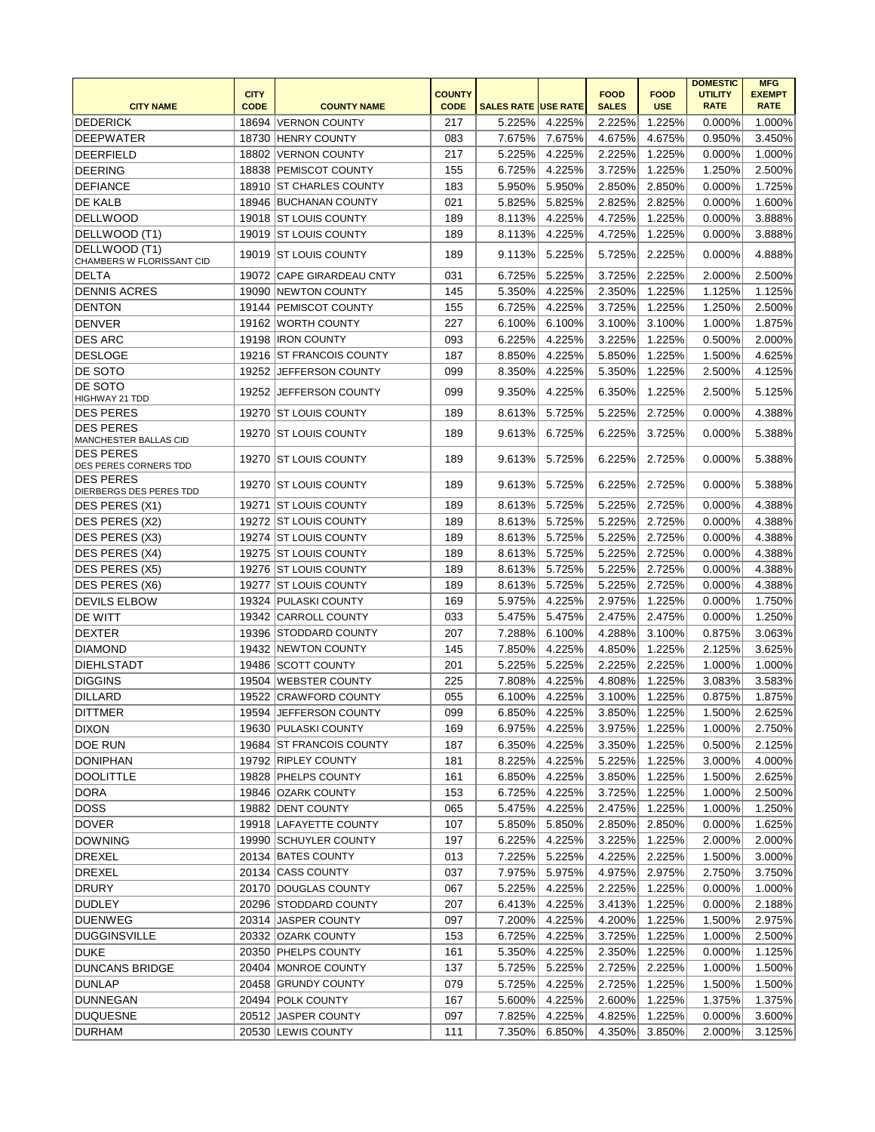| <b>CITY NAME</b>                          | <b>CITY</b><br><b>CODE</b> | <b>COUNTY NAME</b>        | <b>COUNTY</b><br><b>CODE</b> | <b>SALES RATE USE RATE</b> |        | <b>FOOD</b><br><b>SALES</b> | <b>FOOD</b><br><b>USE</b> | <b>DOMESTIC</b><br><b>UTILITY</b><br><b>RATE</b> | <b>MFG</b><br><b>EXEMPT</b><br><b>RATE</b> |
|-------------------------------------------|----------------------------|---------------------------|------------------------------|----------------------------|--------|-----------------------------|---------------------------|--------------------------------------------------|--------------------------------------------|
| <b>DEDERICK</b>                           |                            | 18694 VERNON COUNTY       | 217                          | 5.225%                     | 4.225% | 2.225%                      | 1.225%                    | 0.000%                                           | 1.000%                                     |
| <b>DEEPWATER</b>                          |                            | 18730 HENRY COUNTY        | 083                          | 7.675%                     | 7.675% | 4.675%                      | 4.675%                    | 0.950%                                           | 3.450%                                     |
| <b>DEERFIELD</b>                          |                            | 18802 VERNON COUNTY       | 217                          | 5.225%                     | 4.225% | 2.225%                      | 1.225%                    | 0.000%                                           | 1.000%                                     |
| <b>DEERING</b>                            |                            | 18838 PEMISCOT COUNTY     | 155                          | 6.725%                     | 4.225% | 3.725%                      | 1.225%                    | 1.250%                                           | 2.500%                                     |
| <b>DEFIANCE</b>                           |                            | 18910 ST CHARLES COUNTY   | 183                          | 5.950%                     | 5.950% | 2.850%                      | 2.850%                    | 0.000%                                           | 1.725%                                     |
| <b>DE KALB</b>                            |                            | 18946 BUCHANAN COUNTY     | 021                          | 5.825%                     | 5.825% | 2.825%                      | 2.825%                    | 0.000%                                           | 1.600%                                     |
| DELLWOOD                                  |                            | 19018 ST LOUIS COUNTY     | 189                          | 8.113%                     | 4.225% | 4.725%                      | 1.225%                    | 0.000%                                           | 3.888%                                     |
| DELLWOOD (T1)                             |                            | 19019 IST LOUIS COUNTY    | 189                          | 8.113%                     | 4.225% | 4.725%                      | 1.225%                    | 0.000%                                           | 3.888%                                     |
| DELLWOOD (T1)                             |                            | 19019 IST LOUIS COUNTY    | 189                          | 9.113%                     | 5.225% | 5.725%                      | 2.225%                    | 0.000%                                           | 4.888%                                     |
| CHAMBERS W FLORISSANT CID<br><b>DELTA</b> |                            | 19072 CAPE GIRARDEAU CNTY | 031                          | 6.725%                     | 5.225% | 3.725%                      | 2.225%                    | 2.000%                                           | 2.500%                                     |
| <b>DENNIS ACRES</b>                       |                            | 19090 NEWTON COUNTY       | 145                          | 5.350%                     | 4.225% | 2.350%                      | 1.225%                    | 1.125%                                           | 1.125%                                     |
| <b>DENTON</b>                             |                            | 19144   PEMISCOT COUNTY   | 155                          | 6.725%                     | 4.225% | 3.725%                      | 1.225%                    | 1.250%                                           | 2.500%                                     |
| <b>DENVER</b>                             |                            | 19162 WORTH COUNTY        | 227                          | 6.100%                     | 6.100% | 3.100%                      | 3.100%                    | 1.000%                                           | 1.875%                                     |
| <b>DES ARC</b>                            |                            | 19198 <b>IRON COUNTY</b>  | 093                          | 6.225%                     | 4.225% | 3.225%                      | 1.225%                    | 0.500%                                           | 2.000%                                     |
| DESLOGE                                   |                            | 19216 ST FRANCOIS COUNTY  | 187                          | 8.850%                     | 4.225% | 5.850%                      | 1.225%                    | 1.500%                                           | 4.625%                                     |
| <b>DE SOTO</b>                            |                            | 19252 JEFFERSON COUNTY    | 099                          | 8.350%                     | 4.225% | 5.350%                      | 1.225%                    | 2.500%                                           | 4.125%                                     |
| <b>DE SOTO</b>                            |                            | 19252 JEFFERSON COUNTY    | 099                          | 9.350%                     | 4.225% | 6.350%                      | 1.225%                    | 2.500%                                           | 5.125%                                     |
| HIGHWAY 21 TDD                            |                            |                           |                              |                            |        |                             |                           |                                                  |                                            |
| <b>DES PERES</b><br><b>DES PERES</b>      |                            | 19270 ST LOUIS COUNTY     | 189                          | 8.613%                     | 5.725% | 5.225%                      | 2.725%                    | 0.000%                                           | 4.388%                                     |
| MANCHESTER BALLAS CID<br><b>DES PERES</b> |                            | 19270 ST LOUIS COUNTY     | 189                          | 9.613%                     | 6.725% | 6.225%                      | 3.725%                    | 0.000%                                           | 5.388%                                     |
| DES PERES CORNERS TDD<br><b>DES PERES</b> |                            | 19270 IST LOUIS COUNTY    | 189                          | 9.613%                     | 5.725% | 6.225%                      | 2.725%                    | 0.000%                                           | 5.388%                                     |
| <b>DIERBERGS DES PERES TDD</b>            |                            | 19270 IST LOUIS COUNTY    | 189                          | 9.613%                     | 5.725% | 6.225%                      | 2.725%                    | 0.000%                                           | 5.388%                                     |
| DES PERES (X1)                            |                            | 19271 ST LOUIS COUNTY     | 189                          | 8.613%                     | 5.725% | 5.225%                      | 2.725%                    | 0.000%                                           | 4.388%                                     |
| DES PERES (X2)                            |                            | 19272 ST LOUIS COUNTY     | 189                          | 8.613%                     | 5.725% | 5.225%                      | 2.725%                    | 0.000%                                           | 4.388%                                     |
| DES PERES (X3)                            |                            | 19274 ST LOUIS COUNTY     | 189                          | 8.613%                     | 5.725% | 5.225%                      | 2.725%                    | 0.000%                                           | 4.388%                                     |
| DES PERES (X4)                            |                            | 19275   ST LOUIS COUNTY   | 189                          | 8.613%                     | 5.725% | 5.225%                      | 2.725%                    | 0.000%                                           | 4.388%                                     |
| DES PERES (X5)                            |                            | 19276 ST LOUIS COUNTY     | 189                          | 8.613%                     | 5.725% | 5.225%                      | 2.725%                    | 0.000%                                           | 4.388%                                     |
| DES PERES (X6)                            | 19277                      | <b>ST LOUIS COUNTY</b>    | 189                          | 8.613%                     | 5.725% | 5.225%                      | 2.725%                    | 0.000%                                           | 4.388%                                     |
| <b>DEVILS ELBOW</b>                       |                            | 19324 PULASKI COUNTY      | 169                          | 5.975%                     | 4.225% | 2.975%                      | 1.225%                    | 0.000%                                           | 1.750%                                     |
| <b>DE WITT</b>                            |                            | 19342 CARROLL COUNTY      | 033                          | 5.475%                     | 5.475% | 2.475%                      | 2.475%                    | 0.000%                                           | 1.250%                                     |
| <b>DEXTER</b>                             |                            | 19396 STODDARD COUNTY     | 207                          | 7.288%                     | 6.100% | 4.288%                      | 3.100%                    | 0.875%                                           | 3.063%                                     |
| <b>DIAMOND</b>                            |                            | 19432 NEWTON COUNTY       | 145                          | 7.850%                     | 4.225% | 4.850%                      | 1.225%                    | 2.125%                                           | 3.625%                                     |
| <b>DIEHLSTADT</b>                         |                            | 19486 SCOTT COUNTY        | 201                          | 5.225%                     | 5.225% | 2.225%                      | 2.225%                    | 1.000%                                           | 1.000%                                     |
| <b>DIGGINS</b>                            |                            | 19504 WEBSTER COUNTY      | 225                          | 7.808%                     | 4.225% | 4.808%                      | 1.225%                    | 3.083%                                           | 3.583%                                     |
| DILLARD                                   |                            | 19522 CRAWFORD COUNTY     | 055                          | 6.100%                     | 4.225% | 3.100%                      | 1.225%                    | 0.875%                                           | 1.875%                                     |
| <b>DITTMER</b>                            |                            | 19594 JEFFERSON COUNTY    | 099                          | 6.850%                     | 4.225% | 3.850%                      | 1.225%                    | 1.500%                                           | 2.625%                                     |
| <b>DIXON</b>                              |                            | 19630 PULASKI COUNTY      | 169                          | 6.975%                     | 4.225% | 3.975%                      | 1.225%                    | 1.000%                                           | 2.750%                                     |
| <b>DOE RUN</b>                            |                            | 19684 ST FRANCOIS COUNTY  | 187                          | 6.350%                     | 4.225% | 3.350%                      | 1.225%                    | 0.500%                                           | 2.125%                                     |
| <b>DONIPHAN</b>                           |                            | 19792 RIPLEY COUNTY       | 181                          | 8.225%                     | 4.225% | 5.225%                      | 1.225%                    | 3.000%                                           | 4.000%                                     |
| <b>DOOLITTLE</b>                          |                            | 19828 PHELPS COUNTY       | 161                          | 6.850%                     | 4.225% | 3.850%                      | 1.225%                    | 1.500%                                           | 2.625%                                     |
| <b>DORA</b>                               |                            | 19846   OZARK COUNTY      | 153                          | 6.725%                     | 4.225% | 3.725%                      | 1.225%                    | 1.000%                                           | 2.500%                                     |
| <b>DOSS</b>                               |                            | 19882 DENT COUNTY         | 065                          | 5.475%                     | 4.225% | 2.475%                      | 1.225%                    | 1.000%                                           | 1.250%                                     |
| <b>DOVER</b>                              |                            | 19918 LAFAYETTE COUNTY    | 107                          | 5.850%                     | 5.850% | 2.850%                      | 2.850%                    | 0.000%                                           | 1.625%                                     |
| <b>DOWNING</b>                            |                            | 19990 SCHUYLER COUNTY     | 197                          | 6.225%                     | 4.225% | 3.225%                      | 1.225%                    | 2.000%                                           | 2.000%                                     |
| <b>DREXEL</b>                             |                            | 20134 BATES COUNTY        | 013                          | 7.225%                     | 5.225% | 4.225%                      | 2.225%                    | 1.500%                                           | 3.000%                                     |
| <b>DREXEL</b>                             |                            | 20134 CASS COUNTY         | 037                          | 7.975%                     | 5.975% | 4.975%                      | 2.975%                    | 2.750%                                           | 3.750%                                     |
| <b>DRURY</b>                              |                            | 20170 DOUGLAS COUNTY      | 067                          | 5.225%                     | 4.225% | 2.225%                      | 1.225%                    | 0.000%                                           | 1.000%                                     |
| <b>DUDLEY</b>                             |                            | 20296 STODDARD COUNTY     | 207                          | 6.413%                     | 4.225% | 3.413%                      | 1.225%                    | 0.000%                                           | 2.188%                                     |
| DUENWEG                                   |                            | 20314 JASPER COUNTY       | 097                          | 7.200%                     | 4.225% | 4.200%                      | 1.225%                    | 1.500%                                           | 2.975%                                     |
| <b>DUGGINSVILLE</b>                       |                            | 20332 OZARK COUNTY        | 153                          | 6.725%                     | 4.225% | 3.725%                      | 1.225%                    | 1.000%                                           | 2.500%                                     |
| DUKE                                      |                            | 20350 PHELPS COUNTY       | 161                          | 5.350%                     | 4.225% | 2.350%                      | 1.225%                    | 0.000%                                           | 1.125%                                     |
|                                           |                            | 20404   MONROE COUNTY     | 137                          | 5.725%                     | 5.225% | 2.725%                      | 2.225%                    | 1.000%                                           | 1.500%                                     |
| <b>DUNCANS BRIDGE</b>                     |                            |                           | 079                          |                            | 4.225% |                             |                           |                                                  |                                            |
| <b>DUNLAP</b>                             |                            | 20458 GRUNDY COUNTY       |                              | 5.725%                     |        | 2.725%                      | 1.225%                    | 1.500%                                           | 1.500%                                     |
| <b>DUNNEGAN</b>                           |                            | 20494 POLK COUNTY         | 167                          | 5.600%                     | 4.225% | 2.600%                      | 1.225%                    | 1.375%                                           | 1.375%                                     |
| <b>DUQUESNE</b>                           |                            | 20512 JASPER COUNTY       | 097                          | 7.825%                     | 4.225% | 4.825%                      | 1.225%                    | 0.000%                                           | 3.600%                                     |
| <b>DURHAM</b>                             |                            | 20530 LEWIS COUNTY        | 111                          | 7.350%                     | 6.850% | 4.350%                      | 3.850%                    | 2.000%                                           | 3.125%                                     |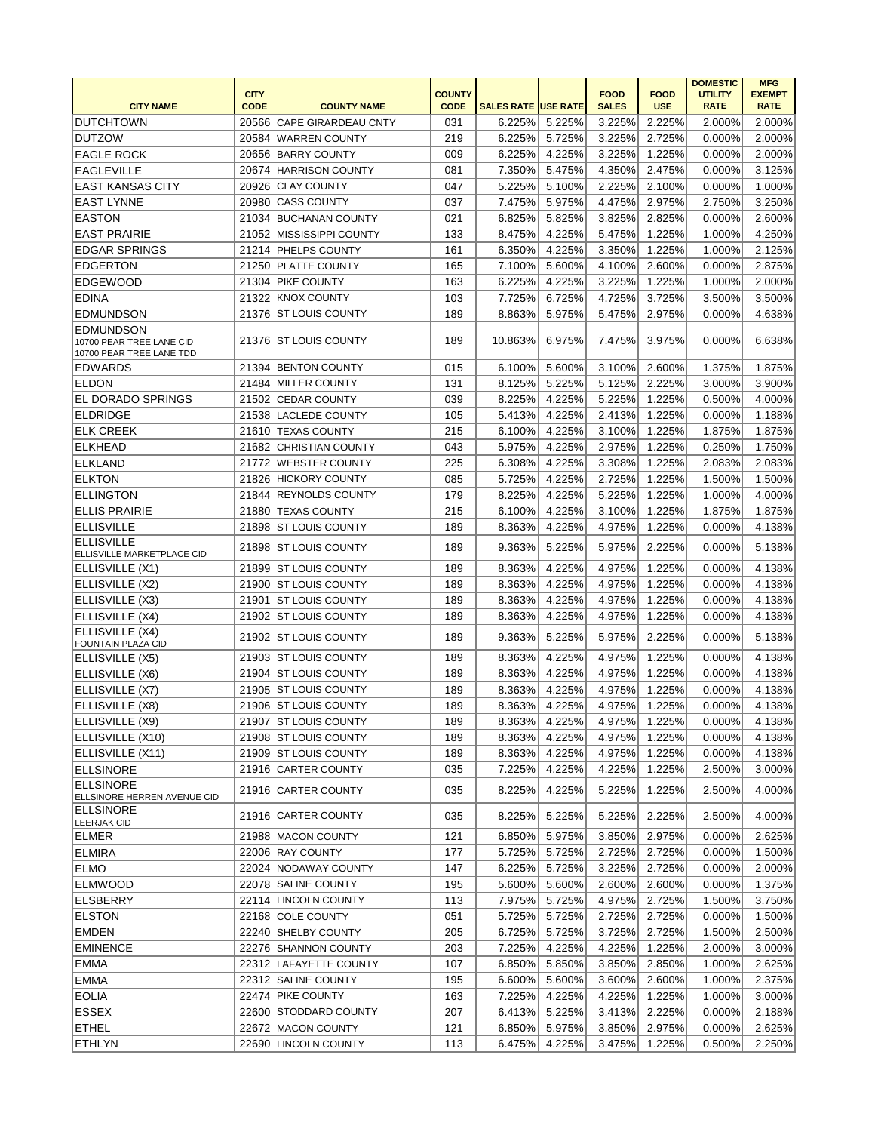|                                                                          | <b>CITY</b> |                           | <b>COUNTY</b> |                            |        | <b>FOOD</b>  | <b>FOOD</b> | <b>DOMESTIC</b><br><b>UTILITY</b> | <b>MFG</b><br><b>EXEMPT</b> |
|--------------------------------------------------------------------------|-------------|---------------------------|---------------|----------------------------|--------|--------------|-------------|-----------------------------------|-----------------------------|
| <b>CITY NAME</b>                                                         | <b>CODE</b> | <b>COUNTY NAME</b>        | <b>CODE</b>   | <b>SALES RATE USE RATE</b> |        | <b>SALES</b> | <b>USE</b>  | <b>RATE</b>                       | <b>RATE</b>                 |
| <b>DUTCHTOWN</b>                                                         |             | 20566 CAPE GIRARDEAU CNTY | 031           | 6.225%                     | 5.225% | 3.225%       | 2.225%      | 2.000%                            | 2.000%                      |
| <b>DUTZOW</b>                                                            |             | 20584 WARREN COUNTY       | 219           | 6.225%                     | 5.725% | 3.225%       | 2.725%      | 0.000%                            | 2.000%                      |
| <b>EAGLE ROCK</b>                                                        |             | 20656 BARRY COUNTY        | 009           | 6.225%                     | 4.225% | 3.225%       | 1.225%      | 0.000%                            | 2.000%                      |
| <b>EAGLEVILLE</b>                                                        |             | 20674 HARRISON COUNTY     | 081           | 7.350%                     | 5.475% | 4.350%       | 2.475%      | 0.000%                            | 3.125%                      |
| <b>EAST KANSAS CITY</b>                                                  |             | 20926 CLAY COUNTY         | 047           | 5.225%                     | 5.100% | 2.225%       | 2.100%      | 0.000%                            | 1.000%                      |
| <b>EAST LYNNE</b>                                                        |             | 20980 CASS COUNTY         | 037           | 7.475%                     | 5.975% | 4.475%       | 2.975%      | 2.750%                            | 3.250%                      |
| <b>EASTON</b>                                                            |             | 21034 BUCHANAN COUNTY     | 021           | 6.825%                     | 5.825% | 3.825%       | 2.825%      | 0.000%                            | 2.600%                      |
| <b>EAST PRAIRIE</b>                                                      | 21052       | MISSISSIPPI COUNTY        | 133           | 8.475%                     | 4.225% | 5.475%       | 1.225%      | 1.000%                            | 4.250%                      |
| <b>EDGAR SPRINGS</b>                                                     |             | 21214 PHELPS COUNTY       | 161           | 6.350%                     | 4.225% | 3.350%       | 1.225%      | 1.000%                            | 2.125%                      |
| <b>EDGERTON</b>                                                          |             | 21250 PLATTE COUNTY       | 165           | 7.100%                     | 5.600% | 4.100%       | 2.600%      | 0.000%                            | 2.875%                      |
| <b>EDGEWOOD</b>                                                          | 21304       | <b>PIKE COUNTY</b>        | 163           | 6.225%                     | 4.225% | 3.225%       | 1.225%      | 1.000%                            | 2.000%                      |
| EDINA                                                                    |             | 21322 KNOX COUNTY         | 103           | 7.725%                     | 6.725% | 4.725%       | 3.725%      | 3.500%                            | 3.500%                      |
| <b>EDMUNDSON</b>                                                         | 21376       | <b>ST LOUIS COUNTY</b>    | 189           | 8.863%                     | 5.975% | 5.475%       | 2.975%      | 0.000%                            | 4.638%                      |
| <b>EDMUNDSON</b><br>10700 PEAR TREE LANE CID<br>10700 PEAR TREE LANE TDD |             | 21376 ST LOUIS COUNTY     | 189           | 10.863%                    | 6.975% | 7.475%       | 3.975%      | 0.000%                            | 6.638%                      |
| <b>EDWARDS</b>                                                           |             | 21394 BENTON COUNTY       | 015           | 6.100%                     | 5.600% | 3.100%       | 2.600%      | 1.375%                            | 1.875%                      |
| <b>ELDON</b>                                                             |             | 21484 MILLER COUNTY       | 131           | 8.125%                     | 5.225% | 5.125%       | 2.225%      | 3.000%                            | 3.900%                      |
| <b>EL DORADO SPRINGS</b>                                                 |             | 21502 CEDAR COUNTY        | 039           | 8.225%                     | 4.225% | 5.225%       | 1.225%      | 0.500%                            | 4.000%                      |
| <b>ELDRIDGE</b>                                                          |             | 21538 LACLEDE COUNTY      | 105           | 5.413%                     | 4.225% | 2.413%       | 1.225%      | 0.000%                            | 1.188%                      |
| <b>ELK CREEK</b>                                                         | 21610       | <b>TEXAS COUNTY</b>       | 215           | 6.100%                     | 4.225% | 3.100%       | 1.225%      | 1.875%                            | 1.875%                      |
| <b>ELKHEAD</b>                                                           |             | 21682 CHRISTIAN COUNTY    | 043           | 5.975%                     | 4.225% | 2.975%       | 1.225%      | 0.250%                            | 1.750%                      |
| <b>ELKLAND</b>                                                           |             | 21772 WEBSTER COUNTY      | 225           | 6.308%                     | 4.225% | 3.308%       | 1.225%      | 2.083%                            | 2.083%                      |
| <b>ELKTON</b>                                                            |             | 21826 HICKORY COUNTY      | 085           | 5.725%                     | 4.225% | 2.725%       | 1.225%      | 1.500%                            | 1.500%                      |
| <b>ELLINGTON</b>                                                         |             | 21844 REYNOLDS COUNTY     | 179           | 8.225%                     | 4.225% | 5.225%       | 1.225%      | 1.000%                            | 4.000%                      |
| <b>ELLIS PRAIRIE</b>                                                     |             | 21880 TEXAS COUNTY        | 215           | 6.100%                     | 4.225% | 3.100%       | 1.225%      | 1.875%                            | 1.875%                      |
| <b>ELLISVILLE</b>                                                        |             | 21898 ST LOUIS COUNTY     | 189           | 8.363%                     | 4.225% | 4.975%       | 1.225%      | 0.000%                            | 4.138%                      |
| <b>ELLISVILLE</b><br><b>ELLISVILLE MARKETPLACE CID</b>                   |             | 21898 ST LOUIS COUNTY     | 189           | 9.363%                     | 5.225% | 5.975%       | 2.225%      | 0.000%                            | 5.138%                      |
| ELLISVILLE (X1)                                                          |             | 21899 ST LOUIS COUNTY     | 189           | 8.363%                     | 4.225% | 4.975%       | 1.225%      | 0.000%                            | 4.138%                      |
| ELLISVILLE (X2)                                                          |             | 21900 ST LOUIS COUNTY     | 189           | 8.363%                     | 4.225% | 4.975%       | 1.225%      | 0.000%                            | 4.138%                      |
| ELLISVILLE (X3)                                                          |             | 21901 ST LOUIS COUNTY     | 189           | 8.363%                     | 4.225% | 4.975%       | 1.225%      | 0.000%                            | 4.138%                      |
| ELLISVILLE (X4)                                                          |             | 21902 ST LOUIS COUNTY     | 189           | 8.363%                     | 4.225% | 4.975%       | 1.225%      | 0.000%                            | 4.138%                      |
| ELLISVILLE (X4)<br><b>FOUNTAIN PLAZA CID</b>                             | 21902       | <b>ST LOUIS COUNTY</b>    | 189           | 9.363%                     | 5.225% | 5.975%       | 2.225%      | 0.000%                            | 5.138%                      |
| ELLISVILLE (X5)                                                          |             | 21903 ST LOUIS COUNTY     | 189           | 8.363%                     | 4.225% | 4.975%       | 1.225%      | 0.000%                            | 4.138%                      |
| ELLISVILLE (X6)                                                          |             | 21904 ST LOUIS COUNTY     | 189           | 8.363%                     | 4.225% | 4.975%       | 1.225%      | 0.000%                            | 4.138%                      |
| ELLISVILLE (X7)                                                          |             | 21905 ST LOUIS COUNTY     | 189           | 8.363%                     | 4.225% | 4.975%       | 1.225%      | 0.000%                            | 4.138%                      |
| ELLISVILLE (X8)                                                          |             | 21906 ST LOUIS COUNTY     | 189           | 8.363%                     | 4.225% | 4.975%       | 1.225%      | 0.000%                            | 4.138%                      |
| ELLISVILLE (X9)                                                          |             | 21907 ST LOUIS COUNTY     | 189           | 8.363%                     | 4.225% | 4.975%       | 1.225%      | 0.000%                            | 4.138%                      |
| ELLISVILLE (X10)                                                         |             | 21908 ST LOUIS COUNTY     | 189           | 8.363%                     | 4.225% | 4.975%       | 1.225%      | 0.000%                            | 4.138%                      |
| ELLISVILLE (X11)                                                         |             | 21909 ST LOUIS COUNTY     | 189           | 8.363%                     | 4.225% | 4.975%       | 1.225%      | 0.000%                            | 4.138%                      |
| <b>ELLSINORE</b>                                                         |             | 21916 CARTER COUNTY       | 035           | 7.225%                     | 4.225% | 4.225%       | 1.225%      | 2.500%                            | 3.000%                      |
| <b>ELLSINORE</b><br>ELLSINORE HERREN AVENUE CID                          |             | 21916 CARTER COUNTY       | 035           | 8.225%                     | 4.225% | 5.225%       | 1.225%      | 2.500%                            | 4.000%                      |
| <b>ELLSINORE</b><br><b>LEERJAK CID</b>                                   |             | 21916 CARTER COUNTY       | 035           | 8.225%                     | 5.225% | 5.225%       | 2.225%      | 2.500%                            | 4.000%                      |
| ELMER                                                                    |             | 21988   MACON COUNTY      | 121           | 6.850%                     | 5.975% | 3.850%       | 2.975%      | 0.000%                            | 2.625%                      |
| <b>ELMIRA</b>                                                            |             | 22006 RAY COUNTY          | 177           | 5.725%                     | 5.725% | 2.725%       | 2.725%      | 0.000%                            | 1.500%                      |
| <b>ELMO</b>                                                              |             | 22024 NODAWAY COUNTY      | 147           | 6.225%                     | 5.725% | 3.225%       | 2.725%      | 0.000%                            | 2.000%                      |
| <b>ELMWOOD</b>                                                           |             | 22078 SALINE COUNTY       | 195           | 5.600%                     | 5.600% | 2.600%       | 2.600%      | 0.000%                            | 1.375%                      |
| <b>ELSBERRY</b>                                                          |             | 22114 LINCOLN COUNTY      | 113           | 7.975%                     | 5.725% | 4.975%       | 2.725%      | 1.500%                            | 3.750%                      |
| <b>ELSTON</b>                                                            |             | 22168 COLE COUNTY         | 051           | 5.725%                     | 5.725% | 2.725%       | 2.725%      | 0.000%                            | 1.500%                      |
| <b>EMDEN</b>                                                             |             | 22240 SHELBY COUNTY       | 205           | 6.725%                     | 5.725% | 3.725%       | 2.725%      | 1.500%                            | 2.500%                      |
| <b>EMINENCE</b>                                                          |             | 22276 SHANNON COUNTY      | 203           | 7.225%                     | 4.225% | 4.225%       | 1.225%      | 2.000%                            | 3.000%                      |
| <b>EMMA</b>                                                              |             | 22312 LAFAYETTE COUNTY    | 107           | 6.850%                     | 5.850% | 3.850%       | 2.850%      | 1.000%                            | 2.625%                      |
| <b>EMMA</b>                                                              |             | 22312 SALINE COUNTY       | 195           | 6.600%                     | 5.600% | 3.600%       | 2.600%      | 1.000%                            | 2.375%                      |
| <b>EOLIA</b>                                                             |             | 22474 PIKE COUNTY         | 163           | 7.225%                     | 4.225% | 4.225%       | 1.225%      | 1.000%                            | 3.000%                      |
| <b>ESSEX</b>                                                             |             | 22600 STODDARD COUNTY     | 207           | 6.413%                     | 5.225% | 3.413%       | 2.225%      | 0.000%                            | 2.188%                      |
| <b>ETHEL</b>                                                             |             | 22672 MACON COUNTY        | 121           | 6.850%                     | 5.975% | 3.850%       | 2.975%      | 0.000%                            | 2.625%                      |
| <b>ETHLYN</b>                                                            |             | 22690 LINCOLN COUNTY      | 113           | 6.475%                     | 4.225% | 3.475%       | 1.225%      | 0.500%                            | 2.250%                      |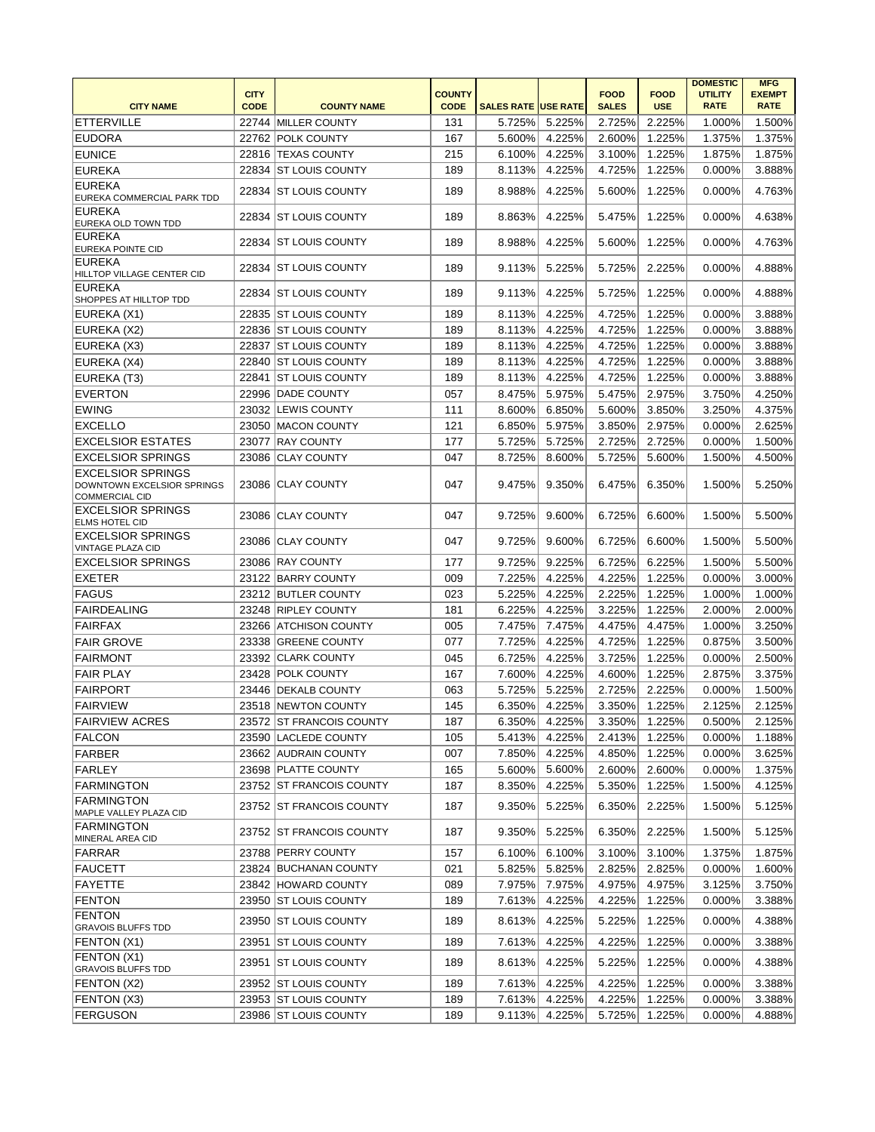|                                                                                        |             |                          |               |                            |        |              |             | <b>DOMESTIC</b> | <b>MFG</b>    |
|----------------------------------------------------------------------------------------|-------------|--------------------------|---------------|----------------------------|--------|--------------|-------------|-----------------|---------------|
|                                                                                        | <b>CITY</b> |                          | <b>COUNTY</b> |                            |        | <b>FOOD</b>  | <b>FOOD</b> | <b>UTILITY</b>  | <b>EXEMPT</b> |
| <b>CITY NAME</b>                                                                       | <b>CODE</b> | <b>COUNTY NAME</b>       | <b>CODE</b>   | <b>SALES RATE USE RATE</b> |        | <b>SALES</b> | <b>USE</b>  | <b>RATE</b>     | <b>RATE</b>   |
| <b>ETTERVILLE</b>                                                                      |             | 22744 MILLER COUNTY      | 131           | 5.725%                     | 5.225% | 2.725%       | 2.225%      | 1.000%          | 1.500%        |
| <b>EUDORA</b>                                                                          |             | 22762 POLK COUNTY        | 167           | 5.600%                     | 4.225% | 2.600%       | 1.225%      | 1.375%          | 1.375%        |
| <b>EUNICE</b>                                                                          |             | 22816 TEXAS COUNTY       | 215           | 6.100%                     | 4.225% | 3.100%       | 1.225%      | 1.875%          | 1.875%        |
| <b>EUREKA</b>                                                                          |             | 22834 ST LOUIS COUNTY    | 189           | 8.113%                     | 4.225% | 4.725%       | 1.225%      | 0.000%          | 3.888%        |
| <b>EUREKA</b><br>EUREKA COMMERCIAL PARK TDD                                            |             | 22834 ST LOUIS COUNTY    | 189           | 8.988%                     | 4.225% | 5.600%       | 1.225%      | 0.000%          | 4.763%        |
| <b>EUREKA</b><br>EUREKA OLD TOWN TDD                                                   |             | 22834 ST LOUIS COUNTY    | 189           | 8.863%                     | 4.225% | 5.475%       | 1.225%      | 0.000%          | 4.638%        |
| <b>EUREKA</b><br><b>EUREKA POINTE CID</b>                                              |             | 22834   ST LOUIS COUNTY  | 189           | 8.988%                     | 4.225% | 5.600%       | 1.225%      | 0.000%          | 4.763%        |
| <b>EUREKA</b><br>HILLTOP VILLAGE CENTER CID                                            | 22834       | <b>ST LOUIS COUNTY</b>   | 189           | 9.113%                     | 5.225% | 5.725%       | 2.225%      | 0.000%          | 4.888%        |
| <b>EUREKA</b><br>SHOPPES AT HILLTOP TDD                                                | 22834       | <b>ST LOUIS COUNTY</b>   | 189           | 9.113%                     | 4.225% | 5.725%       | 1.225%      | 0.000%          | 4.888%        |
| EUREKA (X1)                                                                            |             | 22835 ST LOUIS COUNTY    | 189           | 8.113%                     | 4.225% | 4.725%       | 1.225%      | 0.000%          | 3.888%        |
| EUREKA (X2)                                                                            |             | 22836 ST LOUIS COUNTY    | 189           | 8.113%                     | 4.225% | 4.725%       | 1.225%      | 0.000%          | 3.888%        |
| EUREKA (X3)                                                                            |             | 22837   ST LOUIS COUNTY  | 189           | 8.113%                     | 4.225% | 4.725%       | 1.225%      | 0.000%          | 3.888%        |
| EUREKA (X4)                                                                            |             | 22840 ST LOUIS COUNTY    | 189           | 8.113%                     | 4.225% | 4.725%       | 1.225%      | 0.000%          | 3.888%        |
| EUREKA (T3)                                                                            |             | 22841   ST LOUIS COUNTY  | 189           | 8.113%                     | 4.225% | 4.725%       | 1.225%      | 0.000%          | 3.888%        |
| <b>EVERTON</b>                                                                         |             | 22996 DADE COUNTY        | 057           | 8.475%                     | 5.975% | 5.475%       | 2.975%      | 3.750%          | 4.250%        |
| <b>EWING</b>                                                                           |             | 23032 LEWIS COUNTY       | 111           | 8.600%                     | 6.850% | 5.600%       | 3.850%      | 3.250%          | 4.375%        |
| <b>EXCELLO</b>                                                                         |             | 23050 MACON COUNTY       | 121           | 6.850%                     | 5.975% | 3.850%       | 2.975%      | 0.000%          | 2.625%        |
| <b>EXCELSIOR ESTATES</b>                                                               |             | 23077 RAY COUNTY         | 177           | 5.725%                     | 5.725% | 2.725%       | 2.725%      | 0.000%          | 1.500%        |
| <b>EXCELSIOR SPRINGS</b>                                                               |             | 23086 CLAY COUNTY        | 047           | 8.725%                     | 8.600% | 5.725%       | 5.600%      | 1.500%          | 4.500%        |
| <b>EXCELSIOR SPRINGS</b><br><b>DOWNTOWN EXCELSIOR SPRINGS</b><br><b>COMMERCIAL CID</b> |             | 23086 CLAY COUNTY        | 047           | 9.475%                     | 9.350% | 6.475%       | 6.350%      | 1.500%          | 5.250%        |
| <b>EXCELSIOR SPRINGS</b><br><b>ELMS HOTEL CID</b>                                      |             | 23086 CLAY COUNTY        | 047           | 9.725%                     | 9.600% | 6.725%       | 6.600%      | 1.500%          | 5.500%        |
| <b>EXCELSIOR SPRINGS</b><br><b>VINTAGE PLAZA CID</b>                                   |             | 23086 CLAY COUNTY        | 047           | 9.725%                     | 9.600% | 6.725%       | 6.600%      | 1.500%          | 5.500%        |
| <b>EXCELSIOR SPRINGS</b>                                                               |             | 23086 RAY COUNTY         | 177           | 9.725%                     | 9.225% | 6.725%       | 6.225%      | 1.500%          | 5.500%        |
| <b>EXETER</b>                                                                          |             | 23122 BARRY COUNTY       | 009           | 7.225%                     | 4.225% | 4.225%       | 1.225%      | 0.000%          | 3.000%        |
| <b>FAGUS</b>                                                                           |             | 23212 BUTLER COUNTY      | 023           | 5.225%                     | 4.225% | 2.225%       | 1.225%      | 1.000%          | 1.000%        |
| <b>FAIRDEALING</b>                                                                     |             | 23248 RIPLEY COUNTY      | 181           | 6.225%                     | 4.225% | 3.225%       | 1.225%      | 2.000%          | 2.000%        |
| <b>FAIRFAX</b>                                                                         |             | 23266 ATCHISON COUNTY    | 005           | 7.475%                     | 7.475% | 4.475%       | 4.475%      | 1.000%          | 3.250%        |
| <b>FAIR GROVE</b>                                                                      |             | 23338 GREENE COUNTY      | 077           | 7.725%                     | 4.225% | 4.725%       | 1.225%      | 0.875%          | 3.500%        |
| <b>FAIRMONT</b>                                                                        |             | 23392 CLARK COUNTY       | 045           | 6.725%                     | 4.225% | 3.725%       | 1.225%      | 0.000%          | 2.500%        |
| <b>FAIR PLAY</b>                                                                       |             | 23428 POLK COUNTY        | 167           | 7.600%                     | 4.225% | 4.600%       | 1.225%      | 2.875%          | 3.375%        |
| <b>FAIRPORT</b>                                                                        |             | 23446 DEKALB COUNTY      | 063           | 5.725%                     | 5.225% | 2.725%       | 2.225%      | 0.000%          | 1.500%        |
| <b>FAIRVIEW</b>                                                                        |             | 23518 NEWTON COUNTY      | 145           | 6.350%                     | 4.225% | 3.350%       | 1.225%      | 2.125%          | 2.125%        |
| <b>FAIRVIEW ACRES</b>                                                                  |             | 23572 ST FRANCOIS COUNTY | 187           | 6.350%                     | 4.225% | 3.350%       | 1.225%      | 0.500%          | 2.125%        |
| <b>FALCON</b>                                                                          |             | 23590 LACLEDE COUNTY     | 105           | 5.413%                     | 4.225% | 2.413%       | 1.225%      | 0.000%          | 1.188%        |
| FARBER                                                                                 |             | 23662 AUDRAIN COUNTY     | 007           | 7.850%                     | 4.225% | 4.850%       | 1.225%      | 0.000%          | 3.625%        |
| <b>FARLEY</b>                                                                          |             | 23698 PLATTE COUNTY      | 165           | 5.600%                     | 5.600% | 2.600%       | 2.600%      | 0.000%          | 1.375%        |
| <b>FARMINGTON</b>                                                                      |             | 23752 ST FRANCOIS COUNTY | 187           | 8.350%                     | 4.225% | 5.350%       | 1.225%      | 1.500%          | 4.125%        |
| <b>FARMINGTON</b><br>MAPLE VALLEY PLAZA CID                                            |             | 23752 ST FRANCOIS COUNTY | 187           | 9.350%                     | 5.225% | 6.350%       | 2.225%      | 1.500%          | 5.125%        |
| <b>FARMINGTON</b><br>MINERAL AREA CID                                                  |             | 23752 ST FRANCOIS COUNTY | 187           | 9.350%                     | 5.225% | 6.350%       | 2.225%      | 1.500%          | 5.125%        |
| FARRAR                                                                                 |             | 23788 PERRY COUNTY       | 157           | 6.100%                     | 6.100% | 3.100%       | 3.100%      | 1.375%          | 1.875%        |
| <b>FAUCETT</b>                                                                         |             | 23824 BUCHANAN COUNTY    | 021           | 5.825%                     | 5.825% | 2.825%       | 2.825%      | 0.000%          | 1.600%        |
| <b>FAYETTE</b>                                                                         |             | 23842 HOWARD COUNTY      | 089           | 7.975%                     | 7.975% | 4.975%       | 4.975%      | 3.125%          | 3.750%        |
| <b>FENTON</b>                                                                          |             | 23950 ST LOUIS COUNTY    | 189           | 7.613%                     | 4.225% | 4.225%       | 1.225%      | 0.000%          | 3.388%        |
| <b>FENTON</b><br><b>GRAVOIS BLUFFS TDD</b>                                             |             | 23950 ST LOUIS COUNTY    | 189           | 8.613%                     | 4.225% | 5.225%       | 1.225%      | 0.000%          | 4.388%        |
| FENTON (X1)                                                                            |             | 23951 ST LOUIS COUNTY    | 189           | 7.613%                     | 4.225% | 4.225%       | 1.225%      | 0.000%          | 3.388%        |
| FENTON (X1)<br><b>GRAVOIS BLUFFS TDD</b>                                               |             | 23951   ST LOUIS COUNTY  | 189           | 8.613%                     | 4.225% | 5.225%       | 1.225%      | 0.000%          | 4.388%        |
| FENTON (X2)                                                                            |             | 23952 ST LOUIS COUNTY    | 189           | 7.613%                     | 4.225% | 4.225%       | 1.225%      | 0.000%          | 3.388%        |
| FENTON (X3)                                                                            |             | 23953 ST LOUIS COUNTY    | 189           | 7.613%                     | 4.225% | 4.225%       | 1.225%      | 0.000%          | 3.388%        |
| <b>FERGUSON</b>                                                                        |             | 23986 ST LOUIS COUNTY    | 189           | 9.113%                     | 4.225% | 5.725%       | 1.225%      | 0.000%          | 4.888%        |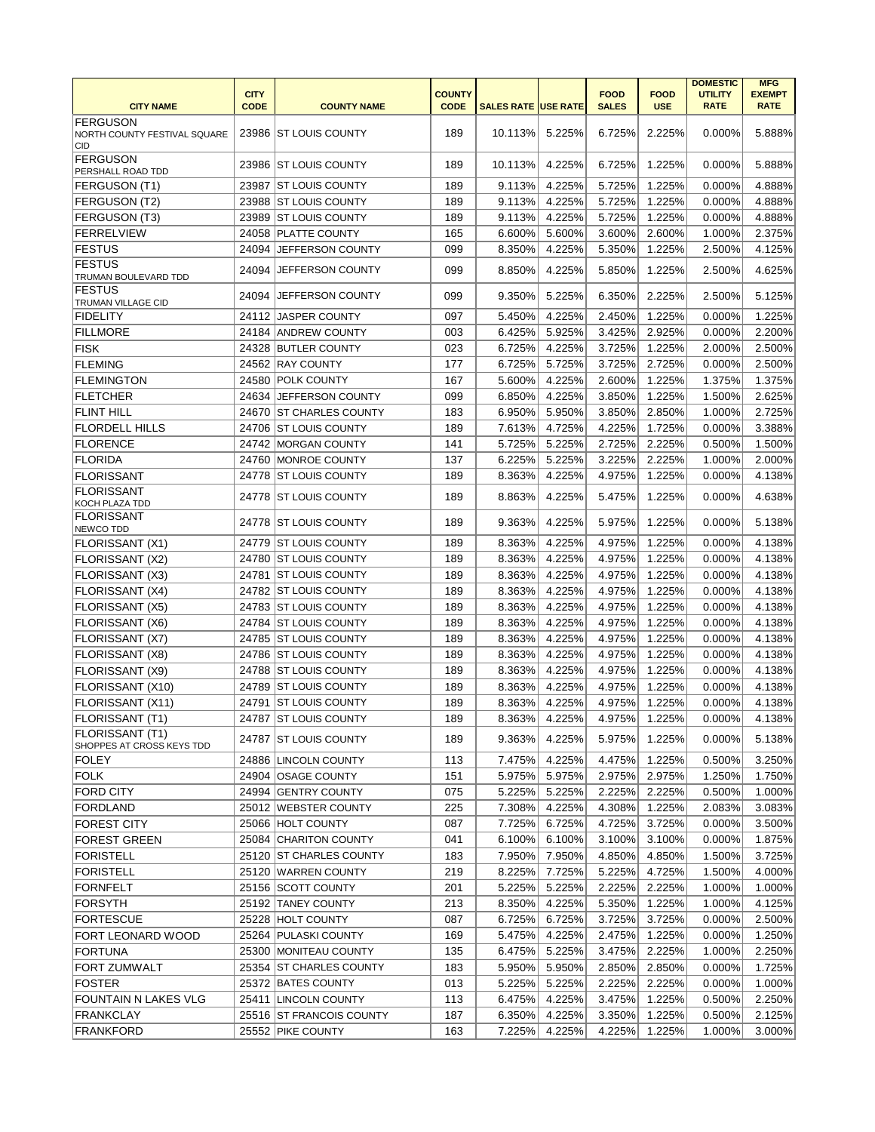|                                                        | <b>CITY</b> |                                                | <b>COUNTY</b> |                            |                  | <b>FOOD</b>      | <b>FOOD</b>      | <b>DOMESTIC</b><br><b>UTILITY</b> | <b>MFG</b><br><b>EXEMPT</b> |
|--------------------------------------------------------|-------------|------------------------------------------------|---------------|----------------------------|------------------|------------------|------------------|-----------------------------------|-----------------------------|
| <b>CITY NAME</b>                                       | <b>CODE</b> | <b>COUNTY NAME</b>                             | <b>CODE</b>   | <b>SALES RATE USE RATE</b> |                  | <b>SALES</b>     | <b>USE</b>       | <b>RATE</b>                       | <b>RATE</b>                 |
| <b>FERGUSON</b><br>NORTH COUNTY FESTIVAL SQUARE<br>CID |             | 23986 ST LOUIS COUNTY                          | 189           | 10.113%                    | 5.225%           | 6.725%           | 2.225%           | 0.000%                            | 5.888%                      |
| <b>FERGUSON</b><br><b>PERSHALL ROAD TDD</b>            |             | 23986 ST LOUIS COUNTY                          | 189           | 10.113%                    | 4.225%           | 6.725%           | 1.225%           | 0.000%                            | 5.888%                      |
| FERGUSON (T1)                                          | 23987       | <b>IST LOUIS COUNTY</b>                        | 189           | 9.113%                     | 4.225%           | 5.725%           | 1.225%           | 0.000%                            | 4.888%                      |
| FERGUSON (T2)                                          |             | 23988 ST LOUIS COUNTY                          | 189           | 9.113%                     | 4.225%           | 5.725%           | 1.225%           | 0.000%                            | 4.888%                      |
| FERGUSON (T3)                                          |             | 23989 ST LOUIS COUNTY                          | 189           | 9.113%                     | 4.225%           | 5.725%           | 1.225%           | 0.000%                            | 4.888%                      |
| <b>FERRELVIEW</b>                                      |             | 24058 PLATTE COUNTY                            | 165           | 6.600%                     | 5.600%           | 3.600%           | 2.600%           | 1.000%                            | 2.375%                      |
| <b>FESTUS</b>                                          | 24094       | <b>JEFFERSON COUNTY</b>                        | 099           | 8.350%                     | 4.225%           | 5.350%           | 1.225%           | 2.500%                            | 4.125%                      |
| <b>FESTUS</b><br>TRUMAN BOULEVARD TDD                  |             | 24094 JEFFERSON COUNTY                         | 099           | 8.850%                     | 4.225%           | 5.850%           | 1.225%           | 2.500%                            | 4.625%                      |
| <b>FESTUS</b><br>TRUMAN VILLAGE CID                    |             | 24094 JEFFERSON COUNTY                         | 099           | 9.350%                     | 5.225%           | 6.350%           | 2.225%           | 2.500%                            | 5.125%                      |
| <b>FIDELITY</b>                                        |             | 24112 JASPER COUNTY                            | 097           | 5.450%                     | 4.225%           | 2.450%           | 1.225%           | 0.000%                            | 1.225%                      |
| <b>FILLMORE</b>                                        |             | 24184 ANDREW COUNTY                            | 003           | 6.425%                     | 5.925%           | 3.425%           | 2.925%           | 0.000%                            | 2.200%                      |
| <b>FISK</b>                                            |             | 24328 BUTLER COUNTY                            | 023           | 6.725%                     | 4.225%           | 3.725%           | 1.225%           | 2.000%                            | 2.500%                      |
| FLEMING                                                |             | 24562 RAY COUNTY                               | 177           | 6.725%                     | 5.725%           | 3.725%           | 2.725%           | 0.000%                            | 2.500%                      |
| <b>FLEMINGTON</b>                                      |             | 24580 POLK COUNTY                              | 167           | 5.600%                     | 4.225%           | 2.600%           | 1.225%           | 1.375%                            | 1.375%                      |
| <b>FLETCHER</b>                                        |             | 24634 JEFFERSON COUNTY                         | 099           | 6.850%                     | 4.225%           | 3.850%           | 1.225%           | 1.500%                            | 2.625%                      |
| <b>FLINT HILL</b>                                      |             | 24670 ST CHARLES COUNTY                        | 183           | 6.950%                     | 5.950%           | 3.850%           | 2.850%           | 1.000%                            | 2.725%                      |
| <b>FLORDELL HILLS</b>                                  |             | 24706 ST LOUIS COUNTY                          | 189           | 7.613%                     | 4.725%           | 4.225%           | 1.725%           | 0.000%                            | 3.388%                      |
| <b>FLORENCE</b>                                        |             | 24742 MORGAN COUNTY                            | 141           | 5.725%                     | 5.225%           | 2.725%           | 2.225%           | 0.500%                            | 1.500%                      |
| <b>FLORIDA</b>                                         |             | 24760 MONROE COUNTY                            | 137           | 6.225%                     | 5.225%           | 3.225%           | 2.225%<br>1.225% | 1.000%                            | 2.000%<br>4.138%            |
| <b>FLORISSANT</b><br><b>FLORISSANT</b>                 |             | 24778 ST LOUIS COUNTY<br>24778 ST LOUIS COUNTY | 189<br>189    | 8.363%<br>8.863%           | 4.225%<br>4.225% | 4.975%<br>5.475% | 1.225%           | 0.000%<br>0.000%                  | 4.638%                      |
| KOCH PLAZA TDD<br><b>FLORISSANT</b>                    |             |                                                |               |                            |                  |                  |                  |                                   |                             |
| NEWCO TDD                                              |             | 24778 ST LOUIS COUNTY                          | 189           | 9.363%                     | 4.225%           | 5.975%           | 1.225%           | 0.000%                            | 5.138%                      |
| FLORISSANT (X1)                                        |             | 24779 ST LOUIS COUNTY                          | 189           | 8.363%                     | 4.225%           | 4.975%           | 1.225%           | 0.000%                            | 4.138%                      |
| FLORISSANT (X2)                                        |             | 24780 ST LOUIS COUNTY                          | 189           | 8.363%                     | 4.225%           | 4.975%           | 1.225%           | 0.000%                            | 4.138%                      |
| FLORISSANT (X3)                                        |             | 24781 ST LOUIS COUNTY                          | 189           | 8.363%                     | 4.225%           | 4.975%           | 1.225%           | 0.000%                            | 4.138%                      |
| <b>FLORISSANT (X4)</b>                                 |             | 24782 ST LOUIS COUNTY                          | 189           | 8.363%                     | 4.225%           | 4.975%           | 1.225%           | 0.000%                            | 4.138%                      |
| <b>FLORISSANT (X5)</b>                                 |             | 24783 ST LOUIS COUNTY                          | 189           | 8.363%                     | 4.225%           | 4.975%           | 1.225%           | 0.000%                            | 4.138%                      |
| FLORISSANT (X6)                                        |             | 24784 ST LOUIS COUNTY                          | 189           | 8.363%                     | 4.225%           | 4.975%           | 1.225%           | 0.000%                            | 4.138%                      |
| <b>FLORISSANT (X7)</b>                                 |             | 24785 ST LOUIS COUNTY                          | 189           | 8.363%                     | 4.225%           | 4.975%           | 1.225%           | 0.000%                            | 4.138%                      |
| <b>FLORISSANT (X8)</b>                                 |             | 24786 ST LOUIS COUNTY                          | 189           | 8.363%                     | 4.225%           | 4.975%           | 1.225%           | 0.000%                            | 4.138%                      |
| FLORISSANT (X9)                                        |             | 24788 ST LOUIS COUNTY                          | 189           | 8.363%                     | 4.225%           | 4.975%           | 1.225%           | 0.000%                            | 4.138%                      |
| FLORISSANT (X10)<br>FLORISSANT (X11)                   |             | 24789 ST LOUIS COUNTY                          | 189<br>189    | 8.363%                     | 4.225%<br>4.225% | 4.975%           | 1.225%           | 0.000%                            | 4.138%                      |
| FLORISSANT (T1)                                        |             | 24791 ST LOUIS COUNTY<br>24787 ST LOUIS COUNTY | 189           | 8.363%<br>8.363%           | 4.225%           | 4.975%<br>4.975% | 1.225%<br>1.225% | 0.000%<br>$0.000\%$               | 4.138%<br>4.138%            |
| <b>FLORISSANT (T1)</b>                                 |             | 24787 IST LOUIS COUNTY                         | 189           | 9.363%                     | 4.225%           | 5.975%           | 1.225%           | 0.000%                            | 5.138%                      |
| SHOPPES AT CROSS KEYS TDD                              |             | 24886 LINCOLN COUNTY                           | 113           |                            | 4.225%           |                  | 1.225%           |                                   | 3.250%                      |
| <b>FOLEY</b><br><b>FOLK</b>                            |             | 24904 OSAGE COUNTY                             |               | 7.475%                     | 5.975%           | 4.475%           |                  | 0.500%                            |                             |
| <b>FORD CITY</b>                                       |             | 24994 GENTRY COUNTY                            | 151<br>075    | 5.975%<br>5.225%           | 5.225%           | 2.975%<br>2.225% | 2.975%<br>2.225% | 1.250%<br>0.500%                  | 1.750%<br>1.000%            |
| <b>FORDLAND</b>                                        |             | 25012 WEBSTER COUNTY                           | 225           | 7.308%                     | 4.225%           | 4.308%           | 1.225%           | 2.083%                            | 3.083%                      |
| <b>FOREST CITY</b>                                     |             | 25066 HOLT COUNTY                              | 087           | 7.725%                     | 6.725%           | 4.725%           | 3.725%           | 0.000%                            | 3.500%                      |
| <b>FOREST GREEN</b>                                    |             | 25084 CHARITON COUNTY                          | 041           | 6.100%                     | 6.100%           | 3.100%           | 3.100%           | 0.000%                            | 1.875%                      |
| <b>FORISTELL</b>                                       |             | 25120 ST CHARLES COUNTY                        | 183           | 7.950%                     | 7.950%           | 4.850%           | 4.850%           | 1.500%                            | 3.725%                      |
| <b>FORISTELL</b>                                       |             | 25120 WARREN COUNTY                            | 219           | 8.225%                     | 7.725%           | 5.225%           | 4.725%           | 1.500%                            | 4.000%                      |
| <b>FORNFELT</b>                                        |             | 25156 SCOTT COUNTY                             | 201           | 5.225%                     | 5.225%           | 2.225%           | 2.225%           | 1.000%                            | 1.000%                      |
| <b>FORSYTH</b>                                         |             | 25192 TANEY COUNTY                             | 213           | 8.350%                     | 4.225%           | 5.350%           | 1.225%           | 1.000%                            | 4.125%                      |
| <b>FORTESCUE</b>                                       |             | 25228 HOLT COUNTY                              | 087           | 6.725%                     | 6.725%           | 3.725%           | 3.725%           | 0.000%                            | 2.500%                      |
| FORT LEONARD WOOD                                      |             | 25264 PULASKI COUNTY                           | 169           | 5.475%                     | 4.225%           | 2.475%           | 1.225%           | 0.000%                            | 1.250%                      |
| <b>FORTUNA</b>                                         |             | 25300 MONITEAU COUNTY                          | 135           | 6.475%                     | 5.225%           | 3.475%           | 2.225%           | 1.000%                            | 2.250%                      |
| FORT ZUMWALT                                           |             | 25354 ST CHARLES COUNTY                        | 183           | 5.950%                     | 5.950%           | 2.850%           | 2.850%           | 0.000%                            | 1.725%                      |
| <b>FOSTER</b>                                          |             | 25372 BATES COUNTY                             | 013           | 5.225%                     | 5.225%           | 2.225%           | 2.225%           | 0.000%                            | 1.000%                      |
| FOUNTAIN N LAKES VLG                                   |             | 25411 LINCOLN COUNTY                           | 113           | 6.475%                     | 4.225%           | 3.475%           | 1.225%           | 0.500%                            | 2.250%                      |
| <b>FRANKCLAY</b>                                       |             | 25516 ST FRANCOIS COUNTY                       | 187           | 6.350%                     | 4.225%           | 3.350%           | 1.225%           | 0.500%                            | 2.125%                      |
| <b>FRANKFORD</b>                                       |             | 25552 PIKE COUNTY                              | 163           | 7.225%                     | 4.225%           | 4.225%           | 1.225%           | 1.000%                            | 3.000%                      |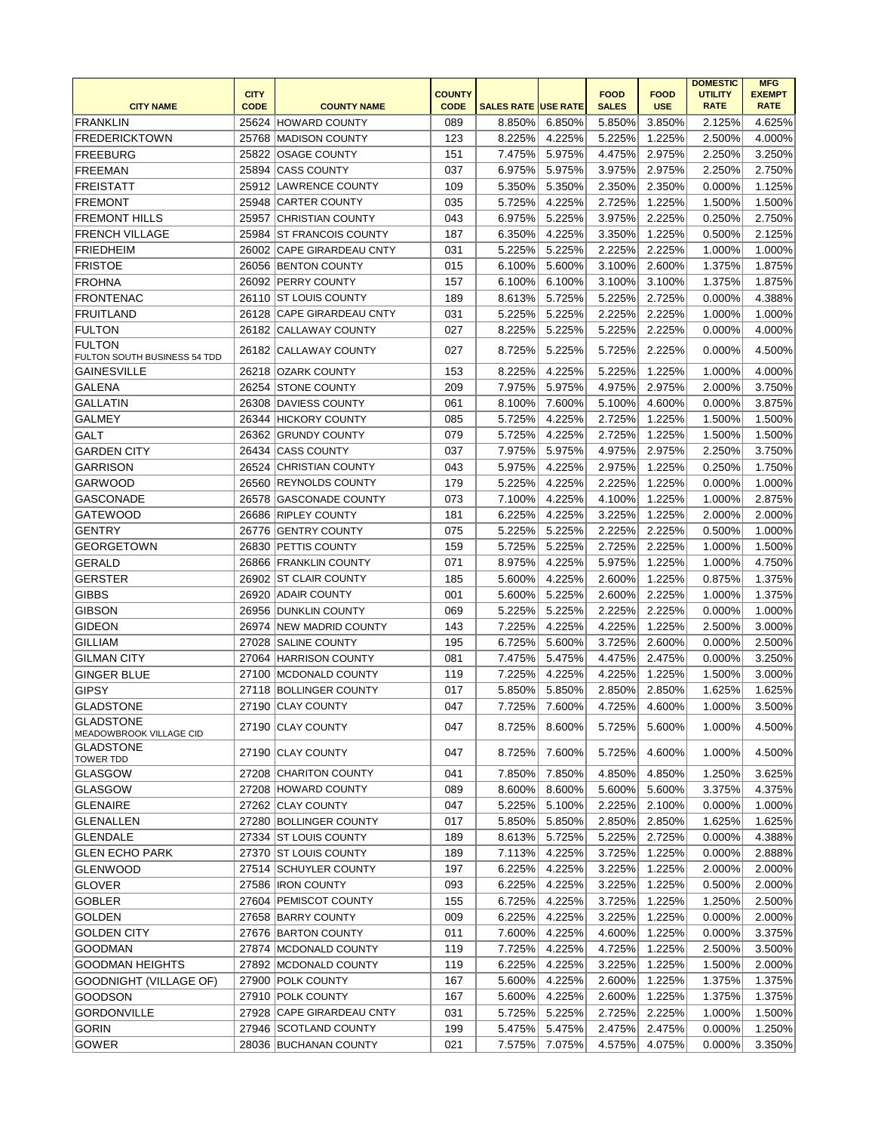|                                                    | <b>CITY</b> |                                            | <b>COUNTY</b> |                            |                  | <b>FOOD</b>  | <b>FOOD</b>      | <b>DOMESTIC</b><br><b>UTILITY</b> | <b>MFG</b><br><b>EXEMPT</b> |
|----------------------------------------------------|-------------|--------------------------------------------|---------------|----------------------------|------------------|--------------|------------------|-----------------------------------|-----------------------------|
| <b>CITY NAME</b>                                   | <b>CODE</b> | <b>COUNTY NAME</b>                         | <b>CODE</b>   | <b>SALES RATE USE RATE</b> |                  | <b>SALES</b> | <b>USE</b>       | <b>RATE</b>                       | <b>RATE</b>                 |
| <b>FRANKLIN</b>                                    |             | 25624 HOWARD COUNTY                        | 089           | 8.850%                     | 6.850%           | 5.850%       | 3.850%           | 2.125%                            | 4.625%                      |
| <b>FREDERICKTOWN</b>                               |             | 25768 MADISON COUNTY                       | 123           | 8.225%                     | 4.225%           | 5.225%       | 1.225%           | 2.500%                            | 4.000%                      |
| <b>FREEBURG</b>                                    | 25822       | <b>OSAGE COUNTY</b>                        | 151           | 7.475%                     | 5.975%           | 4.475%       | 2.975%           | 2.250%                            | 3.250%                      |
| <b>FREEMAN</b>                                     | 25894       | <b>CASS COUNTY</b>                         | 037           | 6.975%                     | 5.975%           | 3.975%       | 2.975%           | 2.250%                            | 2.750%                      |
| <b>FREISTATT</b>                                   |             | 25912 LAWRENCE COUNTY                      | 109           | 5.350%                     | 5.350%           | 2.350%       | 2.350%           | 0.000%                            | 1.125%                      |
| <b>FREMONT</b>                                     |             | 25948 CARTER COUNTY                        | 035           | 5.725%                     | 4.225%           | 2.725%       | 1.225%           | 1.500%                            | 1.500%                      |
| <b>FREMONT HILLS</b>                               |             | 25957 CHRISTIAN COUNTY                     | 043           | 6.975%                     | 5.225%           | 3.975%       | 2.225%           | 0.250%                            | 2.750%                      |
| <b>FRENCH VILLAGE</b>                              |             | 25984 ST FRANCOIS COUNTY                   | 187           | 6.350%                     | 4.225%           | 3.350%       | 1.225%           | 0.500%                            | 2.125%                      |
| <b>FRIEDHEIM</b>                                   | 26002       | <b>CAPE GIRARDEAU CNTY</b>                 | 031           | 5.225%                     | 5.225%           | 2.225%       | 2.225%           | 1.000%                            | 1.000%                      |
| <b>FRISTOE</b>                                     |             | 26056 BENTON COUNTY                        | 015           | 6.100%                     | 5.600%           | 3.100%       | 2.600%           | 1.375%                            | 1.875%                      |
| <b>FROHNA</b>                                      |             | 26092 PERRY COUNTY                         | 157           | 6.100%                     | 6.100%           | 3.100%       | 3.100%           | 1.375%                            | 1.875%                      |
| <b>FRONTENAC</b>                                   |             | 26110   ST LOUIS COUNTY                    | 189           | 8.613%                     | 5.725%           | 5.225%       | 2.725%           | 0.000%                            | 4.388%                      |
| <b>FRUITLAND</b>                                   |             | 26128 CAPE GIRARDEAU CNTY                  | 031           | 5.225%                     | 5.225%           | 2.225%       | 2.225%           | 1.000%                            | 1.000%                      |
| <b>FULTON</b>                                      |             | 26182 CALLAWAY COUNTY                      | 027           | 8.225%                     | 5.225%           | 5.225%       | 2.225%           | 0.000%                            | 4.000%                      |
| <b>FULTON</b>                                      |             | 26182 CALLAWAY COUNTY                      | 027           | 8.725%                     | 5.225%           | 5.725%       | 2.225%           | 0.000%                            | 4.500%                      |
| FULTON SOUTH BUSINESS 54 TDD<br><b>GAINESVILLE</b> |             |                                            |               |                            |                  |              |                  |                                   |                             |
| <b>GALENA</b>                                      | 26254       | 26218 OZARK COUNTY<br><b>ISTONE COUNTY</b> | 153<br>209    | 8.225%<br>7.975%           | 4.225%           | 5.225%       | 1.225%<br>2.975% | 1.000%                            | 4.000%                      |
| <b>GALLATIN</b>                                    |             | 26308 DAVIESS COUNTY                       |               |                            | 5.975%           | 4.975%       |                  | 2.000%                            | 3.750%                      |
|                                                    |             | 26344 HICKORY COUNTY                       | 061           | 8.100%                     | 7.600%<br>4.225% | 5.100%       | 4.600%           | 0.000%                            | 3.875%                      |
| <b>GALMEY</b>                                      |             |                                            | 085           | 5.725%                     |                  | 2.725%       | 1.225%           | 1.500%                            | 1.500%                      |
| GALT                                               |             | 26362 GRUNDY COUNTY                        | 079           | 5.725%                     | 4.225%           | 2.725%       | 1.225%           | 1.500%                            | 1.500%                      |
| <b>GARDEN CITY</b>                                 | 26434       | <b>CASS COUNTY</b>                         | 037           | 7.975%                     | 5.975%           | 4.975%       | 2.975%           | 2.250%                            | 3.750%                      |
| <b>GARRISON</b>                                    | 26524       | <b>CHRISTIAN COUNTY</b>                    | 043           | 5.975%                     | 4.225%           | 2.975%       | 1.225%           | 0.250%                            | 1.750%                      |
| <b>GARWOOD</b>                                     | 26560       | <b>REYNOLDS COUNTY</b>                     | 179           | 5.225%                     | 4.225%           | 2.225%       | 1.225%           | 0.000%                            | 1.000%                      |
| <b>GASCONADE</b>                                   | 26578       | <b>GASCONADE COUNTY</b>                    | 073           | 7.100%                     | 4.225%           | 4.100%       | 1.225%           | 1.000%                            | 2.875%                      |
| <b>GATEWOOD</b>                                    | 26686       | <b>RIPLEY COUNTY</b>                       | 181           | 6.225%                     | 4.225%           | 3.225%       | 1.225%           | 2.000%                            | 2.000%                      |
| <b>GENTRY</b>                                      | 26776       | <b>GENTRY COUNTY</b>                       | 075           | 5.225%                     | 5.225%           | 2.225%       | 2.225%           | 0.500%                            | 1.000%                      |
| <b>GEORGETOWN</b>                                  |             | 26830 PETTIS COUNTY                        | 159           | 5.725%                     | 5.225%           | 2.725%       | 2.225%           | 1.000%                            | 1.500%                      |
| <b>GERALD</b>                                      |             | 26866 FRANKLIN COUNTY                      | 071           | 8.975%                     | 4.225%           | 5.975%       | 1.225%           | 1.000%                            | 4.750%                      |
| <b>GERSTER</b>                                     |             | 26902 ST CLAIR COUNTY                      | 185           | 5.600%                     | 4.225%           | 2.600%       | 1.225%           | 0.875%                            | 1.375%                      |
| <b>GIBBS</b>                                       |             | 26920 ADAIR COUNTY                         | 001           | 5.600%                     | 5.225%           | 2.600%       | 2.225%           | 1.000%                            | 1.375%                      |
| <b>GIBSON</b>                                      |             | 26956 DUNKLIN COUNTY                       | 069           | 5.225%                     | 5.225%           | 2.225%       | 2.225%           | 0.000%                            | 1.000%                      |
| <b>GIDEON</b>                                      | 26974       | <b>NEW MADRID COUNTY</b>                   | 143           | 7.225%                     | 4.225%           | 4.225%       | 1.225%           | 2.500%                            | 3.000%                      |
| <b>GILLIAM</b>                                     | 27028       | <b>SALINE COUNTY</b>                       | 195           | 6.725%                     | 5.600%           | 3.725%       | 2.600%           | 0.000%                            | 2.500%                      |
| <b>GILMAN CITY</b>                                 |             | 27064 HARRISON COUNTY                      | 081           | 7.475%                     | 5.475%           | 4.475%       | 2.475%           | 0.000%                            | 3.250%                      |
| <b>GINGER BLUE</b>                                 |             | 27100 MCDONALD COUNTY                      | 119           | 7.225%                     | 4.225%           | 4.225%       | 1.225%           | 1.500%                            | 3.000%                      |
| <b>GIPSY</b>                                       |             | 27118 BOLLINGER COUNTY                     | 017           | 5.850%                     | 5.850%           | 2.850%       | 2.850%           | 1.625%                            | 1.625%                      |
| <b>GLADSTONE</b><br><b>GLADSTONE</b>               |             | 27190 CLAY COUNTY                          | 047           | 7.725%                     | 7.600%           | 4.725%       | 4.600%           | 1.000%                            | 3.500%                      |
| MEADOWBROOK VILLAGE CID                            |             | 27190 CLAY COUNTY                          | 047           | 8.725%                     | 8.600%           | 5.725%       | 5.600%           | 1.000%                            | 4.500%                      |
| <b>GLADSTONE</b><br><b>TOWER TDD</b>               |             | 27190 CLAY COUNTY                          | 047           | 8.725%                     | 7.600%           | 5.725%       | 4.600%           | 1.000%                            | 4.500%                      |
| <b>GLASGOW</b>                                     |             | 27208 CHARITON COUNTY                      | 041           | 7.850%                     | 7.850%           | 4.850%       | 4.850%           | 1.250%                            | 3.625%                      |
| <b>GLASGOW</b>                                     |             | 27208 HOWARD COUNTY                        | 089           | 8.600%                     | 8.600%           | 5.600%       | 5.600%           | 3.375%                            | 4.375%                      |
| <b>GLENAIRE</b>                                    |             | 27262 CLAY COUNTY                          | 047           | 5.225%                     | 5.100%           | 2.225%       | 2.100%           | 0.000%                            | 1.000%                      |
| GLENALLEN                                          |             | 27280 BOLLINGER COUNTY                     | 017           | 5.850%                     | 5.850%           | 2.850%       | 2.850%           | 1.625%                            | 1.625%                      |
| <b>GLENDALE</b>                                    |             | 27334   ST LOUIS COUNTY                    | 189           | 8.613%                     | 5.725%           | 5.225%       | 2.725%           | 0.000%                            | 4.388%                      |
| <b>GLEN ECHO PARK</b>                              |             | 27370 ST LOUIS COUNTY                      | 189           | 7.113%                     | 4.225%           | 3.725%       | 1.225%           | 0.000%                            | 2.888%                      |
| <b>GLENWOOD</b>                                    |             | 27514 SCHUYLER COUNTY                      | 197           | 6.225%                     | 4.225%           | 3.225%       | 1.225%           | 2.000%                            | 2.000%                      |
| <b>GLOVER</b>                                      |             | 27586   IRON COUNTY                        | 093           | 6.225%                     | 4.225%           | 3.225%       | 1.225%           | 0.500%                            | 2.000%                      |
| <b>GOBLER</b>                                      |             | 27604 PEMISCOT COUNTY                      | 155           | 6.725%                     | 4.225%           | 3.725%       | 1.225%           | 1.250%                            | 2.500%                      |
| <b>GOLDEN</b>                                      |             | 27658 BARRY COUNTY                         | 009           | 6.225%                     | 4.225%           | 3.225%       | 1.225%           | 0.000%                            | 2.000%                      |
| <b>GOLDEN CITY</b>                                 |             | 27676 BARTON COUNTY                        | 011           | 7.600%                     | 4.225%           | 4.600%       | 1.225%           | 0.000%                            | 3.375%                      |
| <b>GOODMAN</b>                                     |             | 27874   MCDONALD COUNTY                    | 119           | 7.725%                     | 4.225%           | 4.725%       | 1.225%           | 2.500%                            | 3.500%                      |
| <b>GOODMAN HEIGHTS</b>                             |             | 27892 MCDONALD COUNTY                      | 119           | 6.225%                     | 4.225%           | 3.225%       | 1.225%           | 1.500%                            | 2.000%                      |
| GOODNIGHT (VILLAGE OF)                             |             | 27900 POLK COUNTY                          | 167           | 5.600%                     | 4.225%           | 2.600%       | 1.225%           | 1.375%                            | 1.375%                      |
| <b>GOODSON</b>                                     |             | 27910 POLK COUNTY                          | 167           | 5.600%                     | 4.225%           | 2.600%       | 1.225%           | 1.375%                            | 1.375%                      |
| <b>GORDONVILLE</b>                                 |             | 27928 CAPE GIRARDEAU CNTY                  | 031           | 5.725%                     | 5.225%           | 2.725%       | 2.225%           | 1.000%                            | 1.500%                      |
| <b>GORIN</b>                                       |             | 27946 SCOTLAND COUNTY                      | 199           | 5.475%                     | 5.475%           | 2.475%       | 2.475%           | 0.000%                            | 1.250%                      |
| <b>GOWER</b>                                       |             | 28036 BUCHANAN COUNTY                      | 021           | 7.575%                     | 7.075%           | 4.575%       | 4.075%           | 0.000%                            | 3.350%                      |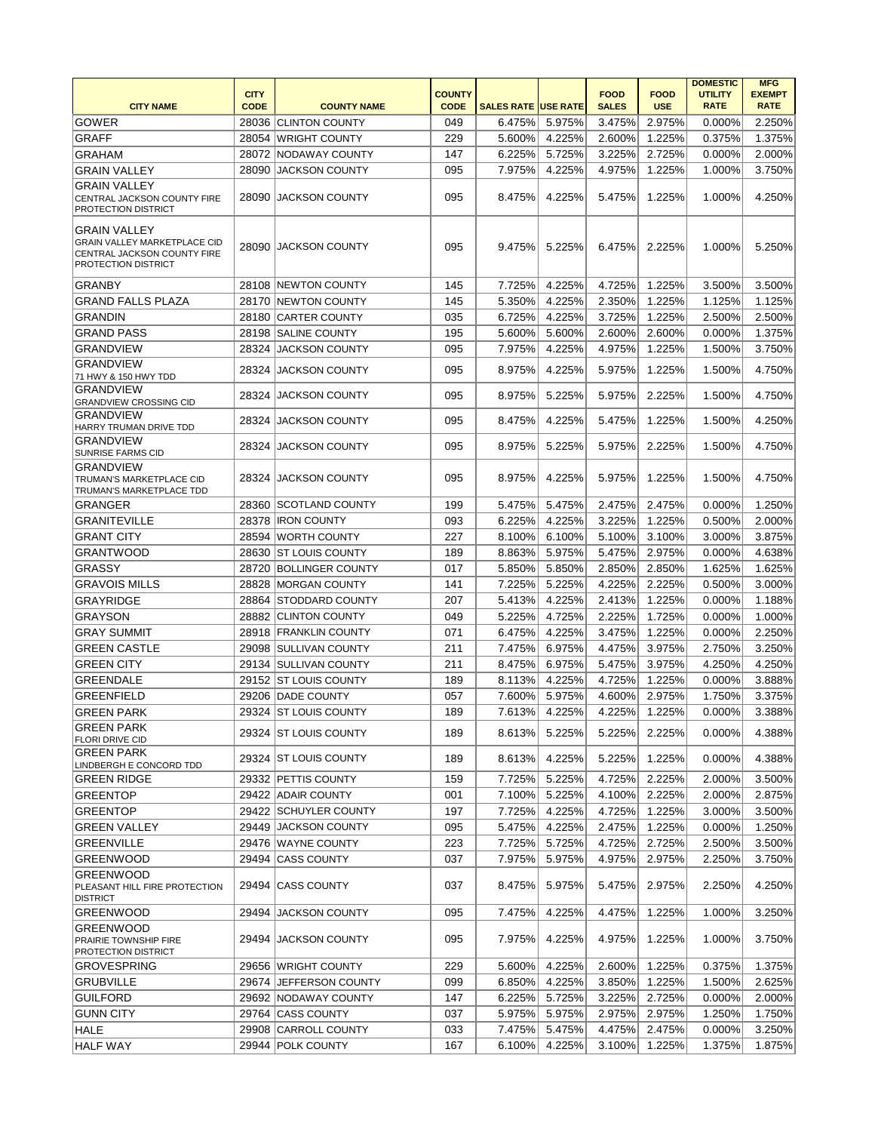| <b>CITY</b><br><b>COUNTY</b><br><b>FOOD</b><br><b>FOOD</b><br><b>UTILITY</b><br><b>EXEMPT</b><br><b>CODE</b><br><b>CITY NAME</b><br><b>CODE</b><br><b>COUNTY NAME</b><br><b>SALES RATE USE RATE</b><br><b>SALES</b><br><b>USE</b><br><b>RATE</b><br><b>RATE</b><br><b>GOWER</b><br>2.250%<br>28036 CLINTON COUNTY<br>049<br>6.475%<br>5.975%<br>3.475%<br>2.975%<br>0.000%<br><b>GRAFF</b><br>1.225%<br>1.375%<br>28054 WRIGHT COUNTY<br>229<br>5.600%<br>4.225%<br>2.600%<br>0.375%<br>5.725%<br>28072 NODAWAY COUNTY<br>147<br>6.225%<br>3.225%<br>2.725%<br>0.000%<br>2.000%<br><b>GRAHAM</b><br><b>GRAIN VALLEY</b><br>095<br>7.975%<br>4.225%<br>4.975%<br>1.225%<br>1.000%<br>3.750%<br>28090 JACKSON COUNTY<br><b>GRAIN VALLEY</b><br>095<br>8.475%<br>4.225%<br>5.475%<br>1.225%<br>1.000%<br>4.250%<br>28090<br><b>JACKSON COUNTY</b><br>CENTRAL JACKSON COUNTY FIRE<br><b>PROTECTION DISTRICT</b><br><b>GRAIN VALLEY</b><br><b>GRAIN VALLEY MARKETPLACE CID</b><br>28090 JACKSON COUNTY<br>095<br>9.475%<br>5.225%<br>6.475%<br>2.225%<br>1.000%<br>5.250%<br>CENTRAL JACKSON COUNTY FIRE<br><b>PROTECTION DISTRICT</b> |
|-----------------------------------------------------------------------------------------------------------------------------------------------------------------------------------------------------------------------------------------------------------------------------------------------------------------------------------------------------------------------------------------------------------------------------------------------------------------------------------------------------------------------------------------------------------------------------------------------------------------------------------------------------------------------------------------------------------------------------------------------------------------------------------------------------------------------------------------------------------------------------------------------------------------------------------------------------------------------------------------------------------------------------------------------------------------------------------------------------------------------------------|
|                                                                                                                                                                                                                                                                                                                                                                                                                                                                                                                                                                                                                                                                                                                                                                                                                                                                                                                                                                                                                                                                                                                                   |
|                                                                                                                                                                                                                                                                                                                                                                                                                                                                                                                                                                                                                                                                                                                                                                                                                                                                                                                                                                                                                                                                                                                                   |
|                                                                                                                                                                                                                                                                                                                                                                                                                                                                                                                                                                                                                                                                                                                                                                                                                                                                                                                                                                                                                                                                                                                                   |
|                                                                                                                                                                                                                                                                                                                                                                                                                                                                                                                                                                                                                                                                                                                                                                                                                                                                                                                                                                                                                                                                                                                                   |
|                                                                                                                                                                                                                                                                                                                                                                                                                                                                                                                                                                                                                                                                                                                                                                                                                                                                                                                                                                                                                                                                                                                                   |
|                                                                                                                                                                                                                                                                                                                                                                                                                                                                                                                                                                                                                                                                                                                                                                                                                                                                                                                                                                                                                                                                                                                                   |
|                                                                                                                                                                                                                                                                                                                                                                                                                                                                                                                                                                                                                                                                                                                                                                                                                                                                                                                                                                                                                                                                                                                                   |
|                                                                                                                                                                                                                                                                                                                                                                                                                                                                                                                                                                                                                                                                                                                                                                                                                                                                                                                                                                                                                                                                                                                                   |
|                                                                                                                                                                                                                                                                                                                                                                                                                                                                                                                                                                                                                                                                                                                                                                                                                                                                                                                                                                                                                                                                                                                                   |
|                                                                                                                                                                                                                                                                                                                                                                                                                                                                                                                                                                                                                                                                                                                                                                                                                                                                                                                                                                                                                                                                                                                                   |
|                                                                                                                                                                                                                                                                                                                                                                                                                                                                                                                                                                                                                                                                                                                                                                                                                                                                                                                                                                                                                                                                                                                                   |
|                                                                                                                                                                                                                                                                                                                                                                                                                                                                                                                                                                                                                                                                                                                                                                                                                                                                                                                                                                                                                                                                                                                                   |
| <b>GRANBY</b><br>4.225%<br>4.725%<br>28108 NEWTON COUNTY<br>145<br>7.725%<br>1.225%<br>3.500%<br>3.500%                                                                                                                                                                                                                                                                                                                                                                                                                                                                                                                                                                                                                                                                                                                                                                                                                                                                                                                                                                                                                           |
| 4.225%<br>1.225%<br>1.125%<br>28170 NEWTON COUNTY<br>145<br>5.350%<br>2.350%<br>1.125%<br><b>GRAND FALLS PLAZA</b>                                                                                                                                                                                                                                                                                                                                                                                                                                                                                                                                                                                                                                                                                                                                                                                                                                                                                                                                                                                                                |
| <b>GRANDIN</b><br>6.725%<br>4.225%<br>28180 CARTER COUNTY<br>035<br>3.725%<br>1.225%<br>2.500%<br>2.500%                                                                                                                                                                                                                                                                                                                                                                                                                                                                                                                                                                                                                                                                                                                                                                                                                                                                                                                                                                                                                          |
|                                                                                                                                                                                                                                                                                                                                                                                                                                                                                                                                                                                                                                                                                                                                                                                                                                                                                                                                                                                                                                                                                                                                   |
| <b>GRAND PASS</b><br>28198 SALINE COUNTY<br>195<br>5.600%<br>5.600%<br>2.600%<br>2.600%<br>0.000%<br>1.375%                                                                                                                                                                                                                                                                                                                                                                                                                                                                                                                                                                                                                                                                                                                                                                                                                                                                                                                                                                                                                       |
| JACKSON COUNTY<br>095<br>4.225%<br><b>GRANDVIEW</b><br>28324<br>7.975%<br>4.975%<br>1.225%<br>1.500%<br>3.750%<br><b>GRANDVIEW</b>                                                                                                                                                                                                                                                                                                                                                                                                                                                                                                                                                                                                                                                                                                                                                                                                                                                                                                                                                                                                |
| 095<br>8.975%<br>4.225%<br>5.975%<br>1.225%<br>1.500%<br>4.750%<br>28324<br><b>JACKSON COUNTY</b><br>71 HWY & 150 HWY TDD                                                                                                                                                                                                                                                                                                                                                                                                                                                                                                                                                                                                                                                                                                                                                                                                                                                                                                                                                                                                         |
| <b>GRANDVIEW</b><br>5.225%<br><b>JACKSON COUNTY</b><br>1.500%                                                                                                                                                                                                                                                                                                                                                                                                                                                                                                                                                                                                                                                                                                                                                                                                                                                                                                                                                                                                                                                                     |
| 095<br>8.975%<br>5.975%<br>4.750%<br>28324<br>2.225%<br><b>GRANDVIEW CROSSING CID</b>                                                                                                                                                                                                                                                                                                                                                                                                                                                                                                                                                                                                                                                                                                                                                                                                                                                                                                                                                                                                                                             |
| <b>GRANDVIEW</b><br>095<br>8.475%<br>4.225%<br>5.475%<br>1.500%<br>4.250%<br>28324<br>JACKSON COUNTY<br>1.225%                                                                                                                                                                                                                                                                                                                                                                                                                                                                                                                                                                                                                                                                                                                                                                                                                                                                                                                                                                                                                    |
| HARRY TRUMAN DRIVE TDD<br><b>GRANDVIEW</b>                                                                                                                                                                                                                                                                                                                                                                                                                                                                                                                                                                                                                                                                                                                                                                                                                                                                                                                                                                                                                                                                                        |
| 28324<br>095<br>8.975%<br>5.225%<br>5.975%<br>2.225%<br>1.500%<br>4.750%<br>JACKSON COUNTY<br><b>SUNRISE FARMS CID</b>                                                                                                                                                                                                                                                                                                                                                                                                                                                                                                                                                                                                                                                                                                                                                                                                                                                                                                                                                                                                            |
| <b>GRANDVIEW</b>                                                                                                                                                                                                                                                                                                                                                                                                                                                                                                                                                                                                                                                                                                                                                                                                                                                                                                                                                                                                                                                                                                                  |
| 095<br>8.975%<br>4.225%<br>5.975%<br>1.225%<br>1.500%<br>4.750%<br>28324<br><b>JACKSON COUNTY</b><br>TRUMAN'S MARKETPLACE CID                                                                                                                                                                                                                                                                                                                                                                                                                                                                                                                                                                                                                                                                                                                                                                                                                                                                                                                                                                                                     |
| TRUMAN'S MARKETPLACE TDD                                                                                                                                                                                                                                                                                                                                                                                                                                                                                                                                                                                                                                                                                                                                                                                                                                                                                                                                                                                                                                                                                                          |
| <b>GRANGER</b><br>199<br>5.475%<br>5.475%<br>2.475%<br>2.475%<br>1.250%<br>28360 SCOTLAND COUNTY<br>$0.000\%$                                                                                                                                                                                                                                                                                                                                                                                                                                                                                                                                                                                                                                                                                                                                                                                                                                                                                                                                                                                                                     |
| <b>GRANITEVILLE</b><br>4.225%<br>28378   IRON COUNTY<br>093<br>6.225%<br>3.225%<br>1.225%<br>0.500%<br>2.000%                                                                                                                                                                                                                                                                                                                                                                                                                                                                                                                                                                                                                                                                                                                                                                                                                                                                                                                                                                                                                     |
| 227<br><b>GRANT CITY</b><br>28594 WORTH COUNTY<br>8.100%<br>6.100%<br>5.100%<br>3.100%<br>3.000%<br>3.875%                                                                                                                                                                                                                                                                                                                                                                                                                                                                                                                                                                                                                                                                                                                                                                                                                                                                                                                                                                                                                        |
| 5.975%<br>28630 ST LOUIS COUNTY<br>189<br>8.863%<br>5.475%<br>2.975%<br>0.000%<br>4.638%<br><b>GRANTWOOD</b>                                                                                                                                                                                                                                                                                                                                                                                                                                                                                                                                                                                                                                                                                                                                                                                                                                                                                                                                                                                                                      |
| <b>GRASSY</b><br>5.850%<br>1.625%<br>28720 BOLLINGER COUNTY<br>017<br>5.850%<br>2.850%<br>2.850%<br>1.625%                                                                                                                                                                                                                                                                                                                                                                                                                                                                                                                                                                                                                                                                                                                                                                                                                                                                                                                                                                                                                        |
| <b>GRAVOIS MILLS</b><br>4.225%<br>3.000%<br>28828 MORGAN COUNTY<br>141<br>7.225%<br>5.225%<br>2.225%<br>0.500%                                                                                                                                                                                                                                                                                                                                                                                                                                                                                                                                                                                                                                                                                                                                                                                                                                                                                                                                                                                                                    |
| <b>GRAYRIDGE</b><br>28864 STODDARD COUNTY<br>207<br>5.413%<br>4.225%<br>1.225%<br>1.188%<br>2.413%<br>0.000%                                                                                                                                                                                                                                                                                                                                                                                                                                                                                                                                                                                                                                                                                                                                                                                                                                                                                                                                                                                                                      |
| 049<br>5.225%<br>4.725%<br>2.225%<br>1.725%<br>1.000%<br><b>GRAYSON</b><br>28882 CLINTON COUNTY<br>0.000%                                                                                                                                                                                                                                                                                                                                                                                                                                                                                                                                                                                                                                                                                                                                                                                                                                                                                                                                                                                                                         |
| 071<br>4.225%<br>28918 FRANKLIN COUNTY<br>6.475%<br>3.475%<br>1.225%<br>0.000%<br>2.250%<br><b>GRAY SUMMIT</b>                                                                                                                                                                                                                                                                                                                                                                                                                                                                                                                                                                                                                                                                                                                                                                                                                                                                                                                                                                                                                    |
| 211<br>6.975%<br><b>GREEN CASTLE</b><br>29098 SULLIVAN COUNTY<br>7.475%<br>4.475%<br>3.975%<br>2.750%<br>3.250%                                                                                                                                                                                                                                                                                                                                                                                                                                                                                                                                                                                                                                                                                                                                                                                                                                                                                                                                                                                                                   |
| <b>GREEN CITY</b><br>29134 SULLIVAN COUNTY<br>211<br>8.475%<br>6.975%<br>5.475%<br>3.975%<br>4.250%<br>4.250%                                                                                                                                                                                                                                                                                                                                                                                                                                                                                                                                                                                                                                                                                                                                                                                                                                                                                                                                                                                                                     |
| 189<br>8.113%<br>4.225%<br>3.888%<br><b>GREENDALE</b><br>29152 ST LOUIS COUNTY<br>4.725%<br>1.225%<br>0.000%                                                                                                                                                                                                                                                                                                                                                                                                                                                                                                                                                                                                                                                                                                                                                                                                                                                                                                                                                                                                                      |
| 057<br>7.600%<br>5.975%<br>3.375%<br><b>GREENFIELD</b><br>29206 DADE COUNTY<br>4.600%<br>2.975%<br>1.750%                                                                                                                                                                                                                                                                                                                                                                                                                                                                                                                                                                                                                                                                                                                                                                                                                                                                                                                                                                                                                         |
| 29324 ST LOUIS COUNTY<br>189<br>7.613%<br>4.225%<br>4.225%<br>1.225%<br>3.388%<br><b>GREEN PARK</b><br>0.000%                                                                                                                                                                                                                                                                                                                                                                                                                                                                                                                                                                                                                                                                                                                                                                                                                                                                                                                                                                                                                     |
| GREEN PARK<br>29324 ST LOUIS COUNTY<br>189<br>8.613%<br>5.225%<br>5.225%<br>2.225%<br>4.388%<br>0.000%                                                                                                                                                                                                                                                                                                                                                                                                                                                                                                                                                                                                                                                                                                                                                                                                                                                                                                                                                                                                                            |
| FLORI DRIVE CID<br><b>GREEN PARK</b>                                                                                                                                                                                                                                                                                                                                                                                                                                                                                                                                                                                                                                                                                                                                                                                                                                                                                                                                                                                                                                                                                              |
| 189<br>8.613%<br>4.225%<br>5.225%<br>1.225%<br>0.000%<br>4.388%<br>29324 ST LOUIS COUNTY<br>LINDBERGH E CONCORD TDD                                                                                                                                                                                                                                                                                                                                                                                                                                                                                                                                                                                                                                                                                                                                                                                                                                                                                                                                                                                                               |
| 5.225%<br>159<br>7.725%<br>4.725%<br>2.225%<br>2.000%<br>3.500%<br><b>GREEN RIDGE</b><br>29332 PETTIS COUNTY                                                                                                                                                                                                                                                                                                                                                                                                                                                                                                                                                                                                                                                                                                                                                                                                                                                                                                                                                                                                                      |
| 001<br>5.225%<br>2.225%<br><b>GREENTOP</b><br>29422 ADAIR COUNTY<br>7.100%<br>4.100%<br>2.000%<br>2.875%                                                                                                                                                                                                                                                                                                                                                                                                                                                                                                                                                                                                                                                                                                                                                                                                                                                                                                                                                                                                                          |
| 4.225%<br><b>GREENTOP</b><br>29422 SCHUYLER COUNTY<br>197<br>7.725%<br>4.725%<br>1.225%<br>3.000%<br>3.500%                                                                                                                                                                                                                                                                                                                                                                                                                                                                                                                                                                                                                                                                                                                                                                                                                                                                                                                                                                                                                       |
| 29449 JACKSON COUNTY<br>095<br>5.475%<br>4.225%<br>2.475%<br>1.225%<br>0.000%<br>1.250%<br><b>GREEN VALLEY</b>                                                                                                                                                                                                                                                                                                                                                                                                                                                                                                                                                                                                                                                                                                                                                                                                                                                                                                                                                                                                                    |
| <b>GREENVILLE</b><br>223<br>29476 WAYNE COUNTY<br>7.725%<br>5.725%<br>4.725%<br>2.725%<br>2.500%<br>3.500%                                                                                                                                                                                                                                                                                                                                                                                                                                                                                                                                                                                                                                                                                                                                                                                                                                                                                                                                                                                                                        |
| <b>GREENWOOD</b><br>29494 CASS COUNTY<br>037<br>7.975%<br>5.975%<br>4.975%<br>2.975%<br>2.250%<br>3.750%                                                                                                                                                                                                                                                                                                                                                                                                                                                                                                                                                                                                                                                                                                                                                                                                                                                                                                                                                                                                                          |
| <b>GREENWOOD</b>                                                                                                                                                                                                                                                                                                                                                                                                                                                                                                                                                                                                                                                                                                                                                                                                                                                                                                                                                                                                                                                                                                                  |
| 29494 CASS COUNTY<br>037<br>8.475%<br>5.975%<br>2.975%<br>4.250%<br>5.475%<br>2.250%<br>PLEASANT HILL FIRE PROTECTION                                                                                                                                                                                                                                                                                                                                                                                                                                                                                                                                                                                                                                                                                                                                                                                                                                                                                                                                                                                                             |
| <b>DISTRICT</b>                                                                                                                                                                                                                                                                                                                                                                                                                                                                                                                                                                                                                                                                                                                                                                                                                                                                                                                                                                                                                                                                                                                   |
| <b>GREENWOOD</b><br>29494 JACKSON COUNTY<br>095<br>7.475%<br>4.225%<br>4.475%<br>1.225%<br>1.000%<br>3.250%                                                                                                                                                                                                                                                                                                                                                                                                                                                                                                                                                                                                                                                                                                                                                                                                                                                                                                                                                                                                                       |
| <b>GREENWOOD</b><br>29494 JACKSON COUNTY<br>095<br>7.975%<br>4.225%<br>3.750%<br>4.975%<br>1.225%<br>1.000%<br>PRAIRIE TOWNSHIP FIRE                                                                                                                                                                                                                                                                                                                                                                                                                                                                                                                                                                                                                                                                                                                                                                                                                                                                                                                                                                                              |
| PROTECTION DISTRICT                                                                                                                                                                                                                                                                                                                                                                                                                                                                                                                                                                                                                                                                                                                                                                                                                                                                                                                                                                                                                                                                                                               |
| 4.225%<br><b>GROVESPRING</b><br>29656 WRIGHT COUNTY<br>229<br>5.600%<br>2.600%<br>1.225%<br>0.375%<br>1.375%                                                                                                                                                                                                                                                                                                                                                                                                                                                                                                                                                                                                                                                                                                                                                                                                                                                                                                                                                                                                                      |
| 099<br>4.225%<br>29674   JEFFERSON COUNTY<br>6.850%<br>3.850%<br>1.225%<br>1.500%<br>2.625%<br><b>GRUBVILLE</b>                                                                                                                                                                                                                                                                                                                                                                                                                                                                                                                                                                                                                                                                                                                                                                                                                                                                                                                                                                                                                   |
| <b>GUILFORD</b><br>147<br>6.225%<br>5.725%<br>3.225%<br>2.725%<br>0.000%<br>2.000%<br>29692 NODAWAY COUNTY                                                                                                                                                                                                                                                                                                                                                                                                                                                                                                                                                                                                                                                                                                                                                                                                                                                                                                                                                                                                                        |
| <b>GUNN CITY</b><br>29764 CASS COUNTY<br>037<br>5.975%<br>5.975%<br>2.975%<br>2.975%<br>1.250%<br>1.750%                                                                                                                                                                                                                                                                                                                                                                                                                                                                                                                                                                                                                                                                                                                                                                                                                                                                                                                                                                                                                          |
| <b>HALE</b><br>29908 CARROLL COUNTY<br>7.475%<br>5.475%<br>033<br>4.475%<br>2.475%<br>0.000%<br>3.250%                                                                                                                                                                                                                                                                                                                                                                                                                                                                                                                                                                                                                                                                                                                                                                                                                                                                                                                                                                                                                            |
| 167<br><b>HALF WAY</b><br>29944 POLK COUNTY<br>6.100%<br>4.225%<br>3.100%<br>1.225%<br>1.375%<br>1.875%                                                                                                                                                                                                                                                                                                                                                                                                                                                                                                                                                                                                                                                                                                                                                                                                                                                                                                                                                                                                                           |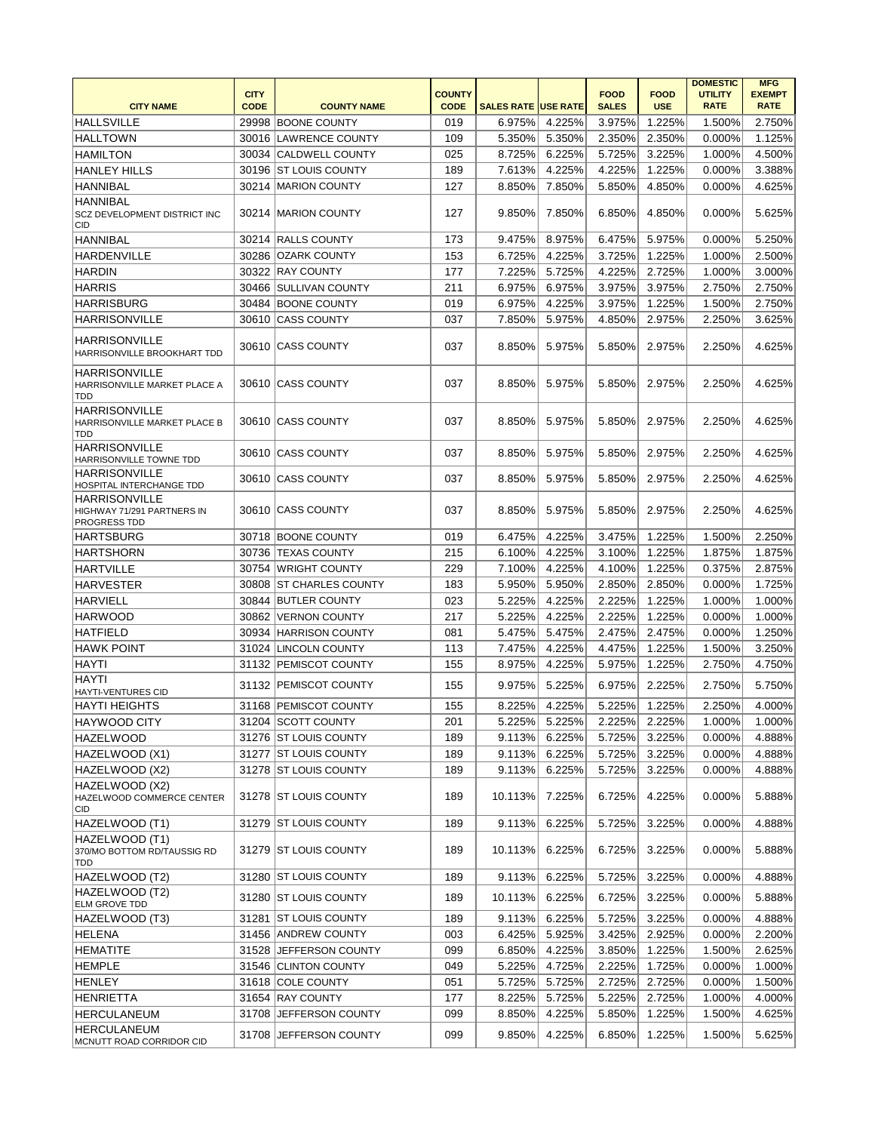|                                                                           | <b>CITY</b> |                         | <b>COUNTY</b> |                            |        | <b>FOOD</b>  | <b>FOOD</b> | <b>DOMESTIC</b><br><b>UTILITY</b> | <b>MFG</b><br><b>EXEMPT</b> |
|---------------------------------------------------------------------------|-------------|-------------------------|---------------|----------------------------|--------|--------------|-------------|-----------------------------------|-----------------------------|
| <b>CITY NAME</b>                                                          | <b>CODE</b> | <b>COUNTY NAME</b>      | <b>CODE</b>   | <b>SALES RATE USE RATE</b> |        | <b>SALES</b> | <b>USE</b>  | <b>RATE</b>                       | <b>RATE</b>                 |
| <b>HALLSVILLE</b>                                                         |             | 29998 BOONE COUNTY      | 019           | 6.975%                     | 4.225% | 3.975%       | 1.225%      | 1.500%                            | 2.750%                      |
| <b>HALLTOWN</b>                                                           |             | 30016 LAWRENCE COUNTY   | 109           | 5.350%                     | 5.350% | 2.350%       | 2.350%      | 0.000%                            | 1.125%                      |
| <b>HAMILTON</b>                                                           |             | 30034 CALDWELL COUNTY   | 025           | 8.725%                     | 6.225% | 5.725%       | 3.225%      | 1.000%                            | 4.500%                      |
| <b>HANLEY HILLS</b>                                                       |             | 30196 ST LOUIS COUNTY   | 189           | 7.613%                     | 4.225% | 4.225%       | 1.225%      | 0.000%                            | 3.388%                      |
| <b>HANNIBAL</b>                                                           |             | 30214 MARION COUNTY     | 127           | 8.850%                     | 7.850% | 5.850%       | 4.850%      | 0.000%                            | 4.625%                      |
| <b>HANNIBAL</b><br>SCZ DEVELOPMENT DISTRICT INC<br>CID                    |             | 30214 MARION COUNTY     | 127           | 9.850%                     | 7.850% | 6.850%       | 4.850%      | 0.000%                            | 5.625%                      |
| <b>HANNIBAL</b>                                                           |             | 30214 RALLS COUNTY      | 173           | 9.475%                     | 8.975% | 6.475%       | 5.975%      | 0.000%                            | 5.250%                      |
| <b>HARDENVILLE</b>                                                        |             | 30286 OZARK COUNTY      | 153           | 6.725%                     | 4.225% | 3.725%       | 1.225%      | 1.000%                            | 2.500%                      |
| <b>HARDIN</b>                                                             |             | 30322 RAY COUNTY        | 177           | 7.225%                     | 5.725% | 4.225%       | 2.725%      | 1.000%                            | 3.000%                      |
| <b>HARRIS</b>                                                             |             | 30466 SULLIVAN COUNTY   | 211           | 6.975%                     | 6.975% | 3.975%       | 3.975%      | 2.750%                            | 2.750%                      |
| <b>HARRISBURG</b>                                                         |             | 30484 BOONE COUNTY      | 019           | 6.975%                     | 4.225% | 3.975%       | 1.225%      | 1.500%                            | 2.750%                      |
| <b>HARRISONVILLE</b>                                                      |             | 30610 CASS COUNTY       | 037           | 7.850%                     | 5.975% | 4.850%       | 2.975%      | 2.250%                            | 3.625%                      |
| <b>HARRISONVILLE</b><br>HARRISONVILLE BROOKHART TDD                       |             | 30610 CASS COUNTY       | 037           | 8.850%                     | 5.975% | 5.850%       | 2.975%      | 2.250%                            | 4.625%                      |
| <b>HARRISONVILLE</b><br>HARRISONVILLE MARKET PLACE A<br>TDD               |             | 30610 CASS COUNTY       | 037           | 8.850%                     | 5.975% | 5.850%       | 2.975%      | 2.250%                            | 4.625%                      |
| <b>HARRISONVILLE</b><br>HARRISONVILLE MARKET PLACE B<br>TDD               |             | 30610 CASS COUNTY       | 037           | 8.850%                     | 5.975% | 5.850%       | 2.975%      | 2.250%                            | 4.625%                      |
| <b>HARRISONVILLE</b><br>HARRISONVILLE TOWNE TDD                           |             | 30610 CASS COUNTY       | 037           | 8.850%                     | 5.975% | 5.850%       | 2.975%      | 2.250%                            | 4.625%                      |
| <b>HARRISONVILLE</b><br>HOSPITAL INTERCHANGE TDD                          |             | 30610 CASS COUNTY       | 037           | 8.850%                     | 5.975% | 5.850%       | 2.975%      | 2.250%                            | 4.625%                      |
| <b>HARRISONVILLE</b><br>HIGHWAY 71/291 PARTNERS IN<br><b>PROGRESS TDD</b> |             | 30610 CASS COUNTY       | 037           | 8.850%                     | 5.975% | 5.850%       | 2.975%      | 2.250%                            | 4.625%                      |
| HARTSBURG                                                                 |             | 30718 BOONE COUNTY      | 019           | 6.475%                     | 4.225% | 3.475%       | 1.225%      | 1.500%                            | 2.250%                      |
| <b>HARTSHORN</b>                                                          |             | 30736 TEXAS COUNTY      | 215           | 6.100%                     | 4.225% | 3.100%       | 1.225%      | 1.875%                            | 1.875%                      |
| <b>HARTVILLE</b>                                                          |             | 30754 WRIGHT COUNTY     | 229           | 7.100%                     | 4.225% | 4.100%       | 1.225%      | 0.375%                            | 2.875%                      |
| <b>HARVESTER</b>                                                          |             | 30808 ST CHARLES COUNTY | 183           | 5.950%                     | 5.950% | 2.850%       | 2.850%      | 0.000%                            | 1.725%                      |
| <b>HARVIELL</b>                                                           |             | 30844 BUTLER COUNTY     | 023           | 5.225%                     | 4.225% | 2.225%       | 1.225%      | 1.000%                            | 1.000%                      |
| <b>HARWOOD</b>                                                            |             | 30862   VERNON COUNTY   | 217           | 5.225%                     | 4.225% | 2.225%       | 1.225%      | 0.000%                            | 1.000%                      |
| <b>HATFIELD</b>                                                           |             | 30934 HARRISON COUNTY   | 081           | 5.475%                     | 5.475% | 2.475%       | 2.475%      | 0.000%                            | 1.250%                      |
| <b>HAWK POINT</b>                                                         |             | 31024 LINCOLN COUNTY    | 113           | 7.475%                     | 4.225% | 4.475%       | 1.225%      | 1.500%                            | 3.250%                      |
| <b>HAYTI</b>                                                              |             | 31132 PEMISCOT COUNTY   | 155           | 8.975%                     | 4.225% | 5.975%       | 1.225%      | 2.750%                            | 4.750%                      |
| <b>HAYTI</b>                                                              |             |                         |               |                            |        |              |             |                                   |                             |
| <b>HAYTI-VENTURES CID</b>                                                 |             | 31132 PEMISCOT COUNTY   | 155           | 9.975%                     | 5.225% | 6.975%       | 2.225%      | 2.750%                            | 5.750%                      |
| HAYTI HEIGHTS                                                             |             | 31168 PEMISCOT COUNTY   | 155           | 8.225%                     | 4.225% | 5.225%       | 1.225%      | 2.250%                            | 4.000%                      |
| <b>HAYWOOD CITY</b>                                                       |             | 31204 SCOTT COUNTY      | 201           | 5.225%                     | 5.225% | 2.225%       | 2.225%      | 1.000%                            | 1.000%                      |
| <b>HAZELWOOD</b>                                                          |             | 31276 ST LOUIS COUNTY   | 189           | 9.113%                     | 6.225% | 5.725%       | 3.225%      | 0.000%                            | 4.888%                      |
| HAZELWOOD (X1)                                                            |             | 31277 ST LOUIS COUNTY   | 189           | 9.113%                     | 6.225% | 5.725%       | 3.225%      | 0.000%                            | 4.888%                      |
| HAZELWOOD (X2)                                                            |             | 31278 ST LOUIS COUNTY   | 189           | 9.113%                     | 6.225% | 5.725%       | 3.225%      | 0.000%                            | 4.888%                      |
| HAZELWOOD (X2)<br>HAZELWOOD COMMERCE CENTER<br><b>CID</b>                 |             | 31278 ST LOUIS COUNTY   | 189           | 10.113%                    | 7.225% | 6.725%       | 4.225%      | 0.000%                            | 5.888%                      |
| HAZELWOOD (T1)                                                            |             | 31279 ST LOUIS COUNTY   | 189           | 9.113%                     | 6.225% | 5.725%       | 3.225%      | 0.000%                            | 4.888%                      |
| HAZELWOOD (T1)<br>370/MO BOTTOM RD/TAUSSIG RD<br>TDD                      |             | 31279 ST LOUIS COUNTY   | 189           | 10.113%                    | 6.225% | 6.725%       | 3.225%      | 0.000%                            | 5.888%                      |
| HAZELWOOD (T2)                                                            |             | 31280 ST LOUIS COUNTY   | 189           | 9.113%                     | 6.225% | 5.725%       | 3.225%      | 0.000%                            | 4.888%                      |
| HAZELWOOD (T2)<br><b>ELM GROVE TDD</b>                                    |             | 31280 ST LOUIS COUNTY   | 189           | 10.113%                    | 6.225% | 6.725%       | 3.225%      | 0.000%                            | 5.888%                      |
| HAZELWOOD (T3)                                                            |             | 31281 ST LOUIS COUNTY   | 189           | 9.113%                     | 6.225% | 5.725%       | 3.225%      | 0.000%                            | 4.888%                      |
| <b>HELENA</b>                                                             |             | 31456 ANDREW COUNTY     | 003           | 6.425%                     | 5.925% | 3.425%       | 2.925%      | 0.000%                            | 2.200%                      |
| <b>HEMATITE</b>                                                           |             | 31528 JEFFERSON COUNTY  | 099           | 6.850%                     | 4.225% | 3.850%       | 1.225%      | 1.500%                            | 2.625%                      |
| <b>HEMPLE</b>                                                             |             | 31546 CLINTON COUNTY    | 049           | 5.225%                     | 4.725% | 2.225%       | 1.725%      | 0.000%                            | 1.000%                      |
| <b>HENLEY</b>                                                             |             | 31618 COLE COUNTY       | 051           | 5.725%                     | 5.725% | 2.725%       | 2.725%      | 0.000%                            | 1.500%                      |
| <b>HENRIETTA</b>                                                          |             | 31654 RAY COUNTY        | 177           | 8.225%                     | 5.725% | 5.225%       | 2.725%      | 1.000%                            | 4.000%                      |
| <b>HERCULANEUM</b>                                                        |             | 31708 JEFFERSON COUNTY  | 099           | 8.850%                     | 4.225% | 5.850%       | 1.225%      | 1.500%                            | 4.625%                      |
| HERCULANEUM<br>MCNUTT ROAD CORRIDOR CID                                   |             | 31708 JEFFERSON COUNTY  | 099           | 9.850%                     | 4.225% | 6.850%       | 1.225%      | 1.500%                            | 5.625%                      |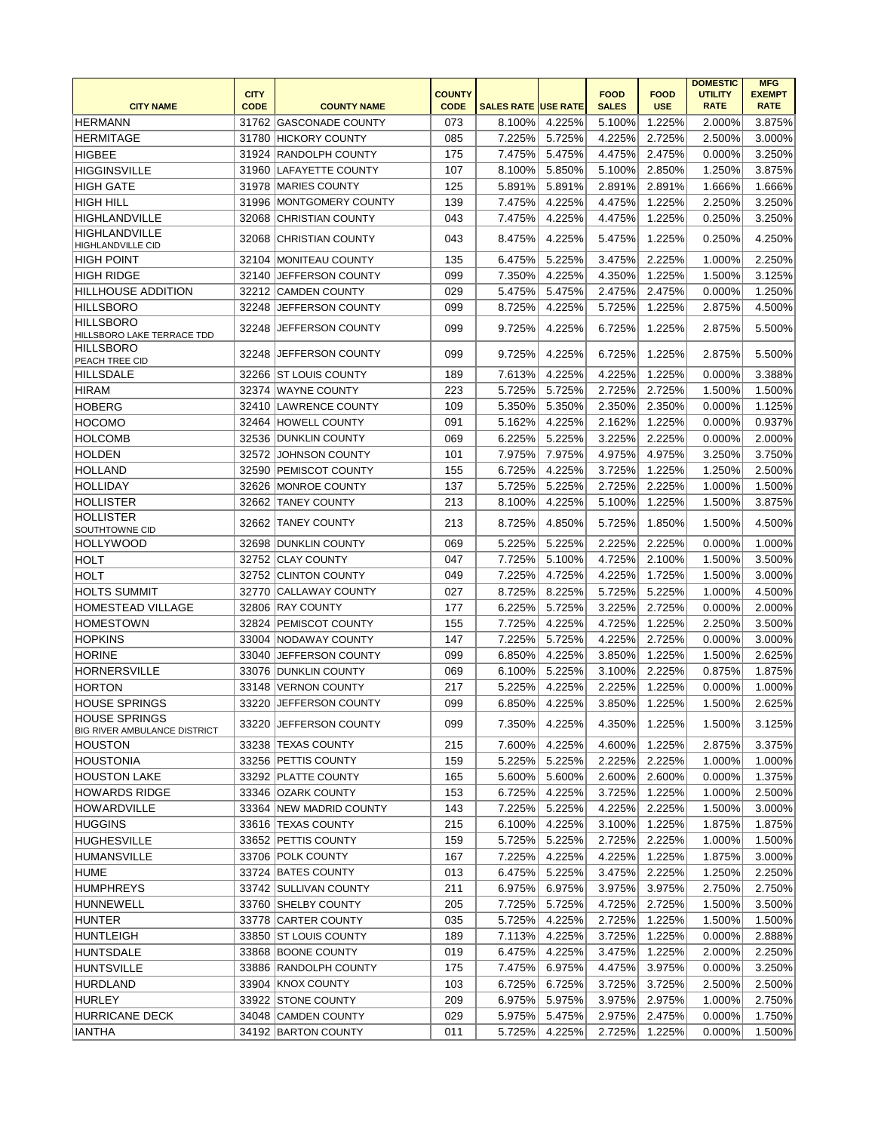| <b>CODE</b><br><b>CITY NAME</b><br><b>CODE</b><br><b>SALES RATE USE RATE</b><br><b>SALES</b><br><b>USE</b><br><b>RATE</b><br><b>RATE</b><br><b>COUNTY NAME</b><br>3.875%<br><b>HERMANN</b><br>31762 GASCONADE COUNTY<br>073<br>8.100%<br>4.225%<br>5.100%<br>1.225%<br>2.000%<br><b>HICKORY COUNTY</b><br>085<br>7.225%<br>5.725%<br>4.225%<br>2.725%<br>3.000%<br><b>HERMITAGE</b><br>31780<br>2.500%<br>175<br><b>HIGBEE</b><br>31924 RANDOLPH COUNTY<br>7.475%<br>5.475%<br>4.475%<br>2.475%<br>0.000%<br>3.250%<br><b>HIGGINSVILLE</b><br>107<br>31960<br>LAFAYETTE COUNTY<br>8.100%<br>5.850%<br>5.100%<br>2.850%<br>1.250%<br>3.875%<br>125<br><b>HIGH GATE</b><br>31978 MARIES COUNTY<br>5.891%<br>5.891%<br>2.891%<br>2.891%<br>1.666%<br>1.666%<br><b>HIGH HILL</b><br>139<br>4.225%<br>1.225%<br>2.250%<br>3.250%<br>31996 MONTGOMERY COUNTY<br>7.475%<br>4.475%<br>7.475%<br>HIGHLANDVILLE<br>32068 CHRISTIAN COUNTY<br>043<br>4.225%<br>4.475%<br>1.225%<br>0.250%<br>3.250%<br><b>HIGHLANDVILLE</b><br>043<br>4.225%<br>32068<br>8.475%<br>5.475%<br>1.225%<br>0.250%<br>4.250%<br><b>ICHRISTIAN COUNTY</b><br>HIGHLANDVILLE CID<br>5.225%<br>2.225%<br>2.250%<br><b>HIGH POINT</b><br>32104<br>135<br>6.475%<br>3.475%<br>1.000%<br><b>MONITEAU COUNTY</b><br>099<br>4.225%<br>4.350%<br>1.225%<br>1.500%<br>3.125%<br><b>HIGH RIDGE</b><br>32140<br><b>JEFFERSON COUNTY</b><br>7.350%<br>029<br>32212 CAMDEN COUNTY<br>5.475%<br>5.475%<br>2.475%<br>2.475%<br>0.000%<br>1.250%<br><b>HILLHOUSE ADDITION</b><br>099<br>4.225%<br><b>HILLSBORO</b><br>32248<br>8.725%<br>5.725%<br>1.225%<br>2.875%<br>4.500%<br><b>JEFFERSON COUNTY</b><br><b>HILLSBORO</b><br>099<br>4.225%<br>32248<br>9.725%<br>6.725%<br>1.225%<br>2.875%<br>5.500%<br>JEFFERSON COUNTY<br>HILLSBORO LAKE TERRACE TDD<br><b>HILLSBORO</b><br>099<br>32248<br>JEFFERSON COUNTY<br>9.725%<br>4.225%<br>6.725%<br>1.225%<br>2.875%<br>5.500%<br>PEACH TREE CID<br>4.225%<br>3.388%<br>32266   ST LOUIS COUNTY<br>189<br>7.613%<br>4.225%<br>1.225%<br>0.000%<br><b>HILLSDALE</b><br>223<br>HIRAM<br>32374 WAYNE COUNTY<br>5.725%<br>5.725%<br>2.725%<br>2.725%<br>1.500%<br>1.500%<br><b>HOBERG</b><br>32410<br>LAWRENCE COUNTY<br>109<br>5.350%<br>5.350%<br>2.350%<br>2.350%<br>0.000%<br>1.125%<br><b>HOCOMO</b><br><b>HOWELL COUNTY</b><br>091<br>5.162%<br>4.225%<br>2.162%<br>1.225%<br>0.937%<br>32464<br>0.000%<br>069<br>6.225%<br>5.225%<br>3.225%<br>2.225%<br>2.000%<br><b>HOLCOMB</b><br>32536<br><b>DUNKLIN COUNTY</b><br>0.000%<br><b>HOLDEN</b><br>32572<br><b>JOHNSON COUNTY</b><br>101<br>7.975%<br>7.975%<br>4.975%<br>4.975%<br>3.250%<br>3.750%<br><b>HOLLAND</b><br><b>PEMISCOT COUNTY</b><br>155<br>6.725%<br>4.225%<br>3.725%<br>32590<br>1.225%<br>1.250%<br>2.500%<br><b>HOLLIDAY</b><br>32626 MONROE COUNTY<br>137<br>5.725%<br>5.225%<br>2.725%<br>2.225%<br>1.000%<br>1.500%<br>4.225%<br>32662 TANEY COUNTY<br>213<br>8.100%<br>5.100%<br>1.225%<br>1.500%<br>3.875%<br><b>HOLLISTER</b><br><b>HOLLISTER</b><br>213<br>8.725%<br>4.850%<br>5.725%<br>1.500%<br>4.500%<br>32662<br><b>TANEY COUNTY</b><br>1.850%<br>SOUTHTOWNE CID<br>5.225%<br><b>HOLLYWOOD</b><br><b>DUNKLIN COUNTY</b><br>069<br>5.225%<br>2.225%<br>2.225%<br>0.000%<br>1.000%<br>32698<br><b>HOLT</b><br><b>CLAY COUNTY</b><br>047<br>7.725%<br>4.725%<br>3.500%<br>32752<br>5.100%<br>2.100%<br>1.500%<br>049<br>7.225%<br>4.725%<br>4.225%<br>1.725%<br>3.000%<br><b>HOLT</b><br>32752 CLINTON COUNTY<br>1.500%<br><b>HOLTS SUMMIT</b><br>32770<br><b>CALLAWAY COUNTY</b><br>027<br>8.725%<br>8.225%<br>5.725%<br>5.225%<br>1.000%<br>4.500%<br>177<br>6.225%<br>5.725%<br>3.225%<br>2.725%<br>2.000%<br><b>HOMESTEAD VILLAGE</b><br>32806 RAY COUNTY<br>0.000%<br><b>HOMESTOWN</b><br>32824 PEMISCOT COUNTY<br>155<br>7.725%<br>4.225%<br>4.725%<br>1.225%<br>2.250%<br>3.500%<br><b>HOPKINS</b><br>33004 NODAWAY COUNTY<br>147<br>7.225%<br>5.725%<br>4.225%<br>2.725%<br>0.000%<br>3.000%<br><b>HORINE</b><br>33040<br>099<br>6.850%<br>4.225%<br>3.850%<br>1.225%<br>1.500%<br>2.625%<br><b>JEFFERSON COUNTY</b><br>1.875%<br><b>HORNERSVILLE</b><br>33076 DUNKLIN COUNTY<br>069<br>6.100%<br>5.225%<br>3.100%<br>2.225%<br>0.875%<br><b>HORTON</b><br>217<br>5.225%<br>4.225%<br>1.225%<br>33148<br>VERNON COUNTY<br>2.225%<br>0.000%<br>1.000%<br>2.625%<br><b>HOUSE SPRINGS</b><br>33220<br><b>JEFFERSON COUNTY</b><br>099<br>6.850%<br>4.225%<br>3.850%<br>1.225%<br>1.500%<br><b>HOUSE SPRINGS</b><br>33220 JEFFERSON COUNTY<br>099<br>7.350%<br>4.225%<br>4.350%<br>1.225%<br>$1.500\%$<br>3.125%<br><b>BIG RIVER AMBULANCE DISTRICT</b><br>215<br>4.225%<br>4.600%<br>1.225%<br>2.875%<br>33238 TEXAS COUNTY<br>7.600%<br>3.375%<br> HOUSTON<br>159<br>5.225%<br>2.225%<br>HOUSTONIA<br>33256 PETTIS COUNTY<br>5.225%<br>2.225%<br>1.000%<br>1.000%<br>33292 PLATTE COUNTY<br>165<br>5.600%<br>5.600%<br>2.600%<br>2.600%<br>0.000%<br>1.375%<br><b>HOUSTON LAKE</b><br><b>HOWARDS RIDGE</b><br>153<br>6.725%<br>4.225%<br>3.725%<br>1.225%<br>1.000%<br>2.500%<br>33346 OZARK COUNTY<br>4.225%<br>2.225%<br><b>HOWARDVILLE</b><br>33364 NEW MADRID COUNTY<br>143<br>7.225%<br>5.225%<br>1.500%<br>3.000%<br><b>HUGGINS</b><br>33616 TEXAS COUNTY<br>215<br>4.225%<br>1.225%<br>1.875%<br>6.100%<br>3.100%<br>1.875%<br>33652 PETTIS COUNTY<br>159<br>5.725%<br>5.225%<br>2.725%<br>2.225%<br>1.500%<br><b>HUGHESVILLE</b><br>1.000%<br>167<br>4.225%<br><b>HUMANSVILLE</b><br>7.225%<br>4.225%<br>1.225%<br>1.875%<br>3.000%<br>33706 POLK COUNTY<br>5.225%<br>2.225%<br>HUME<br>33724 BATES COUNTY<br>013<br>6.475%<br>3.475%<br>1.250%<br>2.250%<br>211<br><b>HUMPHREYS</b><br>33742 SULLIVAN COUNTY<br>6.975%<br>6.975%<br>3.975%<br>3.975%<br>2.750%<br>2.750%<br>205<br>7.725%<br>5.725%<br>2.725%<br><b>HUNNEWELL</b><br>33760 SHELBY COUNTY<br>4.725%<br>1.500%<br>3.500%<br>035<br><b>HUNTER</b><br>33778 CARTER COUNTY<br>5.725%<br>4.225%<br>2.725%<br>1.225%<br>1.500%<br>1.500%<br>189<br>2.888%<br><b>HUNTLEIGH</b><br>33850 ST LOUIS COUNTY<br>7.113%<br>4.225%<br>3.725%<br>1.225%<br>0.000%<br><b>HUNTSDALE</b><br>33868 BOONE COUNTY<br>019<br>6.475%<br>4.225%<br>3.475%<br>1.225%<br>2.000%<br>2.250%<br>175<br>7.475%<br>6.975%<br>4.475%<br>3.975%<br>3.250%<br><b>HUNTSVILLE</b><br>33886 RANDOLPH COUNTY<br>0.000%<br>103<br>33904 KNOX COUNTY<br>6.725%<br>6.725%<br>3.725%<br>3.725%<br>2.500%<br>2.500%<br>HURDLAND<br><b>HURLEY</b><br>209<br>33922 STONE COUNTY<br>6.975%<br>5.975%<br>3.975%<br>2.975%<br>1.000%<br>2.750%<br>34048 CAMDEN COUNTY<br><b>HURRICANE DECK</b><br>029<br>5.975%<br>5.475%<br>2.975%<br>2.475%<br>0.000%<br>1.750%<br>34192 BARTON COUNTY |               | <b>CITY</b> | <b>COUNTY</b> |        |        | <b>FOOD</b> | <b>FOOD</b> | <b>DOMESTIC</b><br><b>UTILITY</b> | <b>MFG</b><br><b>EXEMPT</b> |
|---------------------------------------------------------------------------------------------------------------------------------------------------------------------------------------------------------------------------------------------------------------------------------------------------------------------------------------------------------------------------------------------------------------------------------------------------------------------------------------------------------------------------------------------------------------------------------------------------------------------------------------------------------------------------------------------------------------------------------------------------------------------------------------------------------------------------------------------------------------------------------------------------------------------------------------------------------------------------------------------------------------------------------------------------------------------------------------------------------------------------------------------------------------------------------------------------------------------------------------------------------------------------------------------------------------------------------------------------------------------------------------------------------------------------------------------------------------------------------------------------------------------------------------------------------------------------------------------------------------------------------------------------------------------------------------------------------------------------------------------------------------------------------------------------------------------------------------------------------------------------------------------------------------------------------------------------------------------------------------------------------------------------------------------------------------------------------------------------------------------------------------------------------------------------------------------------------------------------------------------------------------------------------------------------------------------------------------------------------------------------------------------------------------------------------------------------------------------------------------------------------------------------------------------------------------------------------------------------------------------------------------------------------------------------------------------------------------------------------------------------------------------------------------------------------------------------------------------------------------------------------------------------------------------------------------------------------------------------------------------------------------------------------------------------------------------------------------------------------------------------------------------------------------------------------------------------------------------------------------------------------------------------------------------------------------------------------------------------------------------------------------------------------------------------------------------------------------------------------------------------------------------------------------------------------------------------------------------------------------------------------------------------------------------------------------------------------------------------------------------------------------------------------------------------------------------------------------------------------------------------------------------------------------------------------------------------------------------------------------------------------------------------------------------------------------------------------------------------------------------------------------------------------------------------------------------------------------------------------------------------------------------------------------------------------------------------------------------------------------------------------------------------------------------------------------------------------------------------------------------------------------------------------------------------------------------------------------------------------------------------------------------------------------------------------------------------------------------------------------------------------------------------------------------------------------------------------------------------------------------------------------------------------------------------------------------------------------------------------------------------------------------------------------------------------------------------------------------------------------------------------------------------------------------------------------------------------------------------------------------------------------------------------------------------------------------------------------------------------------------------------------------------------------------------------------------------------------------------------------------------------------------------------------------------------------------------------------------------------------------------------------------------------------------------------------------------------------------------------------------------------------------------------------------------------------------------------------------------------------------------------------------------------------------------------------------------------------------------------------------------------------------------------------------------------------------------------------------------------------------------------------------------------------------------------------------------------------------------------------------------------------------------------------------------------------------------------------------------------------------------------------------------------------------------------------------------------------------------------------------------------------------------------------------------------------------------------------------------------------------------------------------------------------------------------------------------|---------------|-------------|---------------|--------|--------|-------------|-------------|-----------------------------------|-----------------------------|
|                                                                                                                                                                                                                                                                                                                                                                                                                                                                                                                                                                                                                                                                                                                                                                                                                                                                                                                                                                                                                                                                                                                                                                                                                                                                                                                                                                                                                                                                                                                                                                                                                                                                                                                                                                                                                                                                                                                                                                                                                                                                                                                                                                                                                                                                                                                                                                                                                                                                                                                                                                                                                                                                                                                                                                                                                                                                                                                                                                                                                                                                                                                                                                                                                                                                                                                                                                                                                                                                                                                                                                                                                                                                                                                                                                                                                                                                                                                                                                                                                                                                                                                                                                                                                                                                                                                                                                                                                                                                                                                                                                                                                                                                                                                                                                                                                                                                                                                                                                                                                                                                                                                                                                                                                                                                                                                                                                                                                                                                                                                                                                                                                                                                                                                                                                                                                                                                                                                                                                                                                                                                                                                                                                                                                                                                                                                                                                                                                                                                                                                                                                                                                                                                                                   |               |             |               |        |        |             |             |                                   |                             |
|                                                                                                                                                                                                                                                                                                                                                                                                                                                                                                                                                                                                                                                                                                                                                                                                                                                                                                                                                                                                                                                                                                                                                                                                                                                                                                                                                                                                                                                                                                                                                                                                                                                                                                                                                                                                                                                                                                                                                                                                                                                                                                                                                                                                                                                                                                                                                                                                                                                                                                                                                                                                                                                                                                                                                                                                                                                                                                                                                                                                                                                                                                                                                                                                                                                                                                                                                                                                                                                                                                                                                                                                                                                                                                                                                                                                                                                                                                                                                                                                                                                                                                                                                                                                                                                                                                                                                                                                                                                                                                                                                                                                                                                                                                                                                                                                                                                                                                                                                                                                                                                                                                                                                                                                                                                                                                                                                                                                                                                                                                                                                                                                                                                                                                                                                                                                                                                                                                                                                                                                                                                                                                                                                                                                                                                                                                                                                                                                                                                                                                                                                                                                                                                                                                   |               |             |               |        |        |             |             |                                   |                             |
|                                                                                                                                                                                                                                                                                                                                                                                                                                                                                                                                                                                                                                                                                                                                                                                                                                                                                                                                                                                                                                                                                                                                                                                                                                                                                                                                                                                                                                                                                                                                                                                                                                                                                                                                                                                                                                                                                                                                                                                                                                                                                                                                                                                                                                                                                                                                                                                                                                                                                                                                                                                                                                                                                                                                                                                                                                                                                                                                                                                                                                                                                                                                                                                                                                                                                                                                                                                                                                                                                                                                                                                                                                                                                                                                                                                                                                                                                                                                                                                                                                                                                                                                                                                                                                                                                                                                                                                                                                                                                                                                                                                                                                                                                                                                                                                                                                                                                                                                                                                                                                                                                                                                                                                                                                                                                                                                                                                                                                                                                                                                                                                                                                                                                                                                                                                                                                                                                                                                                                                                                                                                                                                                                                                                                                                                                                                                                                                                                                                                                                                                                                                                                                                                                                   |               |             |               |        |        |             |             |                                   |                             |
|                                                                                                                                                                                                                                                                                                                                                                                                                                                                                                                                                                                                                                                                                                                                                                                                                                                                                                                                                                                                                                                                                                                                                                                                                                                                                                                                                                                                                                                                                                                                                                                                                                                                                                                                                                                                                                                                                                                                                                                                                                                                                                                                                                                                                                                                                                                                                                                                                                                                                                                                                                                                                                                                                                                                                                                                                                                                                                                                                                                                                                                                                                                                                                                                                                                                                                                                                                                                                                                                                                                                                                                                                                                                                                                                                                                                                                                                                                                                                                                                                                                                                                                                                                                                                                                                                                                                                                                                                                                                                                                                                                                                                                                                                                                                                                                                                                                                                                                                                                                                                                                                                                                                                                                                                                                                                                                                                                                                                                                                                                                                                                                                                                                                                                                                                                                                                                                                                                                                                                                                                                                                                                                                                                                                                                                                                                                                                                                                                                                                                                                                                                                                                                                                                                   |               |             |               |        |        |             |             |                                   |                             |
|                                                                                                                                                                                                                                                                                                                                                                                                                                                                                                                                                                                                                                                                                                                                                                                                                                                                                                                                                                                                                                                                                                                                                                                                                                                                                                                                                                                                                                                                                                                                                                                                                                                                                                                                                                                                                                                                                                                                                                                                                                                                                                                                                                                                                                                                                                                                                                                                                                                                                                                                                                                                                                                                                                                                                                                                                                                                                                                                                                                                                                                                                                                                                                                                                                                                                                                                                                                                                                                                                                                                                                                                                                                                                                                                                                                                                                                                                                                                                                                                                                                                                                                                                                                                                                                                                                                                                                                                                                                                                                                                                                                                                                                                                                                                                                                                                                                                                                                                                                                                                                                                                                                                                                                                                                                                                                                                                                                                                                                                                                                                                                                                                                                                                                                                                                                                                                                                                                                                                                                                                                                                                                                                                                                                                                                                                                                                                                                                                                                                                                                                                                                                                                                                                                   |               |             |               |        |        |             |             |                                   |                             |
|                                                                                                                                                                                                                                                                                                                                                                                                                                                                                                                                                                                                                                                                                                                                                                                                                                                                                                                                                                                                                                                                                                                                                                                                                                                                                                                                                                                                                                                                                                                                                                                                                                                                                                                                                                                                                                                                                                                                                                                                                                                                                                                                                                                                                                                                                                                                                                                                                                                                                                                                                                                                                                                                                                                                                                                                                                                                                                                                                                                                                                                                                                                                                                                                                                                                                                                                                                                                                                                                                                                                                                                                                                                                                                                                                                                                                                                                                                                                                                                                                                                                                                                                                                                                                                                                                                                                                                                                                                                                                                                                                                                                                                                                                                                                                                                                                                                                                                                                                                                                                                                                                                                                                                                                                                                                                                                                                                                                                                                                                                                                                                                                                                                                                                                                                                                                                                                                                                                                                                                                                                                                                                                                                                                                                                                                                                                                                                                                                                                                                                                                                                                                                                                                                                   |               |             |               |        |        |             |             |                                   |                             |
|                                                                                                                                                                                                                                                                                                                                                                                                                                                                                                                                                                                                                                                                                                                                                                                                                                                                                                                                                                                                                                                                                                                                                                                                                                                                                                                                                                                                                                                                                                                                                                                                                                                                                                                                                                                                                                                                                                                                                                                                                                                                                                                                                                                                                                                                                                                                                                                                                                                                                                                                                                                                                                                                                                                                                                                                                                                                                                                                                                                                                                                                                                                                                                                                                                                                                                                                                                                                                                                                                                                                                                                                                                                                                                                                                                                                                                                                                                                                                                                                                                                                                                                                                                                                                                                                                                                                                                                                                                                                                                                                                                                                                                                                                                                                                                                                                                                                                                                                                                                                                                                                                                                                                                                                                                                                                                                                                                                                                                                                                                                                                                                                                                                                                                                                                                                                                                                                                                                                                                                                                                                                                                                                                                                                                                                                                                                                                                                                                                                                                                                                                                                                                                                                                                   |               |             |               |        |        |             |             |                                   |                             |
|                                                                                                                                                                                                                                                                                                                                                                                                                                                                                                                                                                                                                                                                                                                                                                                                                                                                                                                                                                                                                                                                                                                                                                                                                                                                                                                                                                                                                                                                                                                                                                                                                                                                                                                                                                                                                                                                                                                                                                                                                                                                                                                                                                                                                                                                                                                                                                                                                                                                                                                                                                                                                                                                                                                                                                                                                                                                                                                                                                                                                                                                                                                                                                                                                                                                                                                                                                                                                                                                                                                                                                                                                                                                                                                                                                                                                                                                                                                                                                                                                                                                                                                                                                                                                                                                                                                                                                                                                                                                                                                                                                                                                                                                                                                                                                                                                                                                                                                                                                                                                                                                                                                                                                                                                                                                                                                                                                                                                                                                                                                                                                                                                                                                                                                                                                                                                                                                                                                                                                                                                                                                                                                                                                                                                                                                                                                                                                                                                                                                                                                                                                                                                                                                                                   |               |             |               |        |        |             |             |                                   |                             |
|                                                                                                                                                                                                                                                                                                                                                                                                                                                                                                                                                                                                                                                                                                                                                                                                                                                                                                                                                                                                                                                                                                                                                                                                                                                                                                                                                                                                                                                                                                                                                                                                                                                                                                                                                                                                                                                                                                                                                                                                                                                                                                                                                                                                                                                                                                                                                                                                                                                                                                                                                                                                                                                                                                                                                                                                                                                                                                                                                                                                                                                                                                                                                                                                                                                                                                                                                                                                                                                                                                                                                                                                                                                                                                                                                                                                                                                                                                                                                                                                                                                                                                                                                                                                                                                                                                                                                                                                                                                                                                                                                                                                                                                                                                                                                                                                                                                                                                                                                                                                                                                                                                                                                                                                                                                                                                                                                                                                                                                                                                                                                                                                                                                                                                                                                                                                                                                                                                                                                                                                                                                                                                                                                                                                                                                                                                                                                                                                                                                                                                                                                                                                                                                                                                   |               |             |               |        |        |             |             |                                   |                             |
|                                                                                                                                                                                                                                                                                                                                                                                                                                                                                                                                                                                                                                                                                                                                                                                                                                                                                                                                                                                                                                                                                                                                                                                                                                                                                                                                                                                                                                                                                                                                                                                                                                                                                                                                                                                                                                                                                                                                                                                                                                                                                                                                                                                                                                                                                                                                                                                                                                                                                                                                                                                                                                                                                                                                                                                                                                                                                                                                                                                                                                                                                                                                                                                                                                                                                                                                                                                                                                                                                                                                                                                                                                                                                                                                                                                                                                                                                                                                                                                                                                                                                                                                                                                                                                                                                                                                                                                                                                                                                                                                                                                                                                                                                                                                                                                                                                                                                                                                                                                                                                                                                                                                                                                                                                                                                                                                                                                                                                                                                                                                                                                                                                                                                                                                                                                                                                                                                                                                                                                                                                                                                                                                                                                                                                                                                                                                                                                                                                                                                                                                                                                                                                                                                                   |               |             |               |        |        |             |             |                                   |                             |
|                                                                                                                                                                                                                                                                                                                                                                                                                                                                                                                                                                                                                                                                                                                                                                                                                                                                                                                                                                                                                                                                                                                                                                                                                                                                                                                                                                                                                                                                                                                                                                                                                                                                                                                                                                                                                                                                                                                                                                                                                                                                                                                                                                                                                                                                                                                                                                                                                                                                                                                                                                                                                                                                                                                                                                                                                                                                                                                                                                                                                                                                                                                                                                                                                                                                                                                                                                                                                                                                                                                                                                                                                                                                                                                                                                                                                                                                                                                                                                                                                                                                                                                                                                                                                                                                                                                                                                                                                                                                                                                                                                                                                                                                                                                                                                                                                                                                                                                                                                                                                                                                                                                                                                                                                                                                                                                                                                                                                                                                                                                                                                                                                                                                                                                                                                                                                                                                                                                                                                                                                                                                                                                                                                                                                                                                                                                                                                                                                                                                                                                                                                                                                                                                                                   |               |             |               |        |        |             |             |                                   |                             |
|                                                                                                                                                                                                                                                                                                                                                                                                                                                                                                                                                                                                                                                                                                                                                                                                                                                                                                                                                                                                                                                                                                                                                                                                                                                                                                                                                                                                                                                                                                                                                                                                                                                                                                                                                                                                                                                                                                                                                                                                                                                                                                                                                                                                                                                                                                                                                                                                                                                                                                                                                                                                                                                                                                                                                                                                                                                                                                                                                                                                                                                                                                                                                                                                                                                                                                                                                                                                                                                                                                                                                                                                                                                                                                                                                                                                                                                                                                                                                                                                                                                                                                                                                                                                                                                                                                                                                                                                                                                                                                                                                                                                                                                                                                                                                                                                                                                                                                                                                                                                                                                                                                                                                                                                                                                                                                                                                                                                                                                                                                                                                                                                                                                                                                                                                                                                                                                                                                                                                                                                                                                                                                                                                                                                                                                                                                                                                                                                                                                                                                                                                                                                                                                                                                   |               |             |               |        |        |             |             |                                   |                             |
|                                                                                                                                                                                                                                                                                                                                                                                                                                                                                                                                                                                                                                                                                                                                                                                                                                                                                                                                                                                                                                                                                                                                                                                                                                                                                                                                                                                                                                                                                                                                                                                                                                                                                                                                                                                                                                                                                                                                                                                                                                                                                                                                                                                                                                                                                                                                                                                                                                                                                                                                                                                                                                                                                                                                                                                                                                                                                                                                                                                                                                                                                                                                                                                                                                                                                                                                                                                                                                                                                                                                                                                                                                                                                                                                                                                                                                                                                                                                                                                                                                                                                                                                                                                                                                                                                                                                                                                                                                                                                                                                                                                                                                                                                                                                                                                                                                                                                                                                                                                                                                                                                                                                                                                                                                                                                                                                                                                                                                                                                                                                                                                                                                                                                                                                                                                                                                                                                                                                                                                                                                                                                                                                                                                                                                                                                                                                                                                                                                                                                                                                                                                                                                                                                                   |               |             |               |        |        |             |             |                                   |                             |
|                                                                                                                                                                                                                                                                                                                                                                                                                                                                                                                                                                                                                                                                                                                                                                                                                                                                                                                                                                                                                                                                                                                                                                                                                                                                                                                                                                                                                                                                                                                                                                                                                                                                                                                                                                                                                                                                                                                                                                                                                                                                                                                                                                                                                                                                                                                                                                                                                                                                                                                                                                                                                                                                                                                                                                                                                                                                                                                                                                                                                                                                                                                                                                                                                                                                                                                                                                                                                                                                                                                                                                                                                                                                                                                                                                                                                                                                                                                                                                                                                                                                                                                                                                                                                                                                                                                                                                                                                                                                                                                                                                                                                                                                                                                                                                                                                                                                                                                                                                                                                                                                                                                                                                                                                                                                                                                                                                                                                                                                                                                                                                                                                                                                                                                                                                                                                                                                                                                                                                                                                                                                                                                                                                                                                                                                                                                                                                                                                                                                                                                                                                                                                                                                                                   |               |             |               |        |        |             |             |                                   |                             |
|                                                                                                                                                                                                                                                                                                                                                                                                                                                                                                                                                                                                                                                                                                                                                                                                                                                                                                                                                                                                                                                                                                                                                                                                                                                                                                                                                                                                                                                                                                                                                                                                                                                                                                                                                                                                                                                                                                                                                                                                                                                                                                                                                                                                                                                                                                                                                                                                                                                                                                                                                                                                                                                                                                                                                                                                                                                                                                                                                                                                                                                                                                                                                                                                                                                                                                                                                                                                                                                                                                                                                                                                                                                                                                                                                                                                                                                                                                                                                                                                                                                                                                                                                                                                                                                                                                                                                                                                                                                                                                                                                                                                                                                                                                                                                                                                                                                                                                                                                                                                                                                                                                                                                                                                                                                                                                                                                                                                                                                                                                                                                                                                                                                                                                                                                                                                                                                                                                                                                                                                                                                                                                                                                                                                                                                                                                                                                                                                                                                                                                                                                                                                                                                                                                   |               |             |               |        |        |             |             |                                   |                             |
|                                                                                                                                                                                                                                                                                                                                                                                                                                                                                                                                                                                                                                                                                                                                                                                                                                                                                                                                                                                                                                                                                                                                                                                                                                                                                                                                                                                                                                                                                                                                                                                                                                                                                                                                                                                                                                                                                                                                                                                                                                                                                                                                                                                                                                                                                                                                                                                                                                                                                                                                                                                                                                                                                                                                                                                                                                                                                                                                                                                                                                                                                                                                                                                                                                                                                                                                                                                                                                                                                                                                                                                                                                                                                                                                                                                                                                                                                                                                                                                                                                                                                                                                                                                                                                                                                                                                                                                                                                                                                                                                                                                                                                                                                                                                                                                                                                                                                                                                                                                                                                                                                                                                                                                                                                                                                                                                                                                                                                                                                                                                                                                                                                                                                                                                                                                                                                                                                                                                                                                                                                                                                                                                                                                                                                                                                                                                                                                                                                                                                                                                                                                                                                                                                                   |               |             |               |        |        |             |             |                                   |                             |
|                                                                                                                                                                                                                                                                                                                                                                                                                                                                                                                                                                                                                                                                                                                                                                                                                                                                                                                                                                                                                                                                                                                                                                                                                                                                                                                                                                                                                                                                                                                                                                                                                                                                                                                                                                                                                                                                                                                                                                                                                                                                                                                                                                                                                                                                                                                                                                                                                                                                                                                                                                                                                                                                                                                                                                                                                                                                                                                                                                                                                                                                                                                                                                                                                                                                                                                                                                                                                                                                                                                                                                                                                                                                                                                                                                                                                                                                                                                                                                                                                                                                                                                                                                                                                                                                                                                                                                                                                                                                                                                                                                                                                                                                                                                                                                                                                                                                                                                                                                                                                                                                                                                                                                                                                                                                                                                                                                                                                                                                                                                                                                                                                                                                                                                                                                                                                                                                                                                                                                                                                                                                                                                                                                                                                                                                                                                                                                                                                                                                                                                                                                                                                                                                                                   |               |             |               |        |        |             |             |                                   |                             |
|                                                                                                                                                                                                                                                                                                                                                                                                                                                                                                                                                                                                                                                                                                                                                                                                                                                                                                                                                                                                                                                                                                                                                                                                                                                                                                                                                                                                                                                                                                                                                                                                                                                                                                                                                                                                                                                                                                                                                                                                                                                                                                                                                                                                                                                                                                                                                                                                                                                                                                                                                                                                                                                                                                                                                                                                                                                                                                                                                                                                                                                                                                                                                                                                                                                                                                                                                                                                                                                                                                                                                                                                                                                                                                                                                                                                                                                                                                                                                                                                                                                                                                                                                                                                                                                                                                                                                                                                                                                                                                                                                                                                                                                                                                                                                                                                                                                                                                                                                                                                                                                                                                                                                                                                                                                                                                                                                                                                                                                                                                                                                                                                                                                                                                                                                                                                                                                                                                                                                                                                                                                                                                                                                                                                                                                                                                                                                                                                                                                                                                                                                                                                                                                                                                   |               |             |               |        |        |             |             |                                   |                             |
|                                                                                                                                                                                                                                                                                                                                                                                                                                                                                                                                                                                                                                                                                                                                                                                                                                                                                                                                                                                                                                                                                                                                                                                                                                                                                                                                                                                                                                                                                                                                                                                                                                                                                                                                                                                                                                                                                                                                                                                                                                                                                                                                                                                                                                                                                                                                                                                                                                                                                                                                                                                                                                                                                                                                                                                                                                                                                                                                                                                                                                                                                                                                                                                                                                                                                                                                                                                                                                                                                                                                                                                                                                                                                                                                                                                                                                                                                                                                                                                                                                                                                                                                                                                                                                                                                                                                                                                                                                                                                                                                                                                                                                                                                                                                                                                                                                                                                                                                                                                                                                                                                                                                                                                                                                                                                                                                                                                                                                                                                                                                                                                                                                                                                                                                                                                                                                                                                                                                                                                                                                                                                                                                                                                                                                                                                                                                                                                                                                                                                                                                                                                                                                                                                                   |               |             |               |        |        |             |             |                                   |                             |
|                                                                                                                                                                                                                                                                                                                                                                                                                                                                                                                                                                                                                                                                                                                                                                                                                                                                                                                                                                                                                                                                                                                                                                                                                                                                                                                                                                                                                                                                                                                                                                                                                                                                                                                                                                                                                                                                                                                                                                                                                                                                                                                                                                                                                                                                                                                                                                                                                                                                                                                                                                                                                                                                                                                                                                                                                                                                                                                                                                                                                                                                                                                                                                                                                                                                                                                                                                                                                                                                                                                                                                                                                                                                                                                                                                                                                                                                                                                                                                                                                                                                                                                                                                                                                                                                                                                                                                                                                                                                                                                                                                                                                                                                                                                                                                                                                                                                                                                                                                                                                                                                                                                                                                                                                                                                                                                                                                                                                                                                                                                                                                                                                                                                                                                                                                                                                                                                                                                                                                                                                                                                                                                                                                                                                                                                                                                                                                                                                                                                                                                                                                                                                                                                                                   |               |             |               |        |        |             |             |                                   |                             |
|                                                                                                                                                                                                                                                                                                                                                                                                                                                                                                                                                                                                                                                                                                                                                                                                                                                                                                                                                                                                                                                                                                                                                                                                                                                                                                                                                                                                                                                                                                                                                                                                                                                                                                                                                                                                                                                                                                                                                                                                                                                                                                                                                                                                                                                                                                                                                                                                                                                                                                                                                                                                                                                                                                                                                                                                                                                                                                                                                                                                                                                                                                                                                                                                                                                                                                                                                                                                                                                                                                                                                                                                                                                                                                                                                                                                                                                                                                                                                                                                                                                                                                                                                                                                                                                                                                                                                                                                                                                                                                                                                                                                                                                                                                                                                                                                                                                                                                                                                                                                                                                                                                                                                                                                                                                                                                                                                                                                                                                                                                                                                                                                                                                                                                                                                                                                                                                                                                                                                                                                                                                                                                                                                                                                                                                                                                                                                                                                                                                                                                                                                                                                                                                                                                   |               |             |               |        |        |             |             |                                   |                             |
|                                                                                                                                                                                                                                                                                                                                                                                                                                                                                                                                                                                                                                                                                                                                                                                                                                                                                                                                                                                                                                                                                                                                                                                                                                                                                                                                                                                                                                                                                                                                                                                                                                                                                                                                                                                                                                                                                                                                                                                                                                                                                                                                                                                                                                                                                                                                                                                                                                                                                                                                                                                                                                                                                                                                                                                                                                                                                                                                                                                                                                                                                                                                                                                                                                                                                                                                                                                                                                                                                                                                                                                                                                                                                                                                                                                                                                                                                                                                                                                                                                                                                                                                                                                                                                                                                                                                                                                                                                                                                                                                                                                                                                                                                                                                                                                                                                                                                                                                                                                                                                                                                                                                                                                                                                                                                                                                                                                                                                                                                                                                                                                                                                                                                                                                                                                                                                                                                                                                                                                                                                                                                                                                                                                                                                                                                                                                                                                                                                                                                                                                                                                                                                                                                                   |               |             |               |        |        |             |             |                                   |                             |
|                                                                                                                                                                                                                                                                                                                                                                                                                                                                                                                                                                                                                                                                                                                                                                                                                                                                                                                                                                                                                                                                                                                                                                                                                                                                                                                                                                                                                                                                                                                                                                                                                                                                                                                                                                                                                                                                                                                                                                                                                                                                                                                                                                                                                                                                                                                                                                                                                                                                                                                                                                                                                                                                                                                                                                                                                                                                                                                                                                                                                                                                                                                                                                                                                                                                                                                                                                                                                                                                                                                                                                                                                                                                                                                                                                                                                                                                                                                                                                                                                                                                                                                                                                                                                                                                                                                                                                                                                                                                                                                                                                                                                                                                                                                                                                                                                                                                                                                                                                                                                                                                                                                                                                                                                                                                                                                                                                                                                                                                                                                                                                                                                                                                                                                                                                                                                                                                                                                                                                                                                                                                                                                                                                                                                                                                                                                                                                                                                                                                                                                                                                                                                                                                                                   |               |             |               |        |        |             |             |                                   |                             |
|                                                                                                                                                                                                                                                                                                                                                                                                                                                                                                                                                                                                                                                                                                                                                                                                                                                                                                                                                                                                                                                                                                                                                                                                                                                                                                                                                                                                                                                                                                                                                                                                                                                                                                                                                                                                                                                                                                                                                                                                                                                                                                                                                                                                                                                                                                                                                                                                                                                                                                                                                                                                                                                                                                                                                                                                                                                                                                                                                                                                                                                                                                                                                                                                                                                                                                                                                                                                                                                                                                                                                                                                                                                                                                                                                                                                                                                                                                                                                                                                                                                                                                                                                                                                                                                                                                                                                                                                                                                                                                                                                                                                                                                                                                                                                                                                                                                                                                                                                                                                                                                                                                                                                                                                                                                                                                                                                                                                                                                                                                                                                                                                                                                                                                                                                                                                                                                                                                                                                                                                                                                                                                                                                                                                                                                                                                                                                                                                                                                                                                                                                                                                                                                                                                   |               |             |               |        |        |             |             |                                   |                             |
|                                                                                                                                                                                                                                                                                                                                                                                                                                                                                                                                                                                                                                                                                                                                                                                                                                                                                                                                                                                                                                                                                                                                                                                                                                                                                                                                                                                                                                                                                                                                                                                                                                                                                                                                                                                                                                                                                                                                                                                                                                                                                                                                                                                                                                                                                                                                                                                                                                                                                                                                                                                                                                                                                                                                                                                                                                                                                                                                                                                                                                                                                                                                                                                                                                                                                                                                                                                                                                                                                                                                                                                                                                                                                                                                                                                                                                                                                                                                                                                                                                                                                                                                                                                                                                                                                                                                                                                                                                                                                                                                                                                                                                                                                                                                                                                                                                                                                                                                                                                                                                                                                                                                                                                                                                                                                                                                                                                                                                                                                                                                                                                                                                                                                                                                                                                                                                                                                                                                                                                                                                                                                                                                                                                                                                                                                                                                                                                                                                                                                                                                                                                                                                                                                                   |               |             |               |        |        |             |             |                                   |                             |
|                                                                                                                                                                                                                                                                                                                                                                                                                                                                                                                                                                                                                                                                                                                                                                                                                                                                                                                                                                                                                                                                                                                                                                                                                                                                                                                                                                                                                                                                                                                                                                                                                                                                                                                                                                                                                                                                                                                                                                                                                                                                                                                                                                                                                                                                                                                                                                                                                                                                                                                                                                                                                                                                                                                                                                                                                                                                                                                                                                                                                                                                                                                                                                                                                                                                                                                                                                                                                                                                                                                                                                                                                                                                                                                                                                                                                                                                                                                                                                                                                                                                                                                                                                                                                                                                                                                                                                                                                                                                                                                                                                                                                                                                                                                                                                                                                                                                                                                                                                                                                                                                                                                                                                                                                                                                                                                                                                                                                                                                                                                                                                                                                                                                                                                                                                                                                                                                                                                                                                                                                                                                                                                                                                                                                                                                                                                                                                                                                                                                                                                                                                                                                                                                                                   |               |             |               |        |        |             |             |                                   |                             |
|                                                                                                                                                                                                                                                                                                                                                                                                                                                                                                                                                                                                                                                                                                                                                                                                                                                                                                                                                                                                                                                                                                                                                                                                                                                                                                                                                                                                                                                                                                                                                                                                                                                                                                                                                                                                                                                                                                                                                                                                                                                                                                                                                                                                                                                                                                                                                                                                                                                                                                                                                                                                                                                                                                                                                                                                                                                                                                                                                                                                                                                                                                                                                                                                                                                                                                                                                                                                                                                                                                                                                                                                                                                                                                                                                                                                                                                                                                                                                                                                                                                                                                                                                                                                                                                                                                                                                                                                                                                                                                                                                                                                                                                                                                                                                                                                                                                                                                                                                                                                                                                                                                                                                                                                                                                                                                                                                                                                                                                                                                                                                                                                                                                                                                                                                                                                                                                                                                                                                                                                                                                                                                                                                                                                                                                                                                                                                                                                                                                                                                                                                                                                                                                                                                   |               |             |               |        |        |             |             |                                   |                             |
|                                                                                                                                                                                                                                                                                                                                                                                                                                                                                                                                                                                                                                                                                                                                                                                                                                                                                                                                                                                                                                                                                                                                                                                                                                                                                                                                                                                                                                                                                                                                                                                                                                                                                                                                                                                                                                                                                                                                                                                                                                                                                                                                                                                                                                                                                                                                                                                                                                                                                                                                                                                                                                                                                                                                                                                                                                                                                                                                                                                                                                                                                                                                                                                                                                                                                                                                                                                                                                                                                                                                                                                                                                                                                                                                                                                                                                                                                                                                                                                                                                                                                                                                                                                                                                                                                                                                                                                                                                                                                                                                                                                                                                                                                                                                                                                                                                                                                                                                                                                                                                                                                                                                                                                                                                                                                                                                                                                                                                                                                                                                                                                                                                                                                                                                                                                                                                                                                                                                                                                                                                                                                                                                                                                                                                                                                                                                                                                                                                                                                                                                                                                                                                                                                                   |               |             |               |        |        |             |             |                                   |                             |
|                                                                                                                                                                                                                                                                                                                                                                                                                                                                                                                                                                                                                                                                                                                                                                                                                                                                                                                                                                                                                                                                                                                                                                                                                                                                                                                                                                                                                                                                                                                                                                                                                                                                                                                                                                                                                                                                                                                                                                                                                                                                                                                                                                                                                                                                                                                                                                                                                                                                                                                                                                                                                                                                                                                                                                                                                                                                                                                                                                                                                                                                                                                                                                                                                                                                                                                                                                                                                                                                                                                                                                                                                                                                                                                                                                                                                                                                                                                                                                                                                                                                                                                                                                                                                                                                                                                                                                                                                                                                                                                                                                                                                                                                                                                                                                                                                                                                                                                                                                                                                                                                                                                                                                                                                                                                                                                                                                                                                                                                                                                                                                                                                                                                                                                                                                                                                                                                                                                                                                                                                                                                                                                                                                                                                                                                                                                                                                                                                                                                                                                                                                                                                                                                                                   |               |             |               |        |        |             |             |                                   |                             |
|                                                                                                                                                                                                                                                                                                                                                                                                                                                                                                                                                                                                                                                                                                                                                                                                                                                                                                                                                                                                                                                                                                                                                                                                                                                                                                                                                                                                                                                                                                                                                                                                                                                                                                                                                                                                                                                                                                                                                                                                                                                                                                                                                                                                                                                                                                                                                                                                                                                                                                                                                                                                                                                                                                                                                                                                                                                                                                                                                                                                                                                                                                                                                                                                                                                                                                                                                                                                                                                                                                                                                                                                                                                                                                                                                                                                                                                                                                                                                                                                                                                                                                                                                                                                                                                                                                                                                                                                                                                                                                                                                                                                                                                                                                                                                                                                                                                                                                                                                                                                                                                                                                                                                                                                                                                                                                                                                                                                                                                                                                                                                                                                                                                                                                                                                                                                                                                                                                                                                                                                                                                                                                                                                                                                                                                                                                                                                                                                                                                                                                                                                                                                                                                                                                   |               |             |               |        |        |             |             |                                   |                             |
|                                                                                                                                                                                                                                                                                                                                                                                                                                                                                                                                                                                                                                                                                                                                                                                                                                                                                                                                                                                                                                                                                                                                                                                                                                                                                                                                                                                                                                                                                                                                                                                                                                                                                                                                                                                                                                                                                                                                                                                                                                                                                                                                                                                                                                                                                                                                                                                                                                                                                                                                                                                                                                                                                                                                                                                                                                                                                                                                                                                                                                                                                                                                                                                                                                                                                                                                                                                                                                                                                                                                                                                                                                                                                                                                                                                                                                                                                                                                                                                                                                                                                                                                                                                                                                                                                                                                                                                                                                                                                                                                                                                                                                                                                                                                                                                                                                                                                                                                                                                                                                                                                                                                                                                                                                                                                                                                                                                                                                                                                                                                                                                                                                                                                                                                                                                                                                                                                                                                                                                                                                                                                                                                                                                                                                                                                                                                                                                                                                                                                                                                                                                                                                                                                                   |               |             |               |        |        |             |             |                                   |                             |
|                                                                                                                                                                                                                                                                                                                                                                                                                                                                                                                                                                                                                                                                                                                                                                                                                                                                                                                                                                                                                                                                                                                                                                                                                                                                                                                                                                                                                                                                                                                                                                                                                                                                                                                                                                                                                                                                                                                                                                                                                                                                                                                                                                                                                                                                                                                                                                                                                                                                                                                                                                                                                                                                                                                                                                                                                                                                                                                                                                                                                                                                                                                                                                                                                                                                                                                                                                                                                                                                                                                                                                                                                                                                                                                                                                                                                                                                                                                                                                                                                                                                                                                                                                                                                                                                                                                                                                                                                                                                                                                                                                                                                                                                                                                                                                                                                                                                                                                                                                                                                                                                                                                                                                                                                                                                                                                                                                                                                                                                                                                                                                                                                                                                                                                                                                                                                                                                                                                                                                                                                                                                                                                                                                                                                                                                                                                                                                                                                                                                                                                                                                                                                                                                                                   |               |             |               |        |        |             |             |                                   |                             |
|                                                                                                                                                                                                                                                                                                                                                                                                                                                                                                                                                                                                                                                                                                                                                                                                                                                                                                                                                                                                                                                                                                                                                                                                                                                                                                                                                                                                                                                                                                                                                                                                                                                                                                                                                                                                                                                                                                                                                                                                                                                                                                                                                                                                                                                                                                                                                                                                                                                                                                                                                                                                                                                                                                                                                                                                                                                                                                                                                                                                                                                                                                                                                                                                                                                                                                                                                                                                                                                                                                                                                                                                                                                                                                                                                                                                                                                                                                                                                                                                                                                                                                                                                                                                                                                                                                                                                                                                                                                                                                                                                                                                                                                                                                                                                                                                                                                                                                                                                                                                                                                                                                                                                                                                                                                                                                                                                                                                                                                                                                                                                                                                                                                                                                                                                                                                                                                                                                                                                                                                                                                                                                                                                                                                                                                                                                                                                                                                                                                                                                                                                                                                                                                                                                   |               |             |               |        |        |             |             |                                   |                             |
|                                                                                                                                                                                                                                                                                                                                                                                                                                                                                                                                                                                                                                                                                                                                                                                                                                                                                                                                                                                                                                                                                                                                                                                                                                                                                                                                                                                                                                                                                                                                                                                                                                                                                                                                                                                                                                                                                                                                                                                                                                                                                                                                                                                                                                                                                                                                                                                                                                                                                                                                                                                                                                                                                                                                                                                                                                                                                                                                                                                                                                                                                                                                                                                                                                                                                                                                                                                                                                                                                                                                                                                                                                                                                                                                                                                                                                                                                                                                                                                                                                                                                                                                                                                                                                                                                                                                                                                                                                                                                                                                                                                                                                                                                                                                                                                                                                                                                                                                                                                                                                                                                                                                                                                                                                                                                                                                                                                                                                                                                                                                                                                                                                                                                                                                                                                                                                                                                                                                                                                                                                                                                                                                                                                                                                                                                                                                                                                                                                                                                                                                                                                                                                                                                                   |               |             |               |        |        |             |             |                                   |                             |
|                                                                                                                                                                                                                                                                                                                                                                                                                                                                                                                                                                                                                                                                                                                                                                                                                                                                                                                                                                                                                                                                                                                                                                                                                                                                                                                                                                                                                                                                                                                                                                                                                                                                                                                                                                                                                                                                                                                                                                                                                                                                                                                                                                                                                                                                                                                                                                                                                                                                                                                                                                                                                                                                                                                                                                                                                                                                                                                                                                                                                                                                                                                                                                                                                                                                                                                                                                                                                                                                                                                                                                                                                                                                                                                                                                                                                                                                                                                                                                                                                                                                                                                                                                                                                                                                                                                                                                                                                                                                                                                                                                                                                                                                                                                                                                                                                                                                                                                                                                                                                                                                                                                                                                                                                                                                                                                                                                                                                                                                                                                                                                                                                                                                                                                                                                                                                                                                                                                                                                                                                                                                                                                                                                                                                                                                                                                                                                                                                                                                                                                                                                                                                                                                                                   |               |             |               |        |        |             |             |                                   |                             |
|                                                                                                                                                                                                                                                                                                                                                                                                                                                                                                                                                                                                                                                                                                                                                                                                                                                                                                                                                                                                                                                                                                                                                                                                                                                                                                                                                                                                                                                                                                                                                                                                                                                                                                                                                                                                                                                                                                                                                                                                                                                                                                                                                                                                                                                                                                                                                                                                                                                                                                                                                                                                                                                                                                                                                                                                                                                                                                                                                                                                                                                                                                                                                                                                                                                                                                                                                                                                                                                                                                                                                                                                                                                                                                                                                                                                                                                                                                                                                                                                                                                                                                                                                                                                                                                                                                                                                                                                                                                                                                                                                                                                                                                                                                                                                                                                                                                                                                                                                                                                                                                                                                                                                                                                                                                                                                                                                                                                                                                                                                                                                                                                                                                                                                                                                                                                                                                                                                                                                                                                                                                                                                                                                                                                                                                                                                                                                                                                                                                                                                                                                                                                                                                                                                   |               |             |               |        |        |             |             |                                   |                             |
|                                                                                                                                                                                                                                                                                                                                                                                                                                                                                                                                                                                                                                                                                                                                                                                                                                                                                                                                                                                                                                                                                                                                                                                                                                                                                                                                                                                                                                                                                                                                                                                                                                                                                                                                                                                                                                                                                                                                                                                                                                                                                                                                                                                                                                                                                                                                                                                                                                                                                                                                                                                                                                                                                                                                                                                                                                                                                                                                                                                                                                                                                                                                                                                                                                                                                                                                                                                                                                                                                                                                                                                                                                                                                                                                                                                                                                                                                                                                                                                                                                                                                                                                                                                                                                                                                                                                                                                                                                                                                                                                                                                                                                                                                                                                                                                                                                                                                                                                                                                                                                                                                                                                                                                                                                                                                                                                                                                                                                                                                                                                                                                                                                                                                                                                                                                                                                                                                                                                                                                                                                                                                                                                                                                                                                                                                                                                                                                                                                                                                                                                                                                                                                                                                                   |               |             |               |        |        |             |             |                                   |                             |
|                                                                                                                                                                                                                                                                                                                                                                                                                                                                                                                                                                                                                                                                                                                                                                                                                                                                                                                                                                                                                                                                                                                                                                                                                                                                                                                                                                                                                                                                                                                                                                                                                                                                                                                                                                                                                                                                                                                                                                                                                                                                                                                                                                                                                                                                                                                                                                                                                                                                                                                                                                                                                                                                                                                                                                                                                                                                                                                                                                                                                                                                                                                                                                                                                                                                                                                                                                                                                                                                                                                                                                                                                                                                                                                                                                                                                                                                                                                                                                                                                                                                                                                                                                                                                                                                                                                                                                                                                                                                                                                                                                                                                                                                                                                                                                                                                                                                                                                                                                                                                                                                                                                                                                                                                                                                                                                                                                                                                                                                                                                                                                                                                                                                                                                                                                                                                                                                                                                                                                                                                                                                                                                                                                                                                                                                                                                                                                                                                                                                                                                                                                                                                                                                                                   |               |             |               |        |        |             |             |                                   |                             |
|                                                                                                                                                                                                                                                                                                                                                                                                                                                                                                                                                                                                                                                                                                                                                                                                                                                                                                                                                                                                                                                                                                                                                                                                                                                                                                                                                                                                                                                                                                                                                                                                                                                                                                                                                                                                                                                                                                                                                                                                                                                                                                                                                                                                                                                                                                                                                                                                                                                                                                                                                                                                                                                                                                                                                                                                                                                                                                                                                                                                                                                                                                                                                                                                                                                                                                                                                                                                                                                                                                                                                                                                                                                                                                                                                                                                                                                                                                                                                                                                                                                                                                                                                                                                                                                                                                                                                                                                                                                                                                                                                                                                                                                                                                                                                                                                                                                                                                                                                                                                                                                                                                                                                                                                                                                                                                                                                                                                                                                                                                                                                                                                                                                                                                                                                                                                                                                                                                                                                                                                                                                                                                                                                                                                                                                                                                                                                                                                                                                                                                                                                                                                                                                                                                   |               |             |               |        |        |             |             |                                   |                             |
|                                                                                                                                                                                                                                                                                                                                                                                                                                                                                                                                                                                                                                                                                                                                                                                                                                                                                                                                                                                                                                                                                                                                                                                                                                                                                                                                                                                                                                                                                                                                                                                                                                                                                                                                                                                                                                                                                                                                                                                                                                                                                                                                                                                                                                                                                                                                                                                                                                                                                                                                                                                                                                                                                                                                                                                                                                                                                                                                                                                                                                                                                                                                                                                                                                                                                                                                                                                                                                                                                                                                                                                                                                                                                                                                                                                                                                                                                                                                                                                                                                                                                                                                                                                                                                                                                                                                                                                                                                                                                                                                                                                                                                                                                                                                                                                                                                                                                                                                                                                                                                                                                                                                                                                                                                                                                                                                                                                                                                                                                                                                                                                                                                                                                                                                                                                                                                                                                                                                                                                                                                                                                                                                                                                                                                                                                                                                                                                                                                                                                                                                                                                                                                                                                                   |               |             |               |        |        |             |             |                                   |                             |
|                                                                                                                                                                                                                                                                                                                                                                                                                                                                                                                                                                                                                                                                                                                                                                                                                                                                                                                                                                                                                                                                                                                                                                                                                                                                                                                                                                                                                                                                                                                                                                                                                                                                                                                                                                                                                                                                                                                                                                                                                                                                                                                                                                                                                                                                                                                                                                                                                                                                                                                                                                                                                                                                                                                                                                                                                                                                                                                                                                                                                                                                                                                                                                                                                                                                                                                                                                                                                                                                                                                                                                                                                                                                                                                                                                                                                                                                                                                                                                                                                                                                                                                                                                                                                                                                                                                                                                                                                                                                                                                                                                                                                                                                                                                                                                                                                                                                                                                                                                                                                                                                                                                                                                                                                                                                                                                                                                                                                                                                                                                                                                                                                                                                                                                                                                                                                                                                                                                                                                                                                                                                                                                                                                                                                                                                                                                                                                                                                                                                                                                                                                                                                                                                                                   |               |             |               |        |        |             |             |                                   |                             |
|                                                                                                                                                                                                                                                                                                                                                                                                                                                                                                                                                                                                                                                                                                                                                                                                                                                                                                                                                                                                                                                                                                                                                                                                                                                                                                                                                                                                                                                                                                                                                                                                                                                                                                                                                                                                                                                                                                                                                                                                                                                                                                                                                                                                                                                                                                                                                                                                                                                                                                                                                                                                                                                                                                                                                                                                                                                                                                                                                                                                                                                                                                                                                                                                                                                                                                                                                                                                                                                                                                                                                                                                                                                                                                                                                                                                                                                                                                                                                                                                                                                                                                                                                                                                                                                                                                                                                                                                                                                                                                                                                                                                                                                                                                                                                                                                                                                                                                                                                                                                                                                                                                                                                                                                                                                                                                                                                                                                                                                                                                                                                                                                                                                                                                                                                                                                                                                                                                                                                                                                                                                                                                                                                                                                                                                                                                                                                                                                                                                                                                                                                                                                                                                                                                   |               |             |               |        |        |             |             |                                   |                             |
|                                                                                                                                                                                                                                                                                                                                                                                                                                                                                                                                                                                                                                                                                                                                                                                                                                                                                                                                                                                                                                                                                                                                                                                                                                                                                                                                                                                                                                                                                                                                                                                                                                                                                                                                                                                                                                                                                                                                                                                                                                                                                                                                                                                                                                                                                                                                                                                                                                                                                                                                                                                                                                                                                                                                                                                                                                                                                                                                                                                                                                                                                                                                                                                                                                                                                                                                                                                                                                                                                                                                                                                                                                                                                                                                                                                                                                                                                                                                                                                                                                                                                                                                                                                                                                                                                                                                                                                                                                                                                                                                                                                                                                                                                                                                                                                                                                                                                                                                                                                                                                                                                                                                                                                                                                                                                                                                                                                                                                                                                                                                                                                                                                                                                                                                                                                                                                                                                                                                                                                                                                                                                                                                                                                                                                                                                                                                                                                                                                                                                                                                                                                                                                                                                                   |               |             |               |        |        |             |             |                                   |                             |
|                                                                                                                                                                                                                                                                                                                                                                                                                                                                                                                                                                                                                                                                                                                                                                                                                                                                                                                                                                                                                                                                                                                                                                                                                                                                                                                                                                                                                                                                                                                                                                                                                                                                                                                                                                                                                                                                                                                                                                                                                                                                                                                                                                                                                                                                                                                                                                                                                                                                                                                                                                                                                                                                                                                                                                                                                                                                                                                                                                                                                                                                                                                                                                                                                                                                                                                                                                                                                                                                                                                                                                                                                                                                                                                                                                                                                                                                                                                                                                                                                                                                                                                                                                                                                                                                                                                                                                                                                                                                                                                                                                                                                                                                                                                                                                                                                                                                                                                                                                                                                                                                                                                                                                                                                                                                                                                                                                                                                                                                                                                                                                                                                                                                                                                                                                                                                                                                                                                                                                                                                                                                                                                                                                                                                                                                                                                                                                                                                                                                                                                                                                                                                                                                                                   |               |             |               |        |        |             |             |                                   |                             |
|                                                                                                                                                                                                                                                                                                                                                                                                                                                                                                                                                                                                                                                                                                                                                                                                                                                                                                                                                                                                                                                                                                                                                                                                                                                                                                                                                                                                                                                                                                                                                                                                                                                                                                                                                                                                                                                                                                                                                                                                                                                                                                                                                                                                                                                                                                                                                                                                                                                                                                                                                                                                                                                                                                                                                                                                                                                                                                                                                                                                                                                                                                                                                                                                                                                                                                                                                                                                                                                                                                                                                                                                                                                                                                                                                                                                                                                                                                                                                                                                                                                                                                                                                                                                                                                                                                                                                                                                                                                                                                                                                                                                                                                                                                                                                                                                                                                                                                                                                                                                                                                                                                                                                                                                                                                                                                                                                                                                                                                                                                                                                                                                                                                                                                                                                                                                                                                                                                                                                                                                                                                                                                                                                                                                                                                                                                                                                                                                                                                                                                                                                                                                                                                                                                   |               |             |               |        |        |             |             |                                   |                             |
|                                                                                                                                                                                                                                                                                                                                                                                                                                                                                                                                                                                                                                                                                                                                                                                                                                                                                                                                                                                                                                                                                                                                                                                                                                                                                                                                                                                                                                                                                                                                                                                                                                                                                                                                                                                                                                                                                                                                                                                                                                                                                                                                                                                                                                                                                                                                                                                                                                                                                                                                                                                                                                                                                                                                                                                                                                                                                                                                                                                                                                                                                                                                                                                                                                                                                                                                                                                                                                                                                                                                                                                                                                                                                                                                                                                                                                                                                                                                                                                                                                                                                                                                                                                                                                                                                                                                                                                                                                                                                                                                                                                                                                                                                                                                                                                                                                                                                                                                                                                                                                                                                                                                                                                                                                                                                                                                                                                                                                                                                                                                                                                                                                                                                                                                                                                                                                                                                                                                                                                                                                                                                                                                                                                                                                                                                                                                                                                                                                                                                                                                                                                                                                                                                                   |               |             |               |        |        |             |             |                                   |                             |
|                                                                                                                                                                                                                                                                                                                                                                                                                                                                                                                                                                                                                                                                                                                                                                                                                                                                                                                                                                                                                                                                                                                                                                                                                                                                                                                                                                                                                                                                                                                                                                                                                                                                                                                                                                                                                                                                                                                                                                                                                                                                                                                                                                                                                                                                                                                                                                                                                                                                                                                                                                                                                                                                                                                                                                                                                                                                                                                                                                                                                                                                                                                                                                                                                                                                                                                                                                                                                                                                                                                                                                                                                                                                                                                                                                                                                                                                                                                                                                                                                                                                                                                                                                                                                                                                                                                                                                                                                                                                                                                                                                                                                                                                                                                                                                                                                                                                                                                                                                                                                                                                                                                                                                                                                                                                                                                                                                                                                                                                                                                                                                                                                                                                                                                                                                                                                                                                                                                                                                                                                                                                                                                                                                                                                                                                                                                                                                                                                                                                                                                                                                                                                                                                                                   |               |             |               |        |        |             |             |                                   |                             |
|                                                                                                                                                                                                                                                                                                                                                                                                                                                                                                                                                                                                                                                                                                                                                                                                                                                                                                                                                                                                                                                                                                                                                                                                                                                                                                                                                                                                                                                                                                                                                                                                                                                                                                                                                                                                                                                                                                                                                                                                                                                                                                                                                                                                                                                                                                                                                                                                                                                                                                                                                                                                                                                                                                                                                                                                                                                                                                                                                                                                                                                                                                                                                                                                                                                                                                                                                                                                                                                                                                                                                                                                                                                                                                                                                                                                                                                                                                                                                                                                                                                                                                                                                                                                                                                                                                                                                                                                                                                                                                                                                                                                                                                                                                                                                                                                                                                                                                                                                                                                                                                                                                                                                                                                                                                                                                                                                                                                                                                                                                                                                                                                                                                                                                                                                                                                                                                                                                                                                                                                                                                                                                                                                                                                                                                                                                                                                                                                                                                                                                                                                                                                                                                                                                   |               |             |               |        |        |             |             |                                   |                             |
|                                                                                                                                                                                                                                                                                                                                                                                                                                                                                                                                                                                                                                                                                                                                                                                                                                                                                                                                                                                                                                                                                                                                                                                                                                                                                                                                                                                                                                                                                                                                                                                                                                                                                                                                                                                                                                                                                                                                                                                                                                                                                                                                                                                                                                                                                                                                                                                                                                                                                                                                                                                                                                                                                                                                                                                                                                                                                                                                                                                                                                                                                                                                                                                                                                                                                                                                                                                                                                                                                                                                                                                                                                                                                                                                                                                                                                                                                                                                                                                                                                                                                                                                                                                                                                                                                                                                                                                                                                                                                                                                                                                                                                                                                                                                                                                                                                                                                                                                                                                                                                                                                                                                                                                                                                                                                                                                                                                                                                                                                                                                                                                                                                                                                                                                                                                                                                                                                                                                                                                                                                                                                                                                                                                                                                                                                                                                                                                                                                                                                                                                                                                                                                                                                                   |               |             |               |        |        |             |             |                                   |                             |
|                                                                                                                                                                                                                                                                                                                                                                                                                                                                                                                                                                                                                                                                                                                                                                                                                                                                                                                                                                                                                                                                                                                                                                                                                                                                                                                                                                                                                                                                                                                                                                                                                                                                                                                                                                                                                                                                                                                                                                                                                                                                                                                                                                                                                                                                                                                                                                                                                                                                                                                                                                                                                                                                                                                                                                                                                                                                                                                                                                                                                                                                                                                                                                                                                                                                                                                                                                                                                                                                                                                                                                                                                                                                                                                                                                                                                                                                                                                                                                                                                                                                                                                                                                                                                                                                                                                                                                                                                                                                                                                                                                                                                                                                                                                                                                                                                                                                                                                                                                                                                                                                                                                                                                                                                                                                                                                                                                                                                                                                                                                                                                                                                                                                                                                                                                                                                                                                                                                                                                                                                                                                                                                                                                                                                                                                                                                                                                                                                                                                                                                                                                                                                                                                                                   |               |             |               |        |        |             |             |                                   |                             |
|                                                                                                                                                                                                                                                                                                                                                                                                                                                                                                                                                                                                                                                                                                                                                                                                                                                                                                                                                                                                                                                                                                                                                                                                                                                                                                                                                                                                                                                                                                                                                                                                                                                                                                                                                                                                                                                                                                                                                                                                                                                                                                                                                                                                                                                                                                                                                                                                                                                                                                                                                                                                                                                                                                                                                                                                                                                                                                                                                                                                                                                                                                                                                                                                                                                                                                                                                                                                                                                                                                                                                                                                                                                                                                                                                                                                                                                                                                                                                                                                                                                                                                                                                                                                                                                                                                                                                                                                                                                                                                                                                                                                                                                                                                                                                                                                                                                                                                                                                                                                                                                                                                                                                                                                                                                                                                                                                                                                                                                                                                                                                                                                                                                                                                                                                                                                                                                                                                                                                                                                                                                                                                                                                                                                                                                                                                                                                                                                                                                                                                                                                                                                                                                                                                   |               |             |               |        |        |             |             |                                   |                             |
|                                                                                                                                                                                                                                                                                                                                                                                                                                                                                                                                                                                                                                                                                                                                                                                                                                                                                                                                                                                                                                                                                                                                                                                                                                                                                                                                                                                                                                                                                                                                                                                                                                                                                                                                                                                                                                                                                                                                                                                                                                                                                                                                                                                                                                                                                                                                                                                                                                                                                                                                                                                                                                                                                                                                                                                                                                                                                                                                                                                                                                                                                                                                                                                                                                                                                                                                                                                                                                                                                                                                                                                                                                                                                                                                                                                                                                                                                                                                                                                                                                                                                                                                                                                                                                                                                                                                                                                                                                                                                                                                                                                                                                                                                                                                                                                                                                                                                                                                                                                                                                                                                                                                                                                                                                                                                                                                                                                                                                                                                                                                                                                                                                                                                                                                                                                                                                                                                                                                                                                                                                                                                                                                                                                                                                                                                                                                                                                                                                                                                                                                                                                                                                                                                                   |               |             |               |        |        |             |             |                                   |                             |
|                                                                                                                                                                                                                                                                                                                                                                                                                                                                                                                                                                                                                                                                                                                                                                                                                                                                                                                                                                                                                                                                                                                                                                                                                                                                                                                                                                                                                                                                                                                                                                                                                                                                                                                                                                                                                                                                                                                                                                                                                                                                                                                                                                                                                                                                                                                                                                                                                                                                                                                                                                                                                                                                                                                                                                                                                                                                                                                                                                                                                                                                                                                                                                                                                                                                                                                                                                                                                                                                                                                                                                                                                                                                                                                                                                                                                                                                                                                                                                                                                                                                                                                                                                                                                                                                                                                                                                                                                                                                                                                                                                                                                                                                                                                                                                                                                                                                                                                                                                                                                                                                                                                                                                                                                                                                                                                                                                                                                                                                                                                                                                                                                                                                                                                                                                                                                                                                                                                                                                                                                                                                                                                                                                                                                                                                                                                                                                                                                                                                                                                                                                                                                                                                                                   |               |             |               |        |        |             |             |                                   |                             |
|                                                                                                                                                                                                                                                                                                                                                                                                                                                                                                                                                                                                                                                                                                                                                                                                                                                                                                                                                                                                                                                                                                                                                                                                                                                                                                                                                                                                                                                                                                                                                                                                                                                                                                                                                                                                                                                                                                                                                                                                                                                                                                                                                                                                                                                                                                                                                                                                                                                                                                                                                                                                                                                                                                                                                                                                                                                                                                                                                                                                                                                                                                                                                                                                                                                                                                                                                                                                                                                                                                                                                                                                                                                                                                                                                                                                                                                                                                                                                                                                                                                                                                                                                                                                                                                                                                                                                                                                                                                                                                                                                                                                                                                                                                                                                                                                                                                                                                                                                                                                                                                                                                                                                                                                                                                                                                                                                                                                                                                                                                                                                                                                                                                                                                                                                                                                                                                                                                                                                                                                                                                                                                                                                                                                                                                                                                                                                                                                                                                                                                                                                                                                                                                                                                   |               |             |               |        |        |             |             |                                   |                             |
|                                                                                                                                                                                                                                                                                                                                                                                                                                                                                                                                                                                                                                                                                                                                                                                                                                                                                                                                                                                                                                                                                                                                                                                                                                                                                                                                                                                                                                                                                                                                                                                                                                                                                                                                                                                                                                                                                                                                                                                                                                                                                                                                                                                                                                                                                                                                                                                                                                                                                                                                                                                                                                                                                                                                                                                                                                                                                                                                                                                                                                                                                                                                                                                                                                                                                                                                                                                                                                                                                                                                                                                                                                                                                                                                                                                                                                                                                                                                                                                                                                                                                                                                                                                                                                                                                                                                                                                                                                                                                                                                                                                                                                                                                                                                                                                                                                                                                                                                                                                                                                                                                                                                                                                                                                                                                                                                                                                                                                                                                                                                                                                                                                                                                                                                                                                                                                                                                                                                                                                                                                                                                                                                                                                                                                                                                                                                                                                                                                                                                                                                                                                                                                                                                                   |               |             |               |        |        |             |             |                                   |                             |
|                                                                                                                                                                                                                                                                                                                                                                                                                                                                                                                                                                                                                                                                                                                                                                                                                                                                                                                                                                                                                                                                                                                                                                                                                                                                                                                                                                                                                                                                                                                                                                                                                                                                                                                                                                                                                                                                                                                                                                                                                                                                                                                                                                                                                                                                                                                                                                                                                                                                                                                                                                                                                                                                                                                                                                                                                                                                                                                                                                                                                                                                                                                                                                                                                                                                                                                                                                                                                                                                                                                                                                                                                                                                                                                                                                                                                                                                                                                                                                                                                                                                                                                                                                                                                                                                                                                                                                                                                                                                                                                                                                                                                                                                                                                                                                                                                                                                                                                                                                                                                                                                                                                                                                                                                                                                                                                                                                                                                                                                                                                                                                                                                                                                                                                                                                                                                                                                                                                                                                                                                                                                                                                                                                                                                                                                                                                                                                                                                                                                                                                                                                                                                                                                                                   |               |             |               |        |        |             |             |                                   |                             |
|                                                                                                                                                                                                                                                                                                                                                                                                                                                                                                                                                                                                                                                                                                                                                                                                                                                                                                                                                                                                                                                                                                                                                                                                                                                                                                                                                                                                                                                                                                                                                                                                                                                                                                                                                                                                                                                                                                                                                                                                                                                                                                                                                                                                                                                                                                                                                                                                                                                                                                                                                                                                                                                                                                                                                                                                                                                                                                                                                                                                                                                                                                                                                                                                                                                                                                                                                                                                                                                                                                                                                                                                                                                                                                                                                                                                                                                                                                                                                                                                                                                                                                                                                                                                                                                                                                                                                                                                                                                                                                                                                                                                                                                                                                                                                                                                                                                                                                                                                                                                                                                                                                                                                                                                                                                                                                                                                                                                                                                                                                                                                                                                                                                                                                                                                                                                                                                                                                                                                                                                                                                                                                                                                                                                                                                                                                                                                                                                                                                                                                                                                                                                                                                                                                   |               |             |               |        |        |             |             |                                   |                             |
|                                                                                                                                                                                                                                                                                                                                                                                                                                                                                                                                                                                                                                                                                                                                                                                                                                                                                                                                                                                                                                                                                                                                                                                                                                                                                                                                                                                                                                                                                                                                                                                                                                                                                                                                                                                                                                                                                                                                                                                                                                                                                                                                                                                                                                                                                                                                                                                                                                                                                                                                                                                                                                                                                                                                                                                                                                                                                                                                                                                                                                                                                                                                                                                                                                                                                                                                                                                                                                                                                                                                                                                                                                                                                                                                                                                                                                                                                                                                                                                                                                                                                                                                                                                                                                                                                                                                                                                                                                                                                                                                                                                                                                                                                                                                                                                                                                                                                                                                                                                                                                                                                                                                                                                                                                                                                                                                                                                                                                                                                                                                                                                                                                                                                                                                                                                                                                                                                                                                                                                                                                                                                                                                                                                                                                                                                                                                                                                                                                                                                                                                                                                                                                                                                                   | <b>IANTHA</b> |             | 011           | 5.725% | 4.225% | 2.725%      | 1.225%      | 0.000%                            | 1.500%                      |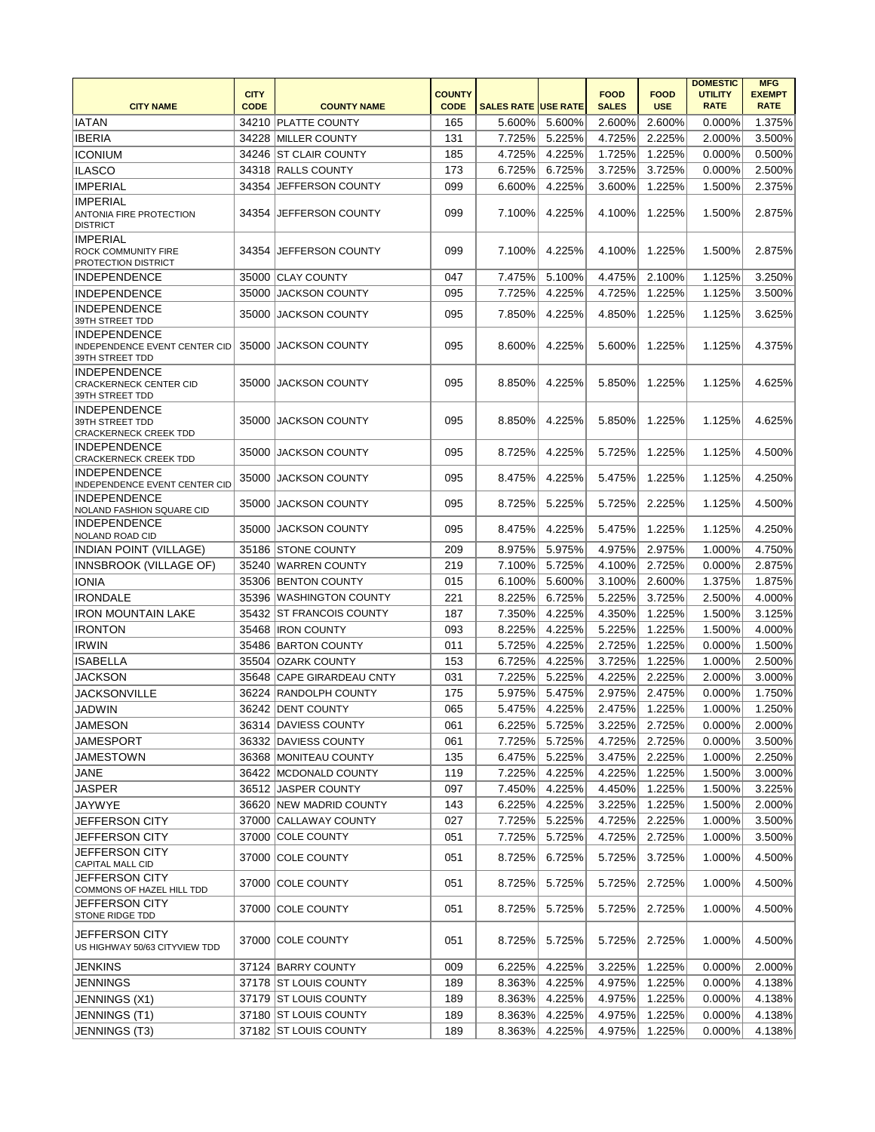|                                                                         |                            |                           |                              |                            |        |                             |                           | <b>DOMESTIC</b>               | <b>MFG</b>                   |
|-------------------------------------------------------------------------|----------------------------|---------------------------|------------------------------|----------------------------|--------|-----------------------------|---------------------------|-------------------------------|------------------------------|
| <b>CITY NAME</b>                                                        | <b>CITY</b><br><b>CODE</b> | <b>COUNTY NAME</b>        | <b>COUNTY</b><br><b>CODE</b> | <b>SALES RATE USE RATE</b> |        | <b>FOOD</b><br><b>SALES</b> | <b>FOOD</b><br><b>USE</b> | <b>UTILITY</b><br><b>RATE</b> | <b>EXEMPT</b><br><b>RATE</b> |
|                                                                         |                            |                           |                              |                            |        |                             |                           |                               |                              |
| <b>IATAN</b>                                                            |                            | 34210 PLATTE COUNTY       | 165                          | 5.600%                     | 5.600% | 2.600%                      | 2.600%                    | 0.000%                        | 1.375%                       |
| <b>IBERIA</b>                                                           |                            | 34228 MILLER COUNTY       | 131                          | 7.725%                     | 5.225% | 4.725%                      | 2.225%                    | 2.000%                        | 3.500%                       |
| <b>ICONIUM</b>                                                          |                            | 34246 ST CLAIR COUNTY     | 185                          | 4.725%                     | 4.225% | 1.725%                      | 1.225%                    | 0.000%                        | 0.500%                       |
| <b>ILASCO</b>                                                           |                            | 34318 RALLS COUNTY        | 173                          | 6.725%                     | 6.725% | 3.725%                      | 3.725%                    | 0.000%                        | 2.500%                       |
| <b>IMPERIAL</b>                                                         | 34354                      | <b>JEFFERSON COUNTY</b>   | 099                          | 6.600%                     | 4.225% | 3.600%                      | 1.225%                    | 1.500%                        | 2.375%                       |
| <b>IMPERIAL</b><br>ANTONIA FIRE PROTECTION<br><b>DISTRICT</b>           | 34354                      | <b>JEFFERSON COUNTY</b>   | 099                          | 7.100%                     | 4.225% | 4.100%                      | 1.225%                    | 1.500%                        | 2.875%                       |
| <b>IMPERIAL</b><br><b>ROCK COMMUNITY FIRE</b><br>PROTECTION DISTRICT    | 34354                      | <b>JEFFERSON COUNTY</b>   | 099                          | 7.100%                     | 4.225% | 4.100%                      | 1.225%                    | 1.500%                        | 2.875%                       |
| <b>INDEPENDENCE</b>                                                     |                            | 35000 CLAY COUNTY         | 047                          | 7.475%                     | 5.100% | 4.475%                      | 2.100%                    | 1.125%                        | 3.250%                       |
| <b>INDEPENDENCE</b>                                                     |                            | 35000 JACKSON COUNTY      | 095                          | 7.725%                     | 4.225% | 4.725%                      | 1.225%                    | 1.125%                        | 3.500%                       |
| INDEPENDENCE<br>39TH STREET TDD                                         | 35000                      | <b>JACKSON COUNTY</b>     | 095                          | 7.850%                     | 4.225% | 4.850%                      | 1.225%                    | 1.125%                        | 3.625%                       |
| <b>INDEPENDENCE</b><br>INDEPENDENCE EVENT CENTER CID<br>39TH STREET TDD |                            | 35000 JACKSON COUNTY      | 095                          | 8.600%                     | 4.225% | 5.600%                      | 1.225%                    | 1.125%                        | 4.375%                       |
| <b>INDEPENDENCE</b><br><b>CRACKERNECK CENTER CID</b><br>39TH STREET TDD |                            | 35000 JACKSON COUNTY      | 095                          | 8.850%                     | 4.225% | 5.850%                      | 1.225%                    | 1.125%                        | 4.625%                       |
| <b>INDEPENDENCE</b><br>39TH STREET TDD<br><b>CRACKERNECK CREEK TDD</b>  |                            | 35000 JACKSON COUNTY      | 095                          | 8.850%                     | 4.225% | 5.850%                      | 1.225%                    | 1.125%                        | 4.625%                       |
| <b>INDEPENDENCE</b><br><b>CRACKERNECK CREEK TDD</b>                     | 35000                      | <b>JACKSON COUNTY</b>     | 095                          | 8.725%                     | 4.225% | 5.725%                      | 1.225%                    | 1.125%                        | 4.500%                       |
| <b>INDEPENDENCE</b><br><b>INDEPENDENCE EVENT CENTER CID</b>             | 35000                      | <b>JACKSON COUNTY</b>     | 095                          | 8.475%                     | 4.225% | 5.475%                      | 1.225%                    | 1.125%                        | 4.250%                       |
| <b>INDEPENDENCE</b><br>NOLAND FASHION SQUARE CID                        | 35000                      | <b>JACKSON COUNTY</b>     | 095                          | 8.725%                     | 5.225% | 5.725%                      | 2.225%                    | 1.125%                        | 4.500%                       |
| <b>INDEPENDENCE</b><br>NOLAND ROAD CID                                  | 35000                      | <b>JACKSON COUNTY</b>     | 095                          | 8.475%                     | 4.225% | 5.475%                      | 1.225%                    | 1.125%                        | 4.250%                       |
| <b>INDIAN POINT (VILLAGE)</b>                                           |                            | 35186 STONE COUNTY        | 209                          | 8.975%                     | 5.975% | 4.975%                      | 2.975%                    | 1.000%                        | 4.750%                       |
| INNSBROOK (VILLAGE OF)                                                  |                            | 35240 WARREN COUNTY       | 219                          | 7.100%                     | 5.725% | 4.100%                      | 2.725%                    | 0.000%                        | 2.875%                       |
| <b>IONIA</b>                                                            |                            | 35306 BENTON COUNTY       | 015                          | 6.100%                     | 5.600% | 3.100%                      | 2.600%                    | 1.375%                        | 1.875%                       |
| <b>IRONDALE</b>                                                         |                            | 35396 WASHINGTON COUNTY   | 221                          | 8.225%                     | 6.725% | 5.225%                      | 3.725%                    | 2.500%                        | 4.000%                       |
| <b>IRON MOUNTAIN LAKE</b>                                               |                            | 35432 ST FRANCOIS COUNTY  | 187                          | 7.350%                     | 4.225% | 4.350%                      | 1.225%                    | 1.500%                        | 3.125%                       |
| <b>IRONTON</b>                                                          |                            | 35468   IRON COUNTY       | 093                          | 8.225%                     | 4.225% | 5.225%                      | 1.225%                    | 1.500%                        | 4.000%                       |
| <b>IRWIN</b>                                                            |                            | 35486 BARTON COUNTY       | 011                          | 5.725%                     | 4.225% | 2.725%                      | 1.225%                    | 0.000%                        | 1.500%                       |
| <b>ISABELLA</b>                                                         | 35504                      | <b>OZARK COUNTY</b>       | 153                          | 6.725%                     | 4.225% | 3.725%                      | 1.225%                    | 1.000%                        | 2.500%                       |
| JACKSON                                                                 |                            | 35648 CAPE GIRARDEAU CNTY | 031                          | 7.225%                     | 5.225% | 4.225%                      | 2.225%                    | 2.000%                        | 3.000%                       |
| <b>JACKSONVILLE</b>                                                     |                            | 36224 RANDOLPH COUNTY     | 175                          | 5.975%                     | 5.475% | 2.975%                      | 2.475%                    | 0.000%                        | 1.750%                       |
| <b>JADWIN</b>                                                           |                            | 36242 DENT COUNTY         | 065                          | 5.475%                     | 4.225% | 2.475%                      | 1.225%                    | 1.000%                        | 1.250%                       |
| JAMESON                                                                 |                            | 36314 DAVIESS COUNTY      | 061                          | 6.225%                     | 5.725% | 3.225%                      | 2.725%                    | 0.000%                        | 2.000%                       |
| JAMESPORT                                                               |                            | 36332 DAVIESS COUNTY      | 061                          | 7.725%                     | 5.725% | 4.725%                      | 2.725%                    | 0.000%                        | 3.500%                       |
| <b>JAMESTOWN</b>                                                        |                            | 36368 MONITEAU COUNTY     | 135                          | 6.475%                     | 5.225% | 3.475%                      | 2.225%                    | 1.000%                        | 2.250%                       |
| <b>JANE</b>                                                             |                            | 36422 MCDONALD COUNTY     | 119                          | 7.225%                     | 4.225% | 4.225%                      | 1.225%                    | 1.500%                        | 3.000%                       |
|                                                                         |                            |                           | 097                          |                            |        |                             |                           |                               |                              |
| <b>JASPER</b>                                                           |                            | 36512 JASPER COUNTY       |                              | 7.450%                     | 4.225% | 4.450%                      | 1.225%                    | 1.500%                        | 3.225%                       |
| JAYWYE                                                                  |                            | 36620 NEW MADRID COUNTY   | 143                          | 6.225%                     | 4.225% | 3.225%                      | 1.225%                    | 1.500%                        | 2.000%                       |
| JEFFERSON CITY                                                          |                            | 37000 CALLAWAY COUNTY     | 027                          | 7.725%                     | 5.225% | 4.725%                      | 2.225%                    | 1.000%                        | 3.500%                       |
| JEFFERSON CITY<br><b>JEFFERSON CITY</b>                                 |                            | 37000 COLE COUNTY         | 051                          | 7.725%                     | 5.725% | 4.725%                      | 2.725%                    | 1.000%                        | 3.500%                       |
| CAPITAL MALL CID<br><b>JEFFERSON CITY</b>                               |                            | 37000 COLE COUNTY         | 051                          | 8.725%                     | 6.725% | 5.725%                      | 3.725%                    | 1.000%                        | 4.500%                       |
| COMMONS OF HAZEL HILL TDD<br>JEFFERSON CITY                             |                            | 37000 COLE COUNTY         | 051                          | 8.725%                     | 5.725% | 5.725%                      | 2.725%                    | 1.000%                        | 4.500%                       |
| <b>STONE RIDGE TDD</b>                                                  |                            | 37000 COLE COUNTY         | 051                          | 8.725%                     | 5.725% | 5.725%                      | 2.725%                    | 1.000%                        | 4.500%                       |
| JEFFERSON CITY<br>US HIGHWAY 50/63 CITYVIEW TDD                         |                            | 37000 COLE COUNTY         | 051                          | 8.725%                     | 5.725% | 5.725%                      | 2.725%                    | 1.000%                        | 4.500%                       |
| <b>JENKINS</b>                                                          |                            | 37124 BARRY COUNTY        | 009                          | 6.225%                     | 4.225% | 3.225%                      | 1.225%                    | 0.000%                        | 2.000%                       |
| <b>JENNINGS</b>                                                         |                            | 37178 ST LOUIS COUNTY     | 189                          | 8.363%                     | 4.225% | 4.975%                      | 1.225%                    | 0.000%                        | 4.138%                       |
| JENNINGS (X1)                                                           |                            | 37179 ST LOUIS COUNTY     | 189                          | 8.363%                     | 4.225% | 4.975%                      | 1.225%                    | 0.000%                        | 4.138%                       |
| JENNINGS (T1)                                                           |                            | 37180 ST LOUIS COUNTY     | 189                          | 8.363%                     | 4.225% | 4.975%                      | 1.225%                    | 0.000%                        | 4.138%                       |
| JENNINGS (T3)                                                           |                            | 37182 ST LOUIS COUNTY     | 189                          | 8.363%                     | 4.225% | 4.975%                      | 1.225%                    | 0.000%                        | 4.138%                       |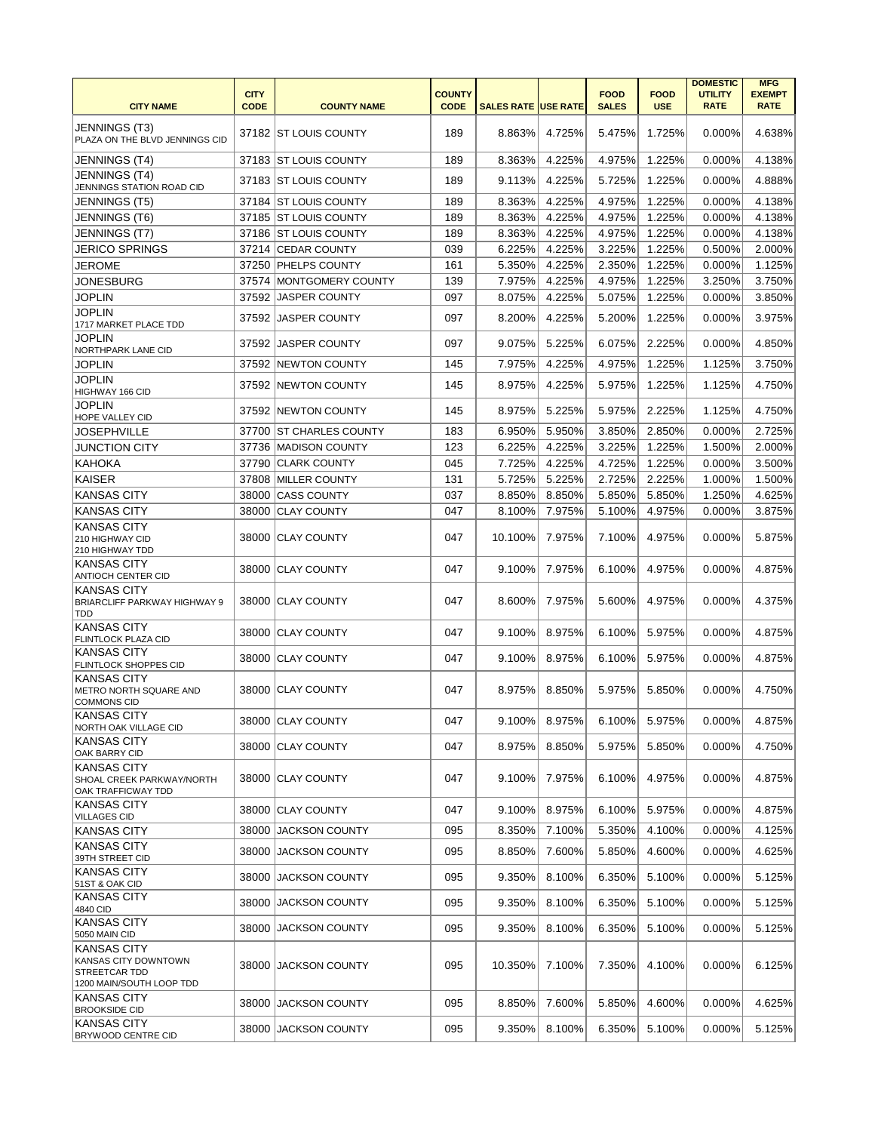|                                                                                                |                            |                          |                              |                            |               |                             |                           | <b>DOMESTIC</b>               | <b>MFG</b>                   |
|------------------------------------------------------------------------------------------------|----------------------------|--------------------------|------------------------------|----------------------------|---------------|-----------------------------|---------------------------|-------------------------------|------------------------------|
| <b>CITY NAME</b>                                                                               | <b>CITY</b><br><b>CODE</b> | <b>COUNTY NAME</b>       | <b>COUNTY</b><br><b>CODE</b> | <b>SALES RATE USE RATE</b> |               | <b>FOOD</b><br><b>SALES</b> | <b>FOOD</b><br><b>USE</b> | <b>UTILITY</b><br><b>RATE</b> | <b>EXEMPT</b><br><b>RATE</b> |
| JENNINGS (T3)<br>PLAZA ON THE BLVD JENNINGS CID                                                |                            | 37182 ST LOUIS COUNTY    | 189                          | 8.863%                     | 4.725%        | 5.475%                      | 1.725%                    | 0.000%                        | 4.638%                       |
| JENNINGS (T4)                                                                                  |                            | 37183 ST LOUIS COUNTY    | 189                          | 8.363%                     | 4.225%        | 4.975%                      | 1.225%                    | 0.000%                        | 4.138%                       |
| JENNINGS (T4)<br>JENNINGS STATION ROAD CID                                                     |                            | 37183 ST LOUIS COUNTY    | 189                          | 9.113%                     | 4.225%        | 5.725%                      | 1.225%                    | 0.000%                        | 4.888%                       |
| JENNINGS (T5)                                                                                  |                            | 37184 ST LOUIS COUNTY    | 189                          | 8.363%                     | 4.225%        | 4.975%                      | 1.225%                    | 0.000%                        | 4.138%                       |
| JENNINGS (T6)                                                                                  |                            | 37185 ST LOUIS COUNTY    | 189                          | 8.363%                     | 4.225%        | 4.975%                      | 1.225%                    | 0.000%                        | 4.138%                       |
| JENNINGS (T7)                                                                                  |                            | 37186 ST LOUIS COUNTY    | 189                          | 8.363%                     | 4.225%        | 4.975%                      | 1.225%                    | 0.000%                        | 4.138%                       |
| <b>JERICO SPRINGS</b>                                                                          |                            | 37214 CEDAR COUNTY       | 039                          | 6.225%                     | 4.225%        | 3.225%                      | 1.225%                    | 0.500%                        | 2.000%                       |
| JEROME                                                                                         |                            | 37250 PHELPS COUNTY      | 161                          | 5.350%                     | 4.225%        | 2.350%                      | 1.225%                    | 0.000%                        | 1.125%                       |
| JONESBURG                                                                                      |                            | 37574 MONTGOMERY COUNTY  | 139                          | 7.975%                     | 4.225%        | 4.975%                      | 1.225%                    | 3.250%                        | 3.750%                       |
| <b>JOPLIN</b>                                                                                  |                            | 37592 JASPER COUNTY      | 097                          | 8.075%                     | 4.225%        | 5.075%                      | 1.225%                    | 0.000%                        | 3.850%                       |
| <b>JOPLIN</b><br>1717 MARKET PLACE TDD                                                         | 37592                      | <b>JASPER COUNTY</b>     | 097                          | 8.200%                     | 4.225%        | 5.200%                      | 1.225%                    | 0.000%                        | 3.975%                       |
| JOPLIN<br>NORTHPARK LANE CID                                                                   |                            | 37592 JJASPER COUNTY     | 097                          | 9.075%                     | 5.225%        | 6.075%                      | 2.225%                    | 0.000%                        | 4.850%                       |
| <b>JOPLIN</b>                                                                                  |                            | 37592 NEWTON COUNTY      | 145                          | 7.975%                     | 4.225%        | 4.975%                      | 1.225%                    | 1.125%                        | 3.750%                       |
| <b>JOPLIN</b><br>HIGHWAY 166 CID                                                               |                            | 37592 NEWTON COUNTY      | 145                          | 8.975%                     | 4.225%        | 5.975%                      | 1.225%                    | 1.125%                        | 4.750%                       |
| <b>JOPLIN</b><br>HOPE VALLEY CID                                                               |                            | 37592 NEWTON COUNTY      | 145                          | 8.975%                     | 5.225%        | 5.975%                      | 2.225%                    | 1.125%                        | 4.750%                       |
| JOSEPHVILLE                                                                                    | 37700                      | <b>ST CHARLES COUNTY</b> | 183                          | 6.950%                     | 5.950%        | 3.850%                      | 2.850%                    | 0.000%                        | 2.725%                       |
| <b>JUNCTION CITY</b>                                                                           |                            | 37736 MADISON COUNTY     | 123                          | 6.225%                     | 4.225%        | 3.225%                      | 1.225%                    | 1.500%                        | 2.000%                       |
| <b>KAHOKA</b>                                                                                  |                            | 37790 CLARK COUNTY       | 045                          | 7.725%                     | 4.225%        | 4.725%                      | 1.225%                    | 0.000%                        | 3.500%                       |
| <b>KAISER</b>                                                                                  |                            | 37808 MILLER COUNTY      | 131                          | 5.725%                     | 5.225%        | 2.725%                      | 2.225%                    | 1.000%                        | 1.500%                       |
| <b>KANSAS CITY</b>                                                                             |                            | 38000 CASS COUNTY        | 037                          | 8.850%                     | 8.850%        | 5.850%                      | 5.850%                    | 1.250%                        | 4.625%                       |
| <b>KANSAS CITY</b>                                                                             |                            | 38000 CLAY COUNTY        | 047                          | 8.100%                     | 7.975%        | 5.100%                      | 4.975%                    | 0.000%                        | 3.875%                       |
| <b>KANSAS CITY</b><br>210 HIGHWAY CID<br>210 HIGHWAY TDD                                       |                            | 38000 CLAY COUNTY        | 047                          | 10.100%                    | 7.975%        | 7.100%                      | 4.975%                    | 0.000%                        | 5.875%                       |
| KANSAS CITY<br>ANTIOCH CENTER CID                                                              |                            | 38000 CLAY COUNTY        | 047                          | 9.100%                     | 7.975%        | 6.100%                      | 4.975%                    | 0.000%                        | 4.875%                       |
| <b>KANSAS CITY</b><br>BRIARCLIFF PARKWAY HIGHWAY 9<br>TDD                                      |                            | 38000 CLAY COUNTY        | 047                          | 8.600%                     | 7.975%        | 5.600%                      | 4.975%                    | 0.000%                        | 4.375%                       |
| <b>KANSAS CITY</b><br>FLINTLOCK PLAZA CID                                                      |                            | 38000 CLAY COUNTY        | 047                          | 9.100%                     | 8.975%        | 6.100%                      | 5.975%                    | 0.000%                        | 4.875%                       |
| <b>KANSAS CITY</b><br>FLINTLOCK SHOPPES CID                                                    |                            | 38000 CLAY COUNTY        | 047                          | 9.100%                     | 8.975%        | 6.100%                      | 5.975%                    | 0.000%                        | 4.875%                       |
| <b>KANSAS CITY</b><br>METRO NORTH SQUARE AND<br><b>COMMONS CID</b>                             |                            | 38000 CLAY COUNTY        | 047                          | 8.975%                     | 8.850%        | 5.975%                      | 5.850%                    | 0.000%                        | 4.750%                       |
| KANSAS CITY<br><b>NORTH OAK VILLAGE CID</b>                                                    |                            | 38000  CLAY COUNTY       | 047                          |                            | 9.100% 8.975% | 6.100%                      | 5.975%                    | 0.000%                        | 4.875%                       |
| <b>KANSAS CITY</b><br>OAK BARRY CID                                                            |                            | 38000 CLAY COUNTY        | 047                          | 8.975%                     | 8.850%        | 5.975%                      | 5.850%                    | 0.000%                        | 4.750%                       |
| <b>KANSAS CITY</b><br>SHOAL CREEK PARKWAY/NORTH<br>OAK TRAFFICWAY TDD                          |                            | 38000 CLAY COUNTY        | 047                          | 9.100%                     | 7.975%        | 6.100%                      | 4.975%                    | 0.000%                        | 4.875%                       |
| <b>KANSAS CITY</b><br><b>VILLAGES CID</b>                                                      |                            | 38000 CLAY COUNTY        | 047                          | 9.100%                     | 8.975%        | 6.100%                      | 5.975%                    | 0.000%                        | 4.875%                       |
| <b>KANSAS CITY</b>                                                                             |                            | 38000 JACKSON COUNTY     | 095                          | 8.350%                     | 7.100%        | 5.350%                      | 4.100%                    | 0.000%                        | 4.125%                       |
| <b>KANSAS CITY</b><br>39TH STREET CID                                                          | 38000                      | <b>JACKSON COUNTY</b>    | 095                          | 8.850%                     | 7.600%        | 5.850%                      | 4.600%                    | 0.000%                        | 4.625%                       |
| <b>KANSAS CITY</b><br>51ST & OAK CID                                                           |                            | 38000 JACKSON COUNTY     | 095                          | 9.350%                     | 8.100%        | 6.350%                      | 5.100%                    | 0.000%                        | 5.125%                       |
| <b>KANSAS CITY</b><br>4840 CID                                                                 | 38000                      | <b>JACKSON COUNTY</b>    | 095                          | 9.350%                     | 8.100%        | 6.350%                      | 5.100%                    | 0.000%                        | 5.125%                       |
| <b>KANSAS CITY</b><br>5050 MAIN CID                                                            |                            | 38000 JACKSON COUNTY     | 095                          | 9.350%                     | 8.100%        | 6.350%                      | 5.100%                    | 0.000%                        | 5.125%                       |
| <b>KANSAS CITY</b><br>KANSAS CITY DOWNTOWN<br><b>STREETCAR TDD</b><br>1200 MAIN/SOUTH LOOP TDD |                            | 38000 JACKSON COUNTY     | 095                          | 10.350%                    | 7.100%        | 7.350%                      | 4.100%                    | $0.000\%$                     | 6.125%                       |
| <b>KANSAS CITY</b><br><b>BROOKSIDE CID</b>                                                     |                            | 38000 JACKSON COUNTY     | 095                          | 8.850%                     | 7.600%        | 5.850%                      | 4.600%                    | 0.000%                        | 4.625%                       |
| <b>KANSAS CITY</b><br>BRYWOOD CENTRE CID                                                       |                            | 38000 JACKSON COUNTY     | 095                          | 9.350%                     | 8.100%        | 6.350%                      | 5.100%                    | 0.000%                        | 5.125%                       |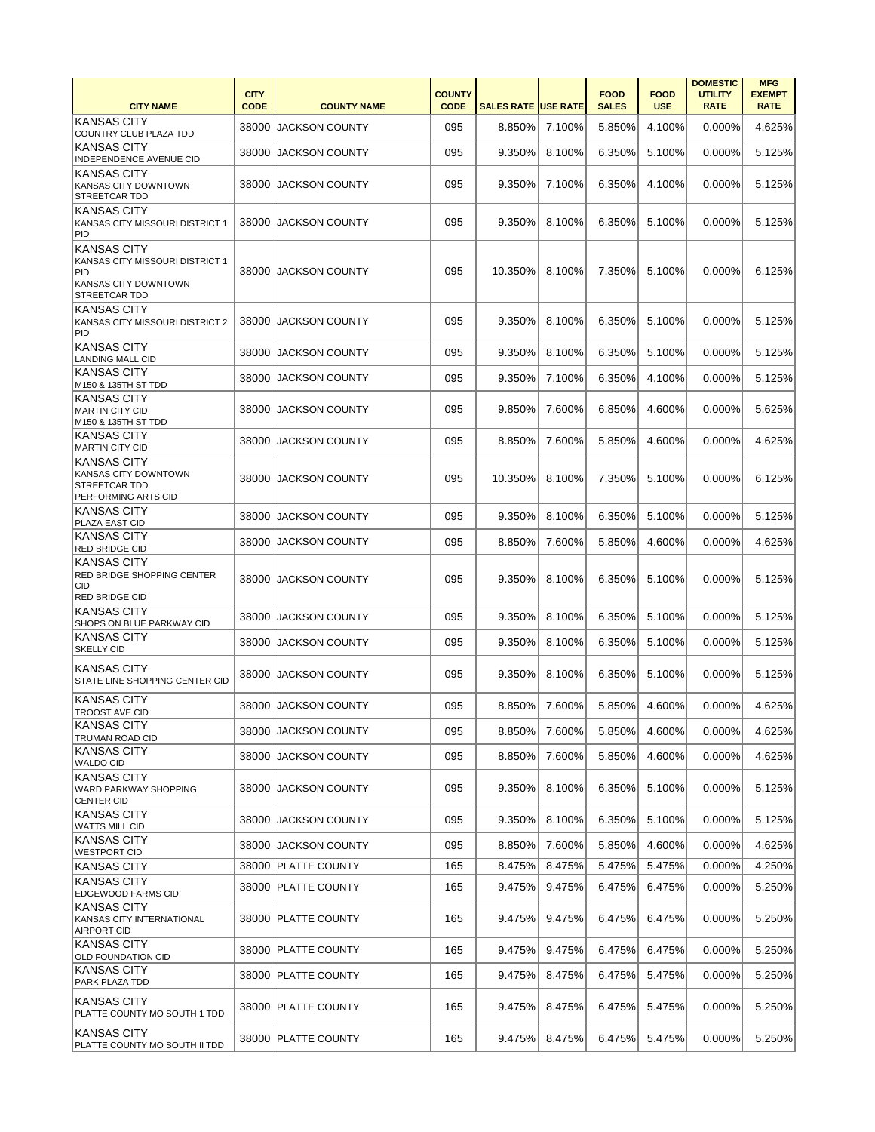| <b>CITY NAME</b>                                                                                             | <b>CITY</b><br><b>CODE</b> | <b>COUNTY NAME</b>    | <b>COUNTY</b><br><b>CODE</b> | <b>SALES RATE USE RATE</b> |        | <b>FOOD</b><br><b>SALES</b> | <b>FOOD</b><br><b>USE</b> | <b>DOMESTIC</b><br><b>UTILITY</b><br><b>RATE</b> | <b>MFG</b><br><b>EXEMPT</b><br><b>RATE</b> |
|--------------------------------------------------------------------------------------------------------------|----------------------------|-----------------------|------------------------------|----------------------------|--------|-----------------------------|---------------------------|--------------------------------------------------|--------------------------------------------|
| <b>KANSAS CITY</b><br>COUNTRY CLUB PLAZA TDD                                                                 | 38000                      | <b>JACKSON COUNTY</b> | 095                          | 8.850%                     | 7.100% | 5.850%                      | 4.100%                    | 0.000%                                           | 4.625%                                     |
| <b>KANSAS CITY</b><br>INDEPENDENCE AVENUE CID                                                                | 38000                      | <b>JACKSON COUNTY</b> | 095                          | 9.350%                     | 8.100% | 6.350%                      | 5.100%                    | 0.000%                                           | 5.125%                                     |
| <b>KANSAS CITY</b><br>KANSAS CITY DOWNTOWN<br>STREETCAR TDD                                                  |                            | 38000 JACKSON COUNTY  | 095                          | 9.350%                     | 7.100% | 6.350%                      | 4.100%                    | 0.000%                                           | 5.125%                                     |
| <b>KANSAS CITY</b><br>KANSAS CITY MISSOURI DISTRICT 1<br>PID                                                 | 38000                      | IJACKSON COUNTY       | 095                          | 9.350%                     | 8.100% | 6.350%                      | 5.100%                    | 0.000%                                           | 5.125%                                     |
| <b>KANSAS CITY</b><br>KANSAS CITY MISSOURI DISTRICT 1<br>PID<br>KANSAS CITY DOWNTOWN<br><b>STREETCAR TDD</b> |                            | 38000 JACKSON COUNTY  | 095                          | 10.350%                    | 8.100% | 7.350%                      | 5.100%                    | 0.000%                                           | 6.125%                                     |
| <b>KANSAS CITY</b><br>KANSAS CITY MISSOURI DISTRICT 2<br>PID                                                 | 38000                      | <b>JACKSON COUNTY</b> | 095                          | 9.350%                     | 8.100% | 6.350%                      | 5.100%                    | 0.000%                                           | 5.125%                                     |
| <b>KANSAS CITY</b><br><b>LANDING MALL CID</b>                                                                | 38000                      | <b>JACKSON COUNTY</b> | 095                          | 9.350%                     | 8.100% | 6.350%                      | 5.100%                    | 0.000%                                           | 5.125%                                     |
| <b>KANSAS CITY</b><br>M150 & 135TH ST TDD                                                                    | 38000                      | JACKSON COUNTY        | 095                          | 9.350%                     | 7.100% | 6.350%                      | 4.100%                    | 0.000%                                           | 5.125%                                     |
| <b>KANSAS CITY</b><br><b>MARTIN CITY CID</b><br>M150 & 135TH ST TDD                                          |                            | 38000 JACKSON COUNTY  | 095                          | 9.850%                     | 7.600% | 6.850%                      | 4.600%                    | 0.000%                                           | 5.625%                                     |
| <b>KANSAS CITY</b><br><b>MARTIN CITY CID</b>                                                                 | 38000                      | <b>JACKSON COUNTY</b> | 095                          | 8.850%                     | 7.600% | 5.850%                      | 4.600%                    | 0.000%                                           | 4.625%                                     |
| <b>KANSAS CITY</b><br>KANSAS CITY DOWNTOWN<br><b>STREETCAR TDD</b><br><b>PERFORMING ARTS CID</b>             | 38000                      | <b>JACKSON COUNTY</b> | 095                          | 10.350%                    | 8.100% | 7.350%                      | 5.100%                    | 0.000%                                           | 6.125%                                     |
| <b>KANSAS CITY</b><br><b>PLAZA EAST CID</b>                                                                  | 38000                      | <b>JACKSON COUNTY</b> | 095                          | 9.350%                     | 8.100% | 6.350%                      | 5.100%                    | 0.000%                                           | 5.125%                                     |
| <b>KANSAS CITY</b><br><b>RED BRIDGE CID</b>                                                                  | 38000                      | <b>JACKSON COUNTY</b> | 095                          | 8.850%                     | 7.600% | 5.850%                      | 4.600%                    | 0.000%                                           | 4.625%                                     |
| <b>KANSAS CITY</b><br>RED BRIDGE SHOPPING CENTER<br>CID<br><b>RED BRIDGE CID</b>                             | 38000                      | <b>JACKSON COUNTY</b> | 095                          | 9.350%                     | 8.100% | 6.350%                      | 5.100%                    | $0.000\%$                                        | 5.125%                                     |
| KANSAS CITY<br>SHOPS ON BLUE PARKWAY CID                                                                     | 38000                      | <b>JACKSON COUNTY</b> | 095                          | 9.350%                     | 8.100% | 6.350%                      | 5.100%                    | 0.000%                                           | 5.125%                                     |
| <b>KANSAS CITY</b><br><b>SKELLY CID</b>                                                                      | 38000                      | <b>JACKSON COUNTY</b> | 095                          | 9.350%                     | 8.100% | 6.350%                      | 5.100%                    | $0.000\%$                                        | 5.125%                                     |
| <b>KANSAS CITY</b><br>STATE LINE SHOPPING CENTER CID                                                         |                            | 38000 JACKSON COUNTY  | 095                          | 9.350%                     | 8.100% | 6.350%                      | 5.100%                    | 0.000%                                           | 5.125%                                     |
| <b>KANSAS CITY</b><br><b>TROOST AVE CID</b>                                                                  |                            | 38000 JACKSON COUNTY  | 095                          | 8.850%                     | 7.600% | 5.850%                      | 4.600%                    | 0.000%                                           | 4.625%                                     |
| <b>KANSAS CITY</b><br>TRUMAN ROAD CID                                                                        |                            | 38000 JACKSON COUNTY  | 095                          | 8.850%                     | 7.600% | 5.850%                      | 4.600%                    | 0.000%                                           | 4.625%                                     |
| <b>KANSAS CITY</b><br><b>WALDO CID</b>                                                                       |                            | 38000 JACKSON COUNTY  | 095                          | 8.850%                     | 7.600% | 5.850%                      | 4.600%                    | 0.000%                                           | 4.625%                                     |
| <b>KANSAS CITY</b><br><b>WARD PARKWAY SHOPPING</b><br><b>CENTER CID</b>                                      |                            | 38000 JACKSON COUNTY  | 095                          | 9.350%                     | 8.100% | 6.350%                      | 5.100%                    | 0.000%                                           | 5.125%                                     |
| <b>KANSAS CITY</b><br><b>WATTS MILL CID</b>                                                                  |                            | 38000 JACKSON COUNTY  | 095                          | 9.350%                     | 8.100% | 6.350%                      | 5.100%                    | 0.000%                                           | 5.125%                                     |
| <b>KANSAS CITY</b><br><b>WESTPORT CID</b>                                                                    |                            | 38000 JACKSON COUNTY  | 095                          | 8.850%                     | 7.600% | 5.850%                      | 4.600%                    | 0.000%                                           | 4.625%                                     |
| <b>KANSAS CITY</b>                                                                                           |                            | 38000 PLATTE COUNTY   | 165                          | 8.475%                     | 8.475% | 5.475%                      | 5.475%                    | 0.000%                                           | 4.250%                                     |
| <b>KANSAS CITY</b><br>EDGEWOOD FARMS CID                                                                     |                            | 38000 PLATTE COUNTY   | 165                          | 9.475%                     | 9.475% | 6.475%                      | 6.475%                    | 0.000%                                           | 5.250%                                     |
| <b>KANSAS CITY</b><br>KANSAS CITY INTERNATIONAL<br><b>AIRPORT CID</b>                                        |                            | 38000 PLATTE COUNTY   | 165                          | 9.475%                     | 9.475% | 6.475%                      | 6.475%                    | 0.000%                                           | 5.250%                                     |
| <b>KANSAS CITY</b><br>OLD FOUNDATION CID                                                                     |                            | 38000 PLATTE COUNTY   | 165                          | 9.475%                     | 9.475% | 6.475%                      | 6.475%                    | 0.000%                                           | 5.250%                                     |
| <b>KANSAS CITY</b><br>PARK PLAZA TDD                                                                         |                            | 38000 PLATTE COUNTY   | 165                          | 9.475%                     | 8.475% | 6.475%                      | 5.475%                    | 0.000%                                           | 5.250%                                     |
| <b>KANSAS CITY</b><br>PLATTE COUNTY MO SOUTH 1 TDD                                                           |                            | 38000 PLATTE COUNTY   | 165                          | 9.475%                     | 8.475% | 6.475%                      | 5.475%                    | 0.000%                                           | 5.250%                                     |
| <b>KANSAS CITY</b><br>PLATTE COUNTY MO SOUTH II TDD                                                          |                            | 38000 PLATTE COUNTY   | 165                          | 9.475%                     | 8.475% | 6.475%                      | 5.475%                    | 0.000%                                           | 5.250%                                     |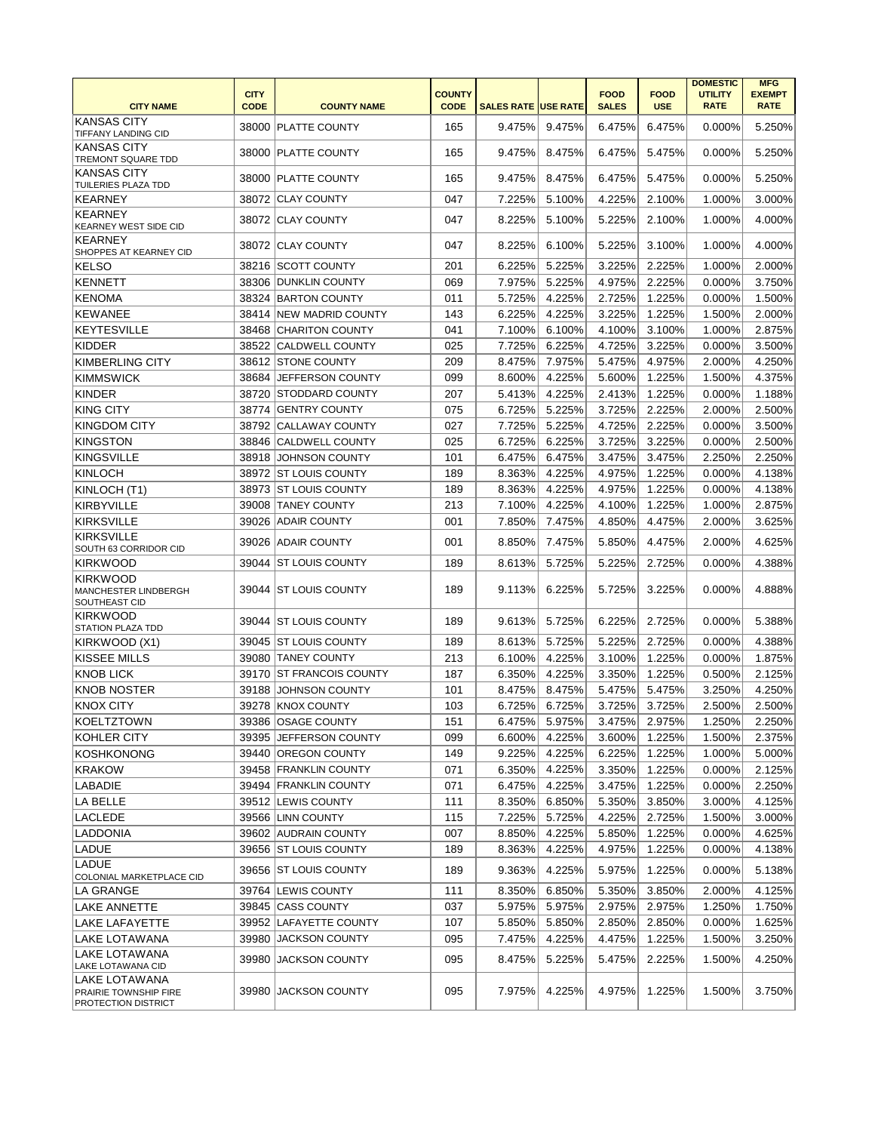| <b>CITY NAME</b>                                                | <b>CITY</b><br><b>CODE</b> | <b>COUNTY NAME</b>       | <b>COUNTY</b><br><b>CODE</b> | <b>SALES RATE USE RATE</b> |        | <b>FOOD</b><br><b>SALES</b> | <b>FOOD</b><br><b>USE</b> | <b>DOMESTIC</b><br><b>UTILITY</b><br><b>RATE</b> | <b>MFG</b><br><b>EXEMPT</b><br><b>RATE</b> |
|-----------------------------------------------------------------|----------------------------|--------------------------|------------------------------|----------------------------|--------|-----------------------------|---------------------------|--------------------------------------------------|--------------------------------------------|
| <b>KANSAS CITY</b><br>TIFFANY LANDING CID                       |                            | 38000 PLATTE COUNTY      | 165                          | 9.475%                     | 9.475% | 6.475%                      | 6.475%                    | 0.000%                                           | 5.250%                                     |
| <b>KANSAS CITY</b><br>TREMONT SQUARE TDD                        |                            | 38000 PLATTE COUNTY      | 165                          | 9.475%                     | 8.475% | 6.475%                      | 5.475%                    | 0.000%                                           | 5.250%                                     |
| <b>KANSAS CITY</b><br>TUILERIES PLAZA TDD                       |                            | 38000 PLATTE COUNTY      | 165                          | 9.475%                     | 8.475% | 6.475%                      | 5.475%                    | 0.000%                                           | 5.250%                                     |
| <b>KEARNEY</b>                                                  |                            | 38072 CLAY COUNTY        | 047                          | 7.225%                     | 5.100% | 4.225%                      | 2.100%                    | 1.000%                                           | 3.000%                                     |
| <b>KEARNEY</b><br><b>KEARNEY WEST SIDE CID</b>                  |                            | 38072 CLAY COUNTY        | 047                          | 8.225%                     | 5.100% | 5.225%                      | 2.100%                    | 1.000%                                           | 4.000%                                     |
| <b>KEARNEY</b><br>SHOPPES AT KEARNEY CID                        |                            | 38072 CLAY COUNTY        | 047                          | 8.225%                     | 6.100% | 5.225%                      | 3.100%                    | 1.000%                                           | 4.000%                                     |
| <b>KELSO</b>                                                    |                            | 38216 SCOTT COUNTY       | 201                          | 6.225%                     | 5.225% | 3.225%                      | 2.225%                    | 1.000%                                           | 2.000%                                     |
| <b>KENNETT</b>                                                  |                            | 38306 DUNKLIN COUNTY     | 069                          | 7.975%                     | 5.225% | 4.975%                      | 2.225%                    | 0.000%                                           | 3.750%                                     |
| <b>KENOMA</b>                                                   |                            | 38324 BARTON COUNTY      | 011                          | 5.725%                     | 4.225% | 2.725%                      | 1.225%                    | 0.000%                                           | 1.500%                                     |
| <b>KEWANEE</b>                                                  |                            | 38414 NEW MADRID COUNTY  | 143                          | 6.225%                     | 4.225% | 3.225%                      | 1.225%                    | 1.500%                                           | 2.000%                                     |
| <b>KEYTESVILLE</b>                                              | 38468                      | <b>CHARITON COUNTY</b>   | 041                          | 7.100%                     | 6.100% | 4.100%                      | 3.100%                    | 1.000%                                           | 2.875%                                     |
| <b>KIDDER</b>                                                   | 38522                      | <b>CALDWELL COUNTY</b>   | 025                          | 7.725%                     | 6.225% | 4.725%                      | 3.225%                    | 0.000%                                           | 3.500%                                     |
| <b>KIMBERLING CITY</b>                                          |                            | 38612 STONE COUNTY       | 209                          | 8.475%                     | 7.975% | 5.475%                      | 4.975%                    |                                                  | 4.250%                                     |
|                                                                 |                            |                          |                              |                            |        |                             |                           | 2.000%                                           |                                            |
| <b>KIMMSWICK</b>                                                | 38684                      | JEFFERSON COUNTY         | 099                          | 8.600%                     | 4.225% | 5.600%                      | 1.225%                    | 1.500%                                           | 4.375%                                     |
| <b>KINDER</b>                                                   | 38720                      | <b>STODDARD COUNTY</b>   | 207                          | 5.413%                     | 4.225% | 2.413%                      | 1.225%                    | 0.000%                                           | 1.188%                                     |
| <b>KING CITY</b>                                                | 38774                      | <b>GENTRY COUNTY</b>     | 075                          | 6.725%                     | 5.225% | 3.725%                      | 2.225%                    | 2.000%                                           | 2.500%                                     |
| <b>KINGDOM CITY</b>                                             |                            | 38792 CALLAWAY COUNTY    | 027                          | 7.725%                     | 5.225% | 4.725%                      | 2.225%                    | 0.000%                                           | 3.500%                                     |
| <b>KINGSTON</b>                                                 | 38846                      | <b>CALDWELL COUNTY</b>   | 025                          | 6.725%                     | 6.225% | 3.725%                      | 3.225%                    | 0.000%                                           | 2.500%                                     |
| <b>KINGSVILLE</b>                                               | 38918                      | <b>JOHNSON COUNTY</b>    | 101                          | 6.475%                     | 6.475% | 3.475%                      | 3.475%                    | 2.250%                                           | 2.250%                                     |
| <b>KINLOCH</b>                                                  |                            | 38972 ST LOUIS COUNTY    | 189                          | 8.363%                     | 4.225% | 4.975%                      | 1.225%                    | 0.000%                                           | 4.138%                                     |
| KINLOCH (T1)                                                    |                            | 38973 ST LOUIS COUNTY    | 189                          | 8.363%                     | 4.225% | 4.975%                      | 1.225%                    | 0.000%                                           | 4.138%                                     |
| <b>KIRBYVILLE</b>                                               | 39008                      | <b>TANEY COUNTY</b>      | 213                          | 7.100%                     | 4.225% | 4.100%                      | 1.225%                    | 1.000%                                           | 2.875%                                     |
| <b>KIRKSVILLE</b>                                               | 39026                      | <b>ADAIR COUNTY</b>      | 001                          | 7.850%                     | 7.475% | 4.850%                      | 4.475%                    | 2.000%                                           | 3.625%                                     |
| <b>KIRKSVILLE</b>                                               |                            |                          |                              |                            |        |                             |                           |                                                  |                                            |
| SOUTH 63 CORRIDOR CID                                           | 39026                      | <b>ADAIR COUNTY</b>      | 001                          | 8.850%                     | 7.475% | 5.850%                      | 4.475%                    | 2.000%                                           | 4.625%                                     |
| <b>KIRKWOOD</b>                                                 |                            | 39044 ST LOUIS COUNTY    | 189                          | 8.613%                     | 5.725% | 5.225%                      | 2.725%                    | 0.000%                                           | 4.388%                                     |
| <b>KIRKWOOD</b><br><b>MANCHESTER LINDBERGH</b><br>SOUTHEAST CID |                            | 39044 ST LOUIS COUNTY    | 189                          | 9.113%                     | 6.225% | 5.725%                      | 3.225%                    | $0.000\%$                                        | 4.888%                                     |
| KIRKWOOD<br><b>STATION PLAZA TDD</b>                            |                            | 39044   ST LOUIS COUNTY  | 189                          | 9.613%                     | 5.725% | 6.225%                      | 2.725%                    | 0.000%                                           | 5.388%                                     |
| KIRKWOOD (X1)                                                   |                            | 39045 ST LOUIS COUNTY    | 189                          | 8.613%                     | 5.725% | 5.225%                      | 2.725%                    | 0.000%                                           | 4.388%                                     |
| KISSEE MILLS                                                    |                            | 39080 TANEY COUNTY       | 213                          | 6.100%                     | 4.225% | 3.100%                      | 1.225%                    | 0.000%                                           | 1.875%                                     |
| <b>KNOB LICK</b>                                                |                            | 39170 ST FRANCOIS COUNTY | 187                          | 6.350%                     | 4.225% | 3.350%                      | 1.225%                    | 0.500%                                           | 2.125%                                     |
| <b>KNOB NOSTER</b>                                              | 39188                      | <b>JOHNSON COUNTY</b>    | 101                          | 8.475%                     | 8.475% | 5.475%                      | 5.475%                    | 3.250%                                           | 4.250%                                     |
| <b>KNOX CITY</b>                                                |                            | 39278 KNOX COUNTY        | 103                          | 6.725%                     | 6.725% | 3.725%                      | 3.725%                    | 2.500%                                           | 2.500%                                     |
|                                                                 |                            |                          |                              |                            | 5.975% |                             |                           |                                                  | 2.250%                                     |
| KOELTZTOWN                                                      |                            | 39386 OSAGE COUNTY       | 151                          | 6.475%                     |        | 3.475%                      | 2.975%                    | 1.250%                                           | 2.375%                                     |
| KOHLER CITY                                                     |                            | 39395 JEFFERSON COUNTY   | 099                          | 6.600%                     | 4.225% | 3.600%                      | 1.225%                    | 1.500%                                           |                                            |
| <b>KOSHKONONG</b>                                               |                            | 39440 OREGON COUNTY      | 149                          | 9.225%                     | 4.225% | 6.225%                      | 1.225%                    | 1.000%                                           | 5.000%                                     |
| <b>KRAKOW</b>                                                   |                            | 39458 FRANKLIN COUNTY    | 071                          | 6.350%                     | 4.225% | 3.350%                      | 1.225%                    | 0.000%                                           | 2.125%                                     |
| LABADIE                                                         |                            | 39494 FRANKLIN COUNTY    | 071                          | 6.475%                     | 4.225% | 3.475%                      | 1.225%                    | 0.000%                                           | 2.250%                                     |
| LA BELLE                                                        |                            | 39512 LEWIS COUNTY       | 111                          | 8.350%                     | 6.850% | 5.350%                      | 3.850%                    | 3.000%                                           | 4.125%                                     |
| LACLEDE                                                         |                            | 39566 LINN COUNTY        | 115                          | 7.225%                     | 5.725% | 4.225%                      | 2.725%                    | 1.500%                                           | 3.000%                                     |
| <b>LADDONIA</b>                                                 |                            | 39602 AUDRAIN COUNTY     | 007                          | 8.850%                     | 4.225% | 5.850%                      | 1.225%                    | 0.000%                                           | 4.625%                                     |
| LADUE                                                           |                            | 39656 ST LOUIS COUNTY    | 189                          | 8.363%                     | 4.225% | 4.975%                      | 1.225%                    | 0.000%                                           | 4.138%                                     |
| LADUE<br><b>COLONIAL MARKETPLACE CID</b>                        |                            | 39656 ST LOUIS COUNTY    | 189                          | 9.363%                     | 4.225% | 5.975%                      | 1.225%                    | 0.000%                                           | 5.138%                                     |
| LA GRANGE                                                       |                            | 39764 LEWIS COUNTY       | 111                          | 8.350%                     | 6.850% | 5.350%                      | 3.850%                    | 2.000%                                           | 4.125%                                     |
| LAKE ANNETTE                                                    |                            | 39845 CASS COUNTY        | 037                          | 5.975%                     | 5.975% | 2.975%                      | 2.975%                    | 1.250%                                           | 1.750%                                     |
|                                                                 |                            |                          |                              |                            |        |                             |                           |                                                  |                                            |
| LAKE LAFAYETTE                                                  |                            | 39952 LAFAYETTE COUNTY   | 107                          | 5.850%                     | 5.850% | 2.850%                      | 2.850%                    | 0.000%                                           | 1.625%                                     |
| LAKE LOTAWANA                                                   |                            | 39980 JACKSON COUNTY     | 095                          | 7.475%                     | 4.225% | 4.475%                      | 1.225%                    | 1.500%                                           | 3.250%                                     |
| LAKE LOTAWANA<br>LAKE LOTAWANA CID                              | 39980                      | <b>JACKSON COUNTY</b>    | 095                          | 8.475%                     | 5.225% | 5.475%                      | 2.225%                    | 1.500%                                           | 4.250%                                     |
| LAKE LOTAWANA<br>PRAIRIE TOWNSHIP FIRE<br>PROTECTION DISTRICT   |                            | 39980 JACKSON COUNTY     | 095                          | 7.975%                     | 4.225% | 4.975%                      | 1.225%                    | 1.500%                                           | 3.750%                                     |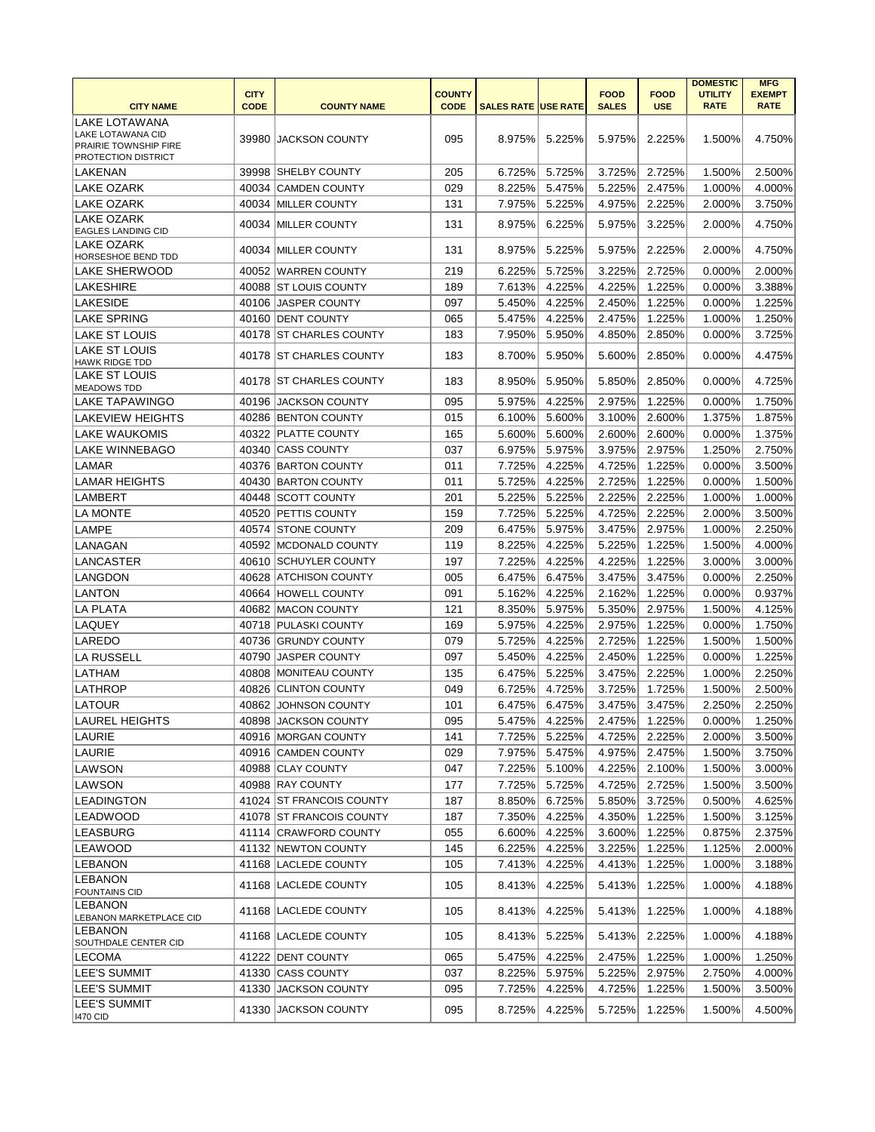|                                                                          | <b>CITY</b> |                          | <b>COUNTY</b> |                            |        | <b>FOOD</b>      | <b>FOOD</b> | <b>DOMESTIC</b><br><b>UTILITY</b> | <b>MFG</b><br><b>EXEMPT</b> |
|--------------------------------------------------------------------------|-------------|--------------------------|---------------|----------------------------|--------|------------------|-------------|-----------------------------------|-----------------------------|
| <b>CITY NAME</b>                                                         | <b>CODE</b> | <b>COUNTY NAME</b>       | <b>CODE</b>   | <b>SALES RATE USE RATE</b> |        | <b>SALES</b>     | <b>USE</b>  | <b>RATE</b>                       | <b>RATE</b>                 |
| <b>LAKE LOTAWANA</b>                                                     |             |                          |               |                            |        |                  |             |                                   |                             |
| LAKE LOTAWANA CID<br>PRAIRIE TOWNSHIP FIRE<br><b>PROTECTION DISTRICT</b> |             | 39980 JACKSON COUNTY     | 095           | 8.975%                     | 5.225% | 5.975%           | 2.225%      | 1.500%                            | 4.750%                      |
| LAKENAN                                                                  |             | 39998 SHELBY COUNTY      | 205           | 6.725%                     | 5.725% | 3.725%           | 2.725%      | 1.500%                            | 2.500%                      |
| LAKE OZARK                                                               |             | 40034 CAMDEN COUNTY      | 029           | 8.225%                     | 5.475% | 5.225%           | 2.475%      | 1.000%                            | 4.000%                      |
| <b>LAKE OZARK</b>                                                        |             | 40034 MILLER COUNTY      | 131           | 7.975%                     | 5.225% | 4.975%           | 2.225%      | 2.000%                            | 3.750%                      |
| <b>LAKE OZARK</b><br><b>EAGLES LANDING CID</b>                           | 40034       | <b>MILLER COUNTY</b>     | 131           | 8.975%                     | 6.225% | 5.975%           | 3.225%      | 2.000%                            | 4.750%                      |
| llake ozark<br><b>HORSESHOE BEND TDD</b>                                 | 40034       | <b>IMILLER COUNTY</b>    | 131           | 8.975%                     | 5.225% | 5.975%           | 2.225%      | 2.000%                            | 4.750%                      |
| <b>LAKE SHERWOOD</b>                                                     |             | 40052 WARREN COUNTY      | 219           | 6.225%                     | 5.725% | 3.225%           | 2.725%      | 0.000%                            | 2.000%                      |
| ILAKESHIRE                                                               |             | 40088 ST LOUIS COUNTY    | 189           | 7.613%                     | 4.225% | 4.225%           | 1.225%      | 0.000%                            | 3.388%                      |
| LAKESIDE                                                                 |             | 40106 JASPER COUNTY      | 097           | 5.450%                     | 4.225% | 2.450%           | 1.225%      | 0.000%                            | 1.225%                      |
| <b>LAKE SPRING</b>                                                       |             | 40160 DENT COUNTY        | 065           | 5.475%                     | 4.225% | 2.475%           | 1.225%      | 1.000%                            | 1.250%                      |
| LAKE ST LOUIS                                                            |             | 40178 ST CHARLES COUNTY  | 183           | 7.950%                     | 5.950% | 4.850%           | 2.850%      | 0.000%                            | 3.725%                      |
| <b>LAKE ST LOUIS</b><br><b>HAWK RIDGE TDD</b>                            |             | 40178 ST CHARLES COUNTY  | 183           | 8.700%                     | 5.950% | 5.600%           | 2.850%      | 0.000%                            | 4.475%                      |
| LAKE ST LOUIS<br><b>MEADOWS TDD</b>                                      |             | 40178 ST CHARLES COUNTY  | 183           | 8.950%                     | 5.950% | 5.850%           | 2.850%      | 0.000%                            | 4.725%                      |
| LAKE TAPAWINGO                                                           | 40196       | <b>JACKSON COUNTY</b>    | 095           | 5.975%                     | 4.225% | 2.975%           | 1.225%      | 0.000%                            | 1.750%                      |
| ILAKEVIEW HEIGHTS                                                        |             | 40286 BENTON COUNTY      | 015           | 6.100%                     | 5.600% | 3.100%           | 2.600%      | 1.375%                            | 1.875%                      |
| LAKE WAUKOMIS                                                            |             | 40322 PLATTE COUNTY      | 165           | 5.600%                     | 5.600% | 2.600%           | 2.600%      | 0.000%                            | 1.375%                      |
| LAKE WINNEBAGO                                                           | 40340       | <b>CASS COUNTY</b>       | 037           | 6.975%                     | 5.975% | 3.975%           | 2.975%      | 1.250%                            | 2.750%                      |
| LAMAR                                                                    |             | 40376 BARTON COUNTY      | 011           | 7.725%                     | 4.225% | 4.725%           | 1.225%      | 0.000%                            | 3.500%                      |
| <b>LAMAR HEIGHTS</b>                                                     | 40430       | <b>BARTON COUNTY</b>     | 011           | 5.725%                     | 4.225% | 2.725%           | 1.225%      | 0.000%                            | 1.500%                      |
| <b>LAMBERT</b>                                                           |             | 40448 SCOTT COUNTY       | 201           | 5.225%                     | 5.225% | 2.225%           | 2.225%      | 1.000%                            | 1.000%                      |
| <b>LA MONTE</b>                                                          | 40520       | <b>PETTIS COUNTY</b>     | 159           | 7.725%                     | 5.225% | 4.725%           | 2.225%      | 2.000%                            | 3.500%                      |
| <b>LAMPE</b>                                                             |             | 40574 STONE COUNTY       | 209           | 6.475%                     | 5.975% | 3.475%           | 2.975%      | 1.000%                            | 2.250%                      |
| LANAGAN                                                                  |             | 40592 MCDONALD COUNTY    | 119           | 8.225%                     | 4.225% | 5.225%           | 1.225%      | 1.500%                            | 4.000%                      |
| ILANCASTER                                                               |             | 40610 SCHUYLER COUNTY    | 197           | 7.225%                     | 4.225% | 4.225%           | 1.225%      | 3.000%                            | 3.000%                      |
| LANGDON                                                                  | 40628       | <b>ATCHISON COUNTY</b>   | 005           | 6.475%                     | 6.475% | 3.475%           | 3.475%      | 0.000%                            | 2.250%                      |
| <b>LANTON</b>                                                            | 40664       | <b>HOWELL COUNTY</b>     | 091           | 5.162%                     | 4.225% | 2.162%           | 1.225%      | 0.000%                            | 0.937%                      |
| <b>LA PLATA</b>                                                          | 40682       | <b>MACON COUNTY</b>      | 121           | 8.350%                     | 5.975% | 5.350%           | 2.975%      | 1.500%                            | 4.125%                      |
| LAQUEY                                                                   |             | 40718 PULASKI COUNTY     | 169           | 5.975%                     | 4.225% | 2.975%           | 1.225%      | 0.000%                            | 1.750%                      |
| LAREDO                                                                   |             | 40736 GRUNDY COUNTY      | 079           | 5.725%                     | 4.225% | 2.725%           | 1.225%      | 1.500%                            | 1.500%                      |
| LA RUSSELL                                                               |             | 40790 JASPER COUNTY      | 097           | 5.450%                     | 4.225% | 2.450%           | 1.225%      | 0.000%                            | 1.225%                      |
| LATHAM                                                                   | 40808       | <b>MONITEAU COUNTY</b>   | 135           | 6.475%                     | 5.225% | 3.475%           | 2.225%      | 1.000%                            | 2.250%                      |
| LATHROP                                                                  | 40826       | <b>CLINTON COUNTY</b>    | 049           | 6.725%                     | 4.725% |                  | 1.725%      | 1.500%                            | 2.500%                      |
| LATOUR                                                                   |             | 40862 JOHNSON COUNTY     | 101           | 6.475%                     | 6.475% | 3.725%<br>3.475% | 3.475%      | 2.250%                            | 2.250%                      |
|                                                                          |             |                          |               | 5.475%                     | 4.225% | 2.475%           | 1.225%      |                                   | 1.250%                      |
| LAUREL HEIGHTS                                                           |             | 40898 JACKSON COUNTY     | 095           |                            |        |                  |             | 0.000%                            |                             |
| LAURIE                                                                   |             | 40916 MORGAN COUNTY      | 141           | 7.725%                     | 5.225% | 4.725%           | 2.225%      | 2.000%                            | 3.500%                      |
| LAURIE                                                                   |             | 40916 CAMDEN COUNTY      | 029           | 7.975%                     | 5.475% | 4.975%           | 2.475%      | 1.500%                            | 3.750%                      |
| LAWSON                                                                   |             | 40988 CLAY COUNTY        | 047           | 7.225%                     | 5.100% | 4.225%           | 2.100%      | 1.500%                            | 3.000%                      |
| LAWSON                                                                   |             | 40988 RAY COUNTY         | 177           | 7.725%                     | 5.725% | 4.725%           | 2.725%      | 1.500%                            | 3.500%                      |
| <b>LEADINGTON</b>                                                        |             | 41024 ST FRANCOIS COUNTY | 187           | 8.850%                     | 6.725% | 5.850%           | 3.725%      | 0.500%                            | 4.625%                      |
| LEADWOOD                                                                 |             | 41078 ST FRANCOIS COUNTY | 187           | 7.350%                     | 4.225% | 4.350%           | 1.225%      | 1.500%                            | 3.125%                      |
| <b>LEASBURG</b>                                                          |             | 41114 CRAWFORD COUNTY    | 055           | 6.600%                     | 4.225% | 3.600%           | 1.225%      | 0.875%                            | 2.375%                      |
| <b>LEAWOOD</b>                                                           |             | 41132 NEWTON COUNTY      | 145           | 6.225%                     | 4.225% | 3.225%           | 1.225%      | 1.125%                            | 2.000%                      |
| LEBANON                                                                  |             | 41168  LACLEDE COUNTY    | 105           | 7.413%                     | 4.225% | 4.413%           | 1.225%      | 1.000%                            | 3.188%                      |
| <b>LEBANON</b><br><b>FOUNTAINS CID</b>                                   |             | 41168 LACLEDE COUNTY     | 105           | 8.413%                     | 4.225% | 5.413%           | 1.225%      | 1.000%                            | 4.188%                      |
| LEBANON<br><b>LEBANON MARKETPLACE CID</b>                                |             | 41168 LACLEDE COUNTY     | 105           | 8.413%                     | 4.225% | 5.413%           | 1.225%      | 1.000%                            | 4.188%                      |
| LEBANON<br><b>SOUTHDALE CENTER CID</b>                                   |             | 41168 LACLEDE COUNTY     | 105           | 8.413%                     | 5.225% | 5.413%           | 2.225%      | 1.000%                            | 4.188%                      |
| LECOMA                                                                   |             | 41222 DENT COUNTY        | 065           | 5.475%                     | 4.225% | 2.475%           | 1.225%      | 1.000%                            | 1.250%                      |
| LEE'S SUMMIT                                                             |             | 41330 CASS COUNTY        | 037           | 8.225%                     | 5.975% | 5.225%           | 2.975%      | 2.750%                            | 4.000%                      |
| <b>LEE'S SUMMIT</b>                                                      |             | 41330 JACKSON COUNTY     | 095           | 7.725%                     | 4.225% | 4.725%           | 1.225%      | 1.500%                            | 3.500%                      |
| <b>LEE'S SUMMIT</b><br><b>1470 CID</b>                                   |             | 41330 JACKSON COUNTY     | 095           | 8.725%                     | 4.225% | 5.725%           | 1.225%      | 1.500%                            | 4.500%                      |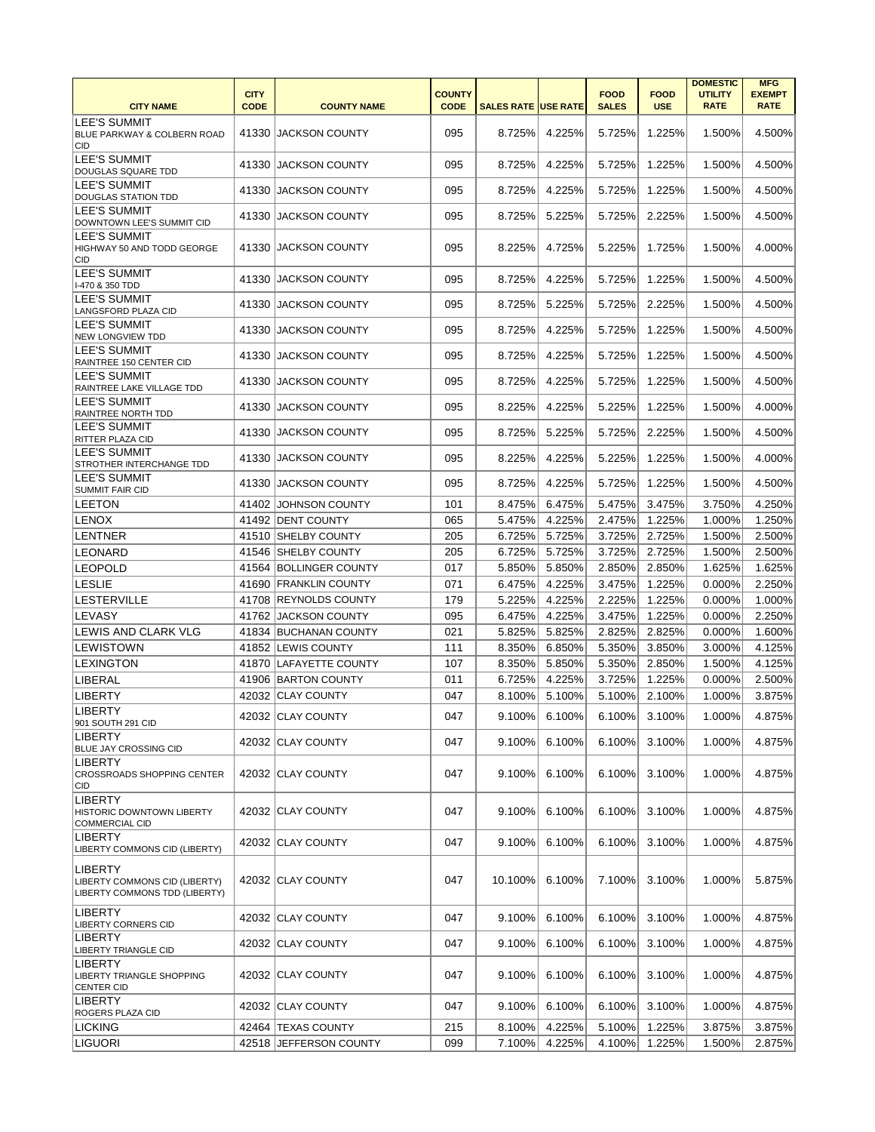|                                                                                  |             |                        |               |                            |        |              |             | <b>DOMESTIC</b> | <b>MFG</b>    |
|----------------------------------------------------------------------------------|-------------|------------------------|---------------|----------------------------|--------|--------------|-------------|-----------------|---------------|
|                                                                                  | <b>CITY</b> |                        | <b>COUNTY</b> |                            |        | <b>FOOD</b>  | <b>FOOD</b> | <b>UTILITY</b>  | <b>EXEMPT</b> |
| <b>CITY NAME</b>                                                                 | <b>CODE</b> | <b>COUNTY NAME</b>     | <b>CODE</b>   | <b>SALES RATE USE RATE</b> |        | <b>SALES</b> | <b>USE</b>  | <b>RATE</b>     | <b>RATE</b>   |
| <b>LEE'S SUMMIT</b><br>BLUE PARKWAY & COLBERN ROAD<br>CID                        |             | 41330 JACKSON COUNTY   | 095           | 8.725%                     | 4.225% | 5.725%       | 1.225%      | 1.500%          | 4.500%        |
| <b>LEE'S SUMMIT</b><br>DOUGLAS SQUARE TDD                                        | 41330       | <b>JACKSON COUNTY</b>  | 095           | 8.725%                     | 4.225% | 5.725%       | 1.225%      | 1.500%          | 4.500%        |
| <b>LEE'S SUMMIT</b><br><b>DOUGLAS STATION TDD</b>                                | 41330       | <b>JACKSON COUNTY</b>  | 095           | 8.725%                     | 4.225% | 5.725%       | 1.225%      | 1.500%          | 4.500%        |
| LEE'S SUMMIT<br>DOWNTOWN LEE'S SUMMIT CID                                        | 41330       | <b>JACKSON COUNTY</b>  | 095           | 8.725%                     | 5.225% | 5.725%       | 2.225%      | 1.500%          | 4.500%        |
| LEE'S SUMMIT<br>HIGHWAY 50 AND TODD GEORGE<br>CID                                |             | 41330 JACKSON COUNTY   | 095           | 8.225%                     | 4.725% | 5.225%       | 1.725%      | 1.500%          | 4.000%        |
| <b>LEE'S SUMMIT</b><br>I-470 & 350 TDD                                           | 41330       | <b>JACKSON COUNTY</b>  | 095           | 8.725%                     | 4.225% | 5.725%       | 1.225%      | 1.500%          | 4.500%        |
| <b>LEE'S SUMMIT</b><br>LANGSFORD PLAZA CID                                       | 41330       | <b>JACKSON COUNTY</b>  | 095           | 8.725%                     | 5.225% | 5.725%       | 2.225%      | 1.500%          | 4.500%        |
| <b>LEE'S SUMMIT</b><br><b>NEW LONGVIEW TDD</b>                                   | 41330       | <b>JACKSON COUNTY</b>  | 095           | 8.725%                     | 4.225% | 5.725%       | 1.225%      | 1.500%          | 4.500%        |
| <b>LEE'S SUMMIT</b><br>RAINTREE 150 CENTER CID                                   | 41330       | <b>JACKSON COUNTY</b>  | 095           | 8.725%                     | 4.225% | 5.725%       | 1.225%      | 1.500%          | 4.500%        |
| <b>LEE'S SUMMIT</b><br>RAINTREE LAKE VILLAGE TDD                                 | 41330       | <b>JACKSON COUNTY</b>  | 095           | 8.725%                     | 4.225% | 5.725%       | 1.225%      | 1.500%          | 4.500%        |
| <b>LEE'S SUMMIT</b><br>RAINTREE NORTH TDD                                        | 41330       | <b>JACKSON COUNTY</b>  | 095           | 8.225%                     | 4.225% | 5.225%       | 1.225%      | 1.500%          | 4.000%        |
| <b>LEE'S SUMMIT</b><br><b>RITTER PLAZA CID</b>                                   | 41330       | <b>JACKSON COUNTY</b>  | 095           | 8.725%                     | 5.225% | 5.725%       | 2.225%      | 1.500%          | 4.500%        |
| <b>LEE'S SUMMIT</b><br>STROTHER INTERCHANGE TDD                                  | 41330       | <b>JACKSON COUNTY</b>  | 095           | 8.225%                     | 4.225% | 5.225%       | 1.225%      | 1.500%          | 4.000%        |
| <b>LEE'S SUMMIT</b><br><b>SUMMIT FAIR CID</b>                                    | 41330       | <b>JACKSON COUNTY</b>  | 095           | 8.725%                     | 4.225% | 5.725%       | 1.225%      | 1.500%          | 4.500%        |
| <b>LEETON</b>                                                                    |             | 41402 JOHNSON COUNTY   | 101           | 8.475%                     | 6.475% | 5.475%       | 3.475%      | 3.750%          | 4.250%        |
| <b>LENOX</b>                                                                     |             | 41492 DENT COUNTY      | 065           | 5.475%                     | 4.225% | 2.475%       | 1.225%      | 1.000%          | 1.250%        |
| <b>LENTNER</b>                                                                   |             | 41510 SHELBY COUNTY    | 205           | 6.725%                     | 5.725% | 3.725%       | 2.725%      | 1.500%          | 2.500%        |
| <b>LEONARD</b>                                                                   |             | 41546 SHELBY COUNTY    | 205           | 6.725%                     | 5.725% | 3.725%       | 2.725%      | 1.500%          | 2.500%        |
| LEOPOLD                                                                          |             | 41564 BOLLINGER COUNTY | 017           | 5.850%                     | 5.850% | 2.850%       | 2.850%      | 1.625%          | 1.625%        |
| <b>LESLIE</b>                                                                    |             | 41690 FRANKLIN COUNTY  | 071           | 6.475%                     | 4.225% | 3.475%       | 1.225%      | 0.000%          | 2.250%        |
| <b>LESTERVILLE</b>                                                               |             | 41708 REYNOLDS COUNTY  | 179           | 5.225%                     | 4.225% | 2.225%       | 1.225%      | 0.000%          | 1.000%        |
| LEVASY                                                                           |             | 41762 JACKSON COUNTY   | 095           | 6.475%                     | 4.225% | 3.475%       | 1.225%      | 0.000%          | 2.250%        |
| LEWIS AND CLARK VLG                                                              |             | 41834 BUCHANAN COUNTY  | 021           | 5.825%                     | 5.825% | 2.825%       | 2.825%      | 0.000%          | 1.600%        |
| <b>LEWISTOWN</b>                                                                 |             | 41852 LEWIS COUNTY     | 111           | 8.350%                     | 6.850% | 5.350%       | 3.850%      | 3.000%          | 4.125%        |
| <b>LEXINGTON</b>                                                                 |             | 41870 LAFAYETTE COUNTY | 107           | 8.350%                     | 5.850% | 5.350%       | 2.850%      | 1.500%          | 4.125%        |
| LIBERAL                                                                          |             | 41906 BARTON COUNTY    | 011           | 6.725%                     | 4.225% | 3.725%       | 1.225%      | 0.000%          | 2.500%        |
| <b>LIBERTY</b>                                                                   |             | 42032 CLAY COUNTY      | 047           | 8.100%                     | 5.100% | 5.100%       | 2.100%      | 1.000%          | 3.875%        |
| LIBERTY<br>901 SOUTH 291 CID                                                     |             | 42032 CLAY COUNTY      | 047           | 9.100%                     | 6.100% | 6.100%       | 3.100%      | 1.000%          | 4.875%        |
| ILIBERTY<br><b>BLUE JAY CROSSING CID</b>                                         |             | 42032 CLAY COUNTY      | 047           | 9.100%                     | 6.100% | 6.100%       | 3.100%      | 1.000%          | 4.875%        |
| <b>LIBERTY</b><br><b>CROSSROADS SHOPPING CENTER</b><br>CID                       |             | 42032 CLAY COUNTY      | 047           | 9.100%                     | 6.100% | 6.100%       | 3.100%      | 1.000%          | 4.875%        |
| <b>LIBERTY</b><br>HISTORIC DOWNTOWN LIBERTY<br><b>COMMERCIAL CID</b>             |             | 42032 CLAY COUNTY      | 047           | 9.100%                     | 6.100% | 6.100%       | 3.100%      | 1.000%          | 4.875%        |
| LIBERTY<br>LIBERTY COMMONS CID (LIBERTY)                                         |             | 42032 CLAY COUNTY      | 047           | 9.100%                     | 6.100% | 6.100%       | 3.100%      | 1.000%          | 4.875%        |
| <b>LIBERTY</b><br>LIBERTY COMMONS CID (LIBERTY)<br>LIBERTY COMMONS TDD (LIBERTY) |             | 42032 CLAY COUNTY      | 047           | 10.100%                    | 6.100% | 7.100%       | 3.100%      | 1.000%          | 5.875%        |
| LIBERTY<br><b>LIBERTY CORNERS CID</b>                                            |             | 42032 CLAY COUNTY      | 047           | 9.100%                     | 6.100% | 6.100%       | 3.100%      | 1.000%          | 4.875%        |
| <b>LIBERTY</b><br><b>LIBERTY TRIANGLE CID</b>                                    |             | 42032 CLAY COUNTY      | 047           | 9.100%                     | 6.100% | 6.100%       | 3.100%      | 1.000%          | 4.875%        |
| <b>LIBERTY</b><br>LIBERTY TRIANGLE SHOPPING<br><b>CENTER CID</b>                 |             | 42032 CLAY COUNTY      | 047           | 9.100%                     | 6.100% | 6.100%       | 3.100%      | 1.000%          | 4.875%        |
| <b>LIBERTY</b><br>ROGERS PLAZA CID                                               |             | 42032 CLAY COUNTY      | 047           | 9.100%                     | 6.100% | 6.100%       | 3.100%      | 1.000%          | 4.875%        |
| <b>LICKING</b>                                                                   |             | 42464 TEXAS COUNTY     | 215           | 8.100%                     | 4.225% | 5.100%       | 1.225%      | 3.875%          | 3.875%        |
| <b>LIGUORI</b>                                                                   |             | 42518 JEFFERSON COUNTY | 099           | 7.100%                     | 4.225% | 4.100%       | 1.225%      | 1.500%          | 2.875%        |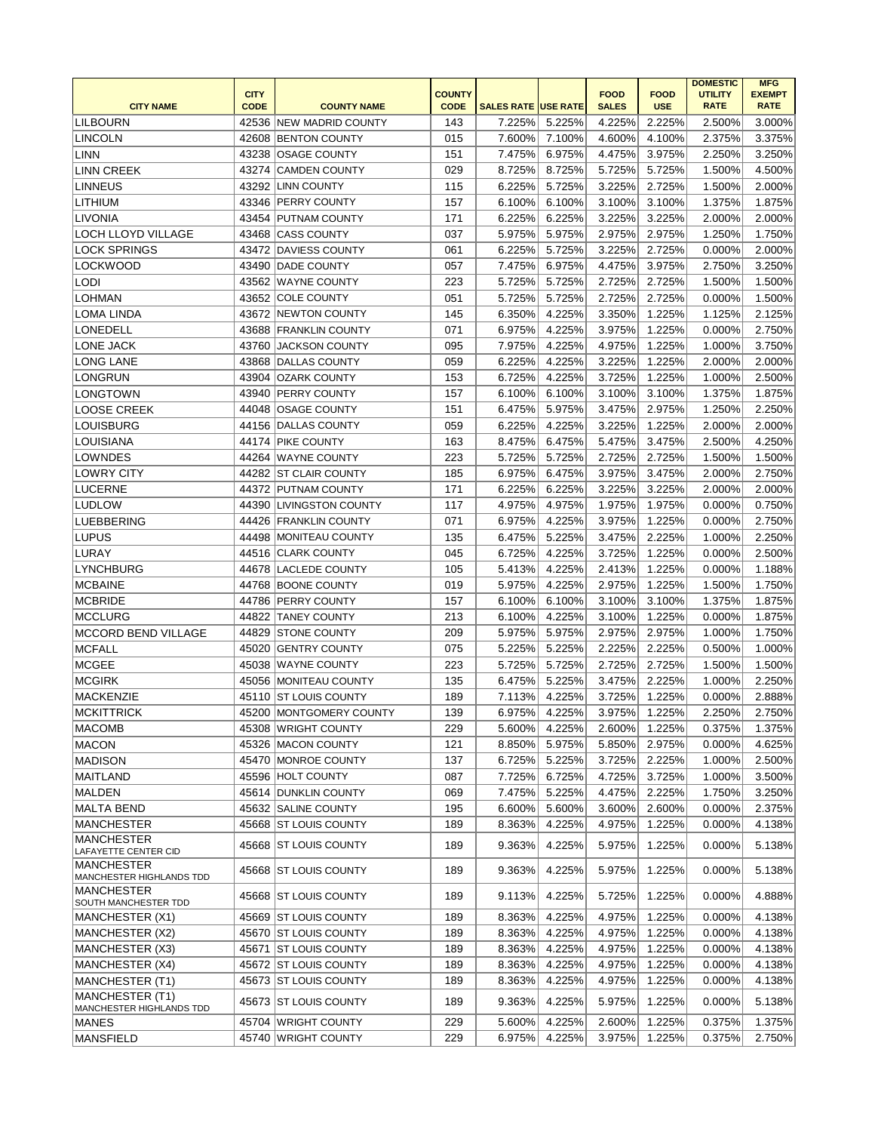|                                                    |             |                          |               |                            |        |              |             | <b>DOMESTIC</b> | <b>MFG</b>    |
|----------------------------------------------------|-------------|--------------------------|---------------|----------------------------|--------|--------------|-------------|-----------------|---------------|
|                                                    | <b>CITY</b> |                          | <b>COUNTY</b> |                            |        | <b>FOOD</b>  | <b>FOOD</b> | <b>UTILITY</b>  | <b>EXEMPT</b> |
| <b>CITY NAME</b>                                   | <b>CODE</b> | <b>COUNTY NAME</b>       | <b>CODE</b>   | <b>SALES RATE USE RATE</b> |        | <b>SALES</b> | <b>USE</b>  | <b>RATE</b>     | <b>RATE</b>   |
| <b>LILBOURN</b>                                    |             | 42536 NEW MADRID COUNTY  | 143           | 7.225%                     | 5.225% | 4.225%       | 2.225%      | 2.500%          | 3.000%        |
| LINCOLN                                            |             | 42608 BENTON COUNTY      | 015           | 7.600%                     | 7.100% | 4.600%       | 4.100%      | 2.375%          | 3.375%        |
| LINN                                               |             | 43238 OSAGE COUNTY       | 151           | 7.475%                     | 6.975% | 4.475%       | 3.975%      | 2.250%          | 3.250%        |
| <b>LINN CREEK</b>                                  |             | 43274 CAMDEN COUNTY      | 029           | 8.725%                     | 8.725% | 5.725%       | 5.725%      | 1.500%          | 4.500%        |
| <b>LINNEUS</b>                                     |             | 43292 LINN COUNTY        | 115           | 6.225%                     | 5.725% | 3.225%       | 2.725%      | 1.500%          | 2.000%        |
| <b>LITHIUM</b>                                     |             | 43346 PERRY COUNTY       | 157           | 6.100%                     | 6.100% | 3.100%       | 3.100%      | 1.375%          | 1.875%        |
| LIVONIA                                            |             | 43454 PUTNAM COUNTY      | 171           | 6.225%                     | 6.225% | 3.225%       | 3.225%      | 2.000%          | 2.000%        |
| <b>LOCH LLOYD VILLAGE</b>                          |             | 43468 CASS COUNTY        | 037           | 5.975%                     | 5.975% | 2.975%       | 2.975%      | 1.250%          | 1.750%        |
| <b>LOCK SPRINGS</b>                                |             | 43472 DAVIESS COUNTY     | 061           | 6.225%                     | 5.725% | 3.225%       | 2.725%      | 0.000%          | 2.000%        |
| <b>LOCKWOOD</b>                                    |             | 43490   DADE COUNTY      | 057           | 7.475%                     | 6.975% | 4.475%       | 3.975%      | 2.750%          | 3.250%        |
| <b>LODI</b>                                        |             | 43562 WAYNE COUNTY       | 223           | 5.725%                     | 5.725% | 2.725%       | 2.725%      | 1.500%          | 1.500%        |
| <b>LOHMAN</b>                                      |             | 43652 COLE COUNTY        | 051           | 5.725%                     | 5.725% | 2.725%       | 2.725%      | 0.000%          | 1.500%        |
| LOMA LINDA                                         |             | 43672 NEWTON COUNTY      | 145           | 6.350%                     | 4.225% | 3.350%       | 1.225%      | 1.125%          | 2.125%        |
| LONEDELL                                           |             | 43688 FRANKLIN COUNTY    | 071           | 6.975%                     | 4.225% | 3.975%       | 1.225%      | 0.000%          | 2.750%        |
| LONE JACK                                          | 43760       | <b>JACKSON COUNTY</b>    | 095           | 7.975%                     | 4.225% | 4.975%       | 1.225%      | 1.000%          | 3.750%        |
| <b>LONG LANE</b>                                   |             | 43868 DALLAS COUNTY      | 059           | 6.225%                     | 4.225% | 3.225%       | 1.225%      | 2.000%          | 2.000%        |
| <b>LONGRUN</b>                                     | 43904       | OZARK COUNTY             | 153           | 6.725%                     | 4.225% | 3.725%       | 1.225%      | 1.000%          | 2.500%        |
| LONGTOWN                                           |             | 43940 PERRY COUNTY       | 157           | 6.100%                     | 6.100% | 3.100%       | 3.100%      | 1.375%          | 1.875%        |
| <b>LOOSE CREEK</b>                                 |             | 44048 OSAGE COUNTY       | 151           | 6.475%                     | 5.975% | 3.475%       | 2.975%      | 1.250%          | 2.250%        |
| <b>LOUISBURG</b>                                   |             | 44156   DALLAS COUNTY    | 059           | 6.225%                     | 4.225% | 3.225%       | 1.225%      | 2.000%          | 2.000%        |
| LOUISIANA                                          |             | 44174 PIKE COUNTY        | 163           | 8.475%                     | 6.475% | 5.475%       | 3.475%      | 2.500%          | 4.250%        |
| <b>LOWNDES</b>                                     |             | 44264 WAYNE COUNTY       | 223           | 5.725%                     | 5.725% | 2.725%       | 2.725%      | 1.500%          | 1.500%        |
| <b>LOWRY CITY</b>                                  |             | 44282 ST CLAIR COUNTY    | 185           | 6.975%                     | 6.475% | 3.975%       | 3.475%      | 2.000%          | 2.750%        |
| <b>LUCERNE</b>                                     |             | 44372 PUTNAM COUNTY      | 171           | 6.225%                     | 6.225% | 3.225%       | 3.225%      | 2.000%          | 2.000%        |
|                                                    |             |                          |               |                            |        |              |             |                 |               |
| <b>LUDLOW</b>                                      | 44390       | <b>LIVINGSTON COUNTY</b> | 117           | 4.975%                     | 4.975% | 1.975%       | 1.975%      | 0.000%          | 0.750%        |
| LUEBBERING                                         |             | 44426 FRANKLIN COUNTY    | 071           | 6.975%                     | 4.225% | 3.975%       | 1.225%      | 0.000%          | 2.750%        |
| <b>LUPUS</b>                                       |             | 44498 MONITEAU COUNTY    | 135           | 6.475%                     | 5.225% | 3.475%       | 2.225%      | 1.000%          | 2.250%        |
| LURAY                                              |             | 44516 CLARK COUNTY       | 045           | 6.725%                     | 4.225% | 3.725%       | 1.225%      | 0.000%          | 2.500%        |
| LYNCHBURG                                          |             | 44678 LACLEDE COUNTY     | 105           | 5.413%                     | 4.225% | 2.413%       | 1.225%      | 0.000%          | 1.188%        |
| <b>MCBAINE</b>                                     |             | 44768 BOONE COUNTY       | 019           | 5.975%                     | 4.225% | 2.975%       | 1.225%      | 1.500%          | 1.750%        |
| <b>MCBRIDE</b>                                     |             | 44786 PERRY COUNTY       | 157           | 6.100%                     | 6.100% | 3.100%       | 3.100%      | 1.375%          | 1.875%        |
| <b>MCCLURG</b>                                     |             | 44822 TANEY COUNTY       | 213           | 6.100%                     | 4.225% | 3.100%       | 1.225%      | 0.000%          | 1.875%        |
| MCCORD BEND VILLAGE                                |             | 44829 STONE COUNTY       | 209           | 5.975%                     | 5.975% | 2.975%       | 2.975%      | 1.000%          | 1.750%        |
| <b>MCFALL</b>                                      |             | 45020 GENTRY COUNTY      | 075           | 5.225%                     | 5.225% | 2.225%       | 2.225%      | 0.500%          | 1.000%        |
| MCGEE                                              |             | 45038 WAYNE COUNTY       | 223           | 5.725%                     | 5.725% | 2.725%       | 2.725%      | 1.500%          | 1.500%        |
| <b>MCGIRK</b>                                      |             | 45056 MONITEAU COUNTY    | 135           | 6.475%                     | 5.225% | 3.475%       | 2.225%      | 1.000%          | 2.250%        |
| MACKENZIE                                          |             | 45110 ST LOUIS COUNTY    | 189           | 7.113%                     | 4.225% | 3.725%       | 1.225%      | 0.000%          | 2.888%        |
| <b>MCKITTRICK</b>                                  |             | 45200 MONTGOMERY COUNTY  | 139           | 6.975%                     | 4.225% | 3.975%       | 1.225%      | 2.250%          | 2.750%        |
| <b>MACOMB</b>                                      |             | 45308 WRIGHT COUNTY      | 229           | 5.600%                     | 4.225% | 2.600%       | 1.225%      | 0.375%          | 1.375%        |
| <b>MACON</b>                                       |             | 45326 MACON COUNTY       | 121           | 8.850%                     | 5.975% | 5.850%       | 2.975%      | 0.000%          | 4.625%        |
| <b>MADISON</b>                                     |             | 45470 MONROE COUNTY      | 137           | 6.725%                     | 5.225% | 3.725%       | 2.225%      | 1.000%          | 2.500%        |
| <b>MAITLAND</b>                                    |             | 45596 HOLT COUNTY        | 087           | 7.725%                     | 6.725% | 4.725%       | 3.725%      | 1.000%          | 3.500%        |
| MALDEN                                             |             | 45614 DUNKLIN COUNTY     | 069           | 7.475%                     | 5.225% | 4.475%       | 2.225%      | 1.750%          | 3.250%        |
| <b>MALTA BEND</b>                                  |             | 45632 SALINE COUNTY      | 195           | 6.600%                     | 5.600% | 3.600%       | 2.600%      | 0.000%          | 2.375%        |
| <b>MANCHESTER</b>                                  |             | 45668 ST LOUIS COUNTY    | 189           | 8.363%                     | 4.225% | 4.975%       | 1.225%      | 0.000%          | 4.138%        |
| <b>MANCHESTER</b>                                  |             |                          |               |                            |        |              |             |                 |               |
| LAFAYETTE CENTER CID                               |             | 45668 ST LOUIS COUNTY    | 189           | 9.363%                     | 4.225% | 5.975%       | 1.225%      | 0.000%          | 5.138%        |
| <b>MANCHESTER</b>                                  |             | 45668 ST LOUIS COUNTY    | 189           | 9.363%                     | 4.225% | 5.975%       | 1.225%      | 0.000%          | 5.138%        |
| MANCHESTER HIGHLANDS TDD                           |             |                          |               |                            |        |              |             |                 |               |
| <b>MANCHESTER</b>                                  |             | 45668 ST LOUIS COUNTY    | 189           | 9.113%                     | 4.225% | 5.725%       | 1.225%      | 0.000%          | 4.888%        |
| SOUTH MANCHESTER TDD                               |             | 45669 ST LOUIS COUNTY    | 189           |                            | 4.225% |              |             |                 |               |
| MANCHESTER (X1)                                    |             |                          |               | 8.363%                     |        | 4.975%       | 1.225%      | 0.000%          | 4.138%        |
| MANCHESTER (X2)                                    |             | 45670 ST LOUIS COUNTY    | 189           | 8.363%                     | 4.225% | 4.975%       | 1.225%      | 0.000%          | 4.138%        |
| MANCHESTER (X3)                                    |             | 45671 ST LOUIS COUNTY    | 189           | 8.363%                     | 4.225% | 4.975%       | 1.225%      | 0.000%          | 4.138%        |
| MANCHESTER (X4)                                    |             | 45672 ST LOUIS COUNTY    | 189           | 8.363%                     | 4.225% | 4.975%       | 1.225%      | 0.000%          | 4.138%        |
| MANCHESTER (T1)                                    |             | 45673 ST LOUIS COUNTY    | 189           | 8.363%                     | 4.225% | 4.975%       | 1.225%      | 0.000%          | 4.138%        |
| <b>MANCHESTER (T1)</b><br>MANCHESTER HIGHLANDS TDD |             | 45673 ST LOUIS COUNTY    | 189           | 9.363%                     | 4.225% | 5.975%       | 1.225%      | 0.000%          | 5.138%        |
| MANES                                              |             | 45704 WRIGHT COUNTY      | 229           | 5.600%                     | 4.225% | 2.600%       | 1.225%      | 0.375%          | 1.375%        |
| MANSFIELD                                          |             | 45740 WRIGHT COUNTY      | 229           | 6.975%                     | 4.225% | 3.975%       | 1.225%      | 0.375%          | 2.750%        |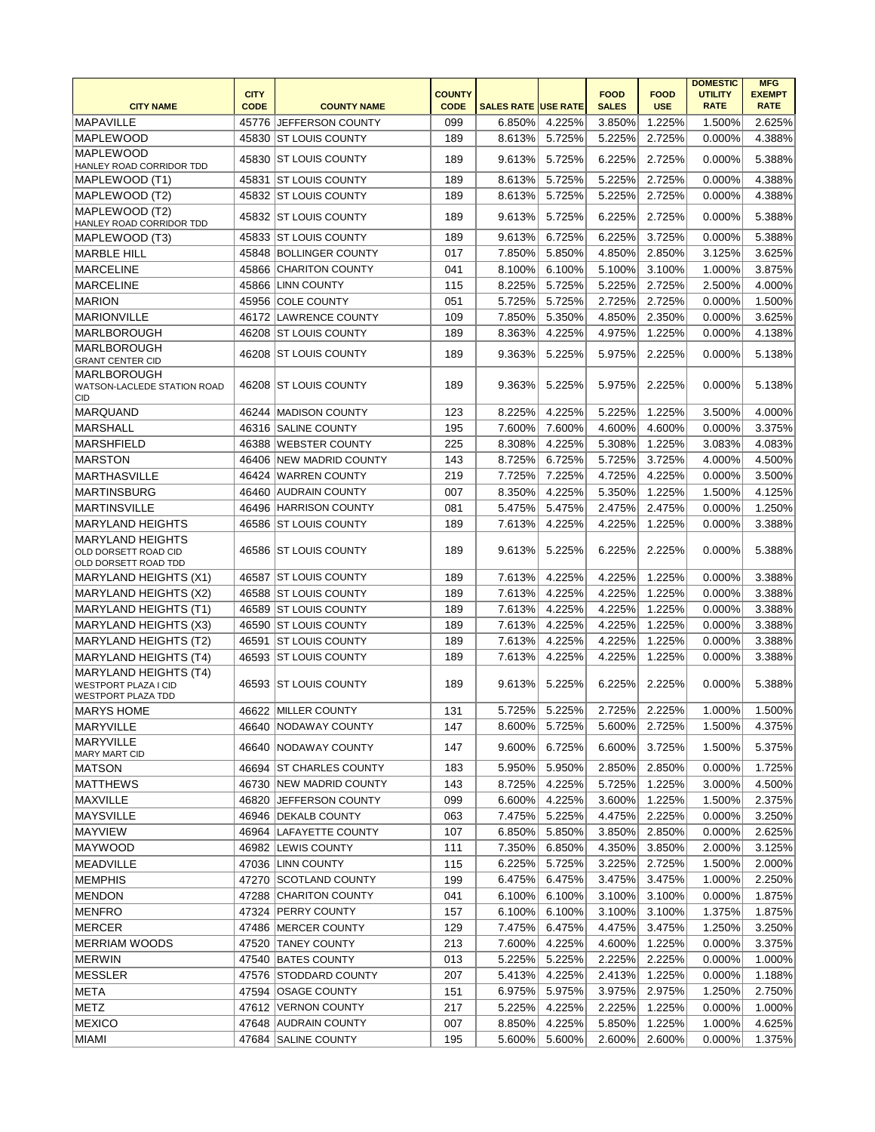|                                                             |                            |                         |                              |                            |        |                             |                           | <b>DOMESTIC</b>               | <b>MFG</b>                   |
|-------------------------------------------------------------|----------------------------|-------------------------|------------------------------|----------------------------|--------|-----------------------------|---------------------------|-------------------------------|------------------------------|
| <b>CITY NAME</b>                                            | <b>CITY</b><br><b>CODE</b> | <b>COUNTY NAME</b>      | <b>COUNTY</b><br><b>CODE</b> | <b>SALES RATE USE RATE</b> |        | <b>FOOD</b><br><b>SALES</b> | <b>FOOD</b><br><b>USE</b> | <b>UTILITY</b><br><b>RATE</b> | <b>EXEMPT</b><br><b>RATE</b> |
|                                                             |                            |                         |                              |                            |        |                             |                           |                               |                              |
| <b>MAPAVILLE</b>                                            |                            | 45776 JEFFERSON COUNTY  | 099                          | 6.850%                     | 4.225% | 3.850%                      | 1.225%                    | 1.500%                        | 2.625%                       |
| <b>MAPLEWOOD</b>                                            |                            | 45830 ST LOUIS COUNTY   | 189                          | 8.613%                     | 5.725% | 5.225%                      | 2.725%                    | 0.000%                        | 4.388%                       |
| <b>MAPLEWOOD</b><br>HANLEY ROAD CORRIDOR TDD                |                            | 45830 ST LOUIS COUNTY   | 189                          | 9.613%                     | 5.725% | 6.225%                      | 2.725%                    | 0.000%                        | 5.388%                       |
| MAPLEWOOD (T1)                                              | 45831                      | <b>ST LOUIS COUNTY</b>  | 189                          | 8.613%                     | 5.725% | 5.225%                      | 2.725%                    | 0.000%                        | 4.388%                       |
| MAPLEWOOD (T2)                                              |                            | 45832 ST LOUIS COUNTY   | 189                          | 8.613%                     | 5.725% | 5.225%                      | 2.725%                    | 0.000%                        | 4.388%                       |
| MAPLEWOOD (T2)                                              |                            |                         |                              |                            |        |                             |                           |                               |                              |
| HANLEY ROAD CORRIDOR TDD                                    | 45832                      | <b>ST LOUIS COUNTY</b>  | 189                          | 9.613%                     | 5.725% | 6.225%                      | 2.725%                    | 0.000%                        | 5.388%                       |
| MAPLEWOOD (T3)                                              |                            | 45833 ST LOUIS COUNTY   | 189                          | 9.613%                     | 6.725% | 6.225%                      | 3.725%                    | 0.000%                        | 5.388%                       |
| MARBLE HILL                                                 |                            | 45848 BOLLINGER COUNTY  | 017                          | 7.850%                     | 5.850% | 4.850%                      | 2.850%                    | 3.125%                        | 3.625%                       |
| MARCELINE                                                   | 45866                      | <b>CHARITON COUNTY</b>  | 041                          | 8.100%                     | 6.100% | 5.100%                      | 3.100%                    | 1.000%                        | 3.875%                       |
| <b>MARCELINE</b>                                            | 45866                      | <b>LINN COUNTY</b>      | 115                          | 8.225%                     | 5.725% | 5.225%                      | 2.725%                    | 2.500%                        | 4.000%                       |
| <b>MARION</b>                                               | 45956                      | <b>COLE COUNTY</b>      | 051                          | 5.725%                     | 5.725% | 2.725%                      | 2.725%                    | 0.000%                        | 1.500%                       |
| <b>MARIONVILLE</b>                                          | 46172                      | LAWRENCE COUNTY         | 109                          | 7.850%                     | 5.350% | 4.850%                      | 2.350%                    | 0.000%                        | 3.625%                       |
| MARLBOROUGH                                                 |                            | 46208 ST LOUIS COUNTY   | 189                          | 8.363%                     | 4.225% | 4.975%                      | 1.225%                    | 0.000%                        | 4.138%                       |
| <b>MARLBOROUGH</b>                                          | 46208                      | <b>IST LOUIS COUNTY</b> | 189                          | 9.363%                     | 5.225% | 5.975%                      | 2.225%                    | 0.000%                        | 5.138%                       |
| <b>GRANT CENTER CID</b>                                     |                            |                         |                              |                            |        |                             |                           |                               |                              |
| <b>MARLBOROUGH</b><br>WATSON-LACLEDE STATION ROAD           |                            | 46208 ST LOUIS COUNTY   | 189                          | 9.363%                     | 5.225% | 5.975%                      | 2.225%                    | $0.000\%$                     | 5.138%                       |
| <b>CID</b>                                                  |                            |                         |                              |                            |        |                             |                           |                               |                              |
| MARQUAND                                                    |                            | 46244 MADISON COUNTY    | 123                          | 8.225%                     | 4.225% | 5.225%                      | 1.225%                    | 3.500%                        | 4.000%                       |
| <b>MARSHALL</b>                                             |                            | 46316 SALINE COUNTY     | 195                          | 7.600%                     | 7.600% | 4.600%                      | 4.600%                    | 0.000%                        | 3.375%                       |
| MARSHFIELD                                                  |                            | 46388 WEBSTER COUNTY    | 225                          | 8.308%                     | 4.225% | 5.308%                      | 1.225%                    | 3.083%                        | 4.083%                       |
| <b>MARSTON</b>                                              |                            | 46406 NEW MADRID COUNTY | 143                          | 8.725%                     | 6.725% | 5.725%                      | 3.725%                    | 4.000%                        | 4.500%                       |
| <b>MARTHASVILLE</b>                                         |                            | 46424 WARREN COUNTY     | 219                          | 7.725%                     | 7.225% | 4.725%                      | 4.225%                    | 0.000%                        | 3.500%                       |
| <b>MARTINSBURG</b>                                          |                            | 46460 AUDRAIN COUNTY    | 007                          | 8.350%                     | 4.225% | 5.350%                      | 1.225%                    | 1.500%                        | 4.125%                       |
| <b>MARTINSVILLE</b>                                         | 46496                      | <b>HARRISON COUNTY</b>  | 081                          | 5.475%                     | 5.475% | 2.475%                      | 2.475%                    | 0.000%                        | 1.250%                       |
| <b>MARYLAND HEIGHTS</b>                                     |                            | 46586 ST LOUIS COUNTY   | 189                          | 7.613%                     | 4.225% | 4.225%                      | 1.225%                    | 0.000%                        | 3.388%                       |
| <b>MARYLAND HEIGHTS</b>                                     |                            |                         |                              |                            |        |                             |                           |                               |                              |
| OLD DORSETT ROAD CID                                        |                            | 46586 ST LOUIS COUNTY   | 189                          | 9.613%                     | 5.225% | 6.225%                      | 2.225%                    | 0.000%                        | 5.388%                       |
| OLD DORSETT ROAD TDD                                        |                            |                         |                              |                            |        |                             |                           |                               |                              |
| MARYLAND HEIGHTS (X1)                                       | 46587                      | <b>ST LOUIS COUNTY</b>  | 189                          | 7.613%                     | 4.225% | 4.225%                      | 1.225%                    | 0.000%                        | 3.388%                       |
| MARYLAND HEIGHTS (X2)                                       | 46588                      | <b>ST LOUIS COUNTY</b>  | 189                          | 7.613%                     | 4.225% | 4.225%                      | 1.225%                    | 0.000%                        | 3.388%                       |
| <b>MARYLAND HEIGHTS (T1)</b>                                | 46589                      | <b>IST LOUIS COUNTY</b> | 189                          | 7.613%                     | 4.225% | 4.225%                      | 1.225%                    | 0.000%                        | 3.388%                       |
| MARYLAND HEIGHTS (X3)                                       | 46590                      | <b>ST LOUIS COUNTY</b>  | 189                          | 7.613%                     | 4.225% | 4.225%                      | 1.225%                    | 0.000%                        | 3.388%                       |
| MARYLAND HEIGHTS (T2)                                       | 46591                      | <b>ST LOUIS COUNTY</b>  | 189                          | 7.613%                     | 4.225% | 4.225%                      | 1.225%                    | 0.000%                        | 3.388%                       |
| MARYLAND HEIGHTS (T4)                                       | 46593                      | <b>ST LOUIS COUNTY</b>  | 189                          | 7.613%                     | 4.225% | 4.225%                      | 1.225%                    | 0.000%                        | 3.388%                       |
| <b>MARYLAND HEIGHTS (T4)</b><br><b>WESTPORT PLAZA I CID</b> | 46593                      | <b>IST LOUIS COUNTY</b> | 189                          | 9.613%                     | 5.225% | 6.225%                      | 2.225%                    | $0.000\%$                     | 5.388%                       |
| <b>WESTPORT PLAZA TDD</b>                                   |                            |                         |                              |                            |        |                             |                           |                               |                              |
| <b>MARYS HOME</b>                                           |                            | 46622 MILLER COUNTY     | 131                          | 5.725%                     | 5.225% | 2.725%                      | 2.225%                    | 1.000%                        | 1.500%                       |
| MARYVILLE                                                   |                            | 46640 NODAWAY COUNTY    | 147                          | 8.600%                     | 5.725% | 5.600%                      | 2.725%                    | 1.500%                        | 4.375%                       |
| <b>MARYVILLE</b>                                            |                            | 46640 NODAWAY COUNTY    | 147                          | 9.600%                     |        |                             |                           |                               |                              |
| MARY MART CID                                               |                            |                         |                              |                            | 6.725% | 6.600%                      | 3.725%                    | 1.500%                        | 5.375%                       |
| MATSON                                                      |                            | 46694 ST CHARLES COUNTY | 183                          | 5.950%                     | 5.950% | 2.850%                      | 2.850%                    | 0.000%                        | 1.725%                       |
| MATTHEWS                                                    |                            | 46730 NEW MADRID COUNTY | 143                          | 8.725%                     | 4.225% | 5.725%                      | 1.225%                    | 3.000%                        | 4.500%                       |
| MAXVILLE                                                    |                            | 46820 JEFFERSON COUNTY  | 099                          | 6.600%                     | 4.225% | 3.600%                      | 1.225%                    | 1.500%                        | 2.375%                       |
| <b>MAYSVILLE</b>                                            |                            | 46946 DEKALB COUNTY     | 063                          | 7.475%                     | 5.225% | 4.475%                      | 2.225%                    | 0.000%                        | 3.250%                       |
| <b>MAYVIEW</b>                                              |                            | 46964 LAFAYETTE COUNTY  | 107                          | 6.850%                     | 5.850% | 3.850%                      | 2.850%                    | 0.000%                        | 2.625%                       |
| <b>MAYWOOD</b>                                              |                            | 46982  LEWIS COUNTY     | 111                          | 7.350%                     | 6.850% | 4.350%                      | 3.850%                    | 2.000%                        | 3.125%                       |
| MEADVILLE                                                   |                            | 47036 LINN COUNTY       | 115                          | 6.225%                     | 5.725% | 3.225%                      | 2.725%                    | 1.500%                        | 2.000%                       |
| <b>MEMPHIS</b>                                              |                            | 47270 SCOTLAND COUNTY   | 199                          | 6.475%                     | 6.475% | 3.475%                      | 3.475%                    | 1.000%                        | 2.250%                       |
| <b>MENDON</b>                                               |                            | 47288 CHARITON COUNTY   | 041                          | 6.100%                     | 6.100% | 3.100%                      | 3.100%                    | 0.000%                        | 1.875%                       |
| <b>MENFRO</b>                                               |                            | 47324 PERRY COUNTY      | 157                          | 6.100%                     | 6.100% | 3.100%                      | 3.100%                    | 1.375%                        | 1.875%                       |
| <b>MERCER</b>                                               |                            | 47486   MERCER COUNTY   | 129                          | 7.475%                     | 6.475% | 4.475%                      | 3.475%                    | 1.250%                        | 3.250%                       |
| <b>MERRIAM WOODS</b>                                        |                            | 47520 TANEY COUNTY      | 213                          | 7.600%                     | 4.225% | 4.600%                      | 1.225%                    | 0.000%                        | 3.375%                       |
| <b>MERWIN</b>                                               |                            | 47540 BATES COUNTY      | 013                          | 5.225%                     | 5.225% | 2.225%                      | 2.225%                    | 0.000%                        | 1.000%                       |
| MESSLER                                                     |                            | 47576 STODDARD COUNTY   | 207                          | 5.413%                     | 4.225% | 2.413%                      | 1.225%                    | 0.000%                        | 1.188%                       |
| META                                                        |                            | 47594 OSAGE COUNTY      | 151                          | 6.975%                     | 5.975% | 3.975%                      | 2.975%                    | 1.250%                        | 2.750%                       |
| METZ                                                        |                            | 47612 VERNON COUNTY     | 217                          | 5.225%                     | 4.225% | 2.225%                      | 1.225%                    | 0.000%                        | 1.000%                       |
| <b>MEXICO</b>                                               |                            | 47648 AUDRAIN COUNTY    | 007                          | 8.850%                     | 4.225% | 5.850%                      | 1.225%                    | 1.000%                        | 4.625%                       |
| MIAMI                                                       |                            | 47684 SALINE COUNTY     | 195                          | 5.600%                     | 5.600% | 2.600%                      | 2.600%                    | 0.000%                        | 1.375%                       |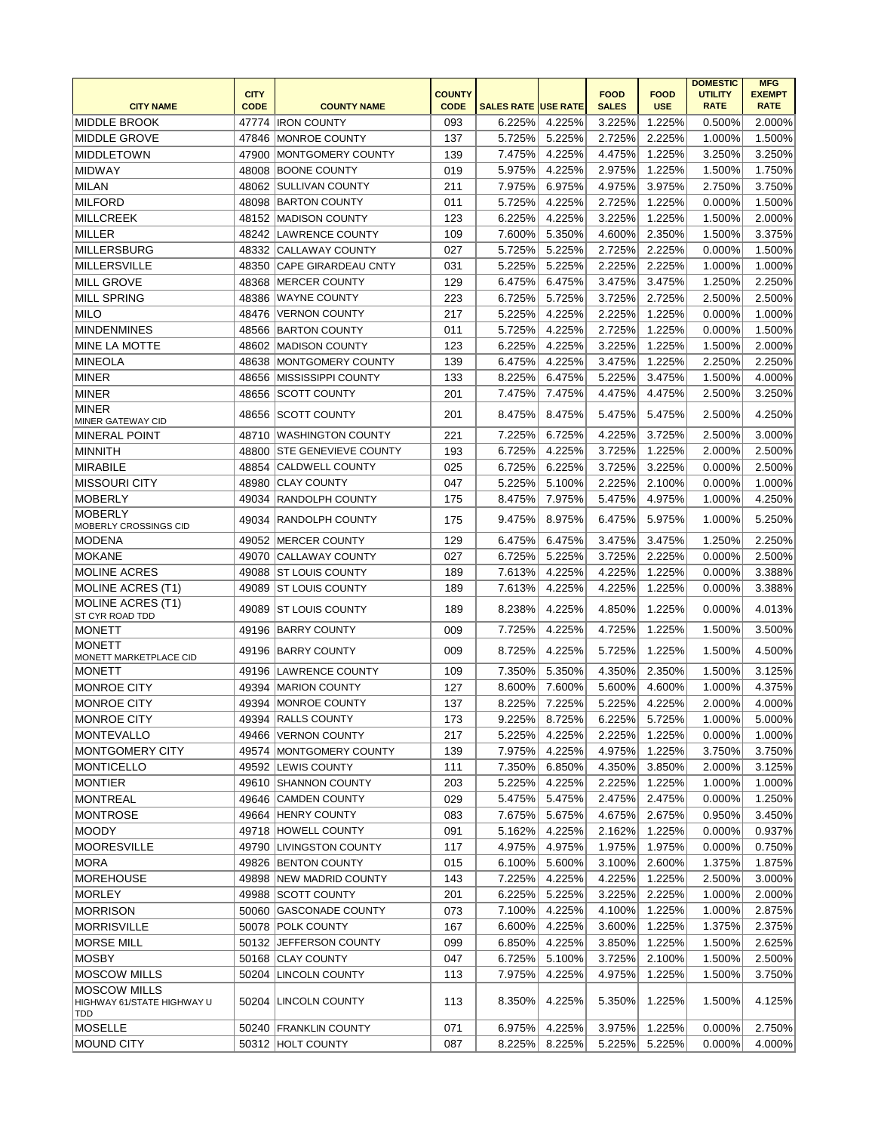|                                                   |                            |                             |                              |                            |        |                             |                           | <b>DOMESTIC</b>               | <b>MFG</b>                   |
|---------------------------------------------------|----------------------------|-----------------------------|------------------------------|----------------------------|--------|-----------------------------|---------------------------|-------------------------------|------------------------------|
| <b>CITY NAME</b>                                  | <b>CITY</b><br><b>CODE</b> | <b>COUNTY NAME</b>          | <b>COUNTY</b><br><b>CODE</b> | <b>SALES RATE USE RATE</b> |        | <b>FOOD</b><br><b>SALES</b> | <b>FOOD</b><br><b>USE</b> | <b>UTILITY</b><br><b>RATE</b> | <b>EXEMPT</b><br><b>RATE</b> |
| <b>MIDDLE BROOK</b>                               |                            | 47774   IRON COUNTY         | 093                          | 6.225%                     | 4.225% | 3.225%                      | 1.225%                    | 0.500%                        | 2.000%                       |
| IMIDDLE GROVE                                     | 47846                      | <b>MONROE COUNTY</b>        | 137                          | 5.725%                     | 5.225% | 2.725%                      | 2.225%                    | 1.000%                        | 1.500%                       |
| <b>MIDDLETOWN</b>                                 | 47900                      | MONTGOMERY COUNTY           | 139                          | 7.475%                     | 4.225% | 4.475%                      | 1.225%                    | 3.250%                        | 3.250%                       |
| <b>MIDWAY</b>                                     | 48008                      | <b>BOONE COUNTY</b>         | 019                          | 5.975%                     | 4.225% | 2.975%                      | 1.225%                    | 1.500%                        | 1.750%                       |
| MILAN                                             | 48062                      | <b>SULLIVAN COUNTY</b>      | 211                          | 7.975%                     | 6.975% | 4.975%                      | 3.975%                    | 2.750%                        | 3.750%                       |
| MILFORD                                           |                            | 48098 BARTON COUNTY         | 011                          | 5.725%                     | 4.225% | 2.725%                      | 1.225%                    | 0.000%                        | 1.500%                       |
| MILLCREEK                                         |                            | 48152 MADISON COUNTY        | 123                          | 6.225%                     | 4.225% | 3.225%                      | 1.225%                    | 1.500%                        | 2.000%                       |
| MILLER                                            | 48242                      | <b>LAWRENCE COUNTY</b>      | 109                          | 7.600%                     | 5.350% | 4.600%                      | 2.350%                    | 1.500%                        | 3.375%                       |
| <b>MILLERSBURG</b>                                | 48332                      | <b>CALLAWAY COUNTY</b>      | 027                          | 5.725%                     | 5.225% | 2.725%                      | 2.225%                    | 0.000%                        | 1.500%                       |
| <b>MILLERSVILLE</b>                               | 48350                      | <b>CAPE GIRARDEAU CNTY</b>  | 031                          | 5.225%                     | 5.225% | 2.225%                      | 2.225%                    | 1.000%                        | 1.000%                       |
| <b>MILL GROVE</b>                                 | 48368                      | <b>IMERCER COUNTY</b>       | 129                          | 6.475%                     | 6.475% | 3.475%                      | 3.475%                    | 1.250%                        | 2.250%                       |
| <b>MILL SPRING</b>                                | 48386                      | <b>WAYNE COUNTY</b>         | 223                          | 6.725%                     | 5.725% | 3.725%                      | 2.725%                    | 2.500%                        | 2.500%                       |
| MILO                                              | 48476                      | VERNON COUNTY               | 217                          | 5.225%                     | 4.225% | 2.225%                      | 1.225%                    | 0.000%                        | 1.000%                       |
| <b>IMINDENMINES</b>                               | 48566                      | <b>BARTON COUNTY</b>        | 011                          | 5.725%                     | 4.225% | 2.725%                      | 1.225%                    | 0.000%                        | 1.500%                       |
| MINE LA MOTTE                                     | 48602                      | <b>MADISON COUNTY</b>       | 123                          | 6.225%                     | 4.225% | 3.225%                      | 1.225%                    | 1.500%                        | 2.000%                       |
| <b>MINEOLA</b>                                    | 48638                      | MONTGOMERY COUNTY           | 139                          | 6.475%                     | 4.225% | 3.475%                      | 1.225%                    | 2.250%                        | 2.250%                       |
| <b>MINER</b>                                      |                            | 48656 MISSISSIPPI COUNTY    | 133                          | 8.225%                     | 6.475% | 5.225%                      | 3.475%                    | 1.500%                        | 4.000%                       |
| <b>MINER</b>                                      | 48656                      | <b>SCOTT COUNTY</b>         | 201                          | 7.475%                     | 7.475% | 4.475%                      | 4.475%                    | 2.500%                        | 3.250%                       |
| <b>MINER</b><br>MINER GATEWAY CID                 | 48656                      | SCOTT COUNTY                | 201                          | 8.475%                     | 8.475% | 5.475%                      | 5.475%                    | 2.500%                        | 4.250%                       |
| MINERAL POINT                                     | 48710                      | <b>IWASHINGTON COUNTY</b>   | 221                          | 7.225%                     | 6.725% | 4.225%                      | 3.725%                    | 2.500%                        | 3.000%                       |
| MINNITH                                           | 48800                      | <b>STE GENEVIEVE COUNTY</b> | 193                          | 6.725%                     | 4.225% | 3.725%                      | 1.225%                    | 2.000%                        | 2.500%                       |
| <b>MIRABILE</b>                                   | 48854                      | <b>CALDWELL COUNTY</b>      | 025                          | 6.725%                     | 6.225% | 3.725%                      | 3.225%                    | 0.000%                        | 2.500%                       |
| MISSOURI CITY                                     | 48980                      | <b>CLAY COUNTY</b>          | 047                          | 5.225%                     | 5.100% | 2.225%                      | 2.100%                    | 0.000%                        | 1.000%                       |
| MOBERLY                                           | 49034                      | <b>RANDOLPH COUNTY</b>      | 175                          | 8.475%                     | 7.975% | 5.475%                      | 4.975%                    | 1.000%                        | 4.250%                       |
| <b>MOBERLY</b><br>MOBERLY CROSSINGS CID           | 49034                      | <b>RANDOLPH COUNTY</b>      | 175                          | 9.475%                     | 8.975% | 6.475%                      | 5.975%                    | 1.000%                        | 5.250%                       |
| IMODENA                                           | 49052                      | <b>IMERCER COUNTY</b>       | 129                          | 6.475%                     | 6.475% | 3.475%                      | 3.475%                    | 1.250%                        | 2.250%                       |
| <b>MOKANE</b>                                     | 49070                      | <b>CALLAWAY COUNTY</b>      | 027                          | 6.725%                     | 5.225% | 3.725%                      | 2.225%                    | 0.000%                        | 2.500%                       |
| <b>MOLINE ACRES</b>                               | 49088                      | <b>ST LOUIS COUNTY</b>      | 189                          | 7.613%                     | 4.225% | 4.225%                      | 1.225%                    | 0.000%                        | 3.388%                       |
| MOLINE ACRES (T1)                                 | 49089                      | <b>IST LOUIS COUNTY</b>     | 189                          | 7.613%                     | 4.225% | 4.225%                      | 1.225%                    | 0.000%                        | 3.388%                       |
| MOLINE ACRES (T1)<br><b>ST CYR ROAD TDD</b>       | 49089                      | <b>ST LOUIS COUNTY</b>      | 189                          | 8.238%                     | 4.225% | 4.850%                      | 1.225%                    | 0.000%                        | 4.013%                       |
| <b>MONETT</b>                                     | 49196                      | <b>BARRY COUNTY</b>         | 009                          | 7.725%                     | 4.225% | 4.725%                      | 1.225%                    | 1.500%                        | 3.500%                       |
| <b>MONETT</b><br>MONETT MARKETPLACE CID           |                            | 49196 BARRY COUNTY          | 009                          | 8.725%                     | 4.225% | 5.725%                      | 1.225%                    | 1.500%                        | 4.500%                       |
| <b>MONETT</b>                                     | 49196                      | <b>LAWRENCE COUNTY</b>      | 109                          | 7.350%                     | 5.350% | 4.350%                      | 2.350%                    | 1.500%                        | 3.125%                       |
| <b>MONROE CITY</b>                                | 49394                      | <b>MARION COUNTY</b>        | 127                          | 8.600%                     | 7.600% | 5.600%                      | 4.600%                    | 1.000%                        | 4.375%                       |
| <b>MONROE CITY</b>                                |                            | 49394 MONROE COUNTY         | 137                          | 8.225%                     | 7.225% | 5.225%                      | 4.225%                    | 2.000%                        | 4.000%                       |
| MONROE CITY                                       |                            | 49394 RALLS COUNTY          | 173                          | 9.225%                     | 8.725% | 6.225%                      | 5.725%                    | 1.000%                        | 5.000%                       |
| MONTEVALLO                                        |                            | 49466   VERNON COUNTY       | 217                          | 5.225%                     | 4.225% | 2.225%                      | 1.225%                    | 0.000%                        | 1.000%                       |
| MONTGOMERY CITY                                   |                            | 49574 MONTGOMERY COUNTY     | 139                          | 7.975%                     | 4.225% | 4.975%                      | 1.225%                    | 3.750%                        | 3.750%                       |
| MONTICELLO                                        |                            | 49592 LEWIS COUNTY          | 111                          | 7.350%                     | 6.850% | 4.350%                      | 3.850%                    | 2.000%                        | 3.125%                       |
| MONTIER                                           |                            | 49610 SHANNON COUNTY        | 203                          | 5.225%                     | 4.225% | 2.225%                      | 1.225%                    | 1.000%                        | 1.000%                       |
| MONTREAL                                          |                            | 49646 CAMDEN COUNTY         | 029                          | 5.475%                     | 5.475% | 2.475%                      | 2.475%                    | 0.000%                        | 1.250%                       |
| <b>MONTROSE</b>                                   |                            | 49664 HENRY COUNTY          | 083                          | 7.675%                     | 5.675% | 4.675%                      | 2.675%                    | 0.950%                        | 3.450%                       |
| <b>MOODY</b>                                      |                            | 49718 HOWELL COUNTY         | 091                          | 5.162%                     | 4.225% | 2.162%                      | 1.225%                    | 0.000%                        | 0.937%                       |
| <b>MOORESVILLE</b>                                |                            | 49790 LIVINGSTON COUNTY     | 117                          | 4.975%                     | 4.975% | 1.975%                      | 1.975%                    | 0.000%                        | 0.750%                       |
| MORA                                              |                            | 49826 BENTON COUNTY         | 015                          | 6.100%                     | 5.600% | 3.100%                      | 2.600%                    | 1.375%                        | 1.875%                       |
| <b>MOREHOUSE</b>                                  |                            | 49898 NEW MADRID COUNTY     | 143                          | 7.225%                     | 4.225% | 4.225%                      | 1.225%                    | 2.500%                        | 3.000%                       |
| MORLEY                                            |                            | 49988 SCOTT COUNTY          | 201                          | 6.225%                     | 5.225% | 3.225%                      | 2.225%                    | 1.000%                        | 2.000%                       |
| MORRISON                                          |                            | 50060 GASCONADE COUNTY      | 073                          | 7.100%                     | 4.225% | 4.100%                      | 1.225%                    | 1.000%                        | 2.875%                       |
| <b>MORRISVILLE</b>                                |                            | 50078 POLK COUNTY           | 167                          | 6.600%                     | 4.225% | 3.600%                      | 1.225%                    | 1.375%                        | 2.375%                       |
| MORSE MILL                                        |                            | 50132 JEFFERSON COUNTY      | 099                          | 6.850%                     | 4.225% | 3.850%                      | 1.225%                    | 1.500%                        | 2.625%                       |
| <b>MOSBY</b>                                      |                            | 50168 CLAY COUNTY           | 047                          | 6.725%                     | 5.100% | 3.725%                      | 2.100%                    | 1.500%                        | 2.500%                       |
| MOSCOW MILLS                                      |                            | 50204 LINCOLN COUNTY        | 113                          | 7.975%                     | 4.225% | 4.975%                      | 1.225%                    | 1.500%                        | 3.750%                       |
| <b>MOSCOW MILLS</b><br>HIGHWAY 61/STATE HIGHWAY U |                            | 50204 LINCOLN COUNTY        | 113                          | 8.350%                     | 4.225% | 5.350%                      | 1.225%                    | 1.500%                        | 4.125%                       |
| TDD<br>MOSELLE                                    |                            | 50240 FRANKLIN COUNTY       | 071                          | 6.975%                     | 4.225% | 3.975%                      | 1.225%                    | 0.000%                        | 2.750%                       |
| MOUND CITY                                        |                            | 50312 HOLT COUNTY           | 087                          | 8.225%                     | 8.225% | 5.225%                      | 5.225%                    | 0.000%                        | 4.000%                       |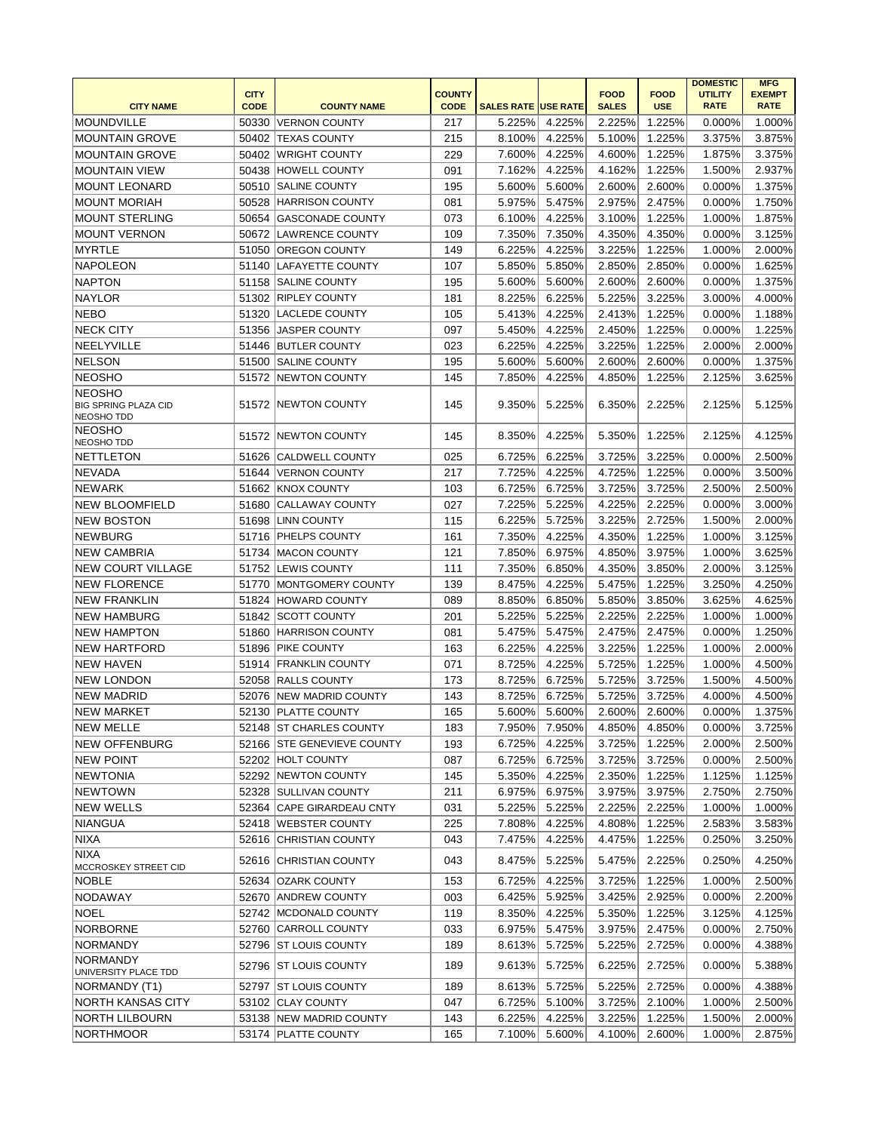|                                                  |             |                            |               |                            |        |              |             | <b>DOMESTIC</b> | <b>MFG</b>    |
|--------------------------------------------------|-------------|----------------------------|---------------|----------------------------|--------|--------------|-------------|-----------------|---------------|
|                                                  | <b>CITY</b> |                            | <b>COUNTY</b> |                            |        | <b>FOOD</b>  | <b>FOOD</b> | <b>UTILITY</b>  | <b>EXEMPT</b> |
| <b>CITY NAME</b>                                 | <b>CODE</b> | <b>COUNTY NAME</b>         | <b>CODE</b>   | <b>SALES RATE USE RATE</b> |        | <b>SALES</b> | <b>USE</b>  | <b>RATE</b>     | <b>RATE</b>   |
| MOUNDVILLE                                       | 50330       | VERNON COUNTY              | 217           | 5.225%                     | 4.225% | 2.225%       | 1.225%      | 0.000%          | 1.000%        |
| MOUNTAIN GROVE                                   |             | 50402 TEXAS COUNTY         | 215           | 8.100%                     | 4.225% | 5.100%       | 1.225%      | 3.375%          | 3.875%        |
| <b>MOUNTAIN GROVE</b>                            |             | 50402 WRIGHT COUNTY        | 229           | 7.600%                     | 4.225% | 4.600%       | 1.225%      | 1.875%          | 3.375%        |
| <b>MOUNTAIN VIEW</b>                             |             | 50438 HOWELL COUNTY        | 091           | 7.162%                     | 4.225% | 4.162%       | 1.225%      | 1.500%          | 2.937%        |
| <b>MOUNT LEONARD</b>                             |             | 50510 SALINE COUNTY        | 195           | 5.600%                     | 5.600% | 2.600%       | 2.600%      | 0.000%          | 1.375%        |
| <b>MOUNT MORIAH</b>                              |             | 50528 HARRISON COUNTY      | 081           | 5.975%                     | 5.475% | 2.975%       | 2.475%      | 0.000%          | 1.750%        |
| <b>MOUNT STERLING</b>                            |             | 50654 GASCONADE COUNTY     | 073           | 6.100%                     | 4.225% | 3.100%       | 1.225%      | 1.000%          | 1.875%        |
| <b>MOUNT VERNON</b>                              |             | 50672 LAWRENCE COUNTY      | 109           | 7.350%                     | 7.350% | 4.350%       | 4.350%      | 0.000%          | 3.125%        |
| <b>MYRTLE</b>                                    | 51050       | <b>OREGON COUNTY</b>       | 149           | 6.225%                     | 4.225% | 3.225%       | 1.225%      | 1.000%          | 2.000%        |
| <b>NAPOLEON</b>                                  |             | 51140 LAFAYETTE COUNTY     | 107           | 5.850%                     | 5.850% | 2.850%       | 2.850%      | 0.000%          | 1.625%        |
| <b>NAPTON</b>                                    | 51158       | <b>SALINE COUNTY</b>       | 195           | 5.600%                     | 5.600% | 2.600%       | 2.600%      | 0.000%          | 1.375%        |
| <b>NAYLOR</b>                                    |             | 51302 RIPLEY COUNTY        | 181           | 8.225%                     | 6.225% | 5.225%       | 3.225%      | 3.000%          | 4.000%        |
| <b>NEBO</b>                                      |             | 51320 LACLEDE COUNTY       | 105           | 5.413%                     | 4.225% | 2.413%       | 1.225%      | 0.000%          | 1.188%        |
| <b>NECK CITY</b>                                 | 51356       | <b>JASPER COUNTY</b>       | 097           | 5.450%                     | 4.225% | 2.450%       | 1.225%      | 0.000%          | 1.225%        |
| NEELYVILLE                                       |             | 51446 BUTLER COUNTY        | 023           | 6.225%                     | 4.225% | 3.225%       | 1.225%      | 2.000%          | 2.000%        |
| <b>NELSON</b>                                    | 51500       | <b>SALINE COUNTY</b>       | 195           | 5.600%                     | 5.600% | 2.600%       | 2.600%      | 0.000%          | 1.375%        |
| <b>NEOSHO</b>                                    |             | 51572 NEWTON COUNTY        | 145           | 7.850%                     | 4.225% | 4.850%       | 1.225%      | 2.125%          | 3.625%        |
| <b>NEOSHO</b>                                    |             |                            |               |                            |        |              |             |                 |               |
| <b>BIG SPRING PLAZA CID</b><br><b>NEOSHO TDD</b> |             | 51572 NEWTON COUNTY        | 145           | 9.350%                     | 5.225% | 6.350%       | 2.225%      | 2.125%          | 5.125%        |
| <b>NEOSHO</b>                                    |             |                            |               |                            |        |              |             |                 |               |
| NEOSHO TDD                                       | 51572       | <b>NEWTON COUNTY</b>       | 145           | 8.350%                     | 4.225% | 5.350%       | 1.225%      | 2.125%          | 4.125%        |
| <b>NETTLETON</b>                                 | 51626       | <b>CALDWELL COUNTY</b>     | 025           | 6.725%                     | 6.225% | 3.725%       | 3.225%      | 0.000%          | 2.500%        |
| <b>NEVADA</b>                                    | 51644       | VERNON COUNTY              | 217           | 7.725%                     | 4.225% | 4.725%       | 1.225%      | 0.000%          | 3.500%        |
| <b>NEWARK</b>                                    |             | 51662 KNOX COUNTY          | 103           | 6.725%                     | 6.725% | 3.725%       | 3.725%      | 2.500%          | 2.500%        |
| <b>NEW BLOOMFIELD</b>                            | 51680       | <b>CALLAWAY COUNTY</b>     | 027           | 7.225%                     | 5.225% | 4.225%       | 2.225%      | 0.000%          | 3.000%        |
| <b>NEW BOSTON</b>                                | 51698       | <b>LINN COUNTY</b>         | 115           | 6.225%                     | 5.725% | 3.225%       | 2.725%      | 1.500%          | 2.000%        |
| <b>NEWBURG</b>                                   |             | 51716   PHELPS COUNTY      | 161           | 7.350%                     | 4.225% | 4.350%       | 1.225%      | 1.000%          | 3.125%        |
| <b>NEW CAMBRIA</b>                               |             | 51734 MACON COUNTY         | 121           | 7.850%                     | 6.975% | 4.850%       | 3.975%      | 1.000%          | 3.625%        |
| <b>NEW COURT VILLAGE</b>                         |             | 51752 LEWIS COUNTY         | 111           | 7.350%                     | 6.850% | 4.350%       | 3.850%      | 2.000%          | 3.125%        |
| <b>NEW FLORENCE</b>                              |             | 51770 MONTGOMERY COUNTY    | 139           | 8.475%                     | 4.225% | 5.475%       | 1.225%      | 3.250%          | 4.250%        |
| <b>NEW FRANKLIN</b>                              |             | 51824 HOWARD COUNTY        | 089           | 8.850%                     | 6.850% | 5.850%       | 3.850%      | 3.625%          | 4.625%        |
| <b>NEW HAMBURG</b>                               |             | 51842 SCOTT COUNTY         | 201           | 5.225%                     | 5.225% | 2.225%       | 2.225%      | 1.000%          | 1.000%        |
| <b>NEW HAMPTON</b>                               |             | 51860 HARRISON COUNTY      | 081           | 5.475%                     | 5.475% | 2.475%       | 2.475%      | 0.000%          | 1.250%        |
| <b>NEW HARTFORD</b>                              |             | 51896   PIKE COUNTY        | 163           | 6.225%                     | 4.225% | 3.225%       | 1.225%      | 1.000%          | 2.000%        |
| <b>NEW HAVEN</b>                                 |             | 51914 FRANKLIN COUNTY      | 071           | 8.725%                     | 4.225% | 5.725%       | 1.225%      | 1.000%          | 4.500%        |
| <b>NEW LONDON</b>                                |             | 52058 RALLS COUNTY         | 173           | 8.725%                     | 6.725% | 5.725%       | 3.725%      | 1.500%          | 4.500%        |
| <b>NEW MADRID</b>                                |             | 52076 NEW MADRID COUNTY    | 143           | 8.725%                     | 6.725% | 5.725%       | 3.725%      | 4.000%          | 4.500%        |
| <b>NEW MARKET</b>                                |             | 52130 PLATTE COUNTY        | 165           | 5.600%                     | 5.600% | 2.600%       | 2.600%      | 0.000%          | 1.375%        |
| <b>NEW MELLE</b>                                 |             | 52148 ST CHARLES COUNTY    | 183           | 7.950%                     | 7.950% | 4.850%       | 4.850%      | 0.000%          | 3.725%        |
| <b>NEW OFFENBURG</b>                             |             | 52166 STE GENEVIEVE COUNTY | 193           | 6.725%                     | 4.225% | 3.725%       | 1.225%      | 2.000%          | 2.500%        |
| <b>NEW POINT</b>                                 |             | 52202 HOLT COUNTY          | 087           | 6.725%                     | 6.725% | 3.725%       | 3.725%      | 0.000%          | 2.500%        |
| <b>NEWTONIA</b>                                  |             | 52292 NEWTON COUNTY        | 145           | 5.350%                     | 4.225% | 2.350%       | 1.225%      | 1.125%          | 1.125%        |
| <b>NEWTOWN</b>                                   |             | 52328 SULLIVAN COUNTY      | 211           | 6.975%                     | 6.975% | 3.975%       | 3.975%      | 2.750%          | 2.750%        |
| <b>NEW WELLS</b>                                 |             | 52364 CAPE GIRARDEAU CNTY  | 031           | 5.225%                     | 5.225% | 2.225%       | 2.225%      | 1.000%          | 1.000%        |
| <b>NIANGUA</b>                                   |             | 52418 WEBSTER COUNTY       | 225           | 7.808%                     | 4.225% | 4.808%       | 1.225%      | 2.583%          | 3.583%        |
| <b>NIXA</b>                                      |             | 52616 CHRISTIAN COUNTY     | 043           | 7.475%                     | 4.225% | 4.475%       | 1.225%      |                 | 3.250%        |
| <b>NIXA</b>                                      |             |                            |               |                            |        |              |             | 0.250%          |               |
| MCCROSKEY STREET CID                             |             | 52616 CHRISTIAN COUNTY     | 043           | 8.475%                     | 5.225% | 5.475%       | 2.225%      | 0.250%          | 4.250%        |
| <b>NOBLE</b>                                     |             | 52634 OZARK COUNTY         | 153           | 6.725%                     | 4.225% | 3.725%       | 1.225%      | 1.000%          | 2.500%        |
| NODAWAY                                          |             | 52670 ANDREW COUNTY        | 003           | 6.425%                     | 5.925% | 3.425%       | 2.925%      | 0.000%          | 2.200%        |
| <b>NOEL</b>                                      |             | 52742 MCDONALD COUNTY      | 119           | 8.350%                     | 4.225% | 5.350%       | 1.225%      | 3.125%          | 4.125%        |
| <b>NORBORNE</b>                                  |             | 52760 CARROLL COUNTY       | 033           | 6.975%                     | 5.475% | 3.975%       | 2.475%      | 0.000%          | 2.750%        |
| <b>NORMANDY</b>                                  |             | 52796 ST LOUIS COUNTY      | 189           | 8.613%                     | 5.725% | 5.225%       | 2.725%      | 0.000%          | 4.388%        |
| <b>NORMANDY</b>                                  |             |                            |               |                            |        |              |             |                 |               |
| UNIVERSITY PLACE TDD                             |             | 52796 ST LOUIS COUNTY      | 189           | 9.613%                     | 5.725% | 6.225%       | 2.725%      | 0.000%          | 5.388%        |
| NORMANDY (T1)                                    |             | 52797 ST LOUIS COUNTY      | 189           | 8.613%                     | 5.725% | 5.225%       | 2.725%      | 0.000%          | 4.388%        |
| NORTH KANSAS CITY                                |             | 53102 CLAY COUNTY          | 047           | 6.725%                     | 5.100% | 3.725%       | 2.100%      | 1.000%          | 2.500%        |
| <b>NORTH LILBOURN</b>                            |             | 53138 NEW MADRID COUNTY    | 143           | 6.225%                     | 4.225% | 3.225%       | 1.225%      | 1.500%          | 2.000%        |
| NORTHMOOR                                        |             | 53174 PLATTE COUNTY        | 165           | 7.100%                     | 5.600% | 4.100%       | 2.600%      | 1.000%          | 2.875%        |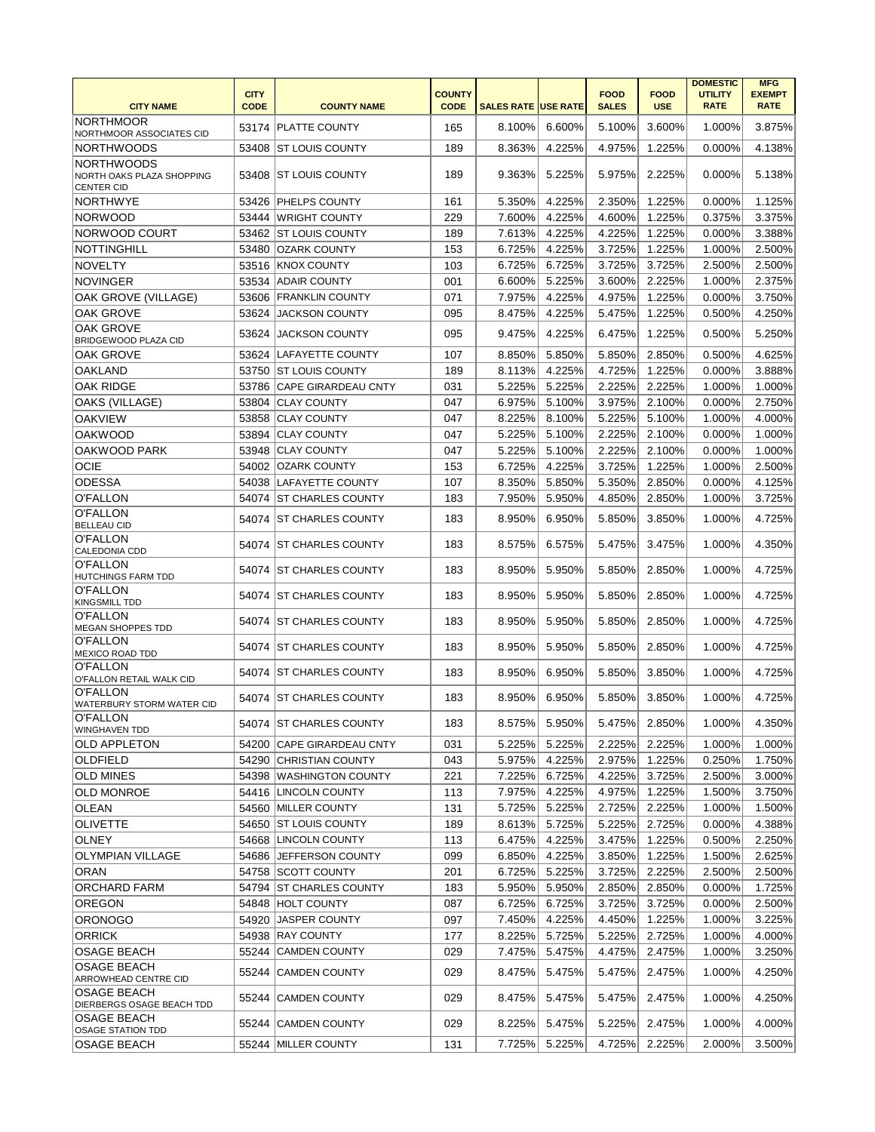| <b>CITY NAME</b>                                                    | <b>CITY</b><br><b>CODE</b> | <b>COUNTY NAME</b>        | <b>COUNTY</b><br><b>CODE</b> | <b>SALES RATE USE RATE</b> |        | <b>FOOD</b><br><b>SALES</b> | <b>FOOD</b><br><b>USE</b> | <b>DOMESTIC</b><br><b>UTILITY</b><br><b>RATE</b> | <b>MFG</b><br><b>EXEMPT</b><br><b>RATE</b> |
|---------------------------------------------------------------------|----------------------------|---------------------------|------------------------------|----------------------------|--------|-----------------------------|---------------------------|--------------------------------------------------|--------------------------------------------|
| <b>NORTHMOOR</b><br>NORTHMOOR ASSOCIATES CID                        |                            | 53174 PLATTE COUNTY       | 165                          | 8.100%                     | 6.600% | 5.100%                      | 3.600%                    | 1.000%                                           | 3.875%                                     |
| <b>NORTHWOODS</b>                                                   | 53408                      | <b>ST LOUIS COUNTY</b>    | 189                          | 8.363%                     | 4.225% | 4.975%                      | 1.225%                    | 0.000%                                           | 4.138%                                     |
| <b>NORTHWOODS</b><br>NORTH OAKS PLAZA SHOPPING<br><b>CENTER CID</b> |                            | 53408 ST LOUIS COUNTY     | 189                          | 9.363%                     | 5.225% | 5.975%                      | 2.225%                    | 0.000%                                           | 5.138%                                     |
| <b>NORTHWYE</b>                                                     |                            | 53426 PHELPS COUNTY       | 161                          | 5.350%                     | 4.225% | 2.350%                      | 1.225%                    | 0.000%                                           | 1.125%                                     |
| <b>NORWOOD</b>                                                      |                            | 53444 WRIGHT COUNTY       | 229                          | 7.600%                     | 4.225% | 4.600%                      | 1.225%                    | 0.375%                                           | 3.375%                                     |
| NORWOOD COURT                                                       |                            | 53462 ST LOUIS COUNTY     | 189                          | 7.613%                     | 4.225% | 4.225%                      | 1.225%                    | 0.000%                                           | 3.388%                                     |
| <b>NOTTINGHILL</b>                                                  |                            | 53480 OZARK COUNTY        | 153                          | 6.725%                     | 4.225% | 3.725%                      | 1.225%                    | 1.000%                                           | 2.500%                                     |
| <b>NOVELTY</b>                                                      |                            | 53516 KNOX COUNTY         | 103                          | 6.725%                     | 6.725% | 3.725%                      | 3.725%                    | 2.500%                                           | 2.500%                                     |
| <b>NOVINGER</b>                                                     | 53534                      | <b>ADAIR COUNTY</b>       | 001                          | 6.600%                     | 5.225% | 3.600%                      | 2.225%                    | 1.000%                                           | 2.375%                                     |
| OAK GROVE (VILLAGE)                                                 |                            | 53606 FRANKLIN COUNTY     | 071                          | 7.975%                     | 4.225% | 4.975%                      | 1.225%                    | 0.000%                                           | 3.750%                                     |
| <b>OAK GROVE</b>                                                    |                            | 53624 JACKSON COUNTY      | 095                          | 8.475%                     | 4.225% | 5.475%                      | 1.225%                    | 0.500%                                           | 4.250%                                     |
| <b>OAK GROVE</b><br>BRIDGEWOOD PLAZA CID                            | 53624                      | <b>JACKSON COUNTY</b>     | 095                          | 9.475%                     | 4.225% | 6.475%                      | 1.225%                    | 0.500%                                           | 5.250%                                     |
| <b>OAK GROVE</b>                                                    | 53624                      | LAFAYETTE COUNTY          | 107                          | 8.850%                     | 5.850% | 5.850%                      | 2.850%                    | 0.500%                                           | 4.625%                                     |
| <b>OAKLAND</b>                                                      |                            | 53750 ST LOUIS COUNTY     | 189                          | 8.113%                     | 4.225% | 4.725%                      | 1.225%                    | 0.000%                                           | 3.888%                                     |
| <b>OAK RIDGE</b>                                                    |                            | 53786 CAPE GIRARDEAU CNTY | 031                          | 5.225%                     | 5.225% | 2.225%                      | 2.225%                    | 1.000%                                           | 1.000%                                     |
| OAKS (VILLAGE)                                                      |                            | 53804 CLAY COUNTY         | 047                          | 6.975%                     | 5.100% | 3.975%                      | 2.100%                    | 0.000%                                           | 2.750%                                     |
| <b>OAKVIEW</b>                                                      |                            | 53858 CLAY COUNTY         | 047                          | 8.225%                     | 8.100% | 5.225%                      | 5.100%                    | 1.000%                                           | 4.000%                                     |
| <b>OAKWOOD</b>                                                      |                            | 53894 CLAY COUNTY         | 047                          | 5.225%                     | 5.100% | 2.225%                      | 2.100%                    | 0.000%                                           | 1.000%                                     |
| OAKWOOD PARK                                                        |                            | 53948 CLAY COUNTY         | 047                          | 5.225%                     | 5.100% | 2.225%                      | 2.100%                    | 0.000%                                           | 1.000%                                     |
| <b>OCIE</b>                                                         |                            | 54002 OZARK COUNTY        | 153                          | 6.725%                     | 4.225% | 3.725%                      | 1.225%                    | 1.000%                                           | 2.500%                                     |
| <b>ODESSA</b>                                                       |                            | 54038 LAFAYETTE COUNTY    | 107                          | 8.350%                     | 5.850% | 5.350%                      | 2.850%                    | 0.000%                                           | 4.125%                                     |
| O'FALLON                                                            |                            | 54074 ST CHARLES COUNTY   | 183                          | 7.950%                     | 5.950% | 4.850%                      | 2.850%                    | 1.000%                                           | 3.725%                                     |
| O'FALLON<br><b>BELLEAU CID</b>                                      |                            | 54074 ST CHARLES COUNTY   | 183                          | 8.950%                     | 6.950% | 5.850%                      | 3.850%                    | 1.000%                                           | 4.725%                                     |
| O'FALLON<br>CALEDONIA CDD                                           |                            | 54074 ST CHARLES COUNTY   | 183                          | 8.575%                     | 6.575% | 5.475%                      | 3.475%                    | 1.000%                                           | 4.350%                                     |
| O'FALLON<br><b>HUTCHINGS FARM TDD</b>                               |                            | 54074 ST CHARLES COUNTY   | 183                          | 8.950%                     | 5.950% | 5.850%                      | 2.850%                    | 1.000%                                           | 4.725%                                     |
| O'FALLON<br><b>KINGSMILL TDD</b>                                    |                            | 54074 ST CHARLES COUNTY   | 183                          | 8.950%                     | 5.950% | 5.850%                      | 2.850%                    | 1.000%                                           | 4.725%                                     |
| O'FALLON<br>MEGAN SHOPPES TDD                                       |                            | 54074 ST CHARLES COUNTY   | 183                          | 8.950%                     | 5.950% | 5.850%                      | 2.850%                    | 1.000%                                           | 4.725%                                     |
| O'FALLON<br><b>MEXICO ROAD TDD</b>                                  |                            | 54074 IST CHARLES COUNTY  | 183                          | 8.950%                     | 5.950% | 5.850%                      | 2.850%                    | 1.000%                                           | 4.725%                                     |
| O'FALLON<br>O'FALLON RETAIL WALK CID<br>O'FALLON                    |                            | 54074 ST CHARLES COUNTY   | 183                          | 8.950%                     | 6.950% | 5.850%                      | 3.850%                    | 1.000%                                           | 4.725%                                     |
| WATERBURY STORM WATER CID<br>O'FALLON                               |                            | 54074 ST CHARLES COUNTY   | 183                          | 8.950%                     | 6.950% | 5.850%                      | 3.850%                    | 1.000%                                           | 4.725%                                     |
| <b>WINGHAVEN TDD</b>                                                |                            | 54074 ST CHARLES COUNTY   | 183                          | 8.575%                     | 5.950% | 5.475%                      | 2.850%                    | 1.000%                                           | 4.350%                                     |
| <b>OLD APPLETON</b>                                                 |                            | 54200 CAPE GIRARDEAU CNTY | 031                          | 5.225%                     | 5.225% | 2.225%                      | 2.225%                    | 1.000%                                           | 1.000%                                     |
| OLDFIELD                                                            |                            | 54290 CHRISTIAN COUNTY    | 043                          | 5.975%                     | 4.225% | 2.975%                      | 1.225%                    | 0.250%                                           | 1.750%                                     |
| <b>OLD MINES</b>                                                    |                            | 54398 WASHINGTON COUNTY   | 221                          | 7.225%                     | 6.725% | 4.225%                      | 3.725%                    | 2.500%                                           | 3.000%                                     |
| <b>OLD MONROE</b><br><b>OLEAN</b>                                   |                            | 54416 LINCOLN COUNTY      | 113                          | 7.975%                     | 4.225% | 4.975%                      | 1.225%                    | 1.500%                                           | 3.750%                                     |
|                                                                     |                            | 54560 MILLER COUNTY       | 131                          | 5.725%                     | 5.225% | 2.725%                      | 2.225%                    | 1.000%                                           | 1.500%                                     |
| <b>OLIVETTE</b>                                                     |                            | 54650 ST LOUIS COUNTY     | 189                          | 8.613%                     | 5.725% | 5.225%                      | 2.725%                    | 0.000%                                           | 4.388%                                     |
| <b>OLNEY</b>                                                        |                            | 54668 LINCOLN COUNTY      | 113                          | 6.475%                     | 4.225% | 3.475%                      | 1.225%                    | 0.500%                                           | 2.250%                                     |
| <b>OLYMPIAN VILLAGE</b>                                             |                            | 54686 JEFFERSON COUNTY    | 099                          | 6.850%                     | 4.225% | 3.850%                      | 1.225%                    | 1.500%                                           | 2.625%                                     |
| <b>ORAN</b>                                                         |                            | 54758 SCOTT COUNTY        | 201                          | 6.725%                     | 5.225% | 3.725%                      | 2.225%                    | 2.500%                                           | 2.500%                                     |
| ORCHARD FARM                                                        |                            | 54794 ST CHARLES COUNTY   | 183                          | 5.950%                     | 5.950% | 2.850%                      | 2.850%                    | 0.000%                                           | 1.725%                                     |
| <b>OREGON</b>                                                       |                            | 54848 HOLT COUNTY         | 087                          | 6.725%                     | 6.725% | 3.725%                      | 3.725%                    | 0.000%                                           | 2.500%                                     |
| <b>ORONOGO</b>                                                      |                            | 54920 JASPER COUNTY       | 097                          | 7.450%                     | 4.225% | 4.450%                      | 1.225%                    | 1.000%                                           | 3.225%                                     |
| <b>ORRICK</b>                                                       |                            | 54938 RAY COUNTY          | 177                          | 8.225%                     | 5.725% | 5.225%                      | 2.725%                    | 1.000%                                           | 4.000%                                     |
| OSAGE BEACH                                                         |                            | 55244 CAMDEN COUNTY       | 029                          | 7.475%                     | 5.475% | 4.475%                      | 2.475%                    | 1.000%                                           | 3.250%                                     |
| <b>OSAGE BEACH</b><br>ARROWHEAD CENTRE CID                          |                            | 55244 CAMDEN COUNTY       | 029                          | 8.475%                     | 5.475% | 5.475%                      | 2.475%                    | 1.000%                                           | 4.250%                                     |
| <b>OSAGE BEACH</b><br>DIERBERGS OSAGE BEACH TDD                     |                            | 55244 CAMDEN COUNTY       | 029                          | 8.475%                     | 5.475% | 5.475%                      | 2.475%                    | 1.000%                                           | 4.250%                                     |
| <b>OSAGE BEACH</b><br><b>OSAGE STATION TDD</b>                      |                            | 55244 CAMDEN COUNTY       | 029                          | 8.225%                     | 5.475% | 5.225%                      | 2.475%                    | 1.000%                                           | 4.000%                                     |
| <b>OSAGE BEACH</b>                                                  |                            | 55244 MILLER COUNTY       | 131                          | 7.725%                     | 5.225% | 4.725%                      | 2.225%                    | 2.000%                                           | 3.500%                                     |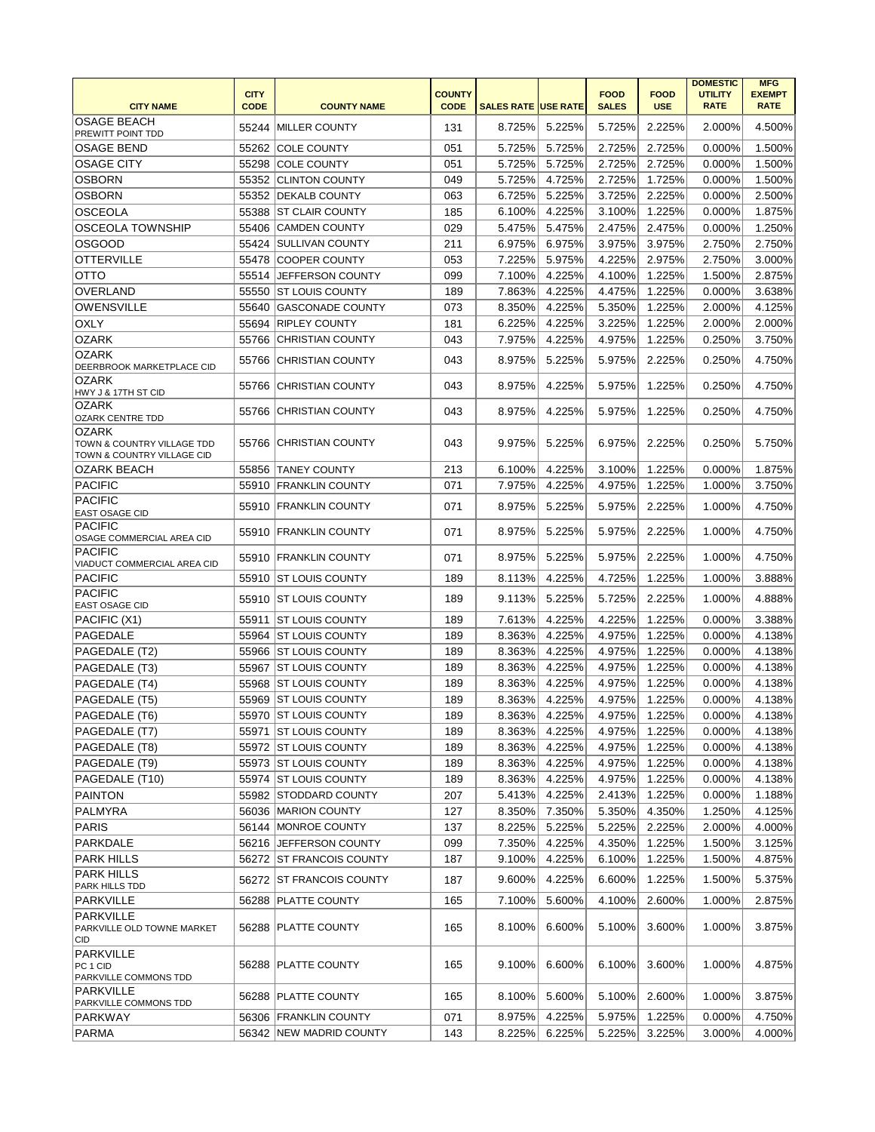|                                                                          |                            |                            |                              |                            |        |                             |                           | <b>DOMESTIC</b>               | <b>MFG</b>                   |
|--------------------------------------------------------------------------|----------------------------|----------------------------|------------------------------|----------------------------|--------|-----------------------------|---------------------------|-------------------------------|------------------------------|
| <b>CITY NAME</b>                                                         | <b>CITY</b><br><b>CODE</b> | <b>COUNTY NAME</b>         | <b>COUNTY</b><br><b>CODE</b> | <b>SALES RATE USE RATE</b> |        | <b>FOOD</b><br><b>SALES</b> | <b>FOOD</b><br><b>USE</b> | <b>UTILITY</b><br><b>RATE</b> | <b>EXEMPT</b><br><b>RATE</b> |
| <b>OSAGE BEACH</b><br>PREWITT POINT TDD                                  | 55244                      | <b>IMILLER COUNTY</b>      | 131                          | 8.725%                     | 5.225% | 5.725%                      | 2.225%                    | 2.000%                        | 4.500%                       |
| <b>OSAGE BEND</b>                                                        | 55262                      | <b>COLE COUNTY</b>         | 051                          | 5.725%                     | 5.725% | 2.725%                      | 2.725%                    | 0.000%                        | 1.500%                       |
| <b>OSAGE CITY</b>                                                        | 55298                      | <b>COLE COUNTY</b>         | 051                          | 5.725%                     | 5.725% | 2.725%                      | 2.725%                    | 0.000%                        | 1.500%                       |
| <b>OSBORN</b>                                                            |                            | 55352 CLINTON COUNTY       | 049                          | 5.725%                     | 4.725% | 2.725%                      | 1.725%                    | 0.000%                        | 1.500%                       |
| <b>OSBORN</b>                                                            |                            | 55352 DEKALB COUNTY        | 063                          | 6.725%                     | 5.225% | 3.725%                      | 2.225%                    | 0.000%                        | 2.500%                       |
|                                                                          |                            |                            |                              |                            |        |                             |                           |                               |                              |
| <b>OSCEOLA</b>                                                           | 55388                      | <b>ST CLAIR COUNTY</b>     | 185                          | 6.100%                     | 4.225% | 3.100%                      | 1.225%                    | 0.000%                        | 1.875%                       |
| <b>OSCEOLA TOWNSHIP</b>                                                  |                            | 55406 CAMDEN COUNTY        | 029                          | 5.475%                     | 5.475% | 2.475%                      | 2.475%                    | 0.000%                        | 1.250%                       |
| <b>OSGOOD</b>                                                            |                            | 55424 SULLIVAN COUNTY      | 211                          | 6.975%                     | 6.975% | 3.975%                      | 3.975%                    | 2.750%                        | 2.750%                       |
| <b>OTTERVILLE</b>                                                        |                            | 55478 COOPER COUNTY        | 053                          | 7.225%                     | 5.975% | 4.225%                      | 2.975%                    | 2.750%                        | 3.000%                       |
| <b>OTTO</b>                                                              |                            | 55514 JEFFERSON COUNTY     | 099                          | 7.100%                     | 4.225% | 4.100%                      | 1.225%                    | 1.500%                        | 2.875%                       |
| OVERLAND                                                                 |                            | 55550 ST LOUIS COUNTY      | 189                          | 7.863%                     | 4.225% | 4.475%                      | 1.225%                    | 0.000%                        | 3.638%                       |
| <b>OWENSVILLE</b>                                                        | 55640                      | <b>GASCONADE COUNTY</b>    | 073                          | 8.350%                     | 4.225% | 5.350%                      | 1.225%                    | 2.000%                        | 4.125%                       |
| <b>OXLY</b>                                                              | 55694                      | <b>RIPLEY COUNTY</b>       | 181                          | 6.225%                     | 4.225% | 3.225%                      | 1.225%                    | 2.000%                        | 2.000%                       |
| <b>OZARK</b>                                                             |                            | 55766 CHRISTIAN COUNTY     | 043                          | 7.975%                     | 4.225% | 4.975%                      | 1.225%                    | 0.250%                        | 3.750%                       |
| <b>OZARK</b>                                                             |                            |                            |                              |                            |        | 5.975%                      |                           |                               |                              |
| DEERBROOK MARKETPLACE CID<br><b>OZARK</b>                                | 55766                      | CHRISTIAN COUNTY           | 043                          | 8.975%                     | 5.225% |                             | 2.225%                    | 0.250%                        | 4.750%                       |
| HWY J & 17TH ST CID                                                      | 55766                      | <b>CHRISTIAN COUNTY</b>    | 043                          | 8.975%                     | 4.225% | 5.975%                      | 1.225%                    | 0.250%                        | 4.750%                       |
| <b>OZARK</b><br><b>OZARK CENTRE TDD</b>                                  | 55766                      | <b>CHRISTIAN COUNTY</b>    | 043                          | 8.975%                     | 4.225% | 5.975%                      | 1.225%                    | 0.250%                        | 4.750%                       |
| <b>OZARK</b><br>TOWN & COUNTRY VILLAGE TDD<br>TOWN & COUNTRY VILLAGE CID |                            | 55766 CHRISTIAN COUNTY     | 043                          | 9.975%                     | 5.225% | 6.975%                      | 2.225%                    | 0.250%                        | 5.750%                       |
| OZARK BEACH                                                              | 55856                      | <b>TANEY COUNTY</b>        | 213                          | 6.100%                     | 4.225% | 3.100%                      | 1.225%                    | 0.000%                        | 1.875%                       |
| <b>PACIFIC</b>                                                           |                            | 55910 FRANKLIN COUNTY      | 071                          | 7.975%                     | 4.225% | 4.975%                      | 1.225%                    | 1.000%                        | 3.750%                       |
| <b>PACIFIC</b><br><b>EAST OSAGE CID</b>                                  | 55910                      | <b>FRANKLIN COUNTY</b>     | 071                          | 8.975%                     | 5.225% | 5.975%                      | 2.225%                    | 1.000%                        | 4.750%                       |
| <b>PACIFIC</b><br>OSAGE COMMERCIAL AREA CID                              | 55910                      | <b>FRANKLIN COUNTY</b>     | 071                          | 8.975%                     | 5.225% | 5.975%                      | 2.225%                    | 1.000%                        | 4.750%                       |
| <b>PACIFIC</b><br>VIADUCT COMMERCIAL AREA CID                            |                            | 55910 FRANKLIN COUNTY      | 071                          | 8.975%                     | 5.225% | 5.975%                      | 2.225%                    | 1.000%                        | 4.750%                       |
| <b>PACIFIC</b>                                                           | 55910                      | <b>ST LOUIS COUNTY</b>     | 189                          | 8.113%                     | 4.225% | 4.725%                      | 1.225%                    | 1.000%                        | 3.888%                       |
| <b>PACIFIC</b><br><b>EAST OSAGE CID</b>                                  |                            | 55910 ST LOUIS COUNTY      | 189                          | 9.113%                     | 5.225% | 5.725%                      | 2.225%                    | 1.000%                        | 4.888%                       |
| PACIFIC (X1)                                                             | 55911                      | <b>ST LOUIS COUNTY</b>     | 189                          | 7.613%                     | 4.225% | 4.225%                      | 1.225%                    | 0.000%                        | 3.388%                       |
| PAGEDALE                                                                 |                            | 55964 ST LOUIS COUNTY      | 189                          | 8.363%                     | 4.225% | 4.975%                      | 1.225%                    | 0.000%                        | 4.138%                       |
| PAGEDALE (T2)                                                            |                            | 55966 ST LOUIS COUNTY      | 189                          | 8.363%                     | 4.225% | 4.975%                      | 1.225%                    | 0.000%                        | 4.138%                       |
| PAGEDALE (T3)                                                            |                            | 55967 ST LOUIS COUNTY      | 189                          | 8.363%                     | 4.225% | 4.975%                      | 1.225%                    | 0.000%                        | 4.138%                       |
| PAGEDALE (T4)                                                            |                            | 55968 ST LOUIS COUNTY      | 189                          | 8.363%                     | 4.225% | 4.975%                      | 1.225%                    | 0.000%                        | 4.138%                       |
| PAGEDALE (T5)                                                            |                            | 55969 ST LOUIS COUNTY      | 189                          | 8.363%                     | 4.225% | 4.975%                      | 1.225%                    | 0.000%                        | 4.138%                       |
| PAGEDALE (T6)                                                            |                            | 55970 ST LOUIS COUNTY      | 189                          | 8.363%                     | 4.225% | 4.975%                      | 1.225%                    | 0.000%                        | 4.138%                       |
|                                                                          |                            |                            |                              |                            |        |                             |                           |                               |                              |
| PAGEDALE (T7)                                                            |                            | 55971 ST LOUIS COUNTY      | 189                          | 8.363%                     | 4.225% | 4.975%                      | 1.225%                    | 0.000%                        | 4.138%                       |
| PAGEDALE (T8)                                                            |                            | 55972 ST LOUIS COUNTY      | 189                          | 8.363%                     | 4.225% | 4.975%                      | 1.225%                    | 0.000%                        | 4.138%                       |
| PAGEDALE (T9)                                                            |                            | 55973 ST LOUIS COUNTY      | 189                          | 8.363%                     | 4.225% | 4.975%                      | 1.225%                    | 0.000%                        | 4.138%                       |
| PAGEDALE (T10)                                                           |                            | 55974 ST LOUIS COUNTY      | 189                          | 8.363%                     | 4.225% | 4.975%                      | 1.225%                    | 0.000%                        | 4.138%                       |
| <b>PAINTON</b>                                                           |                            | 55982 STODDARD COUNTY      | 207                          | 5.413%                     | 4.225% | 2.413%                      | 1.225%                    | 0.000%                        | 1.188%                       |
| <b>PALMYRA</b>                                                           |                            | 56036 MARION COUNTY        | 127                          | 8.350%                     | 7.350% | 5.350%                      | 4.350%                    | 1.250%                        | 4.125%                       |
| <b>PARIS</b>                                                             |                            | 56144 MONROE COUNTY        | 137                          | 8.225%                     | 5.225% | 5.225%                      | 2.225%                    | 2.000%                        | 4.000%                       |
| <b>PARKDALE</b>                                                          |                            | 56216   JEFFERSON COUNTY   | 099                          | 7.350%                     | 4.225% | 4.350%                      | 1.225%                    | 1.500%                        | 3.125%                       |
| <b>PARK HILLS</b>                                                        |                            | 56272 ST FRANCOIS COUNTY   | 187                          | 9.100%                     | 4.225% | 6.100%                      | 1.225%                    | 1.500%                        | 4.875%                       |
| <b>PARK HILLS</b><br>PARK HILLS TDD                                      |                            | 56272   ST FRANCOIS COUNTY | 187                          | 9.600%                     | 4.225% | 6.600%                      | 1.225%                    | 1.500%                        | 5.375%                       |
| <b>PARKVILLE</b>                                                         |                            | 56288 PLATTE COUNTY        | 165                          | 7.100%                     | 5.600% | 4.100%                      | 2.600%                    | 1.000%                        | 2.875%                       |
| <b>PARKVILLE</b><br>PARKVILLE OLD TOWNE MARKET                           |                            | 56288 PLATTE COUNTY        | 165                          | 8.100%                     | 6.600% | 5.100%                      | 3.600%                    | 1.000%                        | 3.875%                       |
| CID<br><b>PARKVILLE</b><br>PC 1 CID<br>PARKVILLE COMMONS TDD             |                            | 56288 PLATTE COUNTY        | 165                          | 9.100%                     | 6.600% | 6.100%                      | 3.600%                    | 1.000%                        | 4.875%                       |
| <b>PARKVILLE</b><br>PARKVILLE COMMONS TDD                                |                            | 56288 PLATTE COUNTY        | 165                          | 8.100%                     | 5.600% | 5.100%                      | 2.600%                    | 1.000%                        | 3.875%                       |
| PARKWAY                                                                  |                            | 56306 FRANKLIN COUNTY      | 071                          | 8.975%                     | 4.225% | 5.975%                      | 1.225%                    | 0.000%                        | 4.750%                       |
| PARMA                                                                    |                            | 56342 NEW MADRID COUNTY    | 143                          | 8.225%                     | 6.225% | 5.225%                      | 3.225%                    | 3.000%                        | 4.000%                       |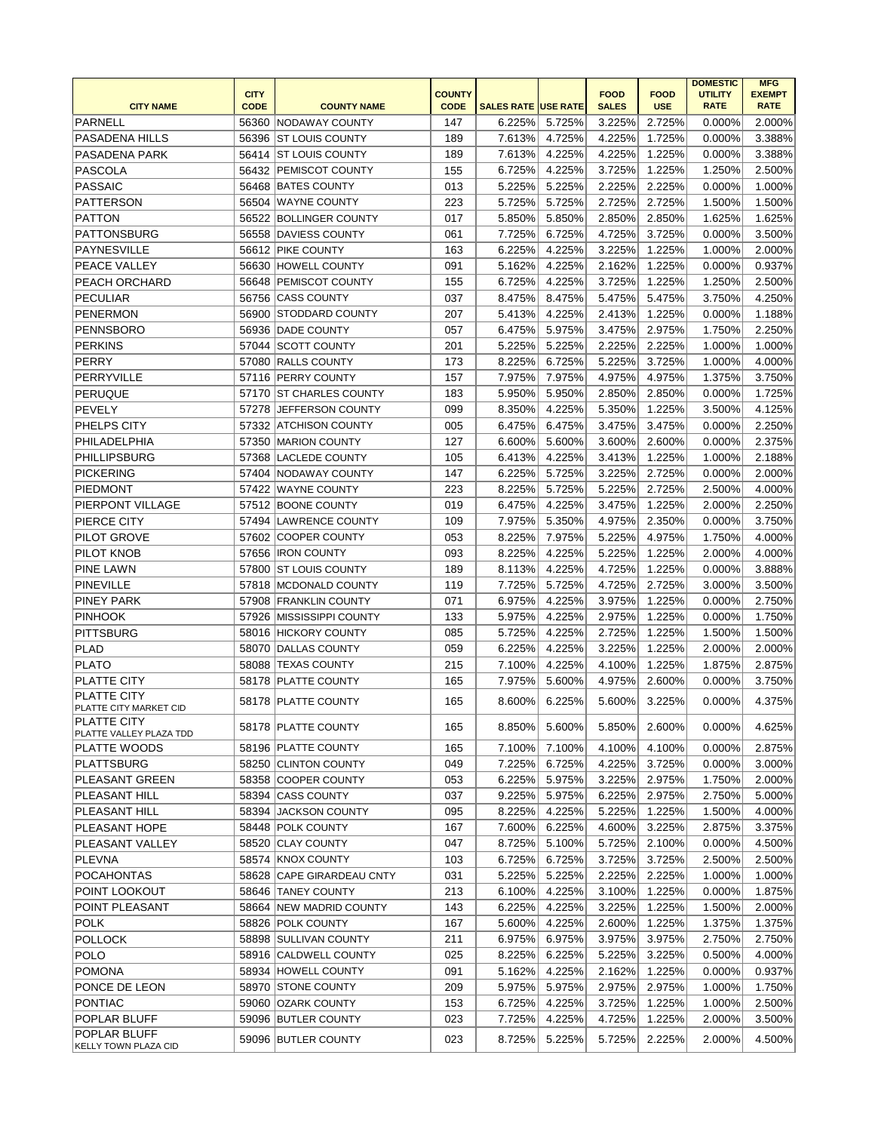|                                                    |                            |                                           |                              |                            |        |                             |                           | <b>DOMESTIC</b>               | <b>MFG</b>                   |
|----------------------------------------------------|----------------------------|-------------------------------------------|------------------------------|----------------------------|--------|-----------------------------|---------------------------|-------------------------------|------------------------------|
| <b>CITY NAME</b>                                   | <b>CITY</b><br><b>CODE</b> | <b>COUNTY NAME</b>                        | <b>COUNTY</b><br><b>CODE</b> | <b>SALES RATE USE RATE</b> |        | <b>FOOD</b><br><b>SALES</b> | <b>FOOD</b><br><b>USE</b> | <b>UTILITY</b><br><b>RATE</b> | <b>EXEMPT</b><br><b>RATE</b> |
| PARNELL                                            |                            |                                           | 147                          | 6.225%                     |        |                             |                           |                               |                              |
|                                                    | 56360                      | <b>NODAWAY COUNTY</b>                     |                              |                            | 5.725% | 3.225%                      | 2.725%                    | 0.000%                        | 2.000%                       |
| PASADENA HILLS                                     | 56396                      | <b>ST LOUIS COUNTY</b>                    | 189                          | 7.613%                     | 4.725% | 4.225%                      | 1.725%                    | 0.000%                        | 3.388%                       |
| PASADENA PARK                                      |                            | 56414 ST LOUIS COUNTY                     | 189                          | 7.613%                     | 4.225% | 4.225%                      | 1.225%                    | 0.000%                        | 3.388%                       |
| PASCOLA                                            | 56432                      | PEMISCOT COUNTY                           | 155                          | 6.725%                     | 4.225% | 3.725%                      | 1.225%                    | 1.250%                        | 2.500%                       |
| <b>PASSAIC</b>                                     |                            | 56468 BATES COUNTY                        | 013                          | 5.225%                     | 5.225% | 2.225%                      | 2.225%                    | 0.000%                        | 1.000%                       |
| <b>PATTERSON</b>                                   |                            | 56504 WAYNE COUNTY                        | 223                          | 5.725%                     | 5.725% | 2.725%                      | 2.725%                    | 1.500%                        | 1.500%                       |
| <b>PATTON</b>                                      |                            | 56522 BOLLINGER COUNTY                    | 017                          | 5.850%                     | 5.850% | 2.850%                      | 2.850%                    | 1.625%                        | 1.625%                       |
| <b>PATTONSBURG</b>                                 |                            | 56558 DAVIESS COUNTY                      | 061                          | 7.725%                     | 6.725% | 4.725%                      | 3.725%                    | 0.000%                        | 3.500%                       |
| PAYNESVILLE                                        | 56612                      | <b>PIKE COUNTY</b>                        | 163                          | 6.225%                     | 4.225% | 3.225%                      | 1.225%                    | 1.000%                        | 2.000%                       |
| <b>PEACE VALLEY</b>                                |                            | 56630 HOWELL COUNTY                       | 091                          | 5.162%                     | 4.225% | 2.162%                      | 1.225%                    | 0.000%                        | 0.937%                       |
| <b>PEACH ORCHARD</b>                               | 56648                      | PEMISCOT COUNTY                           | 155                          | 6.725%                     | 4.225% | 3.725%                      | 1.225%                    | 1.250%                        | 2.500%                       |
| <b>PECULIAR</b>                                    |                            | 56756 CASS COUNTY                         | 037                          | 8.475%                     | 8.475% | 5.475%                      | 5.475%                    | 3.750%                        | 4.250%                       |
| <b>PENERMON</b>                                    |                            | 56900 STODDARD COUNTY                     | 207                          | 5.413%                     | 4.225% | 2.413%                      | 1.225%                    | 0.000%                        | 1.188%                       |
| PENNSBORO                                          |                            | 56936 DADE COUNTY                         | 057                          | 6.475%                     | 5.975% | 3.475%                      | 2.975%                    | 1.750%                        | 2.250%                       |
| <b>PERKINS</b>                                     | 57044                      | <b>SCOTT COUNTY</b>                       | 201                          | 5.225%                     | 5.225% | 2.225%                      | 2.225%                    | 1.000%                        | 1.000%                       |
| PERRY                                              | 57080                      | <b>RALLS COUNTY</b>                       | 173                          | 8.225%                     | 6.725% | 5.225%                      | 3.725%                    | 1.000%                        | 4.000%                       |
| PERRYVILLE                                         |                            | 57116 PERRY COUNTY                        | 157                          | 7.975%                     | 7.975% | 4.975%                      | 4.975%                    | 1.375%                        | 3.750%                       |
| <b>PERUQUE</b>                                     |                            | 57170 ST CHARLES COUNTY                   | 183                          | 5.950%                     | 5.950% | 2.850%                      | 2.850%                    | 0.000%                        | 1.725%                       |
| <b>PEVELY</b>                                      |                            | 57278 JEFFERSON COUNTY                    | 099                          | 8.350%                     | 4.225% | 5.350%                      | 1.225%                    | 3.500%                        | 4.125%                       |
| <b>PHELPS CITY</b>                                 |                            | 57332 ATCHISON COUNTY                     | 005                          | 6.475%                     | 6.475% | 3.475%                      | 3.475%                    | 0.000%                        | 2.250%                       |
| PHILADELPHIA                                       |                            | 57350 MARION COUNTY                       | 127                          | 6.600%                     | 5.600% | 3.600%                      | 2.600%                    | 0.000%                        | 2.375%                       |
| PHILLIPSBURG                                       | 57368                      | <b>LACLEDE COUNTY</b>                     | 105                          | 6.413%                     | 4.225% | 3.413%                      | 1.225%                    | 1.000%                        | 2.188%                       |
| <b>PICKERING</b>                                   | 57404                      | NODAWAY COUNTY                            | 147                          | 6.225%                     | 5.725% | 3.225%                      | 2.725%                    | 0.000%                        | 2.000%                       |
| <b>PIEDMONT</b>                                    | 57422                      | <b>WAYNE COUNTY</b>                       | 223                          | 8.225%                     | 5.725% | 5.225%                      | 2.725%                    | 2.500%                        | 4.000%                       |
| PIERPONT VILLAGE                                   | 57512                      | <b>BOONE COUNTY</b>                       | 019                          | 6.475%                     | 4.225% | 3.475%                      | 1.225%                    | 2.000%                        | 2.250%                       |
| PIERCE CITY                                        | 57494                      | <b>LAWRENCE COUNTY</b>                    | 109                          | 7.975%                     | 5.350% | 4.975%                      | 2.350%                    | 0.000%                        | 3.750%                       |
| <b>PILOT GROVE</b>                                 |                            | 57602 COOPER COUNTY                       | 053                          | 8.225%                     | 7.975% | 5.225%                      | 4.975%                    | 1.750%                        | 4.000%                       |
| <b>PILOT KNOB</b>                                  |                            | 57656   IRON COUNTY                       | 093                          | 8.225%                     | 4.225% | 5.225%                      | 1.225%                    | 2.000%                        | 4.000%                       |
| <b>PINE LAWN</b>                                   | 57800                      | <b>ST LOUIS COUNTY</b>                    | 189                          | 8.113%                     | 4.225% | 4.725%                      | 1.225%                    | 0.000%                        | 3.888%                       |
| <b>PINEVILLE</b>                                   | 57818                      | MCDONALD COUNTY                           | 119                          | 7.725%                     | 5.725% | 4.725%                      | 2.725%                    | 3.000%                        | 3.500%                       |
| <b>PINEY PARK</b>                                  |                            | 57908 FRANKLIN COUNTY                     | 071                          | 6.975%                     | 4.225% | 3.975%                      | 1.225%                    | 0.000%                        | 2.750%                       |
| <b>PINHOOK</b>                                     |                            | 57926 MISSISSIPPI COUNTY                  | 133                          | 5.975%                     | 4.225% | 2.975%                      | 1.225%                    | 0.000%                        | 1.750%                       |
| <b>PITTSBURG</b>                                   |                            | 58016 HICKORY COUNTY                      | 085                          | 5.725%                     | 4.225% | 2.725%                      | 1.225%                    | 1.500%                        | 1.500%                       |
| PLAD                                               |                            | 58070 DALLAS COUNTY                       | 059                          | 6.225%                     | 4.225% | 3.225%                      | 1.225%                    | 2.000%                        | 2.000%                       |
| <b>PLATO</b>                                       |                            | 58088 TEXAS COUNTY                        | 215                          | 7.100%                     | 4.225% | 4.100%                      | 1.225%                    | 1.875%                        | 2.875%                       |
| <b>PLATTE CITY</b>                                 |                            | 58178 PLATTE COUNTY                       | 165                          | 7.975%                     | 5.600% | 4.975%                      | 2.600%                    | $0.000\%$                     | 3.750%                       |
| <b>PLATTE CITY</b><br>PLATTE CITY MARKET CID       |                            | 58178   PLATTE COUNTY                     | 165                          | 8.600%                     | 6.225% | 5.600%                      | 3.225%                    | 0.000%                        | 4.375%                       |
| <b>PLATTE CITY</b>                                 |                            | 58178 PLATTE COUNTY                       | 165                          | 8.850%                     | 5.600% | 5.850%                      | 2.600%                    | 0.000%                        | 4.625%                       |
| PLATTE VALLEY PLAZA TDD<br>PLATTE WOODS            |                            | 58196 PLATTE COUNTY                       | 165                          | 7.100%                     | 7.100% | 4.100%                      | 4.100%                    | 0.000%                        | 2.875%                       |
| <b>PLATTSBURG</b>                                  |                            | 58250 CLINTON COUNTY                      | 049                          | 7.225%                     | 6.725% | 4.225%                      | 3.725%                    | 0.000%                        | 3.000%                       |
| PLEASANT GREEN                                     |                            | 58358 COOPER COUNTY                       | 053                          | 6.225%                     | 5.975% | 3.225%                      | 2.975%                    | 1.750%                        | 2.000%                       |
| PLEASANT HILL                                      |                            |                                           | 037                          | 9.225%                     |        | 6.225%                      |                           |                               |                              |
|                                                    |                            | 58394 CASS COUNTY<br>58394 JACKSON COUNTY |                              |                            | 5.975% |                             | 2.975%                    | 2.750%                        | 5.000%                       |
| PLEASANT HILL                                      |                            | 58448 POLK COUNTY                         | 095                          | 8.225%                     | 4.225% | 5.225%                      | 1.225%                    | 1.500%                        | 4.000%                       |
| PLEASANT HOPE                                      |                            |                                           | 167                          | 7.600%                     | 6.225% | 4.600%                      | 3.225%                    | 2.875%                        | 3.375%                       |
| PLEASANT VALLEY                                    |                            | 58520 CLAY COUNTY                         | 047                          | 8.725%                     | 5.100% | 5.725%                      | 2.100%                    | 0.000%                        | 4.500%                       |
| <b>PLEVNA</b>                                      |                            | 58574 KNOX COUNTY                         | 103                          | 6.725%                     | 6.725% | 3.725%                      | 3.725%                    | 2.500%                        | 2.500%                       |
| <b>POCAHONTAS</b>                                  |                            | 58628 CAPE GIRARDEAU CNTY                 | 031                          | 5.225%                     | 5.225% | 2.225%                      | 2.225%                    | 1.000%                        | 1.000%                       |
| POINT LOOKOUT                                      |                            | 58646 TANEY COUNTY                        | 213                          | 6.100%                     | 4.225% | 3.100%                      | 1.225%                    | 0.000%                        | 1.875%                       |
| POINT PLEASANT                                     |                            | 58664 NEW MADRID COUNTY                   | 143                          | 6.225%                     | 4.225% | 3.225%                      | 1.225%                    | 1.500%                        | 2.000%                       |
| POLK                                               |                            | 58826 POLK COUNTY                         | 167                          | 5.600%                     | 4.225% | 2.600%                      | 1.225%                    | 1.375%                        | 1.375%                       |
| <b>POLLOCK</b>                                     |                            | 58898 SULLIVAN COUNTY                     | 211                          | 6.975%                     | 6.975% | 3.975%                      | 3.975%                    | 2.750%                        | 2.750%                       |
| <b>POLO</b>                                        |                            | 58916 CALDWELL COUNTY                     | 025                          | 8.225%                     | 6.225% | 5.225%                      | 3.225%                    | 0.500%                        | 4.000%                       |
| <b>POMONA</b>                                      |                            | 58934 HOWELL COUNTY                       | 091                          | 5.162%                     | 4.225% | 2.162%                      | 1.225%                    | 0.000%                        | 0.937%                       |
| PONCE DE LEON                                      |                            | 58970 STONE COUNTY                        | 209                          | 5.975%                     | 5.975% | 2.975%                      | 2.975%                    | 1.000%                        | 1.750%                       |
| PONTIAC                                            |                            | 59060 OZARK COUNTY                        | 153                          | 6.725%                     | 4.225% | 3.725%                      | 1.225%                    | 1.000%                        | 2.500%                       |
| POPLAR BLUFF                                       |                            | 59096 BUTLER COUNTY                       | 023                          | 7.725%                     | 4.225% | 4.725%                      | 1.225%                    | 2.000%                        | 3.500%                       |
| <b>POPLAR BLUFF</b><br><b>KELLY TOWN PLAZA CID</b> |                            | 59096 BUTLER COUNTY                       | 023                          | 8.725%                     | 5.225% | 5.725%                      | 2.225%                    | 2.000%                        | 4.500%                       |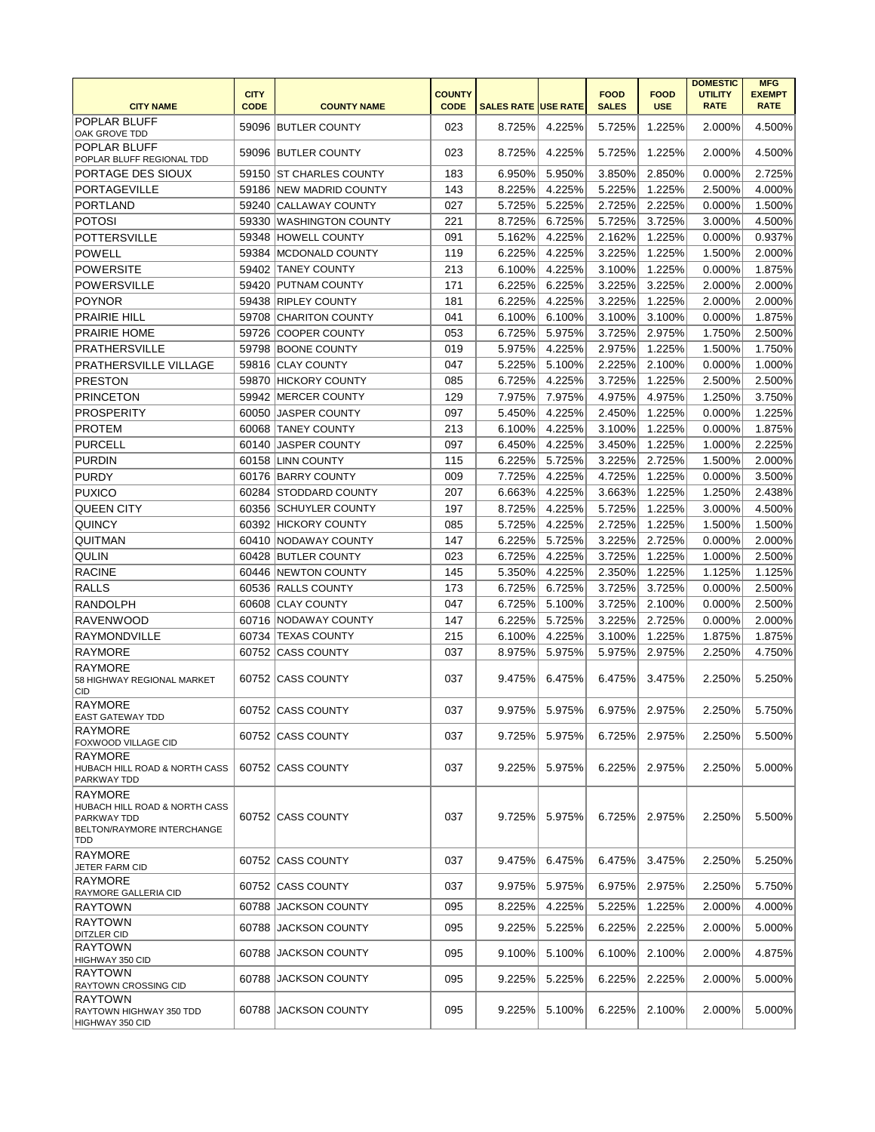| <b>CITY NAME</b>                                                                                           | <b>CITY</b><br><b>CODE</b> | <b>COUNTY NAME</b>       | <b>COUNTY</b><br><b>CODE</b> | <b>SALES RATE USE RATE</b> |               | <b>FOOD</b><br><b>SALES</b> | <b>FOOD</b><br><b>USE</b> | <b>DOMESTIC</b><br><b>UTILITY</b><br><b>RATE</b> | <b>MFG</b><br><b>EXEMPT</b><br><b>RATE</b> |
|------------------------------------------------------------------------------------------------------------|----------------------------|--------------------------|------------------------------|----------------------------|---------------|-----------------------------|---------------------------|--------------------------------------------------|--------------------------------------------|
| POPLAR BLUFF<br>OAK GROVE TDD                                                                              |                            | 59096 BUTLER COUNTY      | 023                          | 8.725%                     | 4.225%        | 5.725%                      | 1.225%                    | 2.000%                                           | 4.500%                                     |
| POPLAR BLUFF<br>POPLAR BLUFF REGIONAL TDD                                                                  |                            | 59096 BUTLER COUNTY      | 023                          | 8.725%                     | 4.225%        | 5.725%                      | 1.225%                    | 2.000%                                           | 4.500%                                     |
| PORTAGE DES SIOUX                                                                                          |                            | 59150 IST CHARLES COUNTY | 183                          | 6.950%                     | 5.950%        | 3.850%                      | 2.850%                    | 0.000%                                           | 2.725%                                     |
| <b>PORTAGEVILLE</b>                                                                                        |                            | 59186 NEW MADRID COUNTY  | 143                          | 8.225%                     | 4.225%        | 5.225%                      | 1.225%                    | 2.500%                                           | 4.000%                                     |
| <b>PORTLAND</b>                                                                                            |                            | 59240 CALLAWAY COUNTY    | 027                          | 5.725%                     | 5.225%        | 2.725%                      | 2.225%                    | 0.000%                                           | 1.500%                                     |
| <b>POTOSI</b>                                                                                              |                            | 59330 WASHINGTON COUNTY  | 221                          | 8.725%                     | 6.725%        | 5.725%                      | 3.725%                    | 3.000%                                           | 4.500%                                     |
| <b>POTTERSVILLE</b>                                                                                        |                            | 59348 HOWELL COUNTY      | 091                          | 5.162%                     | 4.225%        | 2.162%                      | 1.225%                    | 0.000%                                           | 0.937%                                     |
| <b>POWELL</b>                                                                                              |                            | 59384   MCDONALD COUNTY  | 119                          | 6.225%                     | 4.225%        | 3.225%                      | 1.225%                    | 1.500%                                           | 2.000%                                     |
| <b>POWERSITE</b>                                                                                           |                            | 59402 TANEY COUNTY       | 213                          | 6.100%                     | 4.225%        | 3.100%                      | 1.225%                    | 0.000%                                           | 1.875%                                     |
| <b>POWERSVILLE</b>                                                                                         |                            | 59420 PUTNAM COUNTY      | 171                          | 6.225%                     | 6.225%        | 3.225%                      | 3.225%                    | 2.000%                                           | 2.000%                                     |
| <b>POYNOR</b>                                                                                              |                            | 59438 RIPLEY COUNTY      | 181                          | 6.225%                     | 4.225%        | 3.225%                      | 1.225%                    | 2.000%                                           | 2.000%                                     |
| <b>PRAIRIE HILL</b>                                                                                        |                            | 59708 CHARITON COUNTY    | 041                          | 6.100%                     | 6.100%        | 3.100%                      | 3.100%                    | 0.000%                                           | 1.875%                                     |
| <b>PRAIRIE HOME</b>                                                                                        |                            | 59726 COOPER COUNTY      | 053                          | 6.725%                     | 5.975%        | 3.725%                      | 2.975%                    | 1.750%                                           | 2.500%                                     |
| <b>PRATHERSVILLE</b>                                                                                       |                            | 59798 BOONE COUNTY       | 019                          | 5.975%                     | 4.225%        | 2.975%                      | 1.225%                    | 1.500%                                           | 1.750%                                     |
| PRATHERSVILLE VILLAGE                                                                                      |                            | 59816 CLAY COUNTY        | 047                          | 5.225%                     | 5.100%        | 2.225%                      | 2.100%                    | 0.000%                                           | 1.000%                                     |
| <b>PRESTON</b>                                                                                             |                            | 59870 HICKORY COUNTY     | 085                          | 6.725%                     | 4.225%        | 3.725%                      | 1.225%                    | 2.500%                                           | 2.500%                                     |
| <b>PRINCETON</b>                                                                                           |                            | 59942 MERCER COUNTY      | 129                          | 7.975%                     | 7.975%        | 4.975%                      | 4.975%                    | 1.250%                                           | 3.750%                                     |
| <b>PROSPERITY</b>                                                                                          |                            | 60050 JASPER COUNTY      | 097                          | 5.450%                     | 4.225%        | 2.450%                      | 1.225%                    | 0.000%                                           | 1.225%                                     |
| <b>PROTEM</b>                                                                                              |                            | 60068 TANEY COUNTY       | 213                          | 6.100%                     | 4.225%        | 3.100%                      | 1.225%                    | 0.000%                                           | 1.875%                                     |
| <b>PURCELL</b>                                                                                             |                            | 60140 JASPER COUNTY      | 097                          | 6.450%                     | 4.225%        | 3.450%                      | 1.225%                    | 1.000%                                           | 2.225%                                     |
| <b>PURDIN</b>                                                                                              |                            | 60158 LINN COUNTY        | 115                          | 6.225%                     | 5.725%        | 3.225%                      | 2.725%                    | 1.500%                                           | 2.000%                                     |
| <b>PURDY</b>                                                                                               |                            | 60176 BARRY COUNTY       | 009                          | 7.725%                     | 4.225%        | 4.725%                      | 1.225%                    | 0.000%                                           | 3.500%                                     |
| <b>PUXICO</b>                                                                                              |                            | 60284 STODDARD COUNTY    | 207                          | 6.663%                     | 4.225%        | 3.663%                      | 1.225%                    | 1.250%                                           | 2.438%                                     |
| <b>QUEEN CITY</b>                                                                                          |                            | 60356 SCHUYLER COUNTY    | 197                          | 8.725%                     | 4.225%        | 5.725%                      | 1.225%                    | 3.000%                                           | 4.500%                                     |
| <b>QUINCY</b>                                                                                              |                            | 60392 HICKORY COUNTY     | 085                          | 5.725%                     | 4.225%        | 2.725%                      | 1.225%                    | 1.500%                                           | 1.500%                                     |
| QUITMAN                                                                                                    |                            | 60410 NODAWAY COUNTY     | 147                          | 6.225%                     | 5.725%        | 3.225%                      | 2.725%                    | 0.000%                                           | 2.000%                                     |
| <b>QULIN</b>                                                                                               |                            | 60428 BUTLER COUNTY      | 023                          | 6.725%                     | 4.225%        | 3.725%                      | 1.225%                    | 1.000%                                           | 2.500%                                     |
| <b>RACINE</b>                                                                                              |                            | 60446 NEWTON COUNTY      | 145                          | 5.350%                     | 4.225%        | 2.350%                      | 1.225%                    | 1.125%                                           | 1.125%                                     |
| <b>RALLS</b>                                                                                               |                            | 60536 RALLS COUNTY       | 173                          | 6.725%                     | 6.725%        | 3.725%                      | 3.725%                    | 0.000%                                           | 2.500%                                     |
| <b>RANDOLPH</b>                                                                                            |                            | 60608 CLAY COUNTY        | 047                          | 6.725%                     | 5.100%        | 3.725%                      | 2.100%                    | 0.000%                                           | 2.500%                                     |
| <b>RAVENWOOD</b>                                                                                           |                            | 60716 NODAWAY COUNTY     | 147                          | 6.225%                     | 5.725%        | 3.225%                      | 2.725%                    | 0.000%                                           | 2.000%                                     |
| <b>RAYMONDVILLE</b>                                                                                        |                            | 60734 TEXAS COUNTY       | 215                          | 6.100%                     | 4.225%        | 3.100%                      | 1.225%                    | 1.875%                                           | 1.875%                                     |
| <b>RAYMORE</b>                                                                                             |                            | 60752 CASS COUNTY        | 037                          | 8.975%                     | 5.975%        | 5.975%                      | 2.975%                    | 2.250%                                           | 4.750%                                     |
| <b>RAYMORE</b><br>58 HIGHWAY REGIONAL MARKET<br><b>CID</b>                                                 |                            | 60752 CASS COUNTY        | 037                          | 9.475%                     | 6.475%        | 6.475%                      | 3.475%                    | 2.250%                                           | 5.250%                                     |
| <b>RAYMORE</b><br>EAST GATEWAY TDD                                                                         |                            | 60752 CASS COUNTY        | 037                          |                            | 9.975% 5.975% | 6.975%                      | 2.975%                    | 2.250%                                           | 5.750%                                     |
| <b>RAYMORE</b><br>FOXWOOD VILLAGE CID                                                                      |                            | 60752 CASS COUNTY        | 037                          | 9.725%                     | 5.975%        | 6.725%                      | 2.975%                    | 2.250%                                           | 5.500%                                     |
| <b>RAYMORE</b><br>HUBACH HILL ROAD & NORTH CASS<br>PARKWAY TDD                                             |                            | 60752 CASS COUNTY        | 037                          | 9.225%                     | 5.975%        | 6.225%                      | 2.975%                    | 2.250%                                           | 5.000%                                     |
| <b>RAYMORE</b><br>HUBACH HILL ROAD & NORTH CASS<br>PARKWAY TDD<br><b>BELTON/RAYMORE INTERCHANGE</b><br>TDD |                            | 60752 CASS COUNTY        | 037                          | 9.725%                     | 5.975%        | 6.725%                      | 2.975%                    | 2.250%                                           | 5.500%                                     |
| <b>RAYMORE</b><br>JETER FARM CID                                                                           |                            | 60752 CASS COUNTY        | 037                          | 9.475%                     | 6.475%        | 6.475%                      | 3.475%                    | 2.250%                                           | 5.250%                                     |
| <b>RAYMORE</b><br>RAYMORE GALLERIA CID                                                                     |                            | 60752 CASS COUNTY        | 037                          | 9.975%                     | 5.975%        | 6.975%                      | 2.975%                    | 2.250%                                           | 5.750%                                     |
| <b>RAYTOWN</b>                                                                                             |                            | 60788 JACKSON COUNTY     | 095                          | 8.225%                     | 4.225%        | 5.225%                      | 1.225%                    | 2.000%                                           | 4.000%                                     |
| <b>RAYTOWN</b><br><b>DITZLER CID</b>                                                                       |                            | 60788 JACKSON COUNTY     | 095                          | 9.225%                     | 5.225%        | 6.225%                      | 2.225%                    | 2.000%                                           | 5.000%                                     |
| <b>RAYTOWN</b><br>HIGHWAY 350 CID                                                                          |                            | 60788 JACKSON COUNTY     | 095                          | 9.100%                     | 5.100%        | 6.100%                      | 2.100%                    | 2.000%                                           | 4.875%                                     |
| <b>RAYTOWN</b><br><b>RAYTOWN CROSSING CID</b>                                                              |                            | 60788 JACKSON COUNTY     | 095                          | 9.225%                     | 5.225%        | 6.225%                      | 2.225%                    | 2.000%                                           | 5.000%                                     |
| <b>RAYTOWN</b><br>RAYTOWN HIGHWAY 350 TDD<br>HIGHWAY 350 CID                                               |                            | 60788 JACKSON COUNTY     | 095                          | 9.225%                     | 5.100%        | 6.225%                      | 2.100%                    | 2.000%                                           | 5.000%                                     |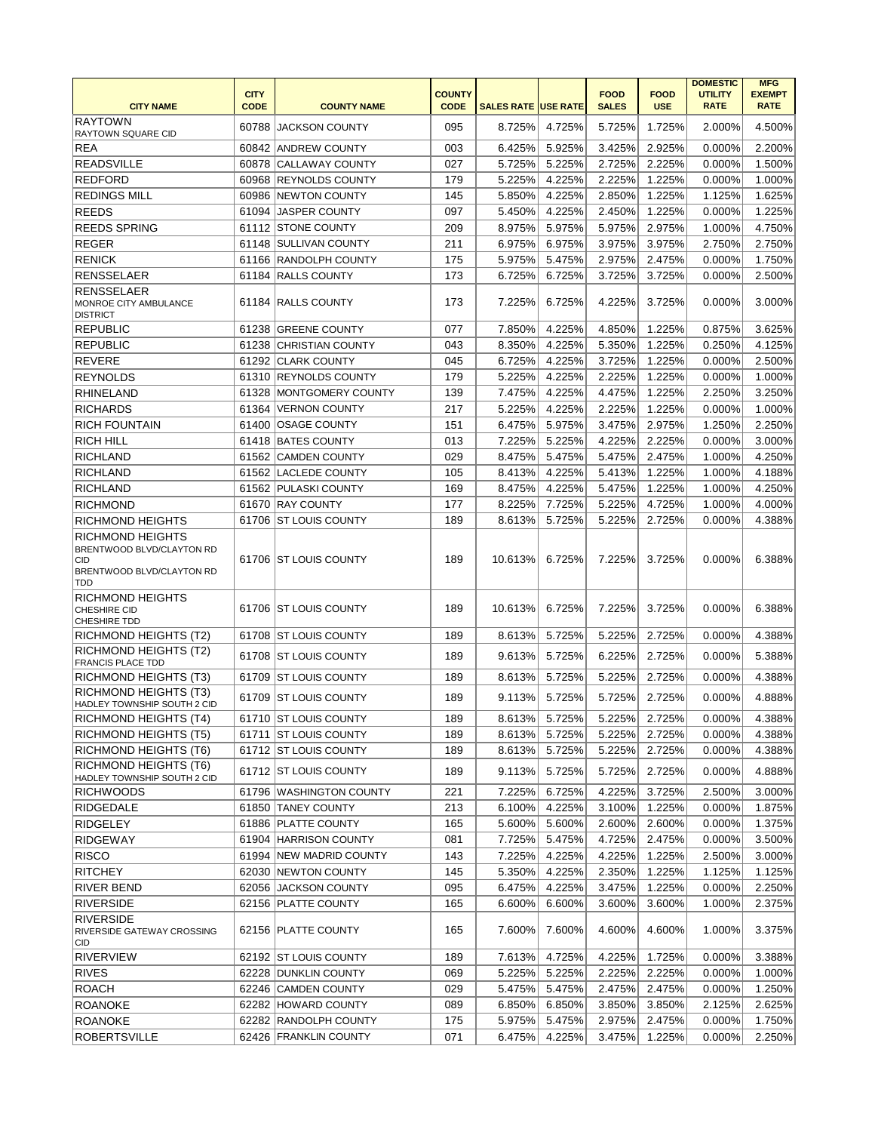| <b>CITY NAME</b>                                                                                       | <b>CITY</b><br><b>CODE</b> | <b>COUNTY NAME</b>      | <b>COUNTY</b><br><b>CODE</b> | <b>SALES RATE USE RATE</b> |        | <b>FOOD</b><br><b>SALES</b> | <b>FOOD</b><br><b>USE</b> | <b>DOMESTIC</b><br><b>UTILITY</b><br><b>RATE</b> | <b>MFG</b><br><b>EXEMPT</b><br><b>RATE</b> |
|--------------------------------------------------------------------------------------------------------|----------------------------|-------------------------|------------------------------|----------------------------|--------|-----------------------------|---------------------------|--------------------------------------------------|--------------------------------------------|
| <b>RAYTOWN</b><br>RAYTOWN SQUARE CID                                                                   | 60788                      | <b>JACKSON COUNTY</b>   | 095                          | 8.725%                     | 4.725% | 5.725%                      | 1.725%                    | 2.000%                                           | 4.500%                                     |
| <b>REA</b>                                                                                             |                            | 60842 ANDREW COUNTY     | 003                          | 6.425%                     | 5.925% | 3.425%                      | 2.925%                    | 0.000%                                           | 2.200%                                     |
| <b>READSVILLE</b>                                                                                      |                            | 60878 CALLAWAY COUNTY   | 027                          | 5.725%                     | 5.225% | 2.725%                      | 2.225%                    | 0.000%                                           | 1.500%                                     |
| <b>REDFORD</b>                                                                                         |                            | 60968 REYNOLDS COUNTY   | 179                          | 5.225%                     | 4.225% | 2.225%                      | 1.225%                    | 0.000%                                           | 1.000%                                     |
| <b>REDINGS MILL</b>                                                                                    |                            | 60986 NEWTON COUNTY     | 145                          | 5.850%                     | 4.225% | 2.850%                      | 1.225%                    | 1.125%                                           | 1.625%                                     |
| <b>REEDS</b>                                                                                           |                            | 61094 JASPER COUNTY     | 097                          | 5.450%                     | 4.225% | 2.450%                      | 1.225%                    | 0.000%                                           | 1.225%                                     |
| <b>REEDS SPRING</b>                                                                                    |                            | 61112 STONE COUNTY      | 209                          | 8.975%                     | 5.975% | 5.975%                      | 2.975%                    | 1.000%                                           | 4.750%                                     |
| <b>REGER</b>                                                                                           |                            | 61148 SULLIVAN COUNTY   | 211                          | 6.975%                     | 6.975% | 3.975%                      | 3.975%                    | 2.750%                                           | 2.750%                                     |
| <b>RENICK</b>                                                                                          |                            | 61166 RANDOLPH COUNTY   | 175                          | 5.975%                     | 5.475% | 2.975%                      | 2.475%                    | 0.000%                                           | 1.750%                                     |
| <b>RENSSELAER</b>                                                                                      |                            | 61184 RALLS COUNTY      | 173                          | 6.725%                     | 6.725% | 3.725%                      | 3.725%                    | 0.000%                                           | 2.500%                                     |
| RENSSELAER<br>MONROE CITY AMBULANCE<br><b>DISTRICT</b>                                                 |                            | 61184 RALLS COUNTY      | 173                          | 7.225%                     | 6.725% | 4.225%                      | 3.725%                    | 0.000%                                           | 3.000%                                     |
| <b>REPUBLIC</b>                                                                                        |                            | 61238 GREENE COUNTY     | 077                          | 7.850%                     | 4.225% | 4.850%                      | 1.225%                    | 0.875%                                           | 3.625%                                     |
| <b>REPUBLIC</b>                                                                                        |                            | 61238 CHRISTIAN COUNTY  | 043                          | 8.350%                     | 4.225% | 5.350%                      | 1.225%                    | 0.250%                                           | 4.125%                                     |
| <b>REVERE</b>                                                                                          |                            | 61292 CLARK COUNTY      | 045                          | 6.725%                     | 4.225% | 3.725%                      | 1.225%                    | 0.000%                                           | 2.500%                                     |
| <b>REYNOLDS</b>                                                                                        |                            | 61310 REYNOLDS COUNTY   | 179                          | 5.225%                     | 4.225% | 2.225%                      | 1.225%                    | 0.000%                                           | 1.000%                                     |
| <b>RHINELAND</b>                                                                                       |                            | 61328 MONTGOMERY COUNTY | 139                          | 7.475%                     | 4.225% | 4.475%                      | 1.225%                    | 2.250%                                           | 3.250%                                     |
| <b>RICHARDS</b>                                                                                        |                            | 61364 VERNON COUNTY     | 217                          | 5.225%                     | 4.225% | 2.225%                      | 1.225%                    | 0.000%                                           | 1.000%                                     |
| <b>RICH FOUNTAIN</b>                                                                                   |                            | 61400 OSAGE COUNTY      | 151                          | 6.475%                     | 5.975% | 3.475%                      | 2.975%                    | 1.250%                                           | 2.250%                                     |
| <b>RICH HILL</b>                                                                                       |                            | 61418 BATES COUNTY      | 013                          | 7.225%                     | 5.225% | 4.225%                      | 2.225%                    | 0.000%                                           | 3.000%                                     |
| <b>RICHLAND</b>                                                                                        |                            | 61562 CAMDEN COUNTY     | 029                          | 8.475%                     | 5.475% | 5.475%                      | 2.475%                    | 1.000%                                           | 4.250%                                     |
| <b>RICHLAND</b>                                                                                        |                            | 61562 LACLEDE COUNTY    | 105                          | 8.413%                     | 4.225% | 5.413%                      | 1.225%                    | 1.000%                                           | 4.188%                                     |
| <b>RICHLAND</b>                                                                                        |                            | 61562 PULASKI COUNTY    | 169                          | 8.475%                     | 4.225% | 5.475%                      | 1.225%                    | 1.000%                                           | 4.250%                                     |
| <b>RICHMOND</b>                                                                                        |                            | 61670 RAY COUNTY        | 177                          | 8.225%                     | 7.725% | 5.225%                      | 4.725%                    | 1.000%                                           | 4.000%                                     |
| <b>RICHMOND HEIGHTS</b>                                                                                |                            | 61706 ST LOUIS COUNTY   | 189                          | 8.613%                     | 5.725% | 5.225%                      | 2.725%                    | 0.000%                                           | 4.388%                                     |
| <b>RICHMOND HEIGHTS</b><br>BRENTWOOD BLVD/CLAYTON RD<br>CID<br>BRENTWOOD BLVD/CLAYTON RD<br><b>TDD</b> |                            | 61706 ST LOUIS COUNTY   | 189                          | 10.613%                    | 6.725% | 7.225%                      | 3.725%                    | 0.000%                                           | 6.388%                                     |
| <b>RICHMOND HEIGHTS</b><br>CHESHIRE CID<br><b>CHESHIRE TDD</b>                                         |                            | 61706 ST LOUIS COUNTY   | 189                          | 10.613%                    | 6.725% | 7.225%                      | 3.725%                    | 0.000%                                           | 6.388%                                     |
| <b>RICHMOND HEIGHTS (T2)</b>                                                                           |                            | 61708 ST LOUIS COUNTY   | 189                          | 8.613%                     | 5.725% | 5.225%                      | 2.725%                    | 0.000%                                           | 4.388%                                     |
| <b>RICHMOND HEIGHTS (T2)</b><br><b>FRANCIS PLACE TDD</b>                                               |                            | 61708 ST LOUIS COUNTY   | 189                          | 9.613%                     | 5.725% | 6.225%                      | 2.725%                    | 0.000%                                           | 5.388%                                     |
| <b>RICHMOND HEIGHTS (T3)</b>                                                                           |                            | 61709 ST LOUIS COUNTY   | 189                          | 8.613%                     | 5.725% | 5.225%                      | 2.725%                    | 0.000%                                           | 4.388%                                     |
| RICHMOND HEIGHTS (T3)<br>HADLEY TOWNSHIP SOUTH 2 CID                                                   |                            | 61709 ST LOUIS COUNTY   | 189                          | 9.113%                     | 5.725% | 5.725%                      | 2.725%                    | 0.000%                                           | 4.888%                                     |
| RICHMOND HEIGHTS (T4)                                                                                  |                            | 61710 ST LOUIS COUNTY   | 189                          | 8.613%                     | 5.725% | 5.225%                      | 2.725%                    | 0.000%                                           | 4.388%                                     |
| RICHMOND HEIGHTS (T5)                                                                                  |                            | 61711 ST LOUIS COUNTY   | 189                          | 8.613%                     | 5.725% | 5.225%                      | 2.725%                    | 0.000%                                           | 4.388%                                     |
| RICHMOND HEIGHTS (T6)                                                                                  |                            | 61712 ST LOUIS COUNTY   | 189                          | 8.613%                     | 5.725% | 5.225%                      | 2.725%                    | 0.000%                                           | 4.388%                                     |
| <b>RICHMOND HEIGHTS (T6)</b><br>HADLEY TOWNSHIP SOUTH 2 CID                                            |                            | 61712 ST LOUIS COUNTY   | 189                          | 9.113%                     | 5.725% | 5.725%                      | 2.725%                    | 0.000%                                           | 4.888%                                     |
| RICHWOODS                                                                                              |                            | 61796 WASHINGTON COUNTY | 221                          | 7.225%                     | 6.725% | 4.225%                      | 3.725%                    | 2.500%                                           | 3.000%                                     |
| <b>RIDGEDALE</b>                                                                                       |                            | 61850 TANEY COUNTY      | 213                          | 6.100%                     | 4.225% | 3.100%                      | 1.225%                    | 0.000%                                           | 1.875%                                     |
| <b>RIDGELEY</b>                                                                                        |                            | 61886 PLATTE COUNTY     | 165                          | 5.600%                     | 5.600% | 2.600%                      | 2.600%                    | 0.000%                                           | 1.375%                                     |
| <b>RIDGEWAY</b>                                                                                        |                            | 61904 HARRISON COUNTY   | 081                          | 7.725%                     | 5.475% | 4.725%                      | 2.475%                    | 0.000%                                           | 3.500%                                     |
| <b>RISCO</b>                                                                                           |                            | 61994 NEW MADRID COUNTY | 143                          | 7.225%                     | 4.225% | 4.225%                      | 1.225%                    | 2.500%                                           | 3.000%                                     |
| RITCHEY                                                                                                |                            | 62030 NEWTON COUNTY     | 145                          | 5.350%                     | 4.225% | 2.350%                      | 1.225%                    | 1.125%                                           | 1.125%                                     |
| <b>RIVER BEND</b>                                                                                      |                            | 62056 JACKSON COUNTY    | 095                          | 6.475%                     | 4.225% | 3.475%                      | 1.225%                    | 0.000%                                           | 2.250%                                     |
| RIVERSIDE                                                                                              |                            | 62156   PLATTE COUNTY   | 165                          | 6.600%                     | 6.600% | 3.600%                      | 3.600%                    | 1.000%                                           | 2.375%                                     |
| <b>RIVERSIDE</b><br>RIVERSIDE GATEWAY CROSSING<br>CID                                                  |                            | 62156 PLATTE COUNTY     | 165                          | 7.600%                     | 7.600% | 4.600%                      | 4.600%                    | 1.000%                                           | 3.375%                                     |
| RIVERVIEW                                                                                              |                            | 62192 ST LOUIS COUNTY   | 189                          | 7.613%                     | 4.725% | 4.225%                      | 1.725%                    | 0.000%                                           | 3.388%                                     |
| <b>RIVES</b>                                                                                           |                            | 62228 DUNKLIN COUNTY    | 069                          | 5.225%                     | 5.225% | 2.225%                      | 2.225%                    | 0.000%                                           | 1.000%                                     |
| ROACH                                                                                                  |                            | 62246 CAMDEN COUNTY     | 029                          | 5.475%                     | 5.475% | 2.475%                      | 2.475%                    | 0.000%                                           | 1.250%                                     |
| <b>ROANOKE</b>                                                                                         |                            | 62282 HOWARD COUNTY     | 089                          | 6.850%                     | 6.850% | 3.850%                      | 3.850%                    | 2.125%                                           | 2.625%                                     |
| <b>ROANOKE</b>                                                                                         |                            | 62282 RANDOLPH COUNTY   | 175                          | 5.975%                     | 5.475% | 2.975%                      | 2.475%                    | 0.000%                                           | 1.750%                                     |
| <b>ROBERTSVILLE</b>                                                                                    |                            | 62426 FRANKLIN COUNTY   | 071                          | 6.475%                     | 4.225% | 3.475%                      | 1.225%                    | 0.000%                                           | 2.250%                                     |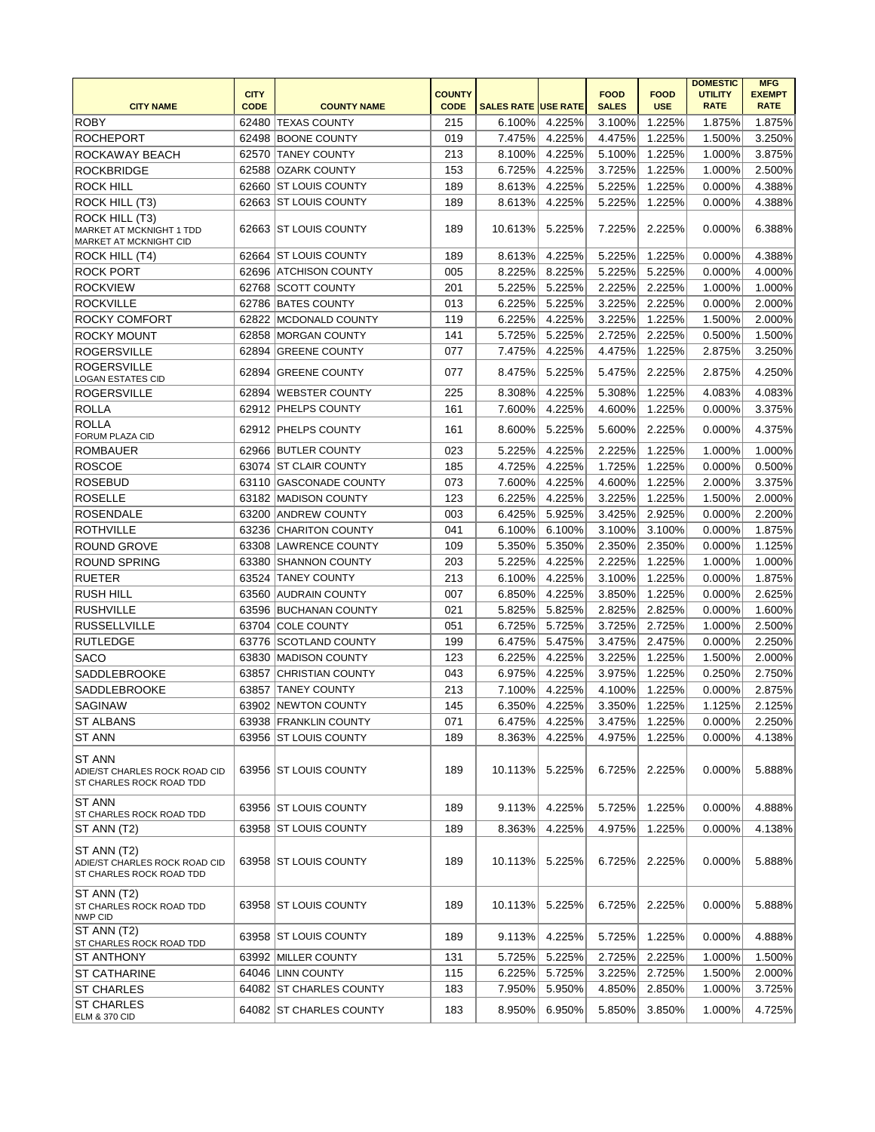|                                                                             |             |                         |               |                            |        |              |             | <b>DOMESTIC</b> | <b>MFG</b>    |
|-----------------------------------------------------------------------------|-------------|-------------------------|---------------|----------------------------|--------|--------------|-------------|-----------------|---------------|
|                                                                             | <b>CITY</b> |                         | <b>COUNTY</b> |                            |        | <b>FOOD</b>  | <b>FOOD</b> | <b>UTILITY</b>  | <b>EXEMPT</b> |
| <b>CITY NAME</b>                                                            | <b>CODE</b> | <b>COUNTY NAME</b>      | <b>CODE</b>   | <b>SALES RATE USE RATE</b> |        | <b>SALES</b> | <b>USE</b>  | <b>RATE</b>     | <b>RATE</b>   |
| <b>ROBY</b>                                                                 | 62480       | <b>TEXAS COUNTY</b>     | 215           | 6.100%                     | 4.225% | 3.100%       | 1.225%      | 1.875%          | 1.875%        |
| <b>ROCHEPORT</b>                                                            | 62498       | <b>BOONE COUNTY</b>     | 019           | 7.475%                     | 4.225% | 4.475%       | 1.225%      | 1.500%          | 3.250%        |
| ROCKAWAY BEACH                                                              | 62570       | <b>TANEY COUNTY</b>     | 213           | 8.100%                     | 4.225% | 5.100%       | 1.225%      | 1.000%          | 3.875%        |
| <b>ROCKBRIDGE</b>                                                           | 62588       | <b>OZARK COUNTY</b>     | 153           | 6.725%                     | 4.225% | 3.725%       | 1.225%      | 1.000%          | 2.500%        |
| <b>ROCK HILL</b>                                                            | 62660       | <b>ST LOUIS COUNTY</b>  | 189           | 8.613%                     | 4.225% | 5.225%       | 1.225%      | 0.000%          | 4.388%        |
| ROCK HILL (T3)                                                              |             | 62663 ST LOUIS COUNTY   | 189           | 8.613%                     | 4.225% | 5.225%       | 1.225%      | 0.000%          | 4.388%        |
| ROCK HILL (T3)<br><b>MARKET AT MCKNIGHT 1 TDD</b><br>MARKET AT MCKNIGHT CID |             | 62663 ST LOUIS COUNTY   | 189           | 10.613%                    | 5.225% | 7.225%       | 2.225%      | 0.000%          | 6.388%        |
| ROCK HILL (T4)                                                              | 62664       | ST LOUIS COUNTY         | 189           | 8.613%                     | 4.225% | 5.225%       | 1.225%      | 0.000%          | 4.388%        |
| <b>ROCK PORT</b>                                                            | 62696       | <b>ATCHISON COUNTY</b>  | 005           | 8.225%                     | 8.225% | 5.225%       | 5.225%      | 0.000%          | 4.000%        |
| <b>ROCKVIEW</b>                                                             |             | 62768 SCOTT COUNTY      | 201           | 5.225%                     | 5.225% | 2.225%       | 2.225%      | 1.000%          | 1.000%        |
| <b>ROCKVILLE</b>                                                            |             | 62786 BATES COUNTY      | 013           | 6.225%                     | 5.225% | 3.225%       | 2.225%      | 0.000%          | 2.000%        |
| <b>ROCKY COMFORT</b>                                                        | 62822       | MCDONALD COUNTY         | 119           | 6.225%                     | 4.225% | 3.225%       | 1.225%      | 1.500%          | 2.000%        |
| <b>ROCKY MOUNT</b>                                                          | 62858       | <b>MORGAN COUNTY</b>    | 141           | 5.725%                     | 5.225% | 2.725%       | 2.225%      | 0.500%          | 1.500%        |
| <b>ROGERSVILLE</b>                                                          | 62894       | <b>GREENE COUNTY</b>    | 077           | 7.475%                     | 4.225% | 4.475%       | 1.225%      | 2.875%          | 3.250%        |
| <b>ROGERSVILLE</b><br><b>LOGAN ESTATES CID</b>                              | 62894       | <b>GREENE COUNTY</b>    | 077           | 8.475%                     | 5.225% | 5.475%       | 2.225%      | 2.875%          | 4.250%        |
| <b>ROGERSVILLE</b>                                                          | 62894       | <b>WEBSTER COUNTY</b>   | 225           | 8.308%                     | 4.225% | 5.308%       | 1.225%      | 4.083%          | 4.083%        |
| <b>ROLLA</b>                                                                |             | 62912 PHELPS COUNTY     | 161           | 7.600%                     | 4.225% | 4.600%       | 1.225%      | 0.000%          | 3.375%        |
| <b>ROLLA</b><br><b>FORUM PLAZA CID</b>                                      |             | 62912 PHELPS COUNTY     | 161           | 8.600%                     | 5.225% | 5.600%       | 2.225%      | 0.000%          | 4.375%        |
| <b>ROMBAUER</b>                                                             |             | 62966 BUTLER COUNTY     | 023           | 5.225%                     | 4.225% | 2.225%       | 1.225%      | 1.000%          | 1.000%        |
| <b>ROSCOE</b>                                                               |             | 63074 ST CLAIR COUNTY   | 185           | 4.725%                     | 4.225% | 1.725%       | 1.225%      | 0.000%          | 0.500%        |
| <b>ROSEBUD</b>                                                              | 63110       | <b>GASCONADE COUNTY</b> | 073           | 7.600%                     | 4.225% | 4.600%       | 1.225%      | 2.000%          | 3.375%        |
| <b>ROSELLE</b>                                                              | 63182       | <b>MADISON COUNTY</b>   | 123           | 6.225%                     | 4.225% | 3.225%       | 1.225%      | 1.500%          | 2.000%        |
| <b>ROSENDALE</b>                                                            | 63200       | <b>ANDREW COUNTY</b>    | 003           | 6.425%                     | 5.925% | 3.425%       | 2.925%      | 0.000%          | 2.200%        |
| <b>ROTHVILLE</b>                                                            |             | 63236 CHARITON COUNTY   | 041           | 6.100%                     | 6.100% | 3.100%       | 3.100%      | 0.000%          | 1.875%        |
| <b>ROUND GROVE</b>                                                          | 63308       | LAWRENCE COUNTY         | 109           | 5.350%                     | 5.350% | 2.350%       | 2.350%      | 0.000%          | 1.125%        |
| <b>ROUND SPRING</b>                                                         |             | 63380 SHANNON COUNTY    | 203           | 5.225%                     | 4.225% | 2.225%       | 1.225%      | 1.000%          | 1.000%        |
| <b>RUETER</b>                                                               | 63524       | <b>TANEY COUNTY</b>     | 213           | 6.100%                     | 4.225% | 3.100%       | 1.225%      | 0.000%          | 1.875%        |
| <b>RUSH HILL</b>                                                            | 63560       | <b>AUDRAIN COUNTY</b>   | 007           | 6.850%                     | 4.225% | 3.850%       | 1.225%      | 0.000%          | 2.625%        |
| <b>RUSHVILLE</b>                                                            | 63596       | <b>BUCHANAN COUNTY</b>  | 021           | 5.825%                     | 5.825% | 2.825%       | 2.825%      | 0.000%          | 1.600%        |
| <b>RUSSELLVILLE</b>                                                         | 63704       | <b>COLE COUNTY</b>      | 051           | 6.725%                     | 5.725% | 3.725%       | 2.725%      | 1.000%          | 2.500%        |
| <b>RUTLEDGE</b>                                                             | 63776       | SCOTLAND COUNTY         | 199           | 6.475%                     | 5.475% | 3.475%       | 2.475%      | 0.000%          | 2.250%        |
| <b>SACO</b>                                                                 | 63830       | <b>MADISON COUNTY</b>   | 123           | 6.225%                     | 4.225% | 3.225%       | 1.225%      | 1.500%          | 2.000%        |
| SADDLEBROOKE                                                                | 63857       | CHRISTIAN COUNTY        | 043           | 6.975%                     | 4.225% | 3.975%       | 1.225%      | 0.250%          | 2.750%        |
| SADDLEBROOKE                                                                | 63857       | <b>TANEY COUNTY</b>     | 213           | 7.100%                     | 4.225% | 4.100%       | 1.225%      | 0.000%          | 2.875%        |
| <b>SAGINAW</b>                                                              |             | 63902 NEWTON COUNTY     | 145           | 6.350%                     | 4.225% | 3.350%       | 1.225%      | 1.125%          | 2.125%        |
| <b>ST ALBANS</b>                                                            |             | 63938 FRANKLIN COUNTY   | 071           | 6.475%                     | 4.225% | 3.475%       | 1.225%      | 0.000%          | 2.250%        |
| <b>ST ANN</b>                                                               |             | 63956 ST LOUIS COUNTY   | 189           | 8.363%                     | 4.225% | 4.975%       | 1.225%      | 0.000%          | 4.138%        |
| <b>ST ANN</b><br>ADIE/ST CHARLES ROCK ROAD CID<br>ST CHARLES ROCK ROAD TDD  |             | 63956 ST LOUIS COUNTY   | 189           | 10.113%                    | 5.225% | 6.725%       | 2.225%      | 0.000%          | 5.888%        |
| <b>ST ANN</b><br><b>ST CHARLES ROCK ROAD TDD</b>                            |             | 63956 ST LOUIS COUNTY   | 189           | 9.113%                     | 4.225% | 5.725%       | 1.225%      | 0.000%          | 4.888%        |
| ST ANN (T2)                                                                 |             | 63958 ST LOUIS COUNTY   | 189           | 8.363%                     | 4.225% | 4.975%       | 1.225%      | 0.000%          | 4.138%        |
| ST ANN (T2)<br>ADIE/ST CHARLES ROCK ROAD CID<br>ST CHARLES ROCK ROAD TDD    |             | 63958 ST LOUIS COUNTY   | 189           | 10.113%                    | 5.225% | 6.725%       | 2.225%      | 0.000%          | 5.888%        |
| ST ANN (T2)<br>ST CHARLES ROCK ROAD TDD<br>NWP CID                          |             | 63958 ST LOUIS COUNTY   | 189           | 10.113%                    | 5.225% | 6.725%       | 2.225%      | 0.000%          | 5.888%        |
| ST ANN (T2)<br>ST CHARLES ROCK ROAD TDD                                     |             | 63958 ST LOUIS COUNTY   | 189           | 9.113%                     | 4.225% | 5.725%       | 1.225%      | 0.000%          | 4.888%        |
| IST ANTHONY                                                                 |             | 63992 MILLER COUNTY     | 131           | 5.725%                     | 5.225% | 2.725%       | 2.225%      | 1.000%          | 1.500%        |
| <b>ST CATHARINE</b>                                                         |             | 64046 LINN COUNTY       | 115           | 6.225%                     | 5.725% | 3.225%       | 2.725%      | 1.500%          | 2.000%        |
| <b>ST CHARLES</b>                                                           |             | 64082 ST CHARLES COUNTY | 183           | 7.950%                     | 5.950% | 4.850%       | 2.850%      | 1.000%          | 3.725%        |
| <b>ST CHARLES</b><br><b>ELM &amp; 370 CID</b>                               |             | 64082 ST CHARLES COUNTY | 183           | 8.950%                     | 6.950% | 5.850%       | 3.850%      | 1.000%          | 4.725%        |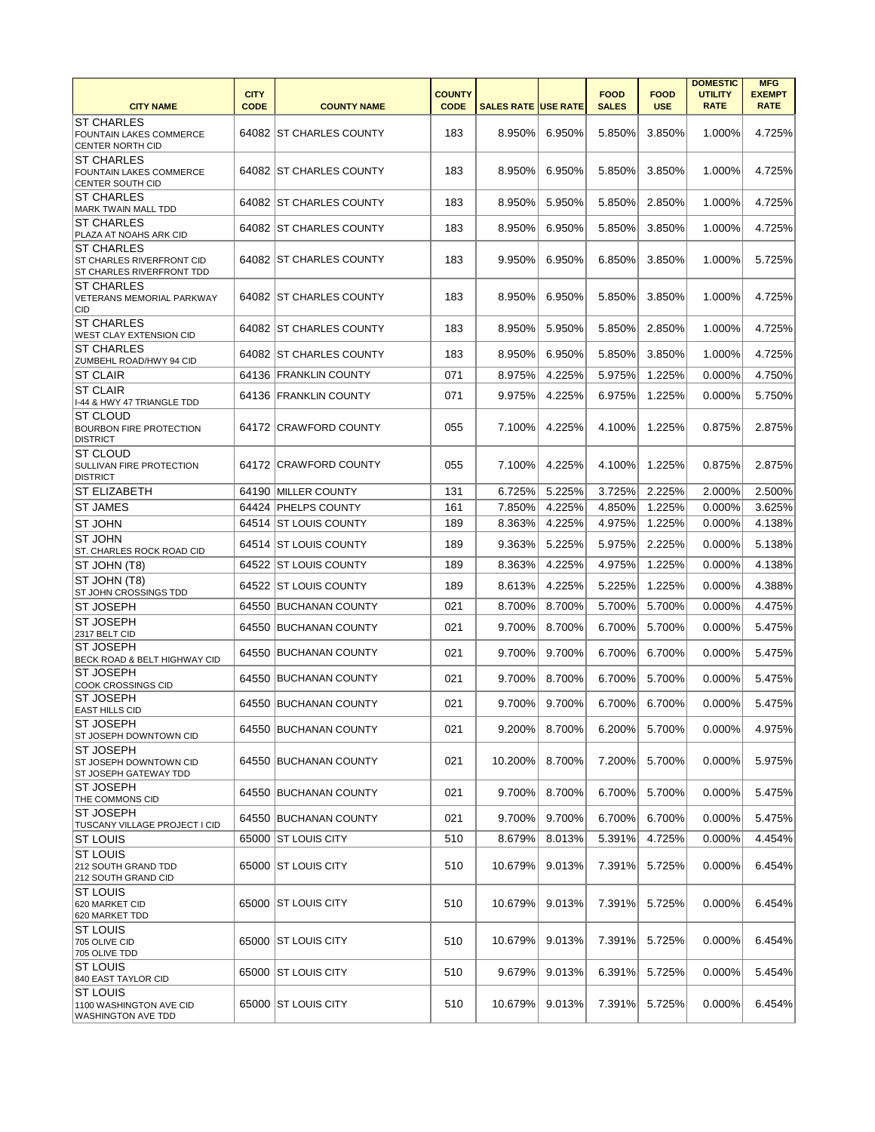| <b>CITY NAME</b>                                                                   | <b>CITY</b><br><b>CODE</b> | <b>COUNTY NAME</b>       | <b>COUNTY</b><br><b>CODE</b> | <b>SALES RATE USE RATE</b> |        | <b>FOOD</b><br><b>SALES</b> | <b>FOOD</b><br><b>USE</b> | <b>DOMESTIC</b><br><b>UTILITY</b><br><b>RATE</b> | <b>MFG</b><br><b>EXEMPT</b><br><b>RATE</b> |
|------------------------------------------------------------------------------------|----------------------------|--------------------------|------------------------------|----------------------------|--------|-----------------------------|---------------------------|--------------------------------------------------|--------------------------------------------|
| <b>ST CHARLES</b><br>FOUNTAIN LAKES COMMERCE<br><b>CENTER NORTH CID</b>            |                            | 64082 ST CHARLES COUNTY  | 183                          | 8.950%                     | 6.950% | 5.850%                      | 3.850%                    | 1.000%                                           | 4.725%                                     |
| <b>ST CHARLES</b><br>FOUNTAIN LAKES COMMERCE<br>CENTER SOUTH CID                   |                            | 64082 ST CHARLES COUNTY  | 183                          | 8.950%                     | 6.950% | 5.850%                      | 3.850%                    | 1.000%                                           | 4.725%                                     |
| <b>ST CHARLES</b><br>MARK TWAIN MALL TDD                                           |                            | 64082 IST CHARLES COUNTY | 183                          | 8.950%                     | 5.950% | 5.850%                      | 2.850%                    | 1.000%                                           | 4.725%                                     |
| <b>ST CHARLES</b><br>PLAZA AT NOAHS ARK CID                                        |                            | 64082 ST CHARLES COUNTY  | 183                          | 8.950%                     | 6.950% | 5.850%                      | 3.850%                    | 1.000%                                           | 4.725%                                     |
| <b>ST CHARLES</b><br>ST CHARLES RIVERFRONT CID<br><b>ST CHARLES RIVERFRONT TDD</b> |                            | 64082 ST CHARLES COUNTY  | 183                          | 9.950%                     | 6.950% | 6.850%                      | 3.850%                    | 1.000%                                           | 5.725%                                     |
| <b>ST CHARLES</b><br>VETERANS MEMORIAL PARKWAY<br>CID                              |                            | 64082 ST CHARLES COUNTY  | 183                          | 8.950%                     | 6.950% | 5.850%                      | 3.850%                    | 1.000%                                           | 4.725%                                     |
| <b>ST CHARLES</b><br><b>WEST CLAY EXTENSION CID</b>                                |                            | 64082 ST CHARLES COUNTY  | 183                          | 8.950%                     | 5.950% | 5.850%                      | 2.850%                    | 1.000%                                           | 4.725%                                     |
| <b>ST CHARLES</b><br><b>ZUMBEHL ROAD/HWY 94 CID</b>                                |                            | 64082 ST CHARLES COUNTY  | 183                          | 8.950%                     | 6.950% | 5.850%                      | 3.850%                    | 1.000%                                           | 4.725%                                     |
| <b>ST CLAIR</b>                                                                    |                            | 64136 FRANKLIN COUNTY    | 071                          | 8.975%                     | 4.225% | 5.975%                      | 1.225%                    | 0.000%                                           | 4.750%                                     |
| <b>ST CLAIR</b>                                                                    |                            | 64136 FRANKLIN COUNTY    | 071                          | 9.975%                     | 4.225% | 6.975%                      | 1.225%                    | 0.000%                                           | 5.750%                                     |
| I-44 & HWY 47 TRIANGLE TDD                                                         |                            |                          |                              |                            |        |                             |                           |                                                  |                                            |
| ST CLOUD<br><b>BOURBON FIRE PROTECTION</b><br><b>DISTRICT</b>                      |                            | 64172 CRAWFORD COUNTY    | 055                          | 7.100%                     | 4.225% | 4.100%                      | 1.225%                    | 0.875%                                           | 2.875%                                     |
| <b>ST CLOUD</b><br>SULLIVAN FIRE PROTECTION<br><b>DISTRICT</b>                     |                            | 64172 CRAWFORD COUNTY    | 055                          | 7.100%                     | 4.225% | 4.100%                      | 1.225%                    | 0.875%                                           | 2.875%                                     |
| <b>ST ELIZABETH</b>                                                                | 64190                      | <b>MILLER COUNTY</b>     | 131                          | 6.725%                     | 5.225% | 3.725%                      | 2.225%                    | 2.000%                                           | 2.500%                                     |
| <b>ST JAMES</b>                                                                    |                            | 64424 PHELPS COUNTY      | 161                          | 7.850%                     | 4.225% | 4.850%                      | 1.225%                    | 0.000%                                           | 3.625%                                     |
| <b>ST JOHN</b>                                                                     |                            | 64514 ST LOUIS COUNTY    | 189                          | 8.363%                     | 4.225% | 4.975%                      | 1.225%                    | 0.000%                                           | 4.138%                                     |
| <b>ST JOHN</b><br>ST. CHARLES ROCK ROAD CID                                        |                            | 64514 ST LOUIS COUNTY    | 189                          | 9.363%                     | 5.225% | 5.975%                      | 2.225%                    | 0.000%                                           | 5.138%                                     |
| ST JOHN (T8)                                                                       |                            | 64522 ST LOUIS COUNTY    | 189                          | 8.363%                     | 4.225% | 4.975%                      | 1.225%                    | 0.000%                                           | 4.138%                                     |
| ST JOHN (T8)<br>ST JOHN CROSSINGS TDD                                              | 64522                      | <b>ST LOUIS COUNTY</b>   | 189                          | 8.613%                     | 4.225% | 5.225%                      | 1.225%                    | 0.000%                                           | 4.388%                                     |
| <b>ST JOSEPH</b>                                                                   |                            | 64550 BUCHANAN COUNTY    | 021                          | 8.700%                     | 8.700% | 5.700%                      | 5.700%                    | 0.000%                                           | 4.475%                                     |
| <b>ST JOSEPH</b>                                                                   | 64550                      | <b>BUCHANAN COUNTY</b>   | 021                          | 9.700%                     | 8.700% | 6.700%                      | 5.700%                    | 0.000%                                           | 5.475%                                     |
| 2317 BELT CID<br><b>ST JOSEPH</b>                                                  |                            |                          |                              |                            |        |                             |                           |                                                  |                                            |
| BECK ROAD & BELT HIGHWAY CID                                                       |                            | 64550 BUCHANAN COUNTY    | 021                          | 9.700%                     | 9.700% | 6.700%                      | 6.700%                    | 0.000%                                           | 5.475%                                     |
| <b>ST JOSEPH</b><br><b>COOK CROSSINGS CID</b>                                      | 64550                      | <b>BUCHANAN COUNTY</b>   | 021                          | 9.700%                     | 8.700% | 6.700%                      | 5.700%                    | 0.000%                                           | 5.475%                                     |
| <b>ST JOSEPH</b><br><b>EAST HILLS CID</b>                                          |                            | 64550 BUCHANAN COUNTY    | 021                          | 9.700%                     | 9.700% | 6.700%                      | 6.700%                    | 0.000%                                           | 5.475%                                     |
| <b>ST JOSEPH</b><br>ST JOSEPH DOWNTOWN CID                                         |                            | 64550 BUCHANAN COUNTY    | 021                          | 9.200%                     | 8.700% | 6.200%                      | 5.700%                    | 0.000%                                           | 4.975%                                     |
| <b>ST JOSEPH</b><br>ST JOSEPH DOWNTOWN CID<br>ST JOSEPH GATEWAY TDD                |                            | 64550 BUCHANAN COUNTY    | 021                          | 10.200%                    | 8.700% | 7.200%                      | 5.700%                    | 0.000%                                           | 5.975%                                     |
| <b>ST JOSEPH</b><br>THE COMMONS CID                                                |                            | 64550 BUCHANAN COUNTY    | 021                          | 9.700%                     | 8.700% | 6.700%                      | 5.700%                    | 0.000%                                           | 5.475%                                     |
| <b>ST JOSEPH</b><br>TUSCANY VILLAGE PROJECT I CID                                  |                            | 64550 BUCHANAN COUNTY    | 021                          | 9.700%                     | 9.700% | 6.700%                      | 6.700%                    | 0.000%                                           | 5.475%                                     |
| <b>ST LOUIS</b>                                                                    |                            | 65000 ST LOUIS CITY      | 510                          | 8.679%                     | 8.013% | 5.391%                      | 4.725%                    | 0.000%                                           | 4.454%                                     |
| <b>ST LOUIS</b><br>212 SOUTH GRAND TDD<br>212 SOUTH GRAND CID                      |                            | 65000 ST LOUIS CITY      | 510                          | 10.679%                    | 9.013% | 7.391%                      | 5.725%                    | 0.000%                                           | 6.454%                                     |
| <b>ST LOUIS</b><br>620 MARKET CID<br>620 MARKET TDD                                |                            | 65000 ST LOUIS CITY      | 510                          | 10.679%                    | 9.013% | 7.391%                      | 5.725%                    | 0.000%                                           | 6.454%                                     |
| <b>ST LOUIS</b><br>705 OLIVE CID<br>705 OLIVE TDD                                  |                            | 65000 ST LOUIS CITY      | 510                          | 10.679%                    | 9.013% | 7.391%                      | 5.725%                    | 0.000%                                           | 6.454%                                     |
| <b>ST LOUIS</b><br>840 EAST TAYLOR CID                                             |                            | 65000 ST LOUIS CITY      | 510                          | 9.679%                     | 9.013% | 6.391%                      | 5.725%                    | 0.000%                                           | 5.454%                                     |
| <b>ST LOUIS</b><br>1100 WASHINGTON AVE CID<br><b>WASHINGTON AVE TDD</b>            |                            | 65000 ST LOUIS CITY      | 510                          | 10.679%                    | 9.013% | 7.391%                      | 5.725%                    | 0.000%                                           | 6.454%                                     |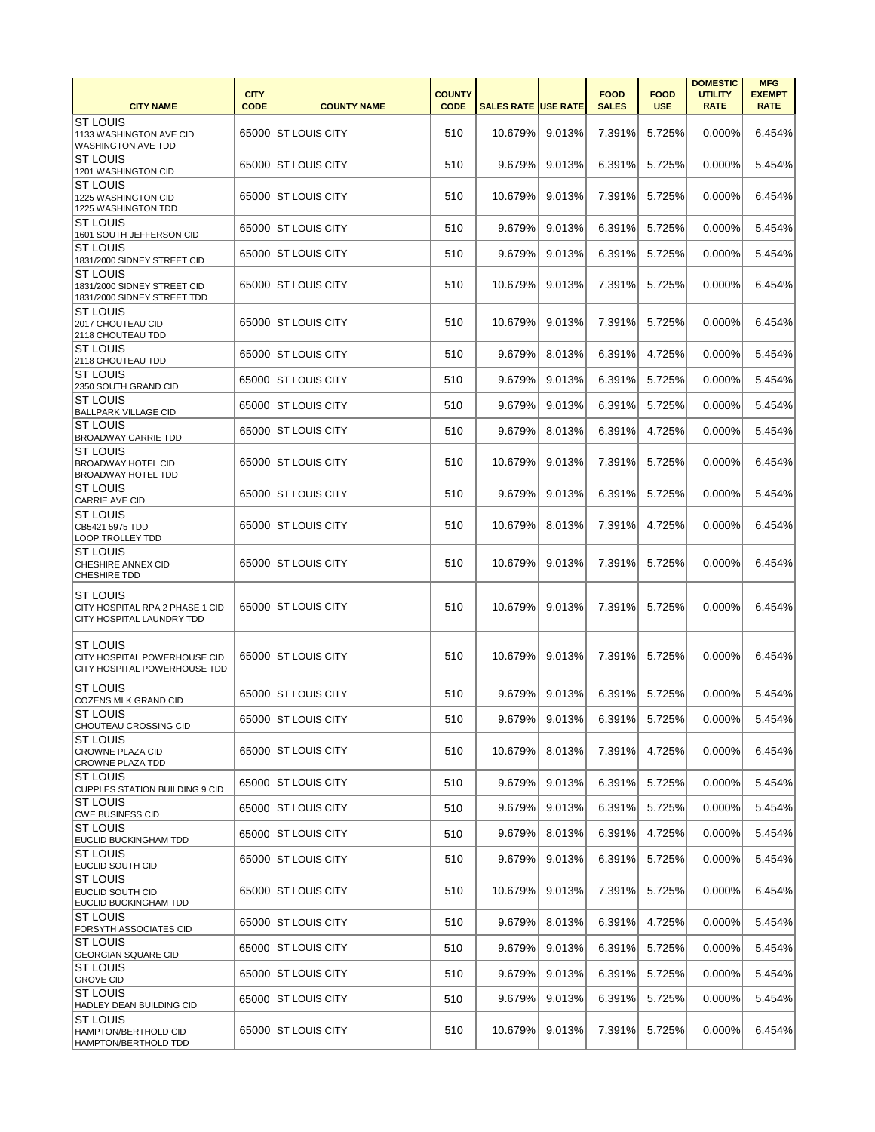|                                                                                 |                            |                       |                              |                            |        |                             |                           | <b>DOMESTIC</b>               | <b>MFG</b>                   |
|---------------------------------------------------------------------------------|----------------------------|-----------------------|------------------------------|----------------------------|--------|-----------------------------|---------------------------|-------------------------------|------------------------------|
| <b>CITY NAME</b>                                                                | <b>CITY</b><br><b>CODE</b> | <b>COUNTY NAME</b>    | <b>COUNTY</b><br><b>CODE</b> | <b>SALES RATE USE RATE</b> |        | <b>FOOD</b><br><b>SALES</b> | <b>FOOD</b><br><b>USE</b> | <b>UTILITY</b><br><b>RATE</b> | <b>EXEMPT</b><br><b>RATE</b> |
| <b>ST LOUIS</b><br>1133 WASHINGTON AVE CID                                      |                            | 65000 ST LOUIS CITY   | 510                          | 10.679%                    | 9.013% | 7.391%                      | 5.725%                    | 0.000%                        | 6.454%                       |
| <b>WASHINGTON AVE TDD</b>                                                       |                            |                       |                              |                            |        |                             |                           |                               |                              |
| <b>ST LOUIS</b><br>1201 WASHINGTON CID                                          |                            | 65000   ST LOUIS CITY | 510                          | 9.679%                     | 9.013% | 6.391%                      | 5.725%                    | 0.000%                        | 5.454%                       |
| <b>ST LOUIS</b><br>1225 WASHINGTON CID<br>1225 WASHINGTON TDD                   |                            | 65000 ST LOUIS CITY   | 510                          | 10.679%                    | 9.013% | 7.391%                      | 5.725%                    | 0.000%                        | 6.454%                       |
| <b>ST LOUIS</b><br>1601 SOUTH JEFFERSON CID                                     |                            | 65000 ST LOUIS CITY   | 510                          | 9.679%                     | 9.013% | 6.391%                      | 5.725%                    | 0.000%                        | 5.454%                       |
| <b>ST LOUIS</b><br>1831/2000 SIDNEY STREET CID                                  |                            | 65000 ST LOUIS CITY   | 510                          | 9.679%                     | 9.013% | 6.391%                      | 5.725%                    | 0.000%                        | 5.454%                       |
| <b>ST LOUIS</b><br>1831/2000 SIDNEY STREET CID<br>1831/2000 SIDNEY STREET TDD   |                            | 65000 ST LOUIS CITY   | 510                          | 10.679%                    | 9.013% | 7.391%                      | 5.725%                    | 0.000%                        | 6.454%                       |
| <b>ST LOUIS</b><br>2017 CHOUTEAU CID<br>2118 CHOUTEAU TDD                       |                            | 65000 ST LOUIS CITY   | 510                          | 10.679%                    | 9.013% | 7.391%                      | 5.725%                    | 0.000%                        | 6.454%                       |
| <b>ST LOUIS</b><br>2118 CHOUTEAU TDD                                            | 65000                      | <b>ST LOUIS CITY</b>  | 510                          | 9.679%                     | 8.013% | 6.391%                      | 4.725%                    | 0.000%                        | 5.454%                       |
| <b>ST LOUIS</b><br>2350 SOUTH GRAND CID                                         | 65000                      | <b>ST LOUIS CITY</b>  | 510                          | 9.679%                     | 9.013% | 6.391%                      | 5.725%                    | 0.000%                        | 5.454%                       |
| <b>ST LOUIS</b><br><b>BALLPARK VILLAGE CID</b>                                  | 65000                      | <b>ST LOUIS CITY</b>  | 510                          | 9.679%                     | 9.013% | 6.391%                      | 5.725%                    | 0.000%                        | 5.454%                       |
| <b>ST LOUIS</b><br><b>BROADWAY CARRIE TDD</b>                                   |                            | 65000 ST LOUIS CITY   | 510                          | 9.679%                     | 8.013% | 6.391%                      | 4.725%                    | 0.000%                        | 5.454%                       |
| <b>ST LOUIS</b><br><b>BROADWAY HOTEL CID</b><br><b>BROADWAY HOTEL TDD</b>       |                            | 65000 ST LOUIS CITY   | 510                          | 10.679%                    | 9.013% | 7.391%                      | 5.725%                    | 0.000%                        | 6.454%                       |
| <b>ST LOUIS</b><br><b>CARRIE AVE CID</b>                                        |                            | 65000 ST LOUIS CITY   | 510                          | 9.679%                     | 9.013% | 6.391%                      | 5.725%                    | 0.000%                        | 5.454%                       |
| <b>ST LOUIS</b><br>CB5421 5975 TDD<br>LOOP TROLLEY TDD                          |                            | 65000 ST LOUIS CITY   | 510                          | 10.679%                    | 8.013% | 7.391%                      | 4.725%                    | 0.000%                        | 6.454%                       |
| <b>ST LOUIS</b><br>CHESHIRE ANNEX CID<br>CHESHIRE TDD                           |                            | 65000   ST LOUIS CITY | 510                          | 10.679%                    | 9.013% | 7.391%                      | 5.725%                    | 0.000%                        | 6.454%                       |
| <b>ST LOUIS</b><br>CITY HOSPITAL RPA 2 PHASE 1 CID<br>CITY HOSPITAL LAUNDRY TDD |                            | 65000 ST LOUIS CITY   | 510                          | 10.679%                    | 9.013% | 7.391%                      | 5.725%                    | 0.000%                        | 6.454%                       |
| <b>ST LOUIS</b><br>CITY HOSPITAL POWERHOUSE CID<br>CITY HOSPITAL POWERHOUSE TDD |                            | 65000 ST LOUIS CITY   | 510                          | 10.679%                    | 9.013% | 7.391%                      | 5.725%                    | 0.000%                        | 6.454%                       |
| <b>ST LOUIS</b><br><b>COZENS MLK GRAND CID</b>                                  |                            | 65000 ST LOUIS CITY   | 510                          | 9.679%                     | 9.013% | 6.391%                      | 5.725%                    | 0.000%                        | 5.454%                       |
| <b>ST LOUIS</b><br>CHOUTEAU CROSSING CID                                        |                            | 65000 ST LOUIS CITY   | 510                          | 9.679%                     | 9.013% | 6.391%                      | 5.725%                    | 0.000%                        | 5.454%                       |
| <b>ST LOUIS</b><br><b>CROWNE PLAZA CID</b><br><b>CROWNE PLAZA TDD</b>           |                            | 65000 ST LOUIS CITY   | 510                          | 10.679%                    | 8.013% | 7.391%                      | 4.725%                    | 0.000%                        | 6.454%                       |
| <b>ST LOUIS</b><br><b>CUPPLES STATION BUILDING 9 CID</b>                        |                            | 65000 ST LOUIS CITY   | 510                          | 9.679%                     | 9.013% | 6.391%                      | 5.725%                    | 0.000%                        | 5.454%                       |
| <b>ST LOUIS</b><br><b>CWE BUSINESS CID</b>                                      |                            | 65000 ST LOUIS CITY   | 510                          | 9.679%                     | 9.013% | 6.391%                      | 5.725%                    | 0.000%                        | 5.454%                       |
| <b>ST LOUIS</b><br><b>EUCLID BUCKINGHAM TDD</b>                                 |                            | 65000 ST LOUIS CITY   | 510                          | 9.679%                     | 8.013% | 6.391%                      | 4.725%                    | 0.000%                        | 5.454%                       |
| <b>ST LOUIS</b><br><b>EUCLID SOUTH CID</b>                                      |                            | 65000 ST LOUIS CITY   | 510                          | 9.679%                     | 9.013% | 6.391%                      | 5.725%                    | 0.000%                        | 5.454%                       |
| <b>ST LOUIS</b><br>EUCLID SOUTH CID<br><b>EUCLID BUCKINGHAM TDD</b>             |                            | 65000 ST LOUIS CITY   | 510                          | 10.679%                    | 9.013% | 7.391%                      | 5.725%                    | 0.000%                        | 6.454%                       |
| <b>ST LOUIS</b><br>FORSYTH ASSOCIATES CID                                       |                            | 65000 ST LOUIS CITY   | 510                          | 9.679%                     | 8.013% | 6.391%                      | 4.725%                    | 0.000%                        | 5.454%                       |
| <b>ST LOUIS</b><br><b>GEORGIAN SQUARE CID</b>                                   |                            | 65000 ST LOUIS CITY   | 510                          | 9.679%                     | 9.013% | 6.391%                      | 5.725%                    | 0.000%                        | 5.454%                       |
| <b>ST LOUIS</b><br><b>GROVE CID</b>                                             |                            | 65000 ST LOUIS CITY   | 510                          | 9.679%                     | 9.013% | 6.391%                      | 5.725%                    | 0.000%                        | 5.454%                       |
| <b>ST LOUIS</b><br>HADLEY DEAN BUILDING CID                                     |                            | 65000 ST LOUIS CITY   | 510                          | 9.679%                     | 9.013% | 6.391%                      | 5.725%                    | 0.000%                        | 5.454%                       |
| <b>ST LOUIS</b><br>HAMPTON/BERTHOLD CID<br>HAMPTON/BERTHOLD TDD                 |                            | 65000 ST LOUIS CITY   | 510                          | 10.679%                    | 9.013% | 7.391%                      | 5.725%                    | 0.000%                        | 6.454%                       |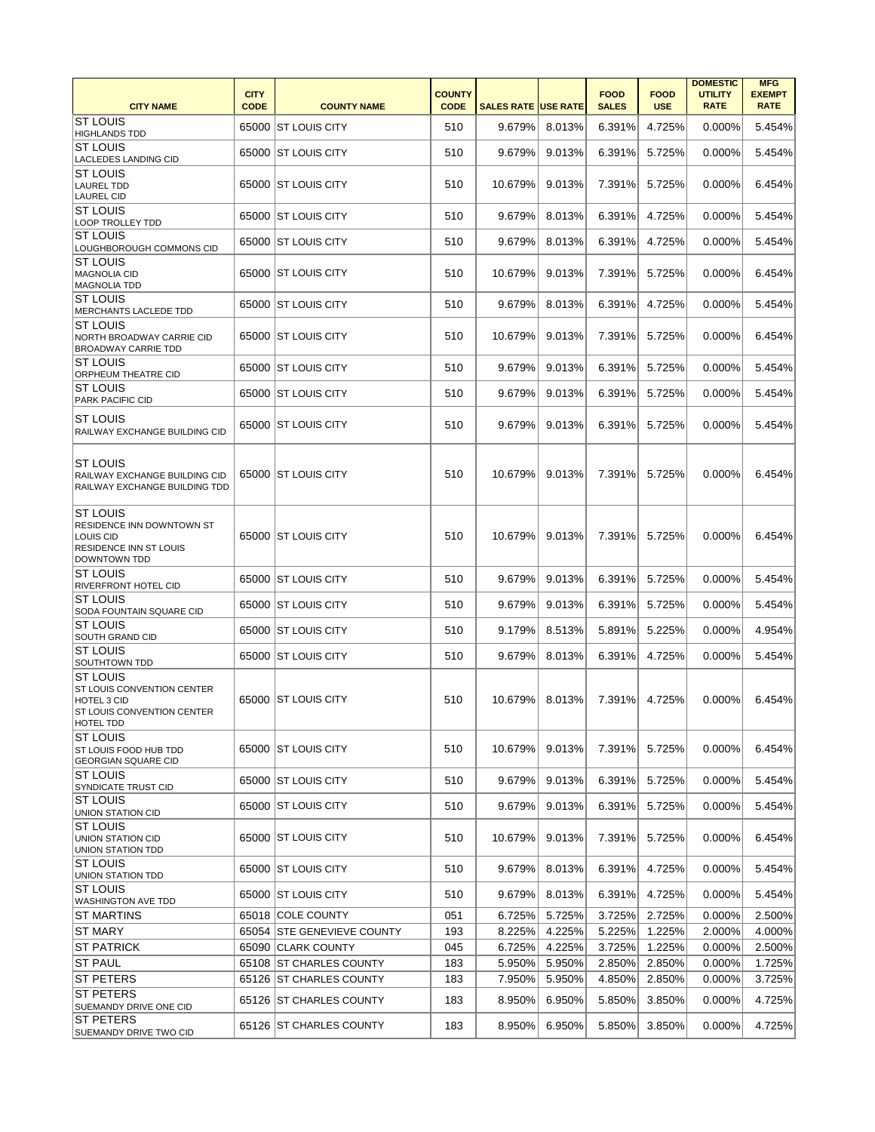| <b>CITY NAME</b>                                                                                                      | <b>CITY</b><br><b>CODE</b> | <b>COUNTY NAME</b>         | <b>COUNTY</b><br><b>CODE</b> | <b>SALES RATE USE RATE</b> |        | <b>FOOD</b><br><b>SALES</b> | <b>FOOD</b><br><b>USE</b> | <b>DOMESTIC</b><br><b>UTILITY</b><br><b>RATE</b> | <b>MFG</b><br><b>EXEMPT</b><br><b>RATE</b> |
|-----------------------------------------------------------------------------------------------------------------------|----------------------------|----------------------------|------------------------------|----------------------------|--------|-----------------------------|---------------------------|--------------------------------------------------|--------------------------------------------|
| <b>ST LOUIS</b><br><b>HIGHLANDS TDD</b>                                                                               |                            | 65000 ST LOUIS CITY        | 510                          | 9.679%                     | 8.013% | 6.391%                      | 4.725%                    | 0.000%                                           | 5.454%                                     |
| <b>ST LOUIS</b><br><b>LACLEDES LANDING CID</b>                                                                        |                            | 65000 ST LOUIS CITY        | 510                          | 9.679%                     | 9.013% | 6.391%                      | 5.725%                    | 0.000%                                           | 5.454%                                     |
| <b>ST LOUIS</b><br><b>LAUREL TDD</b><br><b>LAUREL CID</b>                                                             |                            | 65000 ST LOUIS CITY        | 510                          | 10.679%                    | 9.013% | 7.391%                      | 5.725%                    | $0.000\%$                                        | 6.454%                                     |
| <b>ST LOUIS</b><br>LOOP TROLLEY TDD                                                                                   |                            | 65000 ST LOUIS CITY        | 510                          | 9.679%                     | 8.013% | 6.391%                      | 4.725%                    | 0.000%                                           | 5.454%                                     |
| <b>ST LOUIS</b><br>LOUGHBOROUGH COMMONS CID                                                                           |                            | 65000   ST LOUIS CITY      | 510                          | 9.679%                     | 8.013% | 6.391%                      | 4.725%                    | 0.000%                                           | 5.454%                                     |
| <b>ST LOUIS</b><br><b>MAGNOLIA CID</b><br><b>MAGNOLIA TDD</b>                                                         |                            | 65000 ST LOUIS CITY        | 510                          | 10.679%                    | 9.013% | 7.391%                      | 5.725%                    | 0.000%                                           | 6.454%                                     |
| <b>ST LOUIS</b><br>MERCHANTS LACLEDE TDD                                                                              |                            | 65000 ST LOUIS CITY        | 510                          | 9.679%                     | 8.013% | 6.391%                      | 4.725%                    | 0.000%                                           | 5.454%                                     |
| <b>ST LOUIS</b><br>NORTH BROADWAY CARRIE CID<br><b>BROADWAY CARRIE TDD</b>                                            |                            | 65000 ST LOUIS CITY        | 510                          | 10.679%                    | 9.013% | 7.391%                      | 5.725%                    | 0.000%                                           | 6.454%                                     |
| <b>ST LOUIS</b><br>ORPHEUM THEATRE CID                                                                                |                            | 65000   ST LOUIS CITY      | 510                          | 9.679%                     | 9.013% | 6.391%                      | 5.725%                    | 0.000%                                           | 5.454%                                     |
| <b>ST LOUIS</b><br>PARK PACIFIC CID                                                                                   |                            | 65000 ST LOUIS CITY        | 510                          | 9.679%                     | 9.013% | 6.391%                      | 5.725%                    | 0.000%                                           | 5.454%                                     |
| <b>ST LOUIS</b><br>RAILWAY EXCHANGE BUILDING CID                                                                      |                            | 65000   ST LOUIS CITY      | 510                          | 9.679%                     | 9.013% | 6.391%                      | 5.725%                    | 0.000%                                           | 5.454%                                     |
| <b>ST LOUIS</b><br>RAILWAY EXCHANGE BUILDING CID<br>RAILWAY EXCHANGE BUILDING TDD                                     |                            | 65000 ST LOUIS CITY        | 510                          | 10.679%                    | 9.013% | 7.391%                      | 5.725%                    | 0.000%                                           | 6.454%                                     |
| <b>ST LOUIS</b><br>RESIDENCE INN DOWNTOWN ST<br>LOUIS CID<br><b>RESIDENCE INN ST LOUIS</b><br><b>DOWNTOWN TDD</b>     |                            | 65000 ST LOUIS CITY        | 510                          | 10.679%                    | 9.013% | 7.391%                      | 5.725%                    | 0.000%                                           | 6.454%                                     |
| <b>ST LOUIS</b><br><b>RIVERFRONT HOTEL CID</b>                                                                        |                            | 65000 ST LOUIS CITY        | 510                          | 9.679%                     | 9.013% | 6.391%                      | 5.725%                    | 0.000%                                           | 5.454%                                     |
| <b>ST LOUIS</b><br>SODA FOUNTAIN SQUARE CID                                                                           |                            | 65000 ST LOUIS CITY        | 510                          | 9.679%                     | 9.013% | 6.391%                      | 5.725%                    | 0.000%                                           | 5.454%                                     |
| <b>ST LOUIS</b><br>SOUTH GRAND CID                                                                                    |                            | 65000 ST LOUIS CITY        | 510                          | 9.179%                     | 8.513% | 5.891%                      | 5.225%                    | 0.000%                                           | 4.954%                                     |
| <b>ST LOUIS</b><br>SOUTHTOWN TDD                                                                                      |                            | 65000 ST LOUIS CITY        | 510                          | 9.679%                     | 8.013% | 6.391%                      | 4.725%                    | 0.000%                                           | 5.454%                                     |
| <b>ST LOUIS</b><br>ST LOUIS CONVENTION CENTER<br><b>HOTEL 3 CID</b><br><b>ST LOUIS CONVENTION CENTER</b><br>HOTEL TDD |                            | 65000 ST LOUIS CITY        | 510                          | 10.679%                    | 8.013% | 7.391%                      | 4.725%                    | 0.000%                                           | 6.454%                                     |
| <b>ST LOUIS</b><br>ST LOUIS FOOD HUB TDD<br><b>GEORGIAN SQUARE CID</b>                                                |                            | 65000 ST LOUIS CITY        | 510                          | 10.679%                    | 9.013% | 7.391%                      | 5.725%                    | 0.000%                                           | 6.454%                                     |
| <b>ST LOUIS</b><br><b>SYNDICATE TRUST CID</b>                                                                         |                            | 65000 ST LOUIS CITY        | 510                          | 9.679%                     | 9.013% | 6.391%                      | 5.725%                    | 0.000%                                           | 5.454%                                     |
| IST LOUIS<br><b>UNION STATION CID</b>                                                                                 |                            | 65000 ST LOUIS CITY        | 510                          | 9.679%                     | 9.013% | 6.391%                      | 5.725%                    | 0.000%                                           | 5.454%                                     |
| <b>ST LOUIS</b><br><b>UNION STATION CID</b><br><b>UNION STATION TDD</b>                                               |                            | 65000 ST LOUIS CITY        | 510                          | 10.679%                    | 9.013% | 7.391%                      | 5.725%                    | 0.000%                                           | 6.454%                                     |
| <b>ST LOUIS</b><br>UNION STATION TDD                                                                                  |                            | 65000 ST LOUIS CITY        | 510                          | 9.679%                     | 8.013% | 6.391%                      | 4.725%                    | 0.000%                                           | 5.454%                                     |
| <b>ST LOUIS</b><br><b>WASHINGTON AVE TDD</b>                                                                          |                            | 65000 ST LOUIS CITY        | 510                          | 9.679%                     | 8.013% | 6.391%                      | 4.725%                    | 0.000%                                           | 5.454%                                     |
| <b>IST MARTINS</b>                                                                                                    |                            | 65018 COLE COUNTY          | 051                          | 6.725%                     | 5.725% | 3.725%                      | 2.725%                    | 0.000%                                           | 2.500%                                     |
| ST MARY                                                                                                               |                            | 65054 STE GENEVIEVE COUNTY | 193                          | 8.225%                     | 4.225% | 5.225%                      | 1.225%                    | 2.000%                                           | 4.000%                                     |
| <b>IST PATRICK</b>                                                                                                    |                            | 65090 CLARK COUNTY         | 045                          | 6.725%                     | 4.225% | 3.725%                      | 1.225%                    | 0.000%                                           | 2.500%                                     |
| <b>ST PAUL</b>                                                                                                        |                            | 65108 ST CHARLES COUNTY    | 183                          | 5.950%                     | 5.950% | 2.850%                      | 2.850%                    | 0.000%                                           | 1.725%                                     |
| <b>ST PETERS</b>                                                                                                      |                            | 65126 ST CHARLES COUNTY    | 183                          | 7.950%                     | 5.950% | 4.850%                      | 2.850%                    | 0.000%                                           | 3.725%                                     |
| <b>ST PETERS</b><br>SUEMANDY DRIVE ONE CID                                                                            |                            | 65126 ST CHARLES COUNTY    | 183                          | 8.950%                     | 6.950% | 5.850%                      | 3.850%                    | 0.000%                                           | 4.725%                                     |
| <b>ST PETERS</b><br>SUEMANDY DRIVE TWO CID                                                                            |                            | 65126 ST CHARLES COUNTY    | 183                          | 8.950%                     | 6.950% | 5.850%                      | 3.850%                    | 0.000%                                           | 4.725%                                     |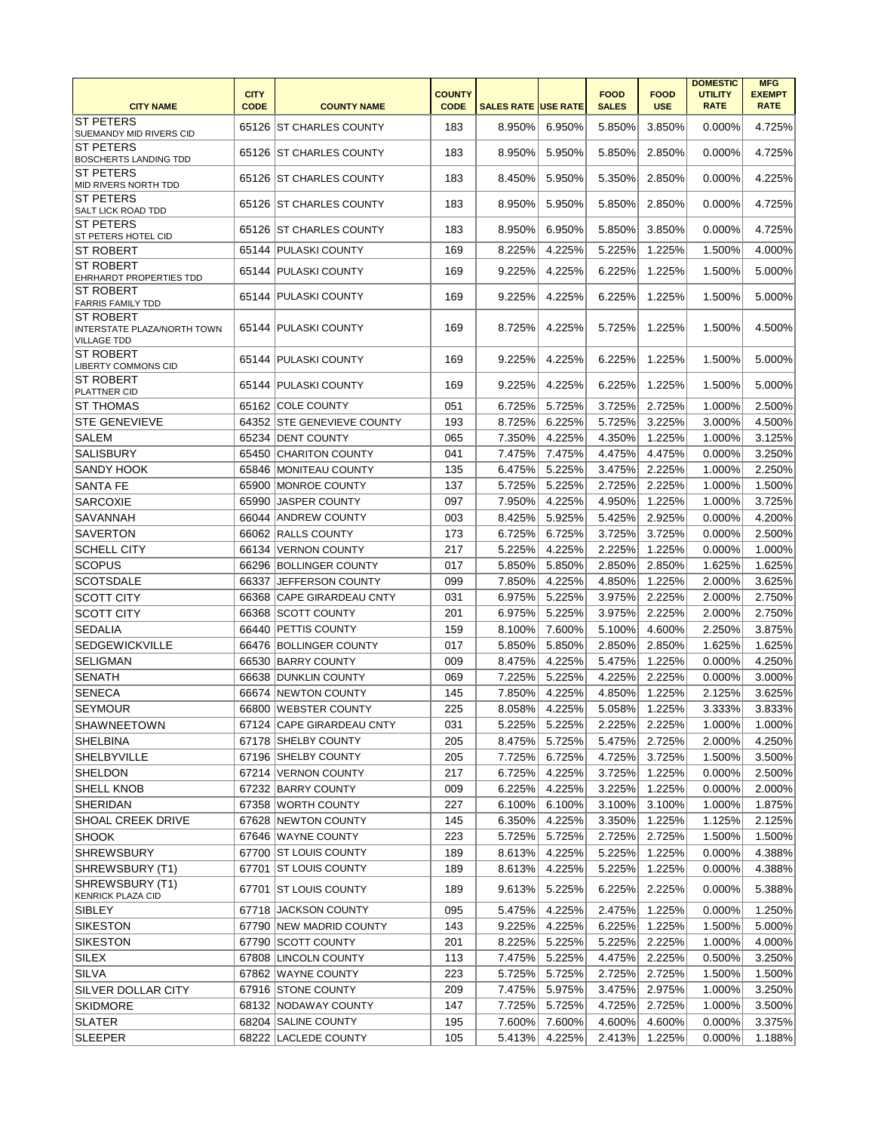| <b>CITY NAME</b>                                                             | <b>CITY</b><br><b>CODE</b> | <b>COUNTY NAME</b>         | <b>COUNTY</b><br><b>CODE</b> | <b>SALES RATE USE RATE</b> |        | <b>FOOD</b><br><b>SALES</b> | <b>FOOD</b><br><b>USE</b> | <b>DOMESTIC</b><br><b>UTILITY</b><br><b>RATE</b> | <b>MFG</b><br><b>EXEMPT</b><br><b>RATE</b> |
|------------------------------------------------------------------------------|----------------------------|----------------------------|------------------------------|----------------------------|--------|-----------------------------|---------------------------|--------------------------------------------------|--------------------------------------------|
| <b>ST PETERS</b><br>SUEMANDY MID RIVERS CID                                  |                            | 65126 ST CHARLES COUNTY    | 183                          | 8.950%                     | 6.950% | 5.850%                      | 3.850%                    | 0.000%                                           | 4.725%                                     |
| <b>ST PETERS</b><br><b>BOSCHERTS LANDING TDD</b>                             |                            | 65126 ST CHARLES COUNTY    | 183                          | 8.950%                     | 5.950% | 5.850%                      | 2.850%                    | 0.000%                                           | 4.725%                                     |
| <b>ST PETERS</b><br>MID RIVERS NORTH TDD                                     |                            | 65126 IST CHARLES COUNTY   | 183                          | 8.450%                     | 5.950% | 5.350%                      | 2.850%                    | 0.000%                                           | 4.225%                                     |
| <b>ST PETERS</b><br>SALT LICK ROAD TDD                                       |                            | 65126 ST CHARLES COUNTY    | 183                          | 8.950%                     | 5.950% | 5.850%                      | 2.850%                    | 0.000%                                           | 4.725%                                     |
| <b>ST PETERS</b><br><b>ST PETERS HOTEL CID</b>                               |                            | 65126 ST CHARLES COUNTY    | 183                          | 8.950%                     | 6.950% | 5.850%                      | 3.850%                    | $0.000\%$                                        | 4.725%                                     |
| <b>ST ROBERT</b>                                                             |                            | 65144 PULASKI COUNTY       | 169                          | 8.225%                     | 4.225% | 5.225%                      | 1.225%                    | 1.500%                                           | 4.000%                                     |
| <b>ST ROBERT</b><br><b>EHRHARDT PROPERTIES TDD</b>                           |                            | 65144   PULASKI COUNTY     | 169                          | 9.225%                     | 4.225% | 6.225%                      | 1.225%                    | 1.500%                                           | 5.000%                                     |
| <b>ST ROBERT</b><br><b>FARRIS FAMILY TDD</b>                                 |                            | 65144 PULASKI COUNTY       | 169                          | 9.225%                     | 4.225% | 6.225%                      | 1.225%                    | 1.500%                                           | 5.000%                                     |
| <b>ST ROBERT</b><br><b>INTERSTATE PLAZA/NORTH TOWN</b><br><b>VILLAGE TDD</b> |                            | 65144 PULASKI COUNTY       | 169                          | 8.725%                     | 4.225% | 5.725%                      | 1.225%                    | 1.500%                                           | 4.500%                                     |
| <b>ST ROBERT</b><br><b>LIBERTY COMMONS CID</b>                               |                            | 65144 PULASKI COUNTY       | 169                          | 9.225%                     | 4.225% | 6.225%                      | 1.225%                    | 1.500%                                           | 5.000%                                     |
| <b>ST ROBERT</b><br>PLATTNER CID                                             |                            | 65144 PULASKI COUNTY       | 169                          | 9.225%                     | 4.225% | 6.225%                      | 1.225%                    | 1.500%                                           | 5.000%                                     |
| <b>ST THOMAS</b>                                                             |                            | 65162 COLE COUNTY          | 051                          | 6.725%                     | 5.725% | 3.725%                      | 2.725%                    | 1.000%                                           | 2.500%                                     |
| <b>STE GENEVIEVE</b>                                                         |                            | 64352 STE GENEVIEVE COUNTY | 193                          | 8.725%                     | 6.225% | 5.725%                      | 3.225%                    | 3.000%                                           | 4.500%                                     |
| <b>SALEM</b>                                                                 |                            | 65234 DENT COUNTY          | 065                          | 7.350%                     | 4.225% | 4.350%                      | 1.225%                    | 1.000%                                           | 3.125%                                     |
| SALISBURY                                                                    | 65450                      | <b>CHARITON COUNTY</b>     | 041                          | 7.475%                     | 7.475% | 4.475%                      | 4.475%                    | 0.000%                                           | 3.250%                                     |
| <b>SANDY HOOK</b>                                                            |                            | 65846 MONITEAU COUNTY      | 135                          | 6.475%                     | 5.225% | 3.475%                      | 2.225%                    | 1.000%                                           | 2.250%                                     |
| <b>SANTA FE</b>                                                              |                            | 65900 MONROE COUNTY        | 137                          | 5.725%                     | 5.225% | 2.725%                      | 2.225%                    | 1.000%                                           | 1.500%                                     |
| <b>SARCOXIE</b>                                                              | 65990                      | <b>JASPER COUNTY</b>       | 097                          | 7.950%                     | 4.225% | 4.950%                      | 1.225%                    | 1.000%                                           | 3.725%                                     |
| <b>SAVANNAH</b>                                                              |                            | 66044 ANDREW COUNTY        | 003                          | 8.425%                     | 5.925% | 5.425%                      | 2.925%                    | 0.000%                                           | 4.200%                                     |
| <b>SAVERTON</b>                                                              |                            | 66062 RALLS COUNTY         | 173                          | 6.725%                     | 6.725% | 3.725%                      | 3.725%                    | 0.000%                                           | 2.500%                                     |
| <b>SCHELL CITY</b>                                                           |                            | 66134 VERNON COUNTY        | 217                          | 5.225%                     | 4.225% | 2.225%                      | 1.225%                    | 0.000%                                           | 1.000%                                     |
|                                                                              |                            | 66296 BOLLINGER COUNTY     | 017                          |                            | 5.850% | 2.850%                      | 2.850%                    | 1.625%                                           | 1.625%                                     |
| <b>SCOPUS</b>                                                                |                            |                            | 099                          | 5.850%                     |        |                             |                           |                                                  |                                            |
| <b>SCOTSDALE</b>                                                             | 66337                      | JEFFERSON COUNTY           |                              | 7.850%                     | 4.225% | 4.850%                      | 1.225%                    | 2.000%                                           | 3.625%                                     |
| <b>SCOTT CITY</b>                                                            |                            | 66368 CAPE GIRARDEAU CNTY  | 031                          | 6.975%                     | 5.225% | 3.975%                      | 2.225%                    | 2.000%                                           | 2.750%                                     |
| <b>SCOTT CITY</b>                                                            |                            | 66368 SCOTT COUNTY         | 201                          | 6.975%                     | 5.225% | 3.975%                      | 2.225%                    | 2.000%                                           | 2.750%                                     |
| <b>SEDALIA</b>                                                               |                            | 66440 PETTIS COUNTY        | 159                          | 8.100%                     | 7.600% | 5.100%                      | 4.600%                    | 2.250%                                           | 3.875%                                     |
| <b>SEDGEWICKVILLE</b>                                                        |                            | 66476 BOLLINGER COUNTY     | 017                          | 5.850%                     | 5.850% | 2.850%                      | 2.850%                    | 1.625%                                           | 1.625%                                     |
| <b>SELIGMAN</b>                                                              |                            | 66530 BARRY COUNTY         | 009                          | 8.475%                     | 4.225% | 5.475%                      | 1.225%                    | 0.000%                                           | 4.250%                                     |
| <b>SENATH</b>                                                                |                            | 66638 DUNKLIN COUNTY       | 069                          | 7.225%                     | 5.225% | 4.225%                      | 2.225%                    | 0.000%                                           | 3.000%                                     |
| <b>SENECA</b>                                                                |                            | 66674 NEWTON COUNTY        | 145                          | 7.850%                     | 4.225% | 4.850%                      | 1.225%                    | 2.125%                                           | 3.625%                                     |
| <b>SEYMOUR</b>                                                               |                            | 66800 WEBSTER COUNTY       | 225                          | 8.058%                     | 4.225% | 5.058%                      | 1.225%                    | 3.333%                                           | 3.833%                                     |
| <b>SHAWNEETOWN</b>                                                           |                            | 67124 CAPE GIRARDEAU CNTY  | 031                          | 5.225%                     | 5.225% | 2.225%                      | 2.225%                    | 1.000%                                           | 1.000%                                     |
| SHELBINA                                                                     |                            | 67178 SHELBY COUNTY        | 205                          | 8.475%                     | 5.725% | 5.475%                      | 2.725%                    | 2.000%                                           | 4.250%                                     |
| <b>SHELBYVILLE</b>                                                           |                            | 67196 SHELBY COUNTY        | 205                          | 7.725%                     | 6.725% | 4.725%                      | 3.725%                    | 1.500%                                           | 3.500%                                     |
| <b>SHELDON</b>                                                               |                            | 67214 VERNON COUNTY        | 217                          | 6.725%                     | 4.225% | 3.725%                      | 1.225%                    | 0.000%                                           | 2.500%                                     |
| <b>SHELL KNOB</b>                                                            |                            | 67232 BARRY COUNTY         | 009                          | 6.225%                     | 4.225% | 3.225%                      | 1.225%                    | 0.000%                                           | 2.000%                                     |
| <b>SHERIDAN</b>                                                              |                            | 67358 WORTH COUNTY         | 227                          | 6.100%                     | 6.100% | 3.100%                      | 3.100%                    | 1.000%                                           | 1.875%                                     |
| <b>SHOAL CREEK DRIVE</b>                                                     |                            | 67628 NEWTON COUNTY        | 145                          | 6.350%                     | 4.225% | 3.350%                      | 1.225%                    | 1.125%                                           | 2.125%                                     |
| <b>SHOOK</b>                                                                 |                            | 67646 WAYNE COUNTY         | 223                          | 5.725%                     | 5.725% | 2.725%                      | 2.725%                    | 1.500%                                           | 1.500%                                     |
| <b>SHREWSBURY</b>                                                            |                            | 67700 ST LOUIS COUNTY      | 189                          | 8.613%                     | 4.225% | 5.225%                      | 1.225%                    | 0.000%                                           | 4.388%                                     |
| SHREWSBURY (T1)                                                              |                            | 67701 ST LOUIS COUNTY      | 189                          | 8.613%                     | 4.225% | 5.225%                      | 1.225%                    | 0.000%                                           | 4.388%                                     |
| SHREWSBURY (T1)<br><b>KENRICK PLAZA CID</b>                                  |                            | 67701 ST LOUIS COUNTY      | 189                          | 9.613%                     | 5.225% | 6.225%                      | 2.225%                    | 0.000%                                           | 5.388%                                     |
| SIBLEY                                                                       |                            | 67718 JACKSON COUNTY       | 095                          | 5.475%                     | 4.225% | 2.475%                      | 1.225%                    | 0.000%                                           | 1.250%                                     |
| <b>SIKESTON</b>                                                              |                            | 67790 NEW MADRID COUNTY    | 143                          | 9.225%                     | 4.225% | 6.225%                      | 1.225%                    | 1.500%                                           | 5.000%                                     |
| <b>SIKESTON</b>                                                              |                            | 67790 SCOTT COUNTY         | 201                          | 8.225%                     | 5.225% | 5.225%                      | 2.225%                    | 1.000%                                           | 4.000%                                     |
| SILEX                                                                        |                            | 67808 LINCOLN COUNTY       | 113                          | 7.475%                     | 5.225% | 4.475%                      | 2.225%                    | 0.500%                                           | 3.250%                                     |
| SILVA                                                                        |                            | 67862 WAYNE COUNTY         | 223                          | 5.725%                     | 5.725% | 2.725%                      | 2.725%                    | 1.500%                                           | 1.500%                                     |
| SILVER DOLLAR CITY                                                           |                            | 67916 STONE COUNTY         | 209                          | 7.475%                     | 5.975% | 3.475%                      | 2.975%                    | 1.000%                                           | 3.250%                                     |
| <b>SKIDMORE</b>                                                              |                            | 68132 NODAWAY COUNTY       | 147                          | 7.725%                     | 5.725% | 4.725%                      | 2.725%                    | 1.000%                                           | 3.500%                                     |
| <b>SLATER</b>                                                                |                            | 68204 SALINE COUNTY        | 195                          | 7.600%                     | 7.600% | 4.600%                      | 4.600%                    | 0.000%                                           | 3.375%                                     |
| <b>SLEEPER</b>                                                               |                            | 68222 LACLEDE COUNTY       | 105                          | 5.413%                     | 4.225% | 2.413%                      | 1.225%                    | 0.000%                                           | 1.188%                                     |
|                                                                              |                            |                            |                              |                            |        |                             |                           |                                                  |                                            |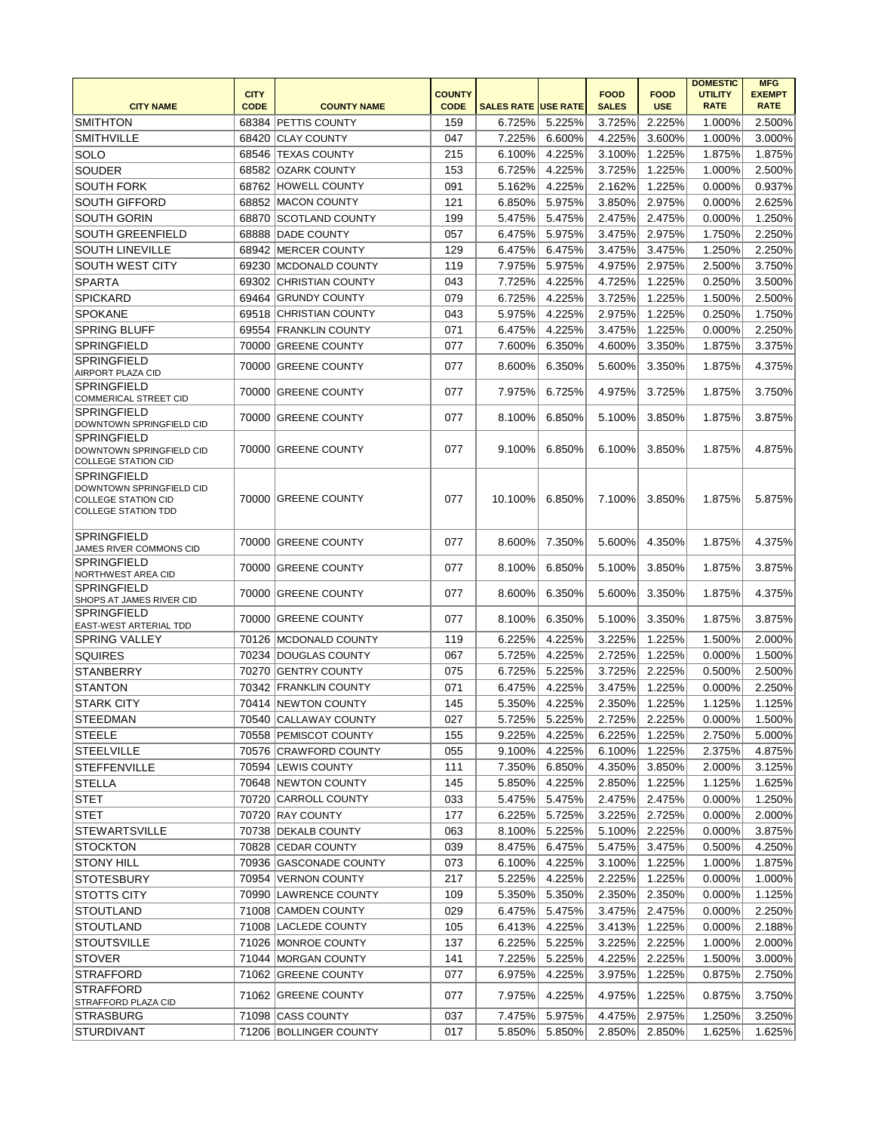| <b>SMITHTON</b><br>159<br>2.500%<br>68384<br><b>PETTIS COUNTY</b><br>6.725%<br>5.225%<br>3.725%<br>2.225%<br>1.000%<br><b>SMITHVILLE</b><br><b>CLAY COUNTY</b><br>047<br>4.225%<br>3.000%<br>68420<br>7.225%<br>6.600%<br>3.600%<br>1.000%<br>215<br>1.875%<br><b>SOLO</b><br>68546 TEXAS COUNTY<br>6.100%<br>4.225%<br>3.100%<br>1.225%<br>1.875%<br><b>SOUDER</b><br>153<br>6.725%<br>4.225%<br>68582 OZARK COUNTY<br>3.725%<br>1.225%<br>1.000%<br>2.500%<br>091<br>4.225%<br>0.937%<br><b>SOUTH FORK</b><br>68762 HOWELL COUNTY<br>5.162%<br>2.162%<br>1.225%<br>0.000%<br>68852 MACON COUNTY<br>121<br>5.975%<br>2.975%<br>2.625%<br><b>SOUTH GIFFORD</b><br>6.850%<br>3.850%<br>0.000%<br>5.475%<br>68870<br>199<br>5.475%<br>2.475%<br>2.475%<br>0.000%<br>1.250%<br><b>SOUTH GORIN</b><br><b>SCOTLAND COUNTY</b><br><b>SOUTH GREENFIELD</b><br>057<br>5.975%<br>2.250%<br>68888<br><b>DADE COUNTY</b><br>6.475%<br>3.475%<br>2.975%<br>1.750%<br><b>SOUTH LINEVILLE</b><br>129<br>6.475%<br>6.475%<br>3.475%<br>2.250%<br>68942<br>MERCER COUNTY<br>3.475%<br>1.250%<br>SOUTH WEST CITY<br>119<br>5.975%<br>3.750%<br>69230<br>MCDONALD COUNTY<br>7.975%<br>4.975%<br>2.975%<br>2.500%<br>043<br>7.725%<br>4.225%<br>1.225%<br>69302 CHRISTIAN COUNTY<br>4.725%<br>0.250%<br>3.500%<br><b>SPARTA</b><br>079<br>4.225%<br>2.500%<br><b>SPICKARD</b><br>69464<br><b>GRUNDY COUNTY</b><br>6.725%<br>3.725%<br>1.225%<br>1.500%<br><b>SPOKANE</b><br>043<br>4.225%<br>1.225%<br>0.250%<br>1.750%<br>69518 CHRISTIAN COUNTY<br>5.975%<br>2.975%<br>071<br><b>SPRING BLUFF</b><br>69554<br><b>FRANKLIN COUNTY</b><br>6.475%<br>4.225%<br>3.475%<br>1.225%<br>0.000%<br>2.250%<br><b>SPRINGFIELD</b><br>70000<br><b>GREENE COUNTY</b><br>077<br>7.600%<br>6.350%<br>4.600%<br>3.350%<br>1.875%<br>3.375%<br><b>SPRINGFIELD</b><br>077<br>8.600%<br>6.350%<br>5.600%<br>3.350%<br>4.375%<br>70000<br><b>GREENE COUNTY</b><br>1.875%<br>AIRPORT PLAZA CID<br><b>SPRINGFIELD</b><br>077<br>7.975%<br>6.725%<br>4.975%<br>3.750%<br>70000<br><b>GREENE COUNTY</b><br>3.725%<br>1.875%<br><b>COMMERICAL STREET CID</b><br><b>SPRINGFIELD</b><br>077<br><b>GREENE COUNTY</b><br>8.100%<br>6.850%<br>5.100%<br>3.850%<br>1.875%<br>3.875%<br>70000<br>DOWNTOWN SPRINGFIELD CID<br><b>SPRINGFIELD</b><br>9.100%<br>70000 GREENE COUNTY<br>077<br>6.850%<br>6.100%<br>3.850%<br>1.875%<br>4.875%<br>DOWNTOWN SPRINGFIELD CID<br><b>COLLEGE STATION CID</b><br><b>SPRINGFIELD</b><br>DOWNTOWN SPRINGFIELD CID<br>077<br>10.100%<br>6.850%<br>5.875%<br>70000 GREENE COUNTY<br>7.100%<br>3.850%<br>1.875%<br><b>COLLEGE STATION CID</b><br><b>COLLEGE STATION TDD</b><br><b>SPRINGFIELD</b><br>077<br>8.600%<br>7.350%<br>5.600%<br>4.350%<br>1.875%<br>4.375%<br>70000<br><b>GREENE COUNTY</b><br>JAMES RIVER COMMONS CID<br><b>SPRINGFIELD</b><br>70000<br><b>GREENE COUNTY</b><br>077<br>8.100%<br>6.850%<br>5.100%<br>3.850%<br>1.875%<br>3.875%<br>NORTHWEST AREA CID<br><b>SPRINGFIELD</b><br>077<br>8.600%<br>6.350%<br>5.600%<br>1.875%<br>4.375%<br>70000<br><b>GREENE COUNTY</b><br>3.350%<br>SHOPS AT JAMES RIVER CID<br><b>SPRINGFIELD</b><br>077<br>70000<br>8.100%<br>6.350%<br>5.100%<br>3.350%<br>1.875%<br>3.875%<br><b>GREENE COUNTY</b><br><b>EAST-WEST ARTERIAL TDD</b><br>6.225%<br>4.225%<br>1.225%<br>2.000%<br><b>SPRING VALLEY</b><br>70126 MCDONALD COUNTY<br>119<br>3.225%<br>1.500%<br>067<br>5.725%<br>4.225%<br>2.725%<br>1.225%<br>0.000%<br>1.500%<br><b>SQUIRES</b><br>70234 DOUGLAS COUNTY<br><b>STANBERRY</b><br>075<br>6.725%<br>5.225%<br>70270<br><b>GENTRY COUNTY</b><br>3.725%<br>2.225%<br>0.500%<br>2.500%<br><b>STANTON</b><br>071<br>6.475%<br>4.225%<br>2.250%<br><b>FRANKLIN COUNTY</b><br>3.475%<br>1.225%<br>0.000%<br>70342<br><b>STARK CITY</b><br>70414 NEWTON COUNTY<br>145<br>5.350%<br>4.225%<br>2.350%<br>1.225%<br>1.125%<br>1.125%<br>70540 CALLAWAY COUNTY<br>5.725%<br>2.225%<br>1.500%<br>027<br>5.225%<br>2.725%<br>0.000%<br><b>STEEDMAN</b><br>155<br>9.225%<br>4.225%<br>6.225%<br>1.225%<br>2.750%<br>5.000%<br><b>STEELE</b><br>70558 PEMISCOT COUNTY<br>055<br>4.225%<br>1.225%<br>STEELVILLE<br>70576 CRAWFORD COUNTY<br>9.100%<br>6.100%<br>2.375%<br>4.875%<br><b>STEFFENVILLE</b><br>70594 LEWIS COUNTY<br>111<br>7.350%<br>6.850%<br>4.350%<br>3.850%<br>2.000%<br>3.125%<br><b>STELLA</b><br>70648 NEWTON COUNTY<br>145<br>5.850%<br>4.225%<br>2.850%<br>1.225%<br>1.125%<br>1.625%<br>5.475%<br>70720 CARROLL COUNTY<br>033<br>5.475%<br>2.475%<br>2.475%<br>0.000%<br>1.250%<br><b>STET</b><br>STET<br>70720 RAY COUNTY<br>177<br>6.225%<br>5.725%<br>3.225%<br>2.725%<br>0.000%<br>2.000%<br><b>STEWARTSVILLE</b><br>70738 DEKALB COUNTY<br>063<br>8.100%<br>5.225%<br>5.100%<br>2.225%<br>3.875%<br>0.000%<br>70828 CEDAR COUNTY<br>039<br>6.475%<br><b>STOCKTON</b><br>8.475%<br>5.475%<br>3.475%<br>0.500%<br>4.250%<br>073<br>4.225%<br>1.225%<br>70936 GASCONADE COUNTY<br>6.100%<br>3.100%<br>1.000%<br>1.875%<br><b>STONY HILL</b><br><b>STOTESBURY</b><br>70954 VERNON COUNTY<br>217<br>5.225%<br>4.225%<br>2.225%<br>1.225%<br>0.000%<br>1.000%<br>STOTTS CITY<br>70990 LAWRENCE COUNTY<br>109<br>5.350%<br>5.350%<br>2.350%<br>2.350%<br>0.000%<br>1.125%<br>6.475%<br><b>STOUTLAND</b><br>71008 CAMDEN COUNTY<br>029<br>5.475%<br>3.475%<br>2.475%<br>0.000%<br>2.250%<br>71008 LACLEDE COUNTY<br>105<br>6.413%<br>4.225%<br>3.413%<br>1.225%<br>0.000%<br>2.188%<br><b>STOUTLAND</b><br><b>STOUTSVILLE</b><br>137<br>6.225%<br>5.225%<br>3.225%<br>2.225%<br>2.000%<br>71026 MONROE COUNTY<br>1.000%<br>5.225%<br><b>STOVER</b><br>71044 MORGAN COUNTY<br>141<br>7.225%<br>4.225%<br>2.225%<br>1.500%<br>3.000%<br>077<br><b>STRAFFORD</b><br>71062 GREENE COUNTY<br>6.975%<br>4.225%<br>3.975%<br>1.225%<br>2.750%<br>0.875%<br><b>STRAFFORD</b><br>077<br>7.975%<br>4.225%<br>1.225%<br>0.875%<br>3.750%<br>71062 GREENE COUNTY<br>4.975%<br>STRAFFORD PLAZA CID<br><b>STRASBURG</b><br>71098 CASS COUNTY<br>037<br>7.475%<br>5.975%<br>4.475%<br>2.975%<br>1.250%<br>3.250%<br>71206 BOLLINGER COUNTY<br>017<br>5.850%<br>5.850%<br>2.850%<br>2.850%<br>1.625%<br>1.625% | <b>CITY NAME</b> | <b>CITY</b><br><b>CODE</b> | <b>COUNTY NAME</b> | <b>COUNTY</b><br><b>CODE</b> | <b>SALES RATE USE RATE</b> | <b>FOOD</b><br><b>SALES</b> | <b>FOOD</b><br><b>USE</b> | <b>DOMESTIC</b><br><b>UTILITY</b><br><b>RATE</b> | <b>MFG</b><br><b>EXEMPT</b><br><b>RATE</b> |
|-----------------------------------------------------------------------------------------------------------------------------------------------------------------------------------------------------------------------------------------------------------------------------------------------------------------------------------------------------------------------------------------------------------------------------------------------------------------------------------------------------------------------------------------------------------------------------------------------------------------------------------------------------------------------------------------------------------------------------------------------------------------------------------------------------------------------------------------------------------------------------------------------------------------------------------------------------------------------------------------------------------------------------------------------------------------------------------------------------------------------------------------------------------------------------------------------------------------------------------------------------------------------------------------------------------------------------------------------------------------------------------------------------------------------------------------------------------------------------------------------------------------------------------------------------------------------------------------------------------------------------------------------------------------------------------------------------------------------------------------------------------------------------------------------------------------------------------------------------------------------------------------------------------------------------------------------------------------------------------------------------------------------------------------------------------------------------------------------------------------------------------------------------------------------------------------------------------------------------------------------------------------------------------------------------------------------------------------------------------------------------------------------------------------------------------------------------------------------------------------------------------------------------------------------------------------------------------------------------------------------------------------------------------------------------------------------------------------------------------------------------------------------------------------------------------------------------------------------------------------------------------------------------------------------------------------------------------------------------------------------------------------------------------------------------------------------------------------------------------------------------------------------------------------------------------------------------------------------------------------------------------------------------------------------------------------------------------------------------------------------------------------------------------------------------------------------------------------------------------------------------------------------------------------------------------------------------------------------------------------------------------------------------------------------------------------------------------------------------------------------------------------------------------------------------------------------------------------------------------------------------------------------------------------------------------------------------------------------------------------------------------------------------------------------------------------------------------------------------------------------------------------------------------------------------------------------------------------------------------------------------------------------------------------------------------------------------------------------------------------------------------------------------------------------------------------------------------------------------------------------------------------------------------------------------------------------------------------------------------------------------------------------------------------------------------------------------------------------------------------------------------------------------------------------------------------------------------------------------------------------------------------------------------------------------------------------------------------------------------------------------------------------------------------------------------------------------------------------------------------------------------------------------------------------------------------------------------------------------------------------------------------------------------------------------------------------------------------------------------------------------------------------------------------------------------------------------------------------------------------------------------------------------------------------------------------------------------------------------------------------------------------------------------------------------------------------------------------------------------------------------------------------------------------------------------------------------------------------------------------------------------------------------------------------------------------------------------------------------------------------------------------------------------------------------------------------------------------------------------------------------------------------------------|------------------|----------------------------|--------------------|------------------------------|----------------------------|-----------------------------|---------------------------|--------------------------------------------------|--------------------------------------------|
|                                                                                                                                                                                                                                                                                                                                                                                                                                                                                                                                                                                                                                                                                                                                                                                                                                                                                                                                                                                                                                                                                                                                                                                                                                                                                                                                                                                                                                                                                                                                                                                                                                                                                                                                                                                                                                                                                                                                                                                                                                                                                                                                                                                                                                                                                                                                                                                                                                                                                                                                                                                                                                                                                                                                                                                                                                                                                                                                                                                                                                                                                                                                                                                                                                                                                                                                                                                                                                                                                                                                                                                                                                                                                                                                                                                                                                                                                                                                                                                                                                                                                                                                                                                                                                                                                                                                                                                                                                                                                                                                                                                                                                                                                                                                                                                                                                                                                                                                                                                                                                                                                                                                                                                                                                                                                                                                                                                                                                                                                                                                                                                                                                                                                                                                                                                                                                                                                                                                                                                                                                                                                                                                                           |                  |                            |                    |                              |                            |                             |                           |                                                  |                                            |
|                                                                                                                                                                                                                                                                                                                                                                                                                                                                                                                                                                                                                                                                                                                                                                                                                                                                                                                                                                                                                                                                                                                                                                                                                                                                                                                                                                                                                                                                                                                                                                                                                                                                                                                                                                                                                                                                                                                                                                                                                                                                                                                                                                                                                                                                                                                                                                                                                                                                                                                                                                                                                                                                                                                                                                                                                                                                                                                                                                                                                                                                                                                                                                                                                                                                                                                                                                                                                                                                                                                                                                                                                                                                                                                                                                                                                                                                                                                                                                                                                                                                                                                                                                                                                                                                                                                                                                                                                                                                                                                                                                                                                                                                                                                                                                                                                                                                                                                                                                                                                                                                                                                                                                                                                                                                                                                                                                                                                                                                                                                                                                                                                                                                                                                                                                                                                                                                                                                                                                                                                                                                                                                                                           |                  |                            |                    |                              |                            |                             |                           |                                                  |                                            |
|                                                                                                                                                                                                                                                                                                                                                                                                                                                                                                                                                                                                                                                                                                                                                                                                                                                                                                                                                                                                                                                                                                                                                                                                                                                                                                                                                                                                                                                                                                                                                                                                                                                                                                                                                                                                                                                                                                                                                                                                                                                                                                                                                                                                                                                                                                                                                                                                                                                                                                                                                                                                                                                                                                                                                                                                                                                                                                                                                                                                                                                                                                                                                                                                                                                                                                                                                                                                                                                                                                                                                                                                                                                                                                                                                                                                                                                                                                                                                                                                                                                                                                                                                                                                                                                                                                                                                                                                                                                                                                                                                                                                                                                                                                                                                                                                                                                                                                                                                                                                                                                                                                                                                                                                                                                                                                                                                                                                                                                                                                                                                                                                                                                                                                                                                                                                                                                                                                                                                                                                                                                                                                                                                           |                  |                            |                    |                              |                            |                             |                           |                                                  |                                            |
|                                                                                                                                                                                                                                                                                                                                                                                                                                                                                                                                                                                                                                                                                                                                                                                                                                                                                                                                                                                                                                                                                                                                                                                                                                                                                                                                                                                                                                                                                                                                                                                                                                                                                                                                                                                                                                                                                                                                                                                                                                                                                                                                                                                                                                                                                                                                                                                                                                                                                                                                                                                                                                                                                                                                                                                                                                                                                                                                                                                                                                                                                                                                                                                                                                                                                                                                                                                                                                                                                                                                                                                                                                                                                                                                                                                                                                                                                                                                                                                                                                                                                                                                                                                                                                                                                                                                                                                                                                                                                                                                                                                                                                                                                                                                                                                                                                                                                                                                                                                                                                                                                                                                                                                                                                                                                                                                                                                                                                                                                                                                                                                                                                                                                                                                                                                                                                                                                                                                                                                                                                                                                                                                                           |                  |                            |                    |                              |                            |                             |                           |                                                  |                                            |
|                                                                                                                                                                                                                                                                                                                                                                                                                                                                                                                                                                                                                                                                                                                                                                                                                                                                                                                                                                                                                                                                                                                                                                                                                                                                                                                                                                                                                                                                                                                                                                                                                                                                                                                                                                                                                                                                                                                                                                                                                                                                                                                                                                                                                                                                                                                                                                                                                                                                                                                                                                                                                                                                                                                                                                                                                                                                                                                                                                                                                                                                                                                                                                                                                                                                                                                                                                                                                                                                                                                                                                                                                                                                                                                                                                                                                                                                                                                                                                                                                                                                                                                                                                                                                                                                                                                                                                                                                                                                                                                                                                                                                                                                                                                                                                                                                                                                                                                                                                                                                                                                                                                                                                                                                                                                                                                                                                                                                                                                                                                                                                                                                                                                                                                                                                                                                                                                                                                                                                                                                                                                                                                                                           |                  |                            |                    |                              |                            |                             |                           |                                                  |                                            |
|                                                                                                                                                                                                                                                                                                                                                                                                                                                                                                                                                                                                                                                                                                                                                                                                                                                                                                                                                                                                                                                                                                                                                                                                                                                                                                                                                                                                                                                                                                                                                                                                                                                                                                                                                                                                                                                                                                                                                                                                                                                                                                                                                                                                                                                                                                                                                                                                                                                                                                                                                                                                                                                                                                                                                                                                                                                                                                                                                                                                                                                                                                                                                                                                                                                                                                                                                                                                                                                                                                                                                                                                                                                                                                                                                                                                                                                                                                                                                                                                                                                                                                                                                                                                                                                                                                                                                                                                                                                                                                                                                                                                                                                                                                                                                                                                                                                                                                                                                                                                                                                                                                                                                                                                                                                                                                                                                                                                                                                                                                                                                                                                                                                                                                                                                                                                                                                                                                                                                                                                                                                                                                                                                           |                  |                            |                    |                              |                            |                             |                           |                                                  |                                            |
|                                                                                                                                                                                                                                                                                                                                                                                                                                                                                                                                                                                                                                                                                                                                                                                                                                                                                                                                                                                                                                                                                                                                                                                                                                                                                                                                                                                                                                                                                                                                                                                                                                                                                                                                                                                                                                                                                                                                                                                                                                                                                                                                                                                                                                                                                                                                                                                                                                                                                                                                                                                                                                                                                                                                                                                                                                                                                                                                                                                                                                                                                                                                                                                                                                                                                                                                                                                                                                                                                                                                                                                                                                                                                                                                                                                                                                                                                                                                                                                                                                                                                                                                                                                                                                                                                                                                                                                                                                                                                                                                                                                                                                                                                                                                                                                                                                                                                                                                                                                                                                                                                                                                                                                                                                                                                                                                                                                                                                                                                                                                                                                                                                                                                                                                                                                                                                                                                                                                                                                                                                                                                                                                                           |                  |                            |                    |                              |                            |                             |                           |                                                  |                                            |
|                                                                                                                                                                                                                                                                                                                                                                                                                                                                                                                                                                                                                                                                                                                                                                                                                                                                                                                                                                                                                                                                                                                                                                                                                                                                                                                                                                                                                                                                                                                                                                                                                                                                                                                                                                                                                                                                                                                                                                                                                                                                                                                                                                                                                                                                                                                                                                                                                                                                                                                                                                                                                                                                                                                                                                                                                                                                                                                                                                                                                                                                                                                                                                                                                                                                                                                                                                                                                                                                                                                                                                                                                                                                                                                                                                                                                                                                                                                                                                                                                                                                                                                                                                                                                                                                                                                                                                                                                                                                                                                                                                                                                                                                                                                                                                                                                                                                                                                                                                                                                                                                                                                                                                                                                                                                                                                                                                                                                                                                                                                                                                                                                                                                                                                                                                                                                                                                                                                                                                                                                                                                                                                                                           |                  |                            |                    |                              |                            |                             |                           |                                                  |                                            |
|                                                                                                                                                                                                                                                                                                                                                                                                                                                                                                                                                                                                                                                                                                                                                                                                                                                                                                                                                                                                                                                                                                                                                                                                                                                                                                                                                                                                                                                                                                                                                                                                                                                                                                                                                                                                                                                                                                                                                                                                                                                                                                                                                                                                                                                                                                                                                                                                                                                                                                                                                                                                                                                                                                                                                                                                                                                                                                                                                                                                                                                                                                                                                                                                                                                                                                                                                                                                                                                                                                                                                                                                                                                                                                                                                                                                                                                                                                                                                                                                                                                                                                                                                                                                                                                                                                                                                                                                                                                                                                                                                                                                                                                                                                                                                                                                                                                                                                                                                                                                                                                                                                                                                                                                                                                                                                                                                                                                                                                                                                                                                                                                                                                                                                                                                                                                                                                                                                                                                                                                                                                                                                                                                           |                  |                            |                    |                              |                            |                             |                           |                                                  |                                            |
|                                                                                                                                                                                                                                                                                                                                                                                                                                                                                                                                                                                                                                                                                                                                                                                                                                                                                                                                                                                                                                                                                                                                                                                                                                                                                                                                                                                                                                                                                                                                                                                                                                                                                                                                                                                                                                                                                                                                                                                                                                                                                                                                                                                                                                                                                                                                                                                                                                                                                                                                                                                                                                                                                                                                                                                                                                                                                                                                                                                                                                                                                                                                                                                                                                                                                                                                                                                                                                                                                                                                                                                                                                                                                                                                                                                                                                                                                                                                                                                                                                                                                                                                                                                                                                                                                                                                                                                                                                                                                                                                                                                                                                                                                                                                                                                                                                                                                                                                                                                                                                                                                                                                                                                                                                                                                                                                                                                                                                                                                                                                                                                                                                                                                                                                                                                                                                                                                                                                                                                                                                                                                                                                                           |                  |                            |                    |                              |                            |                             |                           |                                                  |                                            |
|                                                                                                                                                                                                                                                                                                                                                                                                                                                                                                                                                                                                                                                                                                                                                                                                                                                                                                                                                                                                                                                                                                                                                                                                                                                                                                                                                                                                                                                                                                                                                                                                                                                                                                                                                                                                                                                                                                                                                                                                                                                                                                                                                                                                                                                                                                                                                                                                                                                                                                                                                                                                                                                                                                                                                                                                                                                                                                                                                                                                                                                                                                                                                                                                                                                                                                                                                                                                                                                                                                                                                                                                                                                                                                                                                                                                                                                                                                                                                                                                                                                                                                                                                                                                                                                                                                                                                                                                                                                                                                                                                                                                                                                                                                                                                                                                                                                                                                                                                                                                                                                                                                                                                                                                                                                                                                                                                                                                                                                                                                                                                                                                                                                                                                                                                                                                                                                                                                                                                                                                                                                                                                                                                           |                  |                            |                    |                              |                            |                             |                           |                                                  |                                            |
|                                                                                                                                                                                                                                                                                                                                                                                                                                                                                                                                                                                                                                                                                                                                                                                                                                                                                                                                                                                                                                                                                                                                                                                                                                                                                                                                                                                                                                                                                                                                                                                                                                                                                                                                                                                                                                                                                                                                                                                                                                                                                                                                                                                                                                                                                                                                                                                                                                                                                                                                                                                                                                                                                                                                                                                                                                                                                                                                                                                                                                                                                                                                                                                                                                                                                                                                                                                                                                                                                                                                                                                                                                                                                                                                                                                                                                                                                                                                                                                                                                                                                                                                                                                                                                                                                                                                                                                                                                                                                                                                                                                                                                                                                                                                                                                                                                                                                                                                                                                                                                                                                                                                                                                                                                                                                                                                                                                                                                                                                                                                                                                                                                                                                                                                                                                                                                                                                                                                                                                                                                                                                                                                                           |                  |                            |                    |                              |                            |                             |                           |                                                  |                                            |
|                                                                                                                                                                                                                                                                                                                                                                                                                                                                                                                                                                                                                                                                                                                                                                                                                                                                                                                                                                                                                                                                                                                                                                                                                                                                                                                                                                                                                                                                                                                                                                                                                                                                                                                                                                                                                                                                                                                                                                                                                                                                                                                                                                                                                                                                                                                                                                                                                                                                                                                                                                                                                                                                                                                                                                                                                                                                                                                                                                                                                                                                                                                                                                                                                                                                                                                                                                                                                                                                                                                                                                                                                                                                                                                                                                                                                                                                                                                                                                                                                                                                                                                                                                                                                                                                                                                                                                                                                                                                                                                                                                                                                                                                                                                                                                                                                                                                                                                                                                                                                                                                                                                                                                                                                                                                                                                                                                                                                                                                                                                                                                                                                                                                                                                                                                                                                                                                                                                                                                                                                                                                                                                                                           |                  |                            |                    |                              |                            |                             |                           |                                                  |                                            |
|                                                                                                                                                                                                                                                                                                                                                                                                                                                                                                                                                                                                                                                                                                                                                                                                                                                                                                                                                                                                                                                                                                                                                                                                                                                                                                                                                                                                                                                                                                                                                                                                                                                                                                                                                                                                                                                                                                                                                                                                                                                                                                                                                                                                                                                                                                                                                                                                                                                                                                                                                                                                                                                                                                                                                                                                                                                                                                                                                                                                                                                                                                                                                                                                                                                                                                                                                                                                                                                                                                                                                                                                                                                                                                                                                                                                                                                                                                                                                                                                                                                                                                                                                                                                                                                                                                                                                                                                                                                                                                                                                                                                                                                                                                                                                                                                                                                                                                                                                                                                                                                                                                                                                                                                                                                                                                                                                                                                                                                                                                                                                                                                                                                                                                                                                                                                                                                                                                                                                                                                                                                                                                                                                           |                  |                            |                    |                              |                            |                             |                           |                                                  |                                            |
|                                                                                                                                                                                                                                                                                                                                                                                                                                                                                                                                                                                                                                                                                                                                                                                                                                                                                                                                                                                                                                                                                                                                                                                                                                                                                                                                                                                                                                                                                                                                                                                                                                                                                                                                                                                                                                                                                                                                                                                                                                                                                                                                                                                                                                                                                                                                                                                                                                                                                                                                                                                                                                                                                                                                                                                                                                                                                                                                                                                                                                                                                                                                                                                                                                                                                                                                                                                                                                                                                                                                                                                                                                                                                                                                                                                                                                                                                                                                                                                                                                                                                                                                                                                                                                                                                                                                                                                                                                                                                                                                                                                                                                                                                                                                                                                                                                                                                                                                                                                                                                                                                                                                                                                                                                                                                                                                                                                                                                                                                                                                                                                                                                                                                                                                                                                                                                                                                                                                                                                                                                                                                                                                                           |                  |                            |                    |                              |                            |                             |                           |                                                  |                                            |
|                                                                                                                                                                                                                                                                                                                                                                                                                                                                                                                                                                                                                                                                                                                                                                                                                                                                                                                                                                                                                                                                                                                                                                                                                                                                                                                                                                                                                                                                                                                                                                                                                                                                                                                                                                                                                                                                                                                                                                                                                                                                                                                                                                                                                                                                                                                                                                                                                                                                                                                                                                                                                                                                                                                                                                                                                                                                                                                                                                                                                                                                                                                                                                                                                                                                                                                                                                                                                                                                                                                                                                                                                                                                                                                                                                                                                                                                                                                                                                                                                                                                                                                                                                                                                                                                                                                                                                                                                                                                                                                                                                                                                                                                                                                                                                                                                                                                                                                                                                                                                                                                                                                                                                                                                                                                                                                                                                                                                                                                                                                                                                                                                                                                                                                                                                                                                                                                                                                                                                                                                                                                                                                                                           |                  |                            |                    |                              |                            |                             |                           |                                                  |                                            |
|                                                                                                                                                                                                                                                                                                                                                                                                                                                                                                                                                                                                                                                                                                                                                                                                                                                                                                                                                                                                                                                                                                                                                                                                                                                                                                                                                                                                                                                                                                                                                                                                                                                                                                                                                                                                                                                                                                                                                                                                                                                                                                                                                                                                                                                                                                                                                                                                                                                                                                                                                                                                                                                                                                                                                                                                                                                                                                                                                                                                                                                                                                                                                                                                                                                                                                                                                                                                                                                                                                                                                                                                                                                                                                                                                                                                                                                                                                                                                                                                                                                                                                                                                                                                                                                                                                                                                                                                                                                                                                                                                                                                                                                                                                                                                                                                                                                                                                                                                                                                                                                                                                                                                                                                                                                                                                                                                                                                                                                                                                                                                                                                                                                                                                                                                                                                                                                                                                                                                                                                                                                                                                                                                           |                  |                            |                    |                              |                            |                             |                           |                                                  |                                            |
|                                                                                                                                                                                                                                                                                                                                                                                                                                                                                                                                                                                                                                                                                                                                                                                                                                                                                                                                                                                                                                                                                                                                                                                                                                                                                                                                                                                                                                                                                                                                                                                                                                                                                                                                                                                                                                                                                                                                                                                                                                                                                                                                                                                                                                                                                                                                                                                                                                                                                                                                                                                                                                                                                                                                                                                                                                                                                                                                                                                                                                                                                                                                                                                                                                                                                                                                                                                                                                                                                                                                                                                                                                                                                                                                                                                                                                                                                                                                                                                                                                                                                                                                                                                                                                                                                                                                                                                                                                                                                                                                                                                                                                                                                                                                                                                                                                                                                                                                                                                                                                                                                                                                                                                                                                                                                                                                                                                                                                                                                                                                                                                                                                                                                                                                                                                                                                                                                                                                                                                                                                                                                                                                                           |                  |                            |                    |                              |                            |                             |                           |                                                  |                                            |
|                                                                                                                                                                                                                                                                                                                                                                                                                                                                                                                                                                                                                                                                                                                                                                                                                                                                                                                                                                                                                                                                                                                                                                                                                                                                                                                                                                                                                                                                                                                                                                                                                                                                                                                                                                                                                                                                                                                                                                                                                                                                                                                                                                                                                                                                                                                                                                                                                                                                                                                                                                                                                                                                                                                                                                                                                                                                                                                                                                                                                                                                                                                                                                                                                                                                                                                                                                                                                                                                                                                                                                                                                                                                                                                                                                                                                                                                                                                                                                                                                                                                                                                                                                                                                                                                                                                                                                                                                                                                                                                                                                                                                                                                                                                                                                                                                                                                                                                                                                                                                                                                                                                                                                                                                                                                                                                                                                                                                                                                                                                                                                                                                                                                                                                                                                                                                                                                                                                                                                                                                                                                                                                                                           |                  |                            |                    |                              |                            |                             |                           |                                                  |                                            |
|                                                                                                                                                                                                                                                                                                                                                                                                                                                                                                                                                                                                                                                                                                                                                                                                                                                                                                                                                                                                                                                                                                                                                                                                                                                                                                                                                                                                                                                                                                                                                                                                                                                                                                                                                                                                                                                                                                                                                                                                                                                                                                                                                                                                                                                                                                                                                                                                                                                                                                                                                                                                                                                                                                                                                                                                                                                                                                                                                                                                                                                                                                                                                                                                                                                                                                                                                                                                                                                                                                                                                                                                                                                                                                                                                                                                                                                                                                                                                                                                                                                                                                                                                                                                                                                                                                                                                                                                                                                                                                                                                                                                                                                                                                                                                                                                                                                                                                                                                                                                                                                                                                                                                                                                                                                                                                                                                                                                                                                                                                                                                                                                                                                                                                                                                                                                                                                                                                                                                                                                                                                                                                                                                           |                  |                            |                    |                              |                            |                             |                           |                                                  |                                            |
|                                                                                                                                                                                                                                                                                                                                                                                                                                                                                                                                                                                                                                                                                                                                                                                                                                                                                                                                                                                                                                                                                                                                                                                                                                                                                                                                                                                                                                                                                                                                                                                                                                                                                                                                                                                                                                                                                                                                                                                                                                                                                                                                                                                                                                                                                                                                                                                                                                                                                                                                                                                                                                                                                                                                                                                                                                                                                                                                                                                                                                                                                                                                                                                                                                                                                                                                                                                                                                                                                                                                                                                                                                                                                                                                                                                                                                                                                                                                                                                                                                                                                                                                                                                                                                                                                                                                                                                                                                                                                                                                                                                                                                                                                                                                                                                                                                                                                                                                                                                                                                                                                                                                                                                                                                                                                                                                                                                                                                                                                                                                                                                                                                                                                                                                                                                                                                                                                                                                                                                                                                                                                                                                                           |                  |                            |                    |                              |                            |                             |                           |                                                  |                                            |
|                                                                                                                                                                                                                                                                                                                                                                                                                                                                                                                                                                                                                                                                                                                                                                                                                                                                                                                                                                                                                                                                                                                                                                                                                                                                                                                                                                                                                                                                                                                                                                                                                                                                                                                                                                                                                                                                                                                                                                                                                                                                                                                                                                                                                                                                                                                                                                                                                                                                                                                                                                                                                                                                                                                                                                                                                                                                                                                                                                                                                                                                                                                                                                                                                                                                                                                                                                                                                                                                                                                                                                                                                                                                                                                                                                                                                                                                                                                                                                                                                                                                                                                                                                                                                                                                                                                                                                                                                                                                                                                                                                                                                                                                                                                                                                                                                                                                                                                                                                                                                                                                                                                                                                                                                                                                                                                                                                                                                                                                                                                                                                                                                                                                                                                                                                                                                                                                                                                                                                                                                                                                                                                                                           |                  |                            |                    |                              |                            |                             |                           |                                                  |                                            |
|                                                                                                                                                                                                                                                                                                                                                                                                                                                                                                                                                                                                                                                                                                                                                                                                                                                                                                                                                                                                                                                                                                                                                                                                                                                                                                                                                                                                                                                                                                                                                                                                                                                                                                                                                                                                                                                                                                                                                                                                                                                                                                                                                                                                                                                                                                                                                                                                                                                                                                                                                                                                                                                                                                                                                                                                                                                                                                                                                                                                                                                                                                                                                                                                                                                                                                                                                                                                                                                                                                                                                                                                                                                                                                                                                                                                                                                                                                                                                                                                                                                                                                                                                                                                                                                                                                                                                                                                                                                                                                                                                                                                                                                                                                                                                                                                                                                                                                                                                                                                                                                                                                                                                                                                                                                                                                                                                                                                                                                                                                                                                                                                                                                                                                                                                                                                                                                                                                                                                                                                                                                                                                                                                           |                  |                            |                    |                              |                            |                             |                           |                                                  |                                            |
|                                                                                                                                                                                                                                                                                                                                                                                                                                                                                                                                                                                                                                                                                                                                                                                                                                                                                                                                                                                                                                                                                                                                                                                                                                                                                                                                                                                                                                                                                                                                                                                                                                                                                                                                                                                                                                                                                                                                                                                                                                                                                                                                                                                                                                                                                                                                                                                                                                                                                                                                                                                                                                                                                                                                                                                                                                                                                                                                                                                                                                                                                                                                                                                                                                                                                                                                                                                                                                                                                                                                                                                                                                                                                                                                                                                                                                                                                                                                                                                                                                                                                                                                                                                                                                                                                                                                                                                                                                                                                                                                                                                                                                                                                                                                                                                                                                                                                                                                                                                                                                                                                                                                                                                                                                                                                                                                                                                                                                                                                                                                                                                                                                                                                                                                                                                                                                                                                                                                                                                                                                                                                                                                                           |                  |                            |                    |                              |                            |                             |                           |                                                  |                                            |
|                                                                                                                                                                                                                                                                                                                                                                                                                                                                                                                                                                                                                                                                                                                                                                                                                                                                                                                                                                                                                                                                                                                                                                                                                                                                                                                                                                                                                                                                                                                                                                                                                                                                                                                                                                                                                                                                                                                                                                                                                                                                                                                                                                                                                                                                                                                                                                                                                                                                                                                                                                                                                                                                                                                                                                                                                                                                                                                                                                                                                                                                                                                                                                                                                                                                                                                                                                                                                                                                                                                                                                                                                                                                                                                                                                                                                                                                                                                                                                                                                                                                                                                                                                                                                                                                                                                                                                                                                                                                                                                                                                                                                                                                                                                                                                                                                                                                                                                                                                                                                                                                                                                                                                                                                                                                                                                                                                                                                                                                                                                                                                                                                                                                                                                                                                                                                                                                                                                                                                                                                                                                                                                                                           |                  |                            |                    |                              |                            |                             |                           |                                                  |                                            |
|                                                                                                                                                                                                                                                                                                                                                                                                                                                                                                                                                                                                                                                                                                                                                                                                                                                                                                                                                                                                                                                                                                                                                                                                                                                                                                                                                                                                                                                                                                                                                                                                                                                                                                                                                                                                                                                                                                                                                                                                                                                                                                                                                                                                                                                                                                                                                                                                                                                                                                                                                                                                                                                                                                                                                                                                                                                                                                                                                                                                                                                                                                                                                                                                                                                                                                                                                                                                                                                                                                                                                                                                                                                                                                                                                                                                                                                                                                                                                                                                                                                                                                                                                                                                                                                                                                                                                                                                                                                                                                                                                                                                                                                                                                                                                                                                                                                                                                                                                                                                                                                                                                                                                                                                                                                                                                                                                                                                                                                                                                                                                                                                                                                                                                                                                                                                                                                                                                                                                                                                                                                                                                                                                           |                  |                            |                    |                              |                            |                             |                           |                                                  |                                            |
|                                                                                                                                                                                                                                                                                                                                                                                                                                                                                                                                                                                                                                                                                                                                                                                                                                                                                                                                                                                                                                                                                                                                                                                                                                                                                                                                                                                                                                                                                                                                                                                                                                                                                                                                                                                                                                                                                                                                                                                                                                                                                                                                                                                                                                                                                                                                                                                                                                                                                                                                                                                                                                                                                                                                                                                                                                                                                                                                                                                                                                                                                                                                                                                                                                                                                                                                                                                                                                                                                                                                                                                                                                                                                                                                                                                                                                                                                                                                                                                                                                                                                                                                                                                                                                                                                                                                                                                                                                                                                                                                                                                                                                                                                                                                                                                                                                                                                                                                                                                                                                                                                                                                                                                                                                                                                                                                                                                                                                                                                                                                                                                                                                                                                                                                                                                                                                                                                                                                                                                                                                                                                                                                                           |                  |                            |                    |                              |                            |                             |                           |                                                  |                                            |
|                                                                                                                                                                                                                                                                                                                                                                                                                                                                                                                                                                                                                                                                                                                                                                                                                                                                                                                                                                                                                                                                                                                                                                                                                                                                                                                                                                                                                                                                                                                                                                                                                                                                                                                                                                                                                                                                                                                                                                                                                                                                                                                                                                                                                                                                                                                                                                                                                                                                                                                                                                                                                                                                                                                                                                                                                                                                                                                                                                                                                                                                                                                                                                                                                                                                                                                                                                                                                                                                                                                                                                                                                                                                                                                                                                                                                                                                                                                                                                                                                                                                                                                                                                                                                                                                                                                                                                                                                                                                                                                                                                                                                                                                                                                                                                                                                                                                                                                                                                                                                                                                                                                                                                                                                                                                                                                                                                                                                                                                                                                                                                                                                                                                                                                                                                                                                                                                                                                                                                                                                                                                                                                                                           |                  |                            |                    |                              |                            |                             |                           |                                                  |                                            |
|                                                                                                                                                                                                                                                                                                                                                                                                                                                                                                                                                                                                                                                                                                                                                                                                                                                                                                                                                                                                                                                                                                                                                                                                                                                                                                                                                                                                                                                                                                                                                                                                                                                                                                                                                                                                                                                                                                                                                                                                                                                                                                                                                                                                                                                                                                                                                                                                                                                                                                                                                                                                                                                                                                                                                                                                                                                                                                                                                                                                                                                                                                                                                                                                                                                                                                                                                                                                                                                                                                                                                                                                                                                                                                                                                                                                                                                                                                                                                                                                                                                                                                                                                                                                                                                                                                                                                                                                                                                                                                                                                                                                                                                                                                                                                                                                                                                                                                                                                                                                                                                                                                                                                                                                                                                                                                                                                                                                                                                                                                                                                                                                                                                                                                                                                                                                                                                                                                                                                                                                                                                                                                                                                           |                  |                            |                    |                              |                            |                             |                           |                                                  |                                            |
|                                                                                                                                                                                                                                                                                                                                                                                                                                                                                                                                                                                                                                                                                                                                                                                                                                                                                                                                                                                                                                                                                                                                                                                                                                                                                                                                                                                                                                                                                                                                                                                                                                                                                                                                                                                                                                                                                                                                                                                                                                                                                                                                                                                                                                                                                                                                                                                                                                                                                                                                                                                                                                                                                                                                                                                                                                                                                                                                                                                                                                                                                                                                                                                                                                                                                                                                                                                                                                                                                                                                                                                                                                                                                                                                                                                                                                                                                                                                                                                                                                                                                                                                                                                                                                                                                                                                                                                                                                                                                                                                                                                                                                                                                                                                                                                                                                                                                                                                                                                                                                                                                                                                                                                                                                                                                                                                                                                                                                                                                                                                                                                                                                                                                                                                                                                                                                                                                                                                                                                                                                                                                                                                                           |                  |                            |                    |                              |                            |                             |                           |                                                  |                                            |
|                                                                                                                                                                                                                                                                                                                                                                                                                                                                                                                                                                                                                                                                                                                                                                                                                                                                                                                                                                                                                                                                                                                                                                                                                                                                                                                                                                                                                                                                                                                                                                                                                                                                                                                                                                                                                                                                                                                                                                                                                                                                                                                                                                                                                                                                                                                                                                                                                                                                                                                                                                                                                                                                                                                                                                                                                                                                                                                                                                                                                                                                                                                                                                                                                                                                                                                                                                                                                                                                                                                                                                                                                                                                                                                                                                                                                                                                                                                                                                                                                                                                                                                                                                                                                                                                                                                                                                                                                                                                                                                                                                                                                                                                                                                                                                                                                                                                                                                                                                                                                                                                                                                                                                                                                                                                                                                                                                                                                                                                                                                                                                                                                                                                                                                                                                                                                                                                                                                                                                                                                                                                                                                                                           |                  |                            |                    |                              |                            |                             |                           |                                                  |                                            |
|                                                                                                                                                                                                                                                                                                                                                                                                                                                                                                                                                                                                                                                                                                                                                                                                                                                                                                                                                                                                                                                                                                                                                                                                                                                                                                                                                                                                                                                                                                                                                                                                                                                                                                                                                                                                                                                                                                                                                                                                                                                                                                                                                                                                                                                                                                                                                                                                                                                                                                                                                                                                                                                                                                                                                                                                                                                                                                                                                                                                                                                                                                                                                                                                                                                                                                                                                                                                                                                                                                                                                                                                                                                                                                                                                                                                                                                                                                                                                                                                                                                                                                                                                                                                                                                                                                                                                                                                                                                                                                                                                                                                                                                                                                                                                                                                                                                                                                                                                                                                                                                                                                                                                                                                                                                                                                                                                                                                                                                                                                                                                                                                                                                                                                                                                                                                                                                                                                                                                                                                                                                                                                                                                           |                  |                            |                    |                              |                            |                             |                           |                                                  |                                            |
|                                                                                                                                                                                                                                                                                                                                                                                                                                                                                                                                                                                                                                                                                                                                                                                                                                                                                                                                                                                                                                                                                                                                                                                                                                                                                                                                                                                                                                                                                                                                                                                                                                                                                                                                                                                                                                                                                                                                                                                                                                                                                                                                                                                                                                                                                                                                                                                                                                                                                                                                                                                                                                                                                                                                                                                                                                                                                                                                                                                                                                                                                                                                                                                                                                                                                                                                                                                                                                                                                                                                                                                                                                                                                                                                                                                                                                                                                                                                                                                                                                                                                                                                                                                                                                                                                                                                                                                                                                                                                                                                                                                                                                                                                                                                                                                                                                                                                                                                                                                                                                                                                                                                                                                                                                                                                                                                                                                                                                                                                                                                                                                                                                                                                                                                                                                                                                                                                                                                                                                                                                                                                                                                                           |                  |                            |                    |                              |                            |                             |                           |                                                  |                                            |
|                                                                                                                                                                                                                                                                                                                                                                                                                                                                                                                                                                                                                                                                                                                                                                                                                                                                                                                                                                                                                                                                                                                                                                                                                                                                                                                                                                                                                                                                                                                                                                                                                                                                                                                                                                                                                                                                                                                                                                                                                                                                                                                                                                                                                                                                                                                                                                                                                                                                                                                                                                                                                                                                                                                                                                                                                                                                                                                                                                                                                                                                                                                                                                                                                                                                                                                                                                                                                                                                                                                                                                                                                                                                                                                                                                                                                                                                                                                                                                                                                                                                                                                                                                                                                                                                                                                                                                                                                                                                                                                                                                                                                                                                                                                                                                                                                                                                                                                                                                                                                                                                                                                                                                                                                                                                                                                                                                                                                                                                                                                                                                                                                                                                                                                                                                                                                                                                                                                                                                                                                                                                                                                                                           |                  |                            |                    |                              |                            |                             |                           |                                                  |                                            |
|                                                                                                                                                                                                                                                                                                                                                                                                                                                                                                                                                                                                                                                                                                                                                                                                                                                                                                                                                                                                                                                                                                                                                                                                                                                                                                                                                                                                                                                                                                                                                                                                                                                                                                                                                                                                                                                                                                                                                                                                                                                                                                                                                                                                                                                                                                                                                                                                                                                                                                                                                                                                                                                                                                                                                                                                                                                                                                                                                                                                                                                                                                                                                                                                                                                                                                                                                                                                                                                                                                                                                                                                                                                                                                                                                                                                                                                                                                                                                                                                                                                                                                                                                                                                                                                                                                                                                                                                                                                                                                                                                                                                                                                                                                                                                                                                                                                                                                                                                                                                                                                                                                                                                                                                                                                                                                                                                                                                                                                                                                                                                                                                                                                                                                                                                                                                                                                                                                                                                                                                                                                                                                                                                           |                  |                            |                    |                              |                            |                             |                           |                                                  |                                            |
|                                                                                                                                                                                                                                                                                                                                                                                                                                                                                                                                                                                                                                                                                                                                                                                                                                                                                                                                                                                                                                                                                                                                                                                                                                                                                                                                                                                                                                                                                                                                                                                                                                                                                                                                                                                                                                                                                                                                                                                                                                                                                                                                                                                                                                                                                                                                                                                                                                                                                                                                                                                                                                                                                                                                                                                                                                                                                                                                                                                                                                                                                                                                                                                                                                                                                                                                                                                                                                                                                                                                                                                                                                                                                                                                                                                                                                                                                                                                                                                                                                                                                                                                                                                                                                                                                                                                                                                                                                                                                                                                                                                                                                                                                                                                                                                                                                                                                                                                                                                                                                                                                                                                                                                                                                                                                                                                                                                                                                                                                                                                                                                                                                                                                                                                                                                                                                                                                                                                                                                                                                                                                                                                                           |                  |                            |                    |                              |                            |                             |                           |                                                  |                                            |
|                                                                                                                                                                                                                                                                                                                                                                                                                                                                                                                                                                                                                                                                                                                                                                                                                                                                                                                                                                                                                                                                                                                                                                                                                                                                                                                                                                                                                                                                                                                                                                                                                                                                                                                                                                                                                                                                                                                                                                                                                                                                                                                                                                                                                                                                                                                                                                                                                                                                                                                                                                                                                                                                                                                                                                                                                                                                                                                                                                                                                                                                                                                                                                                                                                                                                                                                                                                                                                                                                                                                                                                                                                                                                                                                                                                                                                                                                                                                                                                                                                                                                                                                                                                                                                                                                                                                                                                                                                                                                                                                                                                                                                                                                                                                                                                                                                                                                                                                                                                                                                                                                                                                                                                                                                                                                                                                                                                                                                                                                                                                                                                                                                                                                                                                                                                                                                                                                                                                                                                                                                                                                                                                                           |                  |                            |                    |                              |                            |                             |                           |                                                  |                                            |
|                                                                                                                                                                                                                                                                                                                                                                                                                                                                                                                                                                                                                                                                                                                                                                                                                                                                                                                                                                                                                                                                                                                                                                                                                                                                                                                                                                                                                                                                                                                                                                                                                                                                                                                                                                                                                                                                                                                                                                                                                                                                                                                                                                                                                                                                                                                                                                                                                                                                                                                                                                                                                                                                                                                                                                                                                                                                                                                                                                                                                                                                                                                                                                                                                                                                                                                                                                                                                                                                                                                                                                                                                                                                                                                                                                                                                                                                                                                                                                                                                                                                                                                                                                                                                                                                                                                                                                                                                                                                                                                                                                                                                                                                                                                                                                                                                                                                                                                                                                                                                                                                                                                                                                                                                                                                                                                                                                                                                                                                                                                                                                                                                                                                                                                                                                                                                                                                                                                                                                                                                                                                                                                                                           |                  |                            |                    |                              |                            |                             |                           |                                                  |                                            |
|                                                                                                                                                                                                                                                                                                                                                                                                                                                                                                                                                                                                                                                                                                                                                                                                                                                                                                                                                                                                                                                                                                                                                                                                                                                                                                                                                                                                                                                                                                                                                                                                                                                                                                                                                                                                                                                                                                                                                                                                                                                                                                                                                                                                                                                                                                                                                                                                                                                                                                                                                                                                                                                                                                                                                                                                                                                                                                                                                                                                                                                                                                                                                                                                                                                                                                                                                                                                                                                                                                                                                                                                                                                                                                                                                                                                                                                                                                                                                                                                                                                                                                                                                                                                                                                                                                                                                                                                                                                                                                                                                                                                                                                                                                                                                                                                                                                                                                                                                                                                                                                                                                                                                                                                                                                                                                                                                                                                                                                                                                                                                                                                                                                                                                                                                                                                                                                                                                                                                                                                                                                                                                                                                           |                  |                            |                    |                              |                            |                             |                           |                                                  |                                            |
|                                                                                                                                                                                                                                                                                                                                                                                                                                                                                                                                                                                                                                                                                                                                                                                                                                                                                                                                                                                                                                                                                                                                                                                                                                                                                                                                                                                                                                                                                                                                                                                                                                                                                                                                                                                                                                                                                                                                                                                                                                                                                                                                                                                                                                                                                                                                                                                                                                                                                                                                                                                                                                                                                                                                                                                                                                                                                                                                                                                                                                                                                                                                                                                                                                                                                                                                                                                                                                                                                                                                                                                                                                                                                                                                                                                                                                                                                                                                                                                                                                                                                                                                                                                                                                                                                                                                                                                                                                                                                                                                                                                                                                                                                                                                                                                                                                                                                                                                                                                                                                                                                                                                                                                                                                                                                                                                                                                                                                                                                                                                                                                                                                                                                                                                                                                                                                                                                                                                                                                                                                                                                                                                                           |                  |                            |                    |                              |                            |                             |                           |                                                  |                                            |
|                                                                                                                                                                                                                                                                                                                                                                                                                                                                                                                                                                                                                                                                                                                                                                                                                                                                                                                                                                                                                                                                                                                                                                                                                                                                                                                                                                                                                                                                                                                                                                                                                                                                                                                                                                                                                                                                                                                                                                                                                                                                                                                                                                                                                                                                                                                                                                                                                                                                                                                                                                                                                                                                                                                                                                                                                                                                                                                                                                                                                                                                                                                                                                                                                                                                                                                                                                                                                                                                                                                                                                                                                                                                                                                                                                                                                                                                                                                                                                                                                                                                                                                                                                                                                                                                                                                                                                                                                                                                                                                                                                                                                                                                                                                                                                                                                                                                                                                                                                                                                                                                                                                                                                                                                                                                                                                                                                                                                                                                                                                                                                                                                                                                                                                                                                                                                                                                                                                                                                                                                                                                                                                                                           |                  |                            |                    |                              |                            |                             |                           |                                                  |                                            |
|                                                                                                                                                                                                                                                                                                                                                                                                                                                                                                                                                                                                                                                                                                                                                                                                                                                                                                                                                                                                                                                                                                                                                                                                                                                                                                                                                                                                                                                                                                                                                                                                                                                                                                                                                                                                                                                                                                                                                                                                                                                                                                                                                                                                                                                                                                                                                                                                                                                                                                                                                                                                                                                                                                                                                                                                                                                                                                                                                                                                                                                                                                                                                                                                                                                                                                                                                                                                                                                                                                                                                                                                                                                                                                                                                                                                                                                                                                                                                                                                                                                                                                                                                                                                                                                                                                                                                                                                                                                                                                                                                                                                                                                                                                                                                                                                                                                                                                                                                                                                                                                                                                                                                                                                                                                                                                                                                                                                                                                                                                                                                                                                                                                                                                                                                                                                                                                                                                                                                                                                                                                                                                                                                           |                  |                            |                    |                              |                            |                             |                           |                                                  |                                            |
|                                                                                                                                                                                                                                                                                                                                                                                                                                                                                                                                                                                                                                                                                                                                                                                                                                                                                                                                                                                                                                                                                                                                                                                                                                                                                                                                                                                                                                                                                                                                                                                                                                                                                                                                                                                                                                                                                                                                                                                                                                                                                                                                                                                                                                                                                                                                                                                                                                                                                                                                                                                                                                                                                                                                                                                                                                                                                                                                                                                                                                                                                                                                                                                                                                                                                                                                                                                                                                                                                                                                                                                                                                                                                                                                                                                                                                                                                                                                                                                                                                                                                                                                                                                                                                                                                                                                                                                                                                                                                                                                                                                                                                                                                                                                                                                                                                                                                                                                                                                                                                                                                                                                                                                                                                                                                                                                                                                                                                                                                                                                                                                                                                                                                                                                                                                                                                                                                                                                                                                                                                                                                                                                                           |                  |                            |                    |                              |                            |                             |                           |                                                  |                                            |
|                                                                                                                                                                                                                                                                                                                                                                                                                                                                                                                                                                                                                                                                                                                                                                                                                                                                                                                                                                                                                                                                                                                                                                                                                                                                                                                                                                                                                                                                                                                                                                                                                                                                                                                                                                                                                                                                                                                                                                                                                                                                                                                                                                                                                                                                                                                                                                                                                                                                                                                                                                                                                                                                                                                                                                                                                                                                                                                                                                                                                                                                                                                                                                                                                                                                                                                                                                                                                                                                                                                                                                                                                                                                                                                                                                                                                                                                                                                                                                                                                                                                                                                                                                                                                                                                                                                                                                                                                                                                                                                                                                                                                                                                                                                                                                                                                                                                                                                                                                                                                                                                                                                                                                                                                                                                                                                                                                                                                                                                                                                                                                                                                                                                                                                                                                                                                                                                                                                                                                                                                                                                                                                                                           |                  |                            |                    |                              |                            |                             |                           |                                                  |                                            |
|                                                                                                                                                                                                                                                                                                                                                                                                                                                                                                                                                                                                                                                                                                                                                                                                                                                                                                                                                                                                                                                                                                                                                                                                                                                                                                                                                                                                                                                                                                                                                                                                                                                                                                                                                                                                                                                                                                                                                                                                                                                                                                                                                                                                                                                                                                                                                                                                                                                                                                                                                                                                                                                                                                                                                                                                                                                                                                                                                                                                                                                                                                                                                                                                                                                                                                                                                                                                                                                                                                                                                                                                                                                                                                                                                                                                                                                                                                                                                                                                                                                                                                                                                                                                                                                                                                                                                                                                                                                                                                                                                                                                                                                                                                                                                                                                                                                                                                                                                                                                                                                                                                                                                                                                                                                                                                                                                                                                                                                                                                                                                                                                                                                                                                                                                                                                                                                                                                                                                                                                                                                                                                                                                           |                  |                            |                    |                              |                            |                             |                           |                                                  |                                            |
|                                                                                                                                                                                                                                                                                                                                                                                                                                                                                                                                                                                                                                                                                                                                                                                                                                                                                                                                                                                                                                                                                                                                                                                                                                                                                                                                                                                                                                                                                                                                                                                                                                                                                                                                                                                                                                                                                                                                                                                                                                                                                                                                                                                                                                                                                                                                                                                                                                                                                                                                                                                                                                                                                                                                                                                                                                                                                                                                                                                                                                                                                                                                                                                                                                                                                                                                                                                                                                                                                                                                                                                                                                                                                                                                                                                                                                                                                                                                                                                                                                                                                                                                                                                                                                                                                                                                                                                                                                                                                                                                                                                                                                                                                                                                                                                                                                                                                                                                                                                                                                                                                                                                                                                                                                                                                                                                                                                                                                                                                                                                                                                                                                                                                                                                                                                                                                                                                                                                                                                                                                                                                                                                                           |                  |                            |                    |                              |                            |                             |                           |                                                  |                                            |
|                                                                                                                                                                                                                                                                                                                                                                                                                                                                                                                                                                                                                                                                                                                                                                                                                                                                                                                                                                                                                                                                                                                                                                                                                                                                                                                                                                                                                                                                                                                                                                                                                                                                                                                                                                                                                                                                                                                                                                                                                                                                                                                                                                                                                                                                                                                                                                                                                                                                                                                                                                                                                                                                                                                                                                                                                                                                                                                                                                                                                                                                                                                                                                                                                                                                                                                                                                                                                                                                                                                                                                                                                                                                                                                                                                                                                                                                                                                                                                                                                                                                                                                                                                                                                                                                                                                                                                                                                                                                                                                                                                                                                                                                                                                                                                                                                                                                                                                                                                                                                                                                                                                                                                                                                                                                                                                                                                                                                                                                                                                                                                                                                                                                                                                                                                                                                                                                                                                                                                                                                                                                                                                                                           |                  |                            |                    |                              |                            |                             |                           |                                                  |                                            |
|                                                                                                                                                                                                                                                                                                                                                                                                                                                                                                                                                                                                                                                                                                                                                                                                                                                                                                                                                                                                                                                                                                                                                                                                                                                                                                                                                                                                                                                                                                                                                                                                                                                                                                                                                                                                                                                                                                                                                                                                                                                                                                                                                                                                                                                                                                                                                                                                                                                                                                                                                                                                                                                                                                                                                                                                                                                                                                                                                                                                                                                                                                                                                                                                                                                                                                                                                                                                                                                                                                                                                                                                                                                                                                                                                                                                                                                                                                                                                                                                                                                                                                                                                                                                                                                                                                                                                                                                                                                                                                                                                                                                                                                                                                                                                                                                                                                                                                                                                                                                                                                                                                                                                                                                                                                                                                                                                                                                                                                                                                                                                                                                                                                                                                                                                                                                                                                                                                                                                                                                                                                                                                                                                           |                  |                            |                    |                              |                            |                             |                           |                                                  |                                            |
|                                                                                                                                                                                                                                                                                                                                                                                                                                                                                                                                                                                                                                                                                                                                                                                                                                                                                                                                                                                                                                                                                                                                                                                                                                                                                                                                                                                                                                                                                                                                                                                                                                                                                                                                                                                                                                                                                                                                                                                                                                                                                                                                                                                                                                                                                                                                                                                                                                                                                                                                                                                                                                                                                                                                                                                                                                                                                                                                                                                                                                                                                                                                                                                                                                                                                                                                                                                                                                                                                                                                                                                                                                                                                                                                                                                                                                                                                                                                                                                                                                                                                                                                                                                                                                                                                                                                                                                                                                                                                                                                                                                                                                                                                                                                                                                                                                                                                                                                                                                                                                                                                                                                                                                                                                                                                                                                                                                                                                                                                                                                                                                                                                                                                                                                                                                                                                                                                                                                                                                                                                                                                                                                                           |                  |                            |                    |                              |                            |                             |                           |                                                  |                                            |
|                                                                                                                                                                                                                                                                                                                                                                                                                                                                                                                                                                                                                                                                                                                                                                                                                                                                                                                                                                                                                                                                                                                                                                                                                                                                                                                                                                                                                                                                                                                                                                                                                                                                                                                                                                                                                                                                                                                                                                                                                                                                                                                                                                                                                                                                                                                                                                                                                                                                                                                                                                                                                                                                                                                                                                                                                                                                                                                                                                                                                                                                                                                                                                                                                                                                                                                                                                                                                                                                                                                                                                                                                                                                                                                                                                                                                                                                                                                                                                                                                                                                                                                                                                                                                                                                                                                                                                                                                                                                                                                                                                                                                                                                                                                                                                                                                                                                                                                                                                                                                                                                                                                                                                                                                                                                                                                                                                                                                                                                                                                                                                                                                                                                                                                                                                                                                                                                                                                                                                                                                                                                                                                                                           | STURDIVANT       |                            |                    |                              |                            |                             |                           |                                                  |                                            |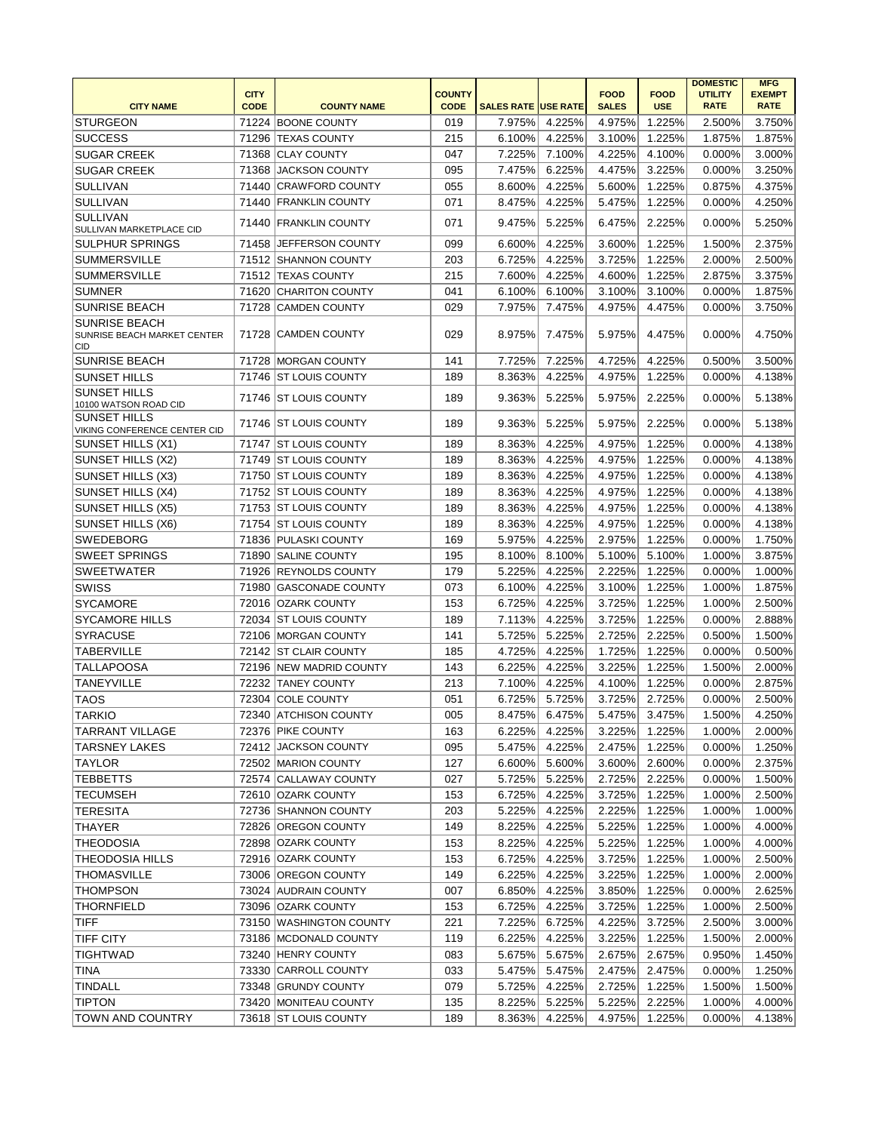|                                                            |             |                         |               |                            |               |              |             | <b>DOMESTIC</b> | <b>MFG</b>    |
|------------------------------------------------------------|-------------|-------------------------|---------------|----------------------------|---------------|--------------|-------------|-----------------|---------------|
|                                                            | <b>CITY</b> |                         | <b>COUNTY</b> |                            |               | <b>FOOD</b>  | <b>FOOD</b> | <b>UTILITY</b>  | <b>EXEMPT</b> |
| <b>CITY NAME</b>                                           | <b>CODE</b> | <b>COUNTY NAME</b>      | <b>CODE</b>   | <b>SALES RATE USE RATE</b> |               | <b>SALES</b> | <b>USE</b>  | <b>RATE</b>     | <b>RATE</b>   |
| <b>STURGEON</b>                                            |             | 71224 BOONE COUNTY      | 019           | 7.975%                     | 4.225%        | 4.975%       | 1.225%      | 2.500%          | 3.750%        |
| <b>SUCCESS</b>                                             |             | 71296 TEXAS COUNTY      | 215           | 6.100%                     | 4.225%        | 3.100%       | 1.225%      | 1.875%          | 1.875%        |
| <b>SUGAR CREEK</b>                                         |             | 71368 CLAY COUNTY       | 047           | 7.225%                     | 7.100%        | 4.225%       | 4.100%      | 0.000%          | 3.000%        |
| <b>SUGAR CREEK</b>                                         |             | 71368 JACKSON COUNTY    | 095           | 7.475%                     | 6.225%        | 4.475%       | 3.225%      | 0.000%          | 3.250%        |
| <b>SULLIVAN</b>                                            |             | 71440 CRAWFORD COUNTY   | 055           | 8.600%                     | 4.225%        | 5.600%       | 1.225%      | 0.875%          | 4.375%        |
| <b>SULLIVAN</b>                                            |             | 71440 FRANKLIN COUNTY   | 071           | 8.475%                     | 4.225%        | 5.475%       | 1.225%      | 0.000%          | 4.250%        |
| <b>SULLIVAN</b><br>SULLIVAN MARKETPLACE CID                |             | 71440 FRANKLIN COUNTY   | 071           | 9.475%                     | 5.225%        | 6.475%       | 2.225%      | 0.000%          | 5.250%        |
| <b>SULPHUR SPRINGS</b>                                     |             | 71458 JEFFERSON COUNTY  | 099           | 6.600%                     | 4.225%        | 3.600%       | 1.225%      | 1.500%          | 2.375%        |
| <b>SUMMERSVILLE</b>                                        |             | 71512 SHANNON COUNTY    | 203           | 6.725%                     | 4.225%        | 3.725%       | 1.225%      | 2.000%          | 2.500%        |
| <b>SUMMERSVILLE</b>                                        |             | 71512 TEXAS COUNTY      | 215           | 7.600%                     | 4.225%        | 4.600%       | 1.225%      | 2.875%          | 3.375%        |
| <b>SUMNER</b>                                              |             | 71620 CHARITON COUNTY   | 041           | 6.100%                     | 6.100%        | 3.100%       | 3.100%      | 0.000%          | 1.875%        |
| <b>SUNRISE BEACH</b>                                       |             | 71728 CAMDEN COUNTY     | 029           | 7.975%                     | 7.475%        | 4.975%       | 4.475%      | 0.000%          | 3.750%        |
| <b>SUNRISE BEACH</b><br>SUNRISE BEACH MARKET CENTER<br>CID |             | 71728 CAMDEN COUNTY     | 029           | 8.975%                     | 7.475%        | 5.975%       | 4.475%      | 0.000%          | 4.750%        |
| <b>SUNRISE BEACH</b>                                       |             | 71728 MORGAN COUNTY     | 141           | 7.725%                     | 7.225%        | 4.725%       | 4.225%      | 0.500%          | 3.500%        |
| <b>SUNSET HILLS</b>                                        |             | 71746 ST LOUIS COUNTY   | 189           | 8.363%                     | 4.225%        | 4.975%       | 1.225%      | 0.000%          | 4.138%        |
| <b>SUNSET HILLS</b>                                        |             | 71746 ST LOUIS COUNTY   | 189           | 9.363%                     | 5.225%        | 5.975%       | 2.225%      | 0.000%          | 5.138%        |
| 10100 WATSON ROAD CID<br><b>SUNSET HILLS</b>               |             | 71746 ST LOUIS COUNTY   | 189           | 9.363%                     | 5.225%        | 5.975%       | 2.225%      | 0.000%          | 5.138%        |
| VIKING CONFERENCE CENTER CID                               |             |                         |               |                            |               |              |             |                 |               |
| SUNSET HILLS (X1)                                          |             | 71747   ST LOUIS COUNTY | 189           | 8.363%                     | 4.225%        | 4.975%       | 1.225%      | 0.000%          | 4.138%        |
| SUNSET HILLS (X2)                                          |             | 71749 ST LOUIS COUNTY   | 189           | 8.363%                     | 4.225%        | 4.975%       | 1.225%      | 0.000%          | 4.138%        |
| SUNSET HILLS (X3)                                          |             | 71750 ST LOUIS COUNTY   | 189           | 8.363%                     | 4.225%        | 4.975%       | 1.225%      | 0.000%          | 4.138%        |
| <b>SUNSET HILLS (X4)</b>                                   |             | 71752 ST LOUIS COUNTY   | 189           | 8.363%                     | 4.225%        | 4.975%       | 1.225%      | 0.000%          | 4.138%        |
| <b>SUNSET HILLS (X5)</b>                                   |             | 71753 ST LOUIS COUNTY   | 189           | 8.363%                     | 4.225%        | 4.975%       | 1.225%      | 0.000%          | 4.138%        |
| SUNSET HILLS (X6)                                          |             | 71754 ST LOUIS COUNTY   | 189           | 8.363%                     | 4.225%        | 4.975%       | 1.225%      | 0.000%          | 4.138%        |
| <b>SWEDEBORG</b>                                           |             | 71836 PULASKI COUNTY    | 169           | 5.975%                     | 4.225%        | 2.975%       | 1.225%      | 0.000%          | 1.750%        |
| <b>SWEET SPRINGS</b>                                       |             | 71890 SALINE COUNTY     | 195           | 8.100%                     | 8.100%        | 5.100%       | 5.100%      | 1.000%          | 3.875%        |
| <b>SWEETWATER</b>                                          |             | 71926 REYNOLDS COUNTY   | 179           | 5.225%                     | 4.225%        | 2.225%       | 1.225%      | 0.000%          | 1.000%        |
| SWISS                                                      |             | 71980 GASCONADE COUNTY  | 073           | 6.100%                     | 4.225%        | 3.100%       | 1.225%      | 1.000%          | 1.875%        |
| <b>SYCAMORE</b>                                            |             | 72016 OZARK COUNTY      | 153           | 6.725%                     | 4.225%        | 3.725%       | 1.225%      | 1.000%          | 2.500%        |
| <b>SYCAMORE HILLS</b>                                      |             | 72034 ST LOUIS COUNTY   | 189           | 7.113%                     | 4.225%        | 3.725%       | 1.225%      | 0.000%          | 2.888%        |
| <b>SYRACUSE</b>                                            |             | 72106 MORGAN COUNTY     | 141           | 5.725%                     | 5.225%        | 2.725%       | 2.225%      | 0.500%          | 1.500%        |
| <b>TABERVILLE</b>                                          |             | 72142 ST CLAIR COUNTY   | 185           | 4.725%                     | 4.225%        | 1.725%       | 1.225%      | 0.000%          | 0.500%        |
| <b>TALLAPOOSA</b>                                          |             | 72196 NEW MADRID COUNTY | 143           | 6.225%                     | 4.225%        | 3.225%       | 1.225%      | 1.500%          | 2.000%        |
| <b>TANEYVILLE</b>                                          |             | 72232 TANEY COUNTY      | 213           | 7.100%                     | 4.225%        | 4.100%       | 1.225%      | 0.000%          | 2.875%        |
| <b>TAOS</b>                                                |             | 72304 COLE COUNTY       | 051           | 6.725%                     | 5.725%        | 3.725%       | 2.725%      | 0.000%          | 2.500%        |
| <b>TARKIO</b>                                              |             | 72340 ATCHISON COUNTY   | 005           |                            | 8.475% 6.475% | 5.475%       | 3.475%      | 1.500%          | 4.250%        |
| <b>TARRANT VILLAGE</b>                                     |             | 72376 PIKE COUNTY       | 163           | 6.225%                     | 4.225%        | 3.225%       | 1.225%      | $1.000\%$       | 2.000%        |
| <b>TARSNEY LAKES</b>                                       |             | 72412 JACKSON COUNTY    | 095           | 5.475%                     | 4.225%        | 2.475%       | 1.225%      | 0.000%          | 1.250%        |
| TAYLOR                                                     |             | 72502 MARION COUNTY     | 127           | 6.600%                     | 5.600%        | 3.600%       | 2.600%      | 0.000%          | 2.375%        |
| <b>TEBBETTS</b>                                            |             | 72574 CALLAWAY COUNTY   | 027           | 5.725%                     | 5.225%        | 2.725%       | 2.225%      | 0.000%          | 1.500%        |
| <b>TECUMSEH</b>                                            |             | 72610 OZARK COUNTY      | 153           | 6.725%                     | 4.225%        | 3.725%       | 1.225%      | 1.000%          | 2.500%        |
| <b>TERESITA</b>                                            |             | 72736 SHANNON COUNTY    | 203           | 5.225%                     | 4.225%        | 2.225%       | 1.225%      | 1.000%          | 1.000%        |
| THAYER                                                     |             | 72826 OREGON COUNTY     | 149           | 8.225%                     | 4.225%        | 5.225%       | 1.225%      | 1.000%          | 4.000%        |
| <b>THEODOSIA</b>                                           |             | 72898 OZARK COUNTY      | 153           | 8.225%                     | 4.225%        | 5.225%       | 1.225%      | 1.000%          | 4.000%        |
| <b>THEODOSIA HILLS</b>                                     |             | 72916 OZARK COUNTY      | 153           | 6.725%                     | 4.225%        | 3.725%       | 1.225%      | 1.000%          | 2.500%        |
| <b>THOMASVILLE</b>                                         |             | 73006 OREGON COUNTY     | 149           | 6.225%                     | 4.225%        | 3.225%       | 1.225%      | 1.000%          | 2.000%        |
| <b>THOMPSON</b>                                            |             | 73024 AUDRAIN COUNTY    | 007           | 6.850%                     | 4.225%        | 3.850%       | 1.225%      | 0.000%          | 2.625%        |
| <b>THORNFIELD</b>                                          |             | 73096 OZARK COUNTY      | 153           | 6.725%                     | 4.225%        | 3.725%       | 1.225%      | 1.000%          | 2.500%        |
| <b>TIFF</b>                                                |             | 73150 WASHINGTON COUNTY | 221           | 7.225%                     | 6.725%        | 4.225%       | 3.725%      | 2.500%          | 3.000%        |
| <b>TIFF CITY</b>                                           |             | 73186   MCDONALD COUNTY | 119           | 6.225%                     | 4.225%        | 3.225%       | 1.225%      | 1.500%          | 2.000%        |
| <b>TIGHTWAD</b>                                            |             | 73240 HENRY COUNTY      | 083           | 5.675%                     | 5.675%        | 2.675%       | 2.675%      | 0.950%          | 1.450%        |
| TINA                                                       |             | 73330 CARROLL COUNTY    | 033           | 5.475%                     | 5.475%        | 2.475%       | 2.475%      | 0.000%          | 1.250%        |
| <b>TINDALL</b>                                             |             | 73348 GRUNDY COUNTY     | 079           | 5.725%                     | 4.225%        | 2.725%       | 1.225%      | 1.500%          | 1.500%        |
| <b>TIPTON</b>                                              |             | 73420 MONITEAU COUNTY   | 135           | 8.225%                     | 5.225%        | 5.225%       | 2.225%      | 1.000%          | 4.000%        |
|                                                            |             |                         | 189           |                            |               |              |             |                 |               |
| <b>TOWN AND COUNTRY</b>                                    |             | 73618 ST LOUIS COUNTY   |               | 8.363%                     | 4.225%        | 4.975%       | 1.225%      | 0.000%          | 4.138%        |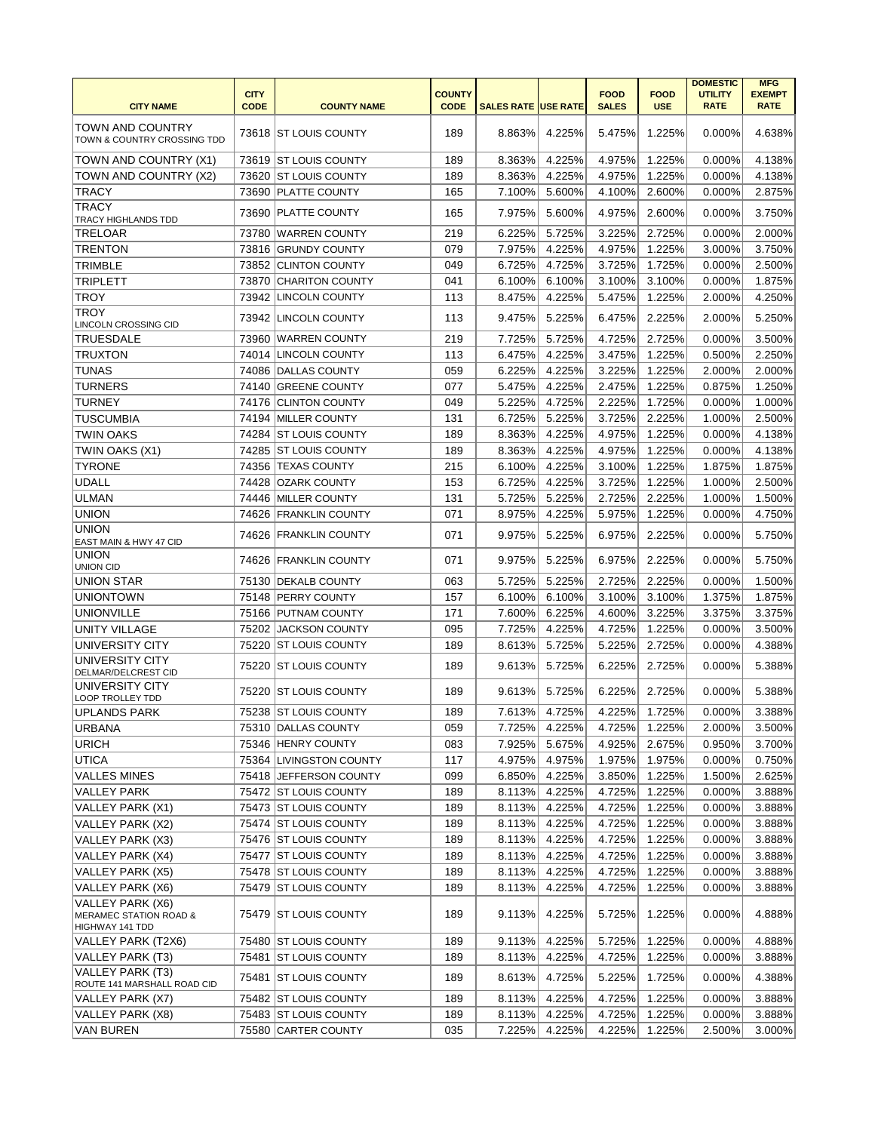|                                                                          | <b>CITY</b> |                         | <b>COUNTY</b> |                            |               | <b>FOOD</b>  | <b>FOOD</b> | <b>DOMESTIC</b><br><b>UTILITY</b> | <b>MFG</b><br><b>EXEMPT</b> |
|--------------------------------------------------------------------------|-------------|-------------------------|---------------|----------------------------|---------------|--------------|-------------|-----------------------------------|-----------------------------|
| <b>CITY NAME</b>                                                         | <b>CODE</b> | <b>COUNTY NAME</b>      | <b>CODE</b>   | <b>SALES RATE USE RATE</b> |               | <b>SALES</b> | <b>USE</b>  | <b>RATE</b>                       | <b>RATE</b>                 |
| <b>TOWN AND COUNTRY</b><br>TOWN & COUNTRY CROSSING TDD                   |             | 73618 ST LOUIS COUNTY   | 189           | 8.863%                     | 4.225%        | 5.475%       | 1.225%      | $0.000\%$                         | 4.638%                      |
| TOWN AND COUNTRY (X1)                                                    |             | 73619 IST LOUIS COUNTY  | 189           | 8.363%                     | 4.225%        | 4.975%       | 1.225%      | 0.000%                            | 4.138%                      |
| TOWN AND COUNTRY (X2)                                                    |             | 73620 ST LOUIS COUNTY   | 189           | 8.363%                     | 4.225%        | 4.975%       | 1.225%      | 0.000%                            | 4.138%                      |
| <b>TRACY</b>                                                             |             | 73690 PLATTE COUNTY     | 165           | 7.100%                     | 5.600%        | 4.100%       | 2.600%      | 0.000%                            | 2.875%                      |
| <b>TRACY</b><br>TRACY HIGHLANDS TDD                                      |             | 73690 PLATTE COUNTY     | 165           | 7.975%                     | 5.600%        | 4.975%       | 2.600%      | 0.000%                            | 3.750%                      |
| <b>TRELOAR</b>                                                           |             | 73780 WARREN COUNTY     | 219           | 6.225%                     | 5.725%        | 3.225%       | 2.725%      | 0.000%                            | 2.000%                      |
| <b>TRENTON</b>                                                           |             | 73816 GRUNDY COUNTY     | 079           | 7.975%                     | 4.225%        | 4.975%       | 1.225%      | 3.000%                            | 3.750%                      |
| <b>TRIMBLE</b>                                                           |             | 73852 CLINTON COUNTY    | 049           | 6.725%                     | 4.725%        | 3.725%       | 1.725%      | 0.000%                            | 2.500%                      |
| <b>TRIPLETT</b>                                                          |             | 73870 CHARITON COUNTY   | 041           | 6.100%                     | 6.100%        | 3.100%       | 3.100%      | 0.000%                            | 1.875%                      |
| <b>TROY</b>                                                              |             | 73942 LINCOLN COUNTY    | 113           | 8.475%                     | 4.225%        | 5.475%       | 1.225%      | 2.000%                            | 4.250%                      |
| <b>TROY</b><br><b>LINCOLN CROSSING CID</b>                               | 73942       | LINCOLN COUNTY          | 113           | 9.475%                     | 5.225%        | 6.475%       | 2.225%      | 2.000%                            | 5.250%                      |
| <b>TRUESDALE</b>                                                         |             | 73960 WARREN COUNTY     | 219           | 7.725%                     | 5.725%        | 4.725%       | 2.725%      | 0.000%                            | 3.500%                      |
| <b>TRUXTON</b>                                                           |             | 74014 LINCOLN COUNTY    | 113           | 6.475%                     | 4.225%        | 3.475%       | 1.225%      | 0.500%                            | 2.250%                      |
| <b>TUNAS</b>                                                             |             | 74086 DALLAS COUNTY     | 059           | 6.225%                     | 4.225%        | 3.225%       | 1.225%      | 2.000%                            | 2.000%                      |
| <b>TURNERS</b>                                                           |             | 74140 GREENE COUNTY     | 077           | 5.475%                     | 4.225%        | 2.475%       | 1.225%      | 0.875%                            | 1.250%                      |
| <b>TURNEY</b>                                                            |             | 74176 CLINTON COUNTY    | 049           | 5.225%                     | 4.725%        | 2.225%       | 1.725%      | 0.000%                            | 1.000%                      |
| <b>TUSCUMBIA</b>                                                         |             | 74194 MILLER COUNTY     | 131           | 6.725%                     | 5.225%        | 3.725%       | 2.225%      | 1.000%                            | 2.500%                      |
| <b>TWIN OAKS</b>                                                         |             | 74284 ST LOUIS COUNTY   | 189           | 8.363%                     | 4.225%        | 4.975%       | 1.225%      | 0.000%                            | 4.138%                      |
| TWIN OAKS (X1)                                                           |             | 74285   ST LOUIS COUNTY | 189           | 8.363%                     | 4.225%        | 4.975%       | 1.225%      | 0.000%                            | 4.138%                      |
| <b>TYRONE</b>                                                            |             | 74356 TEXAS COUNTY      | 215           | 6.100%                     | 4.225%        | 3.100%       | 1.225%      | 1.875%                            | 1.875%                      |
| <b>UDALL</b>                                                             |             | 74428 OZARK COUNTY      | 153           | 6.725%                     | 4.225%        | 3.725%       | 1.225%      | 1.000%                            | 2.500%                      |
| <b>ULMAN</b>                                                             |             | 74446 MILLER COUNTY     | 131           | 5.725%                     | 5.225%        | 2.725%       | 2.225%      | 1.000%                            | 1.500%                      |
| <b>UNION</b>                                                             |             | 74626 FRANKLIN COUNTY   | 071           | 8.975%                     | 4.225%        | 5.975%       | 1.225%      | 0.000%                            | 4.750%                      |
| <b>UNION</b><br>EAST MAIN & HWY 47 CID                                   |             | 74626 FRANKLIN COUNTY   | 071           | 9.975%                     | 5.225%        | 6.975%       | 2.225%      | 0.000%                            | 5.750%                      |
| <b>UNION</b><br><b>UNION CID</b>                                         |             | 74626 FRANKLIN COUNTY   | 071           | 9.975%                     | 5.225%        | 6.975%       | 2.225%      | 0.000%                            | 5.750%                      |
| <b>UNION STAR</b>                                                        |             | 75130   DEKALB COUNTY   | 063           | 5.725%                     | 5.225%        | 2.725%       | 2.225%      | 0.000%                            | 1.500%                      |
| <b>UNIONTOWN</b>                                                         |             | 75148 PERRY COUNTY      | 157           | 6.100%                     | 6.100%        | 3.100%       | 3.100%      | 1.375%                            | 1.875%                      |
| <b>UNIONVILLE</b>                                                        |             | 75166 PUTNAM COUNTY     | 171           | 7.600%                     | 6.225%        | 4.600%       | 3.225%      | 3.375%                            | 3.375%                      |
| <b>UNITY VILLAGE</b>                                                     |             | 75202 JACKSON COUNTY    | 095           | 7.725%                     | 4.225%        | 4.725%       | 1.225%      | 0.000%                            | 3.500%                      |
| UNIVERSITY CITY                                                          |             | 75220 ST LOUIS COUNTY   | 189           | 8.613%                     | 5.725%        | 5.225%       | 2.725%      | 0.000%                            | 4.388%                      |
| UNIVERSITY CITY<br>DELMAR/DELCREST CID                                   |             | 75220 ST LOUIS COUNTY   | 189           | 9.613%                     | 5.725%        | 6.225%       | 2.725%      | 0.000%                            | 5.388%                      |
| UNIVERSITY CITY<br><b>LOOP TROLLEY TDD</b>                               |             | 75220 ST LOUIS COUNTY   | 189           | 9.613%                     | 5.725%        | 6.225%       | 2.725%      | 0.000%                            | 5.388%                      |
| UPLANDS PARK                                                             |             | 75238 ST LOUIS COUNTY   | 189           |                            | 7.613% 4.725% | 4.225%       | 1.725%      | 0.000%                            | 3.388%                      |
| <b>URBANA</b>                                                            |             | 75310 DALLAS COUNTY     | 059           | 7.725%                     | 4.225%        | 4.725%       | 1.225%      | 2.000%                            | 3.500%                      |
| <b>URICH</b>                                                             |             | 75346 HENRY COUNTY      | 083           | 7.925%                     | 5.675%        | 4.925%       | 2.675%      | 0.950%                            | 3.700%                      |
| <b>UTICA</b>                                                             |             | 75364 LIVINGSTON COUNTY | 117           | 4.975%                     | 4.975%        | 1.975%       | 1.975%      | 0.000%                            | 0.750%                      |
| VALLES MINES                                                             |             | 75418 JEFFERSON COUNTY  | 099           | 6.850%                     | 4.225%        | 3.850%       | 1.225%      | 1.500%                            | 2.625%                      |
| <b>VALLEY PARK</b>                                                       |             | 75472 ST LOUIS COUNTY   | 189           | 8.113%                     | 4.225%        | 4.725%       | 1.225%      | 0.000%                            | 3.888%                      |
| VALLEY PARK (X1)                                                         |             | 75473 ST LOUIS COUNTY   | 189           | 8.113%                     | 4.225%        | 4.725%       | 1.225%      | 0.000%                            | 3.888%                      |
| VALLEY PARK (X2)                                                         |             | 75474 ST LOUIS COUNTY   | 189           | 8.113%                     | 4.225%        | 4.725%       | 1.225%      | 0.000%                            | 3.888%                      |
| VALLEY PARK (X3)                                                         |             | 75476 ST LOUIS COUNTY   | 189           | 8.113%                     | 4.225%        | 4.725%       | 1.225%      | 0.000%                            | 3.888%                      |
| VALLEY PARK (X4)                                                         |             | 75477 ST LOUIS COUNTY   | 189           | 8.113%                     | 4.225%        | 4.725%       | 1.225%      | 0.000%                            | 3.888%                      |
| VALLEY PARK (X5)                                                         |             | 75478 ST LOUIS COUNTY   | 189           | 8.113%                     | 4.225%        | 4.725%       | 1.225%      | 0.000%                            | 3.888%                      |
| VALLEY PARK (X6)                                                         |             | 75479 ST LOUIS COUNTY   | 189           | 8.113%                     | 4.225%        | 4.725%       | 1.225%      | 0.000%                            | 3.888%                      |
| VALLEY PARK (X6)<br><b>MERAMEC STATION ROAD &amp;</b><br>HIGHWAY 141 TDD |             | 75479 ST LOUIS COUNTY   | 189           | 9.113%                     | 4.225%        | 5.725%       | 1.225%      | 0.000%                            | 4.888%                      |
| VALLEY PARK (T2X6)                                                       |             | 75480 ST LOUIS COUNTY   | 189           | 9.113%                     | 4.225%        | 5.725%       | 1.225%      | 0.000%                            | 4.888%                      |
| VALLEY PARK (T3)                                                         |             | 75481 ST LOUIS COUNTY   | 189           | 8.113%                     | 4.225%        | 4.725%       | 1.225%      | 0.000%                            | 3.888%                      |
| VALLEY PARK (T3)<br>ROUTE 141 MARSHALL ROAD CID                          |             | 75481   ST LOUIS COUNTY | 189           | 8.613%                     | 4.725%        | 5.225%       | 1.725%      | 0.000%                            | 4.388%                      |
| VALLEY PARK (X7)                                                         |             | 75482 ST LOUIS COUNTY   | 189           | 8.113%                     | 4.225%        | 4.725%       | 1.225%      | 0.000%                            | 3.888%                      |
| VALLEY PARK (X8)                                                         |             | 75483 ST LOUIS COUNTY   | 189           | 8.113%                     | 4.225%        | 4.725%       | 1.225%      | 0.000%                            | 3.888%                      |
| <b>VAN BUREN</b>                                                         |             | 75580 CARTER COUNTY     | 035           | 7.225%                     | 4.225%        | 4.225%       | 1.225%      | 2.500%                            | 3.000%                      |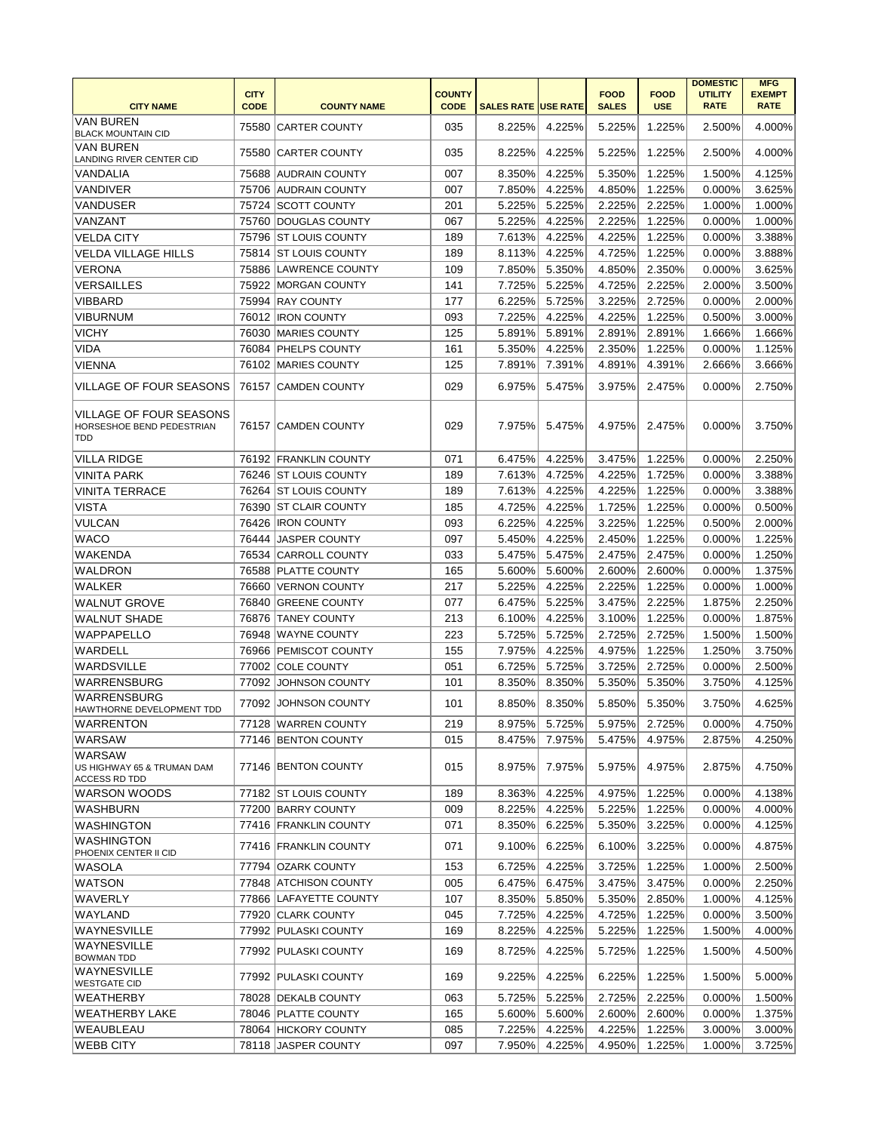|                                                             | <b>CITY</b> |                        | <b>COUNTY</b> |                            |        | <b>FOOD</b>  | <b>FOOD</b> | <b>DOMESTIC</b><br><b>UTILITY</b> | <b>MFG</b><br><b>EXEMPT</b> |
|-------------------------------------------------------------|-------------|------------------------|---------------|----------------------------|--------|--------------|-------------|-----------------------------------|-----------------------------|
| <b>CITY NAME</b>                                            | <b>CODE</b> | <b>COUNTY NAME</b>     | <b>CODE</b>   | <b>SALES RATE USE RATE</b> |        | <b>SALES</b> | <b>USE</b>  | <b>RATE</b>                       | <b>RATE</b>                 |
| <b>VAN BUREN</b><br><b>BLACK MOUNTAIN CID</b>               |             | 75580 CARTER COUNTY    | 035           | 8.225%                     | 4.225% | 5.225%       | 1.225%      | 2.500%                            | 4.000%                      |
| <b>VAN BUREN</b><br>LANDING RIVER CENTER CID                |             | 75580 CARTER COUNTY    | 035           | 8.225%                     | 4.225% | 5.225%       | 1.225%      | 2.500%                            | 4.000%                      |
| <b>VANDALIA</b>                                             |             | 75688 AUDRAIN COUNTY   | 007           | 8.350%                     | 4.225% | 5.350%       | 1.225%      | 1.500%                            | 4.125%                      |
| <b>VANDIVER</b>                                             |             | 75706 AUDRAIN COUNTY   | 007           | 7.850%                     | 4.225% | 4.850%       | 1.225%      | 0.000%                            | 3.625%                      |
| VANDUSER                                                    |             | 75724 SCOTT COUNTY     | 201           | 5.225%                     | 5.225% | 2.225%       | 2.225%      | 1.000%                            | 1.000%                      |
| VANZANT                                                     |             | 75760 DOUGLAS COUNTY   | 067           | 5.225%                     | 4.225% | 2.225%       | 1.225%      | 0.000%                            | 1.000%                      |
| <b>VELDA CITY</b>                                           |             | 75796 ST LOUIS COUNTY  | 189           | 7.613%                     | 4.225% | 4.225%       | 1.225%      | 0.000%                            | 3.388%                      |
| <b>VELDA VILLAGE HILLS</b>                                  |             | 75814 ST LOUIS COUNTY  | 189           | 8.113%                     | 4.225% | 4.725%       | 1.225%      | 0.000%                            | 3.888%                      |
| <b>VERONA</b>                                               |             | 75886 LAWRENCE COUNTY  | 109           | 7.850%                     | 5.350% | 4.850%       | 2.350%      | 0.000%                            | 3.625%                      |
| <b>VERSAILLES</b>                                           |             | 75922 MORGAN COUNTY    | 141           | 7.725%                     | 5.225% | 4.725%       | 2.225%      | 2.000%                            | 3.500%                      |
| <b>VIBBARD</b>                                              |             | 75994 RAY COUNTY       | 177           | 6.225%                     | 5.725% | 3.225%       | 2.725%      | 0.000%                            | 2.000%                      |
| <b>VIBURNUM</b>                                             |             | 76012   IRON COUNTY    | 093           | 7.225%                     | 4.225% | 4.225%       | 1.225%      | 0.500%                            | 3.000%                      |
| <b>VICHY</b>                                                |             | 76030 MARIES COUNTY    | 125           | 5.891%                     | 5.891% | 2.891%       | 2.891%      | 1.666%                            | 1.666%                      |
| VIDA                                                        |             | 76084   PHELPS COUNTY  | 161           | 5.350%                     | 4.225% | 2.350%       | 1.225%      | 0.000%                            | 1.125%                      |
| <b>VIENNA</b>                                               |             | 76102 MARIES COUNTY    | 125           | 7.891%                     | 7.391% | 4.891%       | 4.391%      | 2.666%                            | 3.666%                      |
| VILLAGE OF FOUR SEASONS                                     | 76157       | <b>CAMDEN COUNTY</b>   | 029           | 6.975%                     | 5.475% | 3.975%       | 2.475%      | 0.000%                            | 2.750%                      |
| VILLAGE OF FOUR SEASONS<br>HORSESHOE BEND PEDESTRIAN<br>TDD |             | 76157 CAMDEN COUNTY    | 029           | 7.975%                     | 5.475% | 4.975%       | 2.475%      | $0.000\%$                         | 3.750%                      |
| <b>VILLA RIDGE</b>                                          |             | 76192 FRANKLIN COUNTY  | 071           | 6.475%                     | 4.225% | 3.475%       | 1.225%      | 0.000%                            | 2.250%                      |
| <b>VINITA PARK</b>                                          |             | 76246 ST LOUIS COUNTY  | 189           | 7.613%                     | 4.725% | 4.225%       | 1.725%      | 0.000%                            | 3.388%                      |
| <b>VINITA TERRACE</b>                                       |             | 76264 ST LOUIS COUNTY  | 189           | 7.613%                     | 4.225% | 4.225%       | 1.225%      | 0.000%                            | 3.388%                      |
| <b>VISTA</b>                                                |             | 76390 ST CLAIR COUNTY  | 185           | 4.725%                     | 4.225% | 1.725%       | 1.225%      | 0.000%                            | 0.500%                      |
| VULCAN                                                      |             | 76426   IRON COUNTY    | 093           | 6.225%                     | 4.225% | 3.225%       | 1.225%      | 0.500%                            | 2.000%                      |
| <b>WACO</b>                                                 |             | 76444 JASPER COUNTY    | 097           | 5.450%                     | 4.225% | 2.450%       | 1.225%      | 0.000%                            | 1.225%                      |
| WAKENDA                                                     |             | 76534 CARROLL COUNTY   | 033           | 5.475%                     | 5.475% | 2.475%       | 2.475%      | 0.000%                            | 1.250%                      |
| <b>WALDRON</b>                                              |             | 76588 PLATTE COUNTY    | 165           | 5.600%                     | 5.600% | 2.600%       | 2.600%      | 0.000%                            | 1.375%                      |
| <b>WALKER</b>                                               | 76660       | VERNON COUNTY          | 217           | 5.225%                     | 4.225% | 2.225%       | 1.225%      | 0.000%                            | 1.000%                      |
| <b>WALNUT GROVE</b>                                         |             | 76840 GREENE COUNTY    | 077           | 6.475%                     | 5.225% | 3.475%       | 2.225%      | 1.875%                            | 2.250%                      |
| <b>WALNUT SHADE</b>                                         |             | 76876 TANEY COUNTY     | 213           | 6.100%                     | 4.225% | 3.100%       | 1.225%      | 0.000%                            | 1.875%                      |
| WAPPAPELLO                                                  |             | 76948 WAYNE COUNTY     | 223           | 5.725%                     | 5.725% | 2.725%       | 2.725%      | 1.500%                            | 1.500%                      |
| WARDELL                                                     |             | 76966 PEMISCOT COUNTY  | 155           | 7.975%                     | 4.225% | 4.975%       | 1.225%      | 1.250%                            | 3.750%                      |
| <b>WARDSVILLE</b>                                           |             | 77002 COLE COUNTY      | 051           | 6.725%                     | 5.725% | 3.725%       | 2.725%      | 0.000%                            | 2.500%                      |
| <b>WARRENSBURG</b>                                          |             | 77092 JOHNSON COUNTY   | 101           | 8.350%                     | 8.350% | 5.350%       | 5.350%      | 3.750%                            | 4.125%                      |
| <b>WARRENSBURG</b><br>HAWTHORNE DEVELOPMENT TDD             | 77092       | JOHNSON COUNTY         | 101           | 8.850%                     | 8.350% | 5.850%       | 5.350%      | 3.750%                            | 4.625%                      |
| <b>WARRENTON</b>                                            |             | 77128 WARREN COUNTY    | 219           | 8.975%                     | 5.725% | 5.975%       | 2.725%      | 0.000%                            | 4.750%                      |
| <b>WARSAW</b>                                               |             | 77146 BENTON COUNTY    | 015           | 8.475%                     | 7.975% | 5.475%       | 4.975%      | 2.875%                            | 4.250%                      |
| WARSAW<br>US HIGHWAY 65 & TRUMAN DAM<br>ACCESS RD TDD       |             | 77146 BENTON COUNTY    | 015           | 8.975%                     | 7.975% | 5.975%       | 4.975%      | 2.875%                            | 4.750%                      |
| <b>WARSON WOODS</b>                                         |             | 77182 ST LOUIS COUNTY  | 189           | 8.363%                     | 4.225% | 4.975%       | 1.225%      | 0.000%                            | 4.138%                      |
| <b>WASHBURN</b>                                             |             | 77200 BARRY COUNTY     | 009           | 8.225%                     | 4.225% | 5.225%       | 1.225%      | 0.000%                            | 4.000%                      |
| <b>WASHINGTON</b>                                           |             | 77416 FRANKLIN COUNTY  | 071           | 8.350%                     | 6.225% | 5.350%       | 3.225%      | 0.000%                            | 4.125%                      |
| <b>WASHINGTON</b><br>PHOENIX CENTER II CID                  |             | 77416 FRANKLIN COUNTY  | 071           | 9.100%                     | 6.225% | 6.100%       | 3.225%      | 0.000%                            | 4.875%                      |
| <b>WASOLA</b>                                               |             | 77794 OZARK COUNTY     | 153           | 6.725%                     | 4.225% | 3.725%       | 1.225%      | 1.000%                            | 2.500%                      |
| WATSON                                                      |             | 77848 ATCHISON COUNTY  | 005           | 6.475%                     | 6.475% | 3.475%       | 3.475%      | 0.000%                            | 2.250%                      |
| WAVERLY                                                     |             | 77866 LAFAYETTE COUNTY | 107           | 8.350%                     | 5.850% | 5.350%       | 2.850%      | 1.000%                            | 4.125%                      |
| WAYLAND                                                     |             | 77920 CLARK COUNTY     | 045           | 7.725%                     | 4.225% | 4.725%       | 1.225%      | 0.000%                            | 3.500%                      |
| WAYNESVILLE                                                 |             | 77992 PULASKI COUNTY   | 169           | 8.225%                     | 4.225% | 5.225%       | 1.225%      | 1.500%                            | 4.000%                      |
| <b>WAYNESVILLE</b><br><b>BOWMAN TDD</b>                     |             | 77992 PULASKI COUNTY   | 169           | 8.725%                     | 4.225% | 5.725%       | 1.225%      | 1.500%                            | 4.500%                      |
| <b>WAYNESVILLE</b><br><b>WESTGATE CID</b>                   |             | 77992 PULASKI COUNTY   | 169           | 9.225%                     | 4.225% | 6.225%       | 1.225%      | 1.500%                            | 5.000%                      |
| <b>WEATHERBY</b>                                            |             | 78028 DEKALB COUNTY    | 063           | 5.725%                     | 5.225% | 2.725%       | 2.225%      | 0.000%                            | 1.500%                      |
| <b>WEATHERBY LAKE</b>                                       |             | 78046 PLATTE COUNTY    | 165           | 5.600%                     | 5.600% | 2.600%       | 2.600%      | 0.000%                            | 1.375%                      |
| <b>WEAUBLEAU</b>                                            |             | 78064 HICKORY COUNTY   | 085           | 7.225%                     | 4.225% | 4.225%       | 1.225%      | 3.000%                            | 3.000%                      |
| <b>WEBB CITY</b>                                            |             | 78118 JASPER COUNTY    | 097           | 7.950%                     | 4.225% | 4.950%       | 1.225%      | 1.000%                            | 3.725%                      |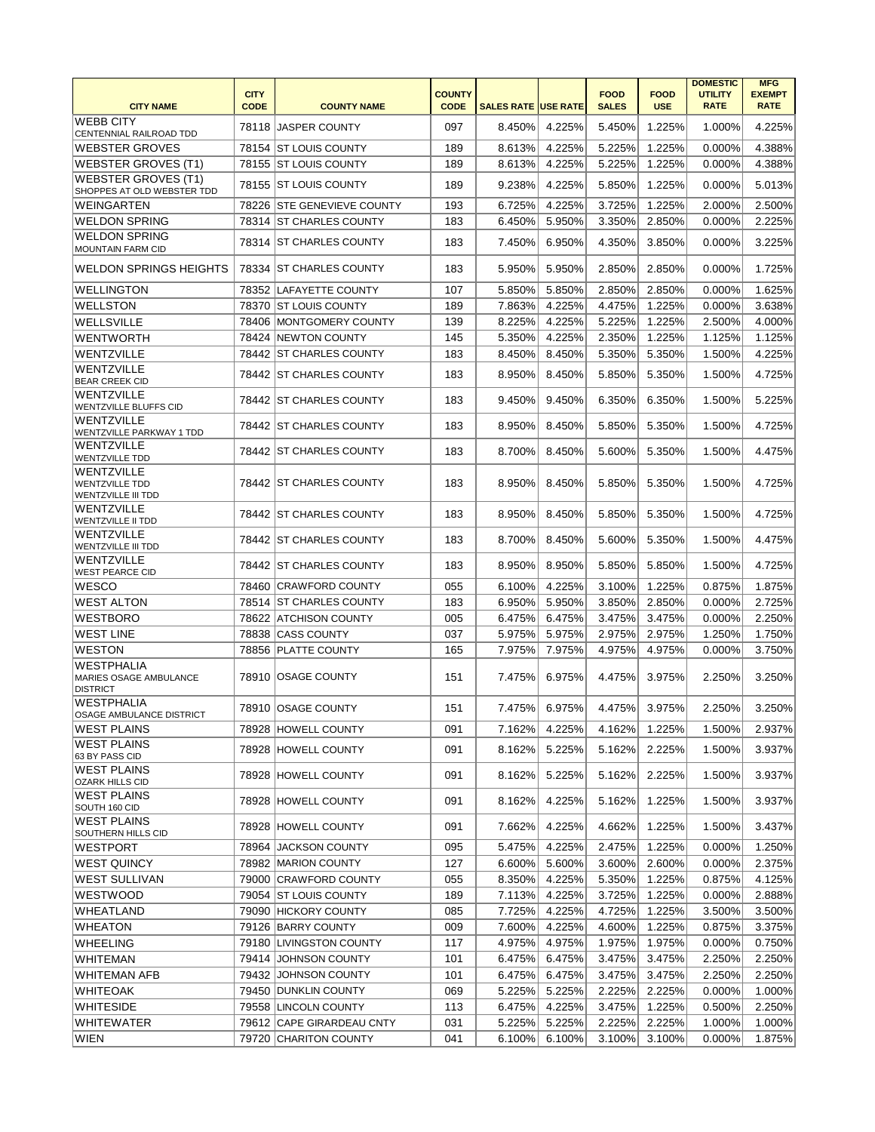| <b>CITY NAME</b>                                                 | <b>CITY</b><br><b>CODE</b> | <b>COUNTY NAME</b>         | <b>COUNTY</b><br><b>CODE</b> | <b>SALES RATE USE RATE</b> |               | <b>FOOD</b><br><b>SALES</b> | <b>FOOD</b><br><b>USE</b> | <b>DOMESTIC</b><br><b>UTILITY</b><br><b>RATE</b> | <b>MFG</b><br><b>EXEMPT</b><br><b>RATE</b> |
|------------------------------------------------------------------|----------------------------|----------------------------|------------------------------|----------------------------|---------------|-----------------------------|---------------------------|--------------------------------------------------|--------------------------------------------|
| <b>WEBB CITY</b><br>CENTENNIAL RAILROAD TDD                      |                            | 78118 JASPER COUNTY        | 097                          | 8.450%                     | 4.225%        | 5.450%                      | 1.225%                    | 1.000%                                           | 4.225%                                     |
| <b>WEBSTER GROVES</b>                                            |                            | 78154 ST LOUIS COUNTY      | 189                          | 8.613%                     | 4.225%        | 5.225%                      | 1.225%                    | 0.000%                                           | 4.388%                                     |
| <b>WEBSTER GROVES (T1)</b>                                       |                            | 78155 ST LOUIS COUNTY      | 189                          | 8.613%                     | 4.225%        | 5.225%                      | 1.225%                    | 0.000%                                           | 4.388%                                     |
| <b>WEBSTER GROVES (T1)</b><br>SHOPPES AT OLD WEBSTER TDD         |                            | 78155 ST LOUIS COUNTY      | 189                          | 9.238%                     | 4.225%        | 5.850%                      | 1.225%                    | 0.000%                                           | 5.013%                                     |
| WEINGARTEN                                                       |                            | 78226 STE GENEVIEVE COUNTY | 193                          | 6.725%                     | 4.225%        | 3.725%                      | 1.225%                    | 2.000%                                           | 2.500%                                     |
| <b>WELDON SPRING</b>                                             |                            | 78314 ST CHARLES COUNTY    | 183                          | 6.450%                     | 5.950%        | 3.350%                      | 2.850%                    | 0.000%                                           | 2.225%                                     |
| <b>WELDON SPRING</b><br><b>MOUNTAIN FARM CID</b>                 |                            | 78314 IST CHARLES COUNTY   | 183                          | 7.450%                     | 6.950%        | 4.350%                      | 3.850%                    | 0.000%                                           | 3.225%                                     |
| <b>WELDON SPRINGS HEIGHTS</b>                                    |                            | 78334 ST CHARLES COUNTY    | 183                          | 5.950%                     | 5.950%        | 2.850%                      | 2.850%                    | 0.000%                                           | 1.725%                                     |
| <b>WELLINGTON</b>                                                |                            | 78352 LAFAYETTE COUNTY     | 107                          | 5.850%                     | 5.850%        | 2.850%                      | 2.850%                    | 0.000%                                           | 1.625%                                     |
| WELLSTON                                                         |                            | 78370   ST LOUIS COUNTY    | 189                          | 7.863%                     | 4.225%        | 4.475%                      | 1.225%                    | 0.000%                                           | 3.638%                                     |
| WELLSVILLE                                                       |                            | 78406 MONTGOMERY COUNTY    | 139                          | 8.225%                     | 4.225%        | 5.225%                      | 1.225%                    | 2.500%                                           | 4.000%                                     |
| <b>WENTWORTH</b>                                                 |                            | 78424 NEWTON COUNTY        | 145                          | 5.350%                     | 4.225%        | 2.350%                      | 1.225%                    | 1.125%                                           | 1.125%                                     |
| WENTZVILLE                                                       |                            | 78442 ST CHARLES COUNTY    | 183                          | 8.450%                     | 8.450%        | 5.350%                      | 5.350%                    | 1.500%                                           | 4.225%                                     |
| WENTZVILLE<br><b>BEAR CREEK CID</b>                              |                            | 78442 ST CHARLES COUNTY    | 183                          | 8.950%                     | 8.450%        | 5.850%                      | 5.350%                    | 1.500%                                           | 4.725%                                     |
| <b>WENTZVILLE</b><br><b>WENTZVILLE BLUFFS CID</b>                |                            | 78442 ST CHARLES COUNTY    | 183                          | 9.450%                     | 9.450%        | 6.350%                      | 6.350%                    | 1.500%                                           | 5.225%                                     |
| WENTZVILLE<br>WENTZVILLE PARKWAY 1 TDD                           |                            | 78442 ST CHARLES COUNTY    | 183                          | 8.950%                     | 8.450%        | 5.850%                      | 5.350%                    | 1.500%                                           | 4.725%                                     |
| <b>WENTZVILLE</b><br><b>WENTZVILLE TDD</b>                       |                            | 78442 ST CHARLES COUNTY    | 183                          | 8.700%                     | 8.450%        | 5.600%                      | 5.350%                    | 1.500%                                           | 4.475%                                     |
| WENTZVILLE<br><b>WENTZVILLE TDD</b><br><b>WENTZVILLE III TDD</b> |                            | 78442 ST CHARLES COUNTY    | 183                          | 8.950%                     | 8.450%        | 5.850%                      | 5.350%                    | 1.500%                                           | 4.725%                                     |
| <b>WENTZVILLE</b><br><b>WENTZVILLE II TDD</b>                    |                            | 78442 ST CHARLES COUNTY    | 183                          | 8.950%                     | 8.450%        | 5.850%                      | 5.350%                    | 1.500%                                           | 4.725%                                     |
| <b>WENTZVILLE</b><br><b>WENTZVILLE III TDD</b>                   |                            | 78442 ST CHARLES COUNTY    | 183                          | 8.700%                     | 8.450%        | 5.600%                      | 5.350%                    | 1.500%                                           | 4.475%                                     |
| <b>WENTZVILLE</b><br><b>WEST PEARCE CID</b>                      |                            | 78442 ST CHARLES COUNTY    | 183                          | 8.950%                     | 8.950%        | 5.850%                      | 5.850%                    | 1.500%                                           | 4.725%                                     |
| <b>WESCO</b>                                                     |                            | 78460 CRAWFORD COUNTY      | 055                          | 6.100%                     | 4.225%        | 3.100%                      | 1.225%                    | 0.875%                                           | 1.875%                                     |
| <b>WEST ALTON</b>                                                |                            | 78514 ST CHARLES COUNTY    | 183                          | 6.950%                     | 5.950%        | 3.850%                      | 2.850%                    | 0.000%                                           | 2.725%                                     |
| <b>WESTBORO</b>                                                  |                            | 78622 ATCHISON COUNTY      | 005                          | 6.475%                     | 6.475%        | 3.475%                      | 3.475%                    | 0.000%                                           | 2.250%                                     |
| <b>WEST LINE</b>                                                 |                            | 78838 CASS COUNTY          | 037                          | 5.975%                     | 5.975%        | 2.975%                      | 2.975%                    | 1.250%                                           | 1.750%                                     |
| <b>WESTON</b>                                                    |                            | 78856 PLATTE COUNTY        | 165                          | 7.975%                     | 7.975%        | 4.975%                      | 4.975%                    | 0.000%                                           | 3.750%                                     |
| <b>WESTPHALIA</b><br>MARIES OSAGE AMBULANCE<br><b>DISTRICT</b>   |                            | 78910 OSAGE COUNTY         | 151                          | 7.475%                     | 6.975%        | 4.475%                      | 3.975%                    | 2.250%                                           | 3.250%                                     |
| <b>WESTPHALIA</b><br>OSAGE AMBULANCE DISTRICT                    |                            | 78910 OSAGE COUNTY         | 151                          |                            | 7.475% 6.975% | 4.475%                      | 3.975%                    | 2.250%                                           | 3.250%                                     |
| <b>WEST PLAINS</b>                                               |                            | 78928 HOWELL COUNTY        | 091                          | 7.162%                     | 4.225%        | 4.162%                      | 1.225%                    | 1.500%                                           | 2.937%                                     |
| <b>WEST PLAINS</b><br>63 BY PASS CID                             |                            | 78928 HOWELL COUNTY        | 091                          | 8.162%                     | 5.225%        | 5.162%                      | 2.225%                    | 1.500%                                           | 3.937%                                     |
| <b>WEST PLAINS</b><br><b>OZARK HILLS CID</b>                     |                            | 78928 HOWELL COUNTY        | 091                          | 8.162%                     | 5.225%        | 5.162%                      | 2.225%                    | 1.500%                                           | 3.937%                                     |
| <b>WEST PLAINS</b><br>SOUTH 160 CID                              |                            | 78928 HOWELL COUNTY        | 091                          | 8.162%                     | 4.225%        | 5.162%                      | 1.225%                    | 1.500%                                           | 3.937%                                     |
| <b>WEST PLAINS</b><br>SOUTHERN HILLS CID                         |                            | 78928 HOWELL COUNTY        | 091                          | 7.662%                     | 4.225%        | 4.662%                      | 1.225%                    | 1.500%                                           | 3.437%                                     |
| <b>WESTPORT</b>                                                  |                            | 78964 JACKSON COUNTY       | 095                          | 5.475%                     | 4.225%        | 2.475%                      | 1.225%                    | 0.000%                                           | 1.250%                                     |
| <b>WEST QUINCY</b>                                               |                            | 78982   MARION COUNTY      | 127                          | 6.600%                     | 5.600%        | 3.600%                      | 2.600%                    | 0.000%                                           | 2.375%                                     |
| <b>WEST SULLIVAN</b>                                             |                            | 79000 CRAWFORD COUNTY      | 055                          | 8.350%                     | 4.225%        | 5.350%                      | 1.225%                    | 0.875%                                           | 4.125%                                     |
| <b>WESTWOOD</b>                                                  |                            | 79054 ST LOUIS COUNTY      | 189                          | 7.113%                     | 4.225%        | 3.725%                      | 1.225%                    | 0.000%                                           | 2.888%                                     |
| WHEATLAND                                                        |                            | 79090 HICKORY COUNTY       | 085                          | 7.725%                     | 4.225%        | 4.725%                      | 1.225%                    | 3.500%                                           | 3.500%                                     |
| <b>WHEATON</b>                                                   |                            | 79126 BARRY COUNTY         | 009                          | 7.600%                     | 4.225%        | 4.600%                      | 1.225%                    | 0.875%                                           | 3.375%                                     |
| WHEELING                                                         |                            | 79180 LIVINGSTON COUNTY    | 117                          | 4.975%                     | 4.975%        | 1.975%                      | 1.975%                    | 0.000%                                           | 0.750%                                     |
| WHITEMAN                                                         |                            | 79414 JOHNSON COUNTY       | 101                          | 6.475%                     | 6.475%        | 3.475%                      | 3.475%                    | 2.250%                                           | 2.250%                                     |
| <b>WHITEMAN AFB</b>                                              |                            | 79432 JOHNSON COUNTY       | 101                          | 6.475%                     | 6.475%        | 3.475%                      | 3.475%                    | 2.250%                                           | 2.250%                                     |
| <b>WHITEOAK</b>                                                  |                            | 79450 DUNKLIN COUNTY       | 069                          | 5.225%                     | 5.225%        | 2.225%                      | 2.225%                    | 0.000%                                           | 1.000%                                     |
| <b>WHITESIDE</b>                                                 |                            | 79558 LINCOLN COUNTY       | 113                          | 6.475%                     | 4.225%        | 3.475%                      | 1.225%                    | 0.500%                                           | 2.250%                                     |
| WHITEWATER                                                       |                            | 79612 CAPE GIRARDEAU CNTY  | 031                          | 5.225%                     | 5.225%        | 2.225%                      | 2.225%                    | 1.000%                                           | 1.000%                                     |
| WIEN                                                             |                            | 79720 CHARITON COUNTY      | 041                          | 6.100%                     | 6.100%        | 3.100%                      | 3.100%                    | 0.000%                                           | 1.875%                                     |